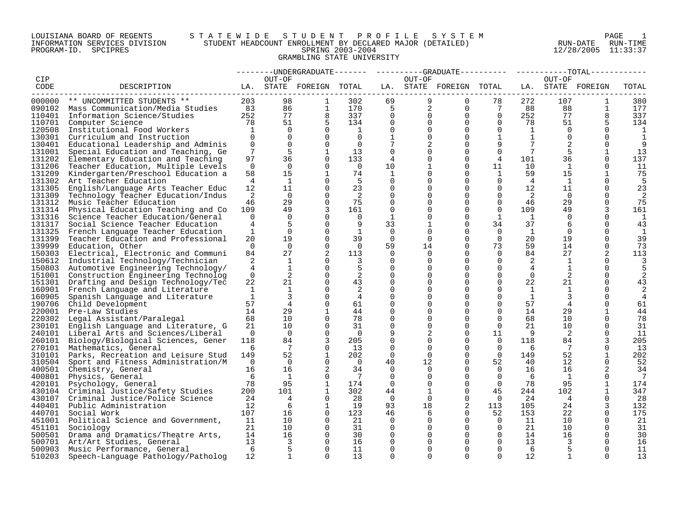#### LOUISIANA BOARD OF REGENTS S T A T E W I D E S T U D E N T P R O F I L E S Y S T E M PAGE 1 INFORMATION SERVICES DIVISION STUDENT HEADCOUNT ENROLLMENT BY DECLARED MAJOR (DETAILED) RUN-DATE RUN-TIME PROGRAM-ID. SPCIPRES SPRING 2003-2004 12/28/2005 11:33:37 GRAMBLING STATE UNIVERSITY

|         |                                           |                 |                |                          |                |                      |                |                         |                      |                 |                | --TOTAL-                 |                 |
|---------|-------------------------------------------|-----------------|----------------|--------------------------|----------------|----------------------|----------------|-------------------------|----------------------|-----------------|----------------|--------------------------|-----------------|
| CIP     |                                           |                 | OUT-OF         |                          |                |                      | OUT-OF         |                         |                      |                 | OUT-OF         |                          |                 |
| CODE    | DESCRIPTION                               |                 |                | LA. STATE FOREIGN TOTAL  |                |                      |                | LA. STATE FOREIGN TOTAL |                      |                 |                | LA. STATE FOREIGN        | TOTAL           |
| ------- |                                           |                 |                |                          |                |                      |                |                         |                      |                 |                |                          |                 |
|         | 000000 ** UNCOMMITTED STUDENTS **         | 203             | 98             | 1                        | 302            | 69                   | 9              | $\Omega$                | 78                   | 272             | 107            | 1                        | 380             |
|         | 090102 Mass Communication/Media Studies   | 83              | 86             | $\mathbf{1}$             | 170            | 5                    | $\overline{2}$ | 0                       | 7                    | 88              | 88             | $\mathbf 1$              | 177             |
|         | 110401 Information Science/Studies        | 252             | 77             | 8                        | 337            | $\mathbf 0$          | $\mathbf 0$    | $\mathbf 0$             | $\Omega$             | 252             | 77             | 8                        | 337             |
| 110701  | Computer Science                          | 78              | 51             | 5                        | 134            | $\mathbf 0$          | $\Omega$       | $\Omega$                | $\Omega$             | 78              | 51             |                          | 134             |
| 120508  | Institutional Food Workers                | $\mathbf{1}$    | $\Omega$       | $\Omega$                 | 1              | $\Omega$             | $\Omega$       | $\Omega$                | $\Omega$             | <sup>1</sup>    | $\Omega$       | $\cap$                   | 1               |
| 130301  | Curriculum and Instruction                | $\Omega$        | $\mathbf 0$    | $\Omega$                 | $\Omega$       | $\mathbf{1}$         | $\Omega$       | $\Omega$                | $\mathbf{1}$         | $\mathbf{1}$    | $\Omega$       | $\Omega$                 | $\mathbf{1}$    |
| 130401  | Educational Leadership and Adminis        | $\mathbf 0$     | $\mathbf 0$    | 0                        | $\overline{0}$ | 7                    |                | $\Omega$                | 9                    | 7               |                | $\Omega$                 | 9               |
| 131001  | Special Education and Teaching, Ge        | $7\overline{ }$ | 5              | 1                        | 13             | $\mathbf 0$          |                | $\Omega$                | $\mathbf 0$          | $7\phantom{.0}$ |                |                          | 13              |
| 131202  | Elementary Education and Teaching         | 97              | 36             | $\Omega$                 | 133            | 4                    |                | $\Omega$                | 4                    | 101             | 36             | $\Omega$                 | 137             |
| 131206  | Teacher Education, Multiple Levels        | $\Omega$        | $\Omega$       | $\Omega$                 | $\overline{0}$ | 10                   |                | $\Omega$                | 11                   | 10              | 1              | $\Omega$                 | 11              |
| 131209  | Kindergarten/Preschool Education a        | 58              | 15             | $\mathbf{1}$             | 74             | $\mathbf{1}$         |                | $\Omega$                | 1                    | 59              | 15             | $\mathbf{1}$             | 75              |
| 131302  | Art Teacher Education                     | 4               | 1              | $\Omega$                 | -5             | $\mathbf 0$          | 0              | $\Omega$                | $\Omega$             | 4               | 1              | $\Omega$                 | 5               |
| 131305  | English/Language Arts Teacher Educ        | 12              | 11             | $\Omega$                 | 23             | $\Omega$             |                | $\Omega$                | $\Omega$             | 12              | 11             | $\Omega$                 | 23              |
| 131309  | Technology Teacher Education/Indus        | 2               | $\Omega$       | $\Omega$                 | 2              | $\mathbf 0$          |                | $\Omega$                | $\Omega$             | 2               | $\Omega$       | $\Omega$                 | 2               |
| 131312  | Music Teacher Education                   | 46              | 29             | $\Omega$                 | 75             | $\Omega$             |                | $\Omega$                | $\overline{0}$       | 46              | 29             | $\Omega$                 | 75              |
| 131314  | Physical Education Teaching and Co        | 109             | 49             | 3                        | 161            | $\mathbf 0$          |                | $\Omega$                | $\Omega$             | 109             | 49             | 3                        | 161             |
| 131316  | Science Teacher Education/General         | $\mathbf 0$     | $\mathbf 0$    | $\Omega$                 | 0              | 1                    | 0              | $\Omega$                | $\mathbf{1}$         | $\mathbf{1}$    | $\overline{0}$ | $\Omega$                 | 1               |
| 131317  | Social Science Teacher Education          | 4               | 5              | $\Omega$                 | 9              | 33                   |                | $\Omega$                | 34                   | 37              | 6              | $\Omega$                 | 43              |
| 131325  | French Language Teacher Education         | $\mathbf{1}$    | $\mathbf 0$    | $\Omega$                 | 1              | $\overline{0}$       | $\Omega$       | $\Omega$                | $\Omega$             | 1               | 0              | $\Omega$                 | 1               |
| 131399  | Teacher Education and Professional        | 20              | 19             | $\Omega$                 | 39             | $\Omega$             | $\Omega$       | $\Omega$                | $\Omega$             | 20              | 19             | ∩                        | 39              |
| 139999  | Education, Other                          | $\Omega$        | $\Omega$       | $\Omega$                 | $\Omega$       | 59                   | 14             | $\Omega$                | 73                   | 59              | 14             | $\Omega$                 | 73              |
| 150303  | Electrical, Electronic and Communi        | 84              | 27             | 2                        | 113            | $\Omega$             | $\Omega$       | $\Omega$                | $\Omega$             | 84              | 27             | 2                        | 113             |
| 150612  | Industrial Technology/Technician          | 2               | 1              | $\Omega$                 | 3              | $\Omega$             | $\Omega$       | $\Omega$                | $\Omega$             | 2               | 1              | $\Omega$                 | 3               |
|         | 150803 Automotive Engineering Technology/ | 4               | 1              | $\Omega$                 | 5              | 0                    | ∩              | $\Omega$                | 0                    | 4               | $\mathbf{1}$   | $\Omega$                 | 5               |
| 151001  | Construction Engineering Technolog        | $\Omega$        | 2              | $\Omega$                 | 2              | $\Omega$             |                | 0                       | $\Omega$             | $\Omega$        | 2              |                          |                 |
| 151301  | Drafting and Design Technology/Tec        | 22              | 21             | $\mathbf 0$              | 43             | 0                    |                | $\Omega$                | $\Omega$             | 22              | 21             | $\Omega$                 | 43              |
| 160901  | French Language and Literature            | 1               | 1              | $\Omega$                 | 2              | $\mathbf 0$          |                | $\Omega$                | $\Omega$             | <sup>1</sup>    | 1              | $\Omega$                 | 2               |
| 160905  |                                           | $\mathbf{1}$    | 3              | $\Omega$                 | $\overline{4}$ | $\mathbf 0$          |                | $\Omega$                | $\Omega$             | <sup>1</sup>    |                | $\Omega$                 | 4               |
| 190706  | Spanish Language and Literature           | 57              | $\overline{4}$ | $\Omega$                 | 61             | $\Omega$             |                | $\Omega$                | $\Omega$             | 57              |                | $\Omega$                 |                 |
|         | Child Development                         | 14              | 29             |                          |                |                      |                | $\Omega$                |                      | 14              | 4<br>29        |                          | 61              |
| 220001  | Pre-Law Studies                           |                 | 10             | $\mathbf{1}$<br>$\Omega$ | 44             | $\Omega$<br>$\Omega$ |                | $\Omega$                | $\Omega$<br>$\Omega$ |                 |                | $\mathbf{1}$<br>$\Omega$ | 44<br>78        |
|         | 220302 Legal Assistant/Paralegal          | 68              | 10             |                          | 78             |                      |                | $\Omega$                |                      | 68              | 10<br>10       |                          |                 |
| 230101  | English Language and Literature, G        | 21              |                | $\Omega$                 | 31             | $\Omega$             | 0              |                         | $\Omega$             | 21              |                | $\Omega$                 | 31              |
|         | 240101 Liberal Arts and Sciences/Liberal  | $\Omega$        | $\Omega$       | $\Omega$                 | $\overline{0}$ | 9                    |                | $\Omega$                | 11                   | -9              | 2              | $\Omega$                 | 11              |
| 260101  | Biology/Biological Sciences, Gener        | 118             | 84             | 3                        | 205            | $\mathbf 0$          | O              | $\Omega$                | $\Omega$             | 118             | 84             | 3                        | 205             |
|         | 270101 Mathematics, General               | 6               | 7              | $\Omega$                 | 13             | $\Omega$             | $\Omega$       | $\Omega$                | $\Omega$             | 6               | 7              | $\Omega$                 | 13              |
| 310101  | Parks, Recreation and Leisure Stud        | 149             | 52             | 1                        | 202            | $\mathbf 0$          | $\Omega$       | $\Omega$                | $\Omega$             | 149             | 52             | 1                        | 202             |
| 310504  | Sport and Fitness Administration/M        | $\Omega$        | $\overline{0}$ | $\Omega$                 | $\overline{0}$ | 40                   | 12             | $\Omega$                | 52                   | 40              | 12             | $\Omega$                 | 52              |
|         | 400501 Chemistry, General                 | 16              | 16             | 2                        | 34             | $\Omega$             | $\Omega$       | 0                       | $\Omega$             | 16              | 16             |                          | 34              |
| 400801  | Physics, General                          | -6              | $\mathbf{1}$   | $\Omega$                 | 7              | $\Omega$             | $\Omega$       | $\Omega$                | $\Omega$             | 6               | 1              | $\Omega$                 | $7\phantom{.0}$ |
| 420101  | Psychology, General                       | 78              | 95             | $\mathbf{1}$             | 174            | $\Omega$             | 0              | $\Omega$                | $\Omega$             | 78              | 95             | $\mathbf{1}$             | 174             |
|         | 430104 Criminal Justice/Safety Studies    | 200             | 101            | $\mathbf{1}$             | 302            | 44                   | 1              | $\Omega$                | 45                   | 244             | 102            | $\mathbf{1}$             | 347             |
| 430107  | Criminal Justice/Police Science           | 24              | 4              | 0                        | 28             | 0                    | 0              | $\mathbf 0$             | $\mathbf{0}$         | 24              | 4              | 0                        | 28              |
|         | 440401 Public Administration              | 12              | 6              | 1                        | 19             | 93                   | 18             | 2                       | 113                  | 105             | 24             | 3                        | 132             |
|         | 440701 Social Work                        | 107             | 16             | $\Omega$                 | 123            | 46                   | 6              | $\Omega$                | 52                   | 153             | 22             | $\Omega$                 | 175             |
|         | 451001 Political Science and Government,  | 11              | 10             | 0                        | 21             | 0                    | 0              | $\Omega$                | $\overline{0}$       | 11              | 10             | $\Omega$                 | 21              |
|         | 451101 Sociology                          | 21              | 10             | $\Omega$                 | 31             | $\Omega$             |                | $\Omega$                | $\Omega$             | 21              | 10             | $\Omega$                 | 31              |
|         | 500501 Drama and Dramatics/Theatre Arts,  | 14              | 16             | $\Omega$                 | 30             | $\mathbf 0$          |                | $\Omega$                | $\mathbf 0$          | 14              | 16             | $\Omega$                 | 30              |
|         | 500701 Art/Art Studies, General           | 13              | 3              | $\Omega$                 | 16             | $\Omega$             |                | ∩                       | $\Omega$             | 13              | 3              | $\Omega$                 | 16              |
|         | 500903 Music Performance, General         | 6               | 5              | $\Omega$                 | 11             | $\Omega$             |                | $\Omega$                | $\Omega$             | 6               | 5              | $\Omega$                 | 11              |
| 510203  | Speech-Language Pathology/Patholog        | 12              |                | $\cap$                   | 13             | $\Omega$             | $\cap$         | $\cap$                  | $\Omega$             | 12              |                |                          | 13              |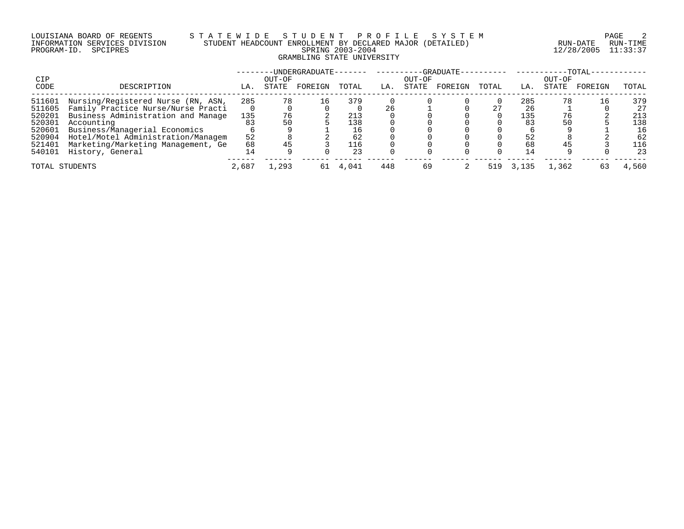# LOUISIANA BOARD OF REGENTS S T A T E W I D E S T U D E N T P R O F I L E S Y S T E M PAGE 2 INFORMATION SERVICES DIVISION STUDENT HEADCOUNT ENROLLMENT BY DECLARED MAJOR (DETAILED) RUN-DATE RUN-TIME PROGRAM-ID. SPCIPRES SPRING 2003-2004 12/28/2005 11:33:37 GRAMBLING STATE UNIVERSITY

|                |                                    |       |        | -UNDERGRADUATE- |       |     |        | $-$ -GRADUATE $-$ |       |       |        | $-TOTAL-$ |       |
|----------------|------------------------------------|-------|--------|-----------------|-------|-----|--------|-------------------|-------|-------|--------|-----------|-------|
| CIP            |                                    |       | OUT-OF |                 |       |     | OUT-OF |                   |       |       | OUT-OF |           |       |
| CODE           | DESCRIPTION                        | LA.   | STATE  | FOREIGN         | TOTAL | LA. | STATE  | FOREIGN           | TOTAL | LA.   | STATE  | FOREIGN   | TOTAL |
| 511601         | Nursing/Registered Nurse (RN, ASN, | 285   | 78     | 16              | 379   |     |        |                   |       | 285   | 78     | 16        | 379   |
| 511605         | Family Practice Nurse/Nurse Practi |       |        |                 |       |     |        |                   | 27    | 26    |        |           | 27    |
| 520201         | Business Administration and Manage | 135   | 76     |                 | 213   |     |        |                   |       | 135   | 76     |           | 213   |
| 520301         | Accounting                         | 83    | 50     |                 | 138   |     |        |                   |       | 83    | 50     |           | 138   |
| 520601         | Business/Managerial Economics      |       |        |                 | 16    |     |        |                   |       |       |        |           | 16    |
| 520904         | Hotel/Motel Administration/Managem | 52    |        |                 | 62    |     |        |                   |       | 52    |        |           | 62    |
| 521401         | Marketing/Marketing Management, Ge | 68    |        |                 | 116   |     |        |                   |       | 68    |        |           | L16   |
| 540101         | History, General                   |       |        |                 | 23    |     |        |                   |       | 14    |        |           | 23    |
| TOTAL STUDENTS |                                    | 2,687 | 1,293  | 61              | 4,041 | 448 | 69     |                   | 519   | 3,135 | 1,362  | 63        | 4,560 |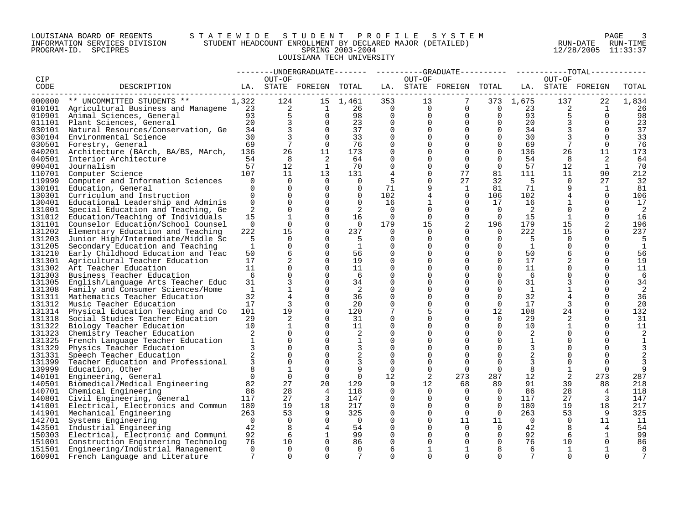#### LOUISIANA BOARD OF REGENTS S T A T E W I D E S T U D E N T P R O F I L E S Y S T E M PAGE 3 INFORMATION SERVICES DIVISION STUDENT HEADCOUNT ENROLLMENT BY DECLARED MAJOR (DETAILED) RUN-DATE RUN-TIME PROGRAM-ID. SPCIPRES SPRING 2003-2004 12/28/2005 11:33:37 LOUISIANA TECH UNIVERSITY

|        |                                                                                                                                                                                       |                 |                 |                         |                          |                          |          |                                           |                          |                 |                 | $--TOTAL-$     |              |
|--------|---------------------------------------------------------------------------------------------------------------------------------------------------------------------------------------|-----------------|-----------------|-------------------------|--------------------------|--------------------------|----------|-------------------------------------------|--------------------------|-----------------|-----------------|----------------|--------------|
| CIP    |                                                                                                                                                                                       |                 | OUT-OF          |                         |                          |                          | OUT-OF   |                                           |                          |                 | OUT-OF          |                |              |
| CODE   | DESCRIPTION                                                                                                                                                                           |                 |                 | LA. STATE FOREIGN TOTAL |                          |                          |          | LA. STATE FOREIGN TOTAL LA. STATE FOREIGN |                          |                 |                 |                | TOTAL        |
|        | -------------------------                                                                                                                                                             |                 |                 |                         |                          |                          |          |                                           |                          |                 |                 |                |              |
|        | 000000 ** UNCOMMITTED STUDENTS **                                                                                                                                                     | 1,322           | 124             |                         | 15 1,461                 | 353                      | 13       | $7\phantom{.0}$                           |                          | 373 1,675       | 137             | 22             | 1,834        |
|        | 010101 Agricultural Business and Manageme <sup>2</sup><br>010901 Animal Sciences, General<br>011101 Plant Sciences, General<br>030101 Natural Besources/Conservation Ge <sup>34</sup> |                 |                 | $\overline{1}$          | 26                       | $\overline{0}$           |          | $\Omega$<br>$\Omega$                      | $\overline{\phantom{0}}$ | 23              | 2               | $\mathbf{1}$   | 26           |
|        |                                                                                                                                                                                       |                 |                 | $\overline{0}$          | 98                       | $\overline{0}$           | $\Omega$ | $\Omega$                                  | $\overline{0}$           | 93              |                 | $\Omega$       | 98           |
|        |                                                                                                                                                                                       |                 |                 | $\Omega$                | 23                       | $\Omega$                 | $\Omega$ | $\Omega$                                  | $\overline{0}$           | 20              | 3               | $\Omega$       | 23           |
|        | 030101 Natural Resources/Conservation, Ge                                                                                                                                             | 34              | $\overline{3}$  | $\Omega$                | 37                       | $\mathbf 0$              |          | $\mathbf 0$                               | $\overline{0}$           | 34              |                 | $\Omega$       | 37           |
|        | 030104 Environmental Science                                                                                                                                                          | 30              | $\overline{3}$  | $\Omega$                | 33                       | $\Omega$                 | $\Omega$ | $\Omega$                                  | $\overline{0}$           | 30              |                 | $\Omega$       | 33           |
|        | 030501 Forestry, General                                                                                                                                                              | 69              | $7\overline{ }$ | $\Omega$                | 76                       | $\Omega$                 | $\Omega$ | $\Omega$                                  | $\Omega$                 | 69              | $7\phantom{.0}$ | $\Omega$       | 76           |
|        | 040201 Architecture (BArch, BA/BS, MArch,                                                                                                                                             | 136             | 26              | 11                      | 173                      | $\Omega$                 |          | $\Omega$                                  | $\Omega$                 | 136             | 26              | 11             | 173          |
| 040501 | Interior Architecture                                                                                                                                                                 | 54              | 8               | 2                       | 64                       | $\mathbf 0$              |          | $\Omega$                                  | $\Omega$                 | 54              | 8               | 2              | 64           |
|        | 090401 Journalism                                                                                                                                                                     | 57              | 12              | $\mathbf{1}$            | 70                       | $\Omega$                 |          | $\Omega$                                  | $\Omega$                 | 57              | 12              | <sup>1</sup>   | 70           |
| 110701 | Computer Science                                                                                                                                                                      | 107             | 11              | 13                      | 131                      | $\overline{4}$           | 0        | 77                                        | 81                       | 111             | 11              | 90             | 212          |
| 119999 | Computer and Information Sciences                                                                                                                                                     | $\overline{0}$  | $\overline{0}$  | $\Omega$                | $\overline{0}$           | 5                        | 0        | 27                                        | 32                       | 5               | $\mathbf 0$     | 27             | 32           |
| 130101 | Education, General                                                                                                                                                                    | $\mathbf 0$     | $\mathbf 0$     | $\mathbf 0$             | $\overline{0}$           | 71                       |          | 1                                         | 81                       | 71              | 9               | 1              | 81           |
| 130301 | Curriculum and Instruction                                                                                                                                                            | $\overline{0}$  | $\mathbf 0$     | $\Omega$                | $\overline{0}$           | 102                      | 4        | $\mathbf 0$                               | 106                      | 102             | 4               | $\Omega$       | 106          |
|        | 130401 Educational Leadership and Adminis                                                                                                                                             | $\overline{0}$  | $\Omega$        | $\Omega$                | $\Omega$                 | 16                       |          | $\Omega$                                  | 17                       | 16              | $\mathbf{1}$    | $\Omega$       | 17           |
| 131001 | Special Education and Teaching, Ge                                                                                                                                                    | 2               | $\Omega$        | $\Omega$                | 2                        | $\Omega$                 | $\Omega$ | $\Omega$                                  | $\Omega$                 | 2               | $\Omega$        | $\Omega$       | 2            |
|        | 131012 Education/Teaching of Individuals                                                                                                                                              | 15              | $\mathbf{1}$    | $\Omega$                | 16                       | $\overline{\phantom{0}}$ | $\Omega$ | $\Omega$                                  | $\overline{0}$           | 15              | $\mathbf{1}$    | $\Omega$       | 16           |
| 131101 | Counselor Education/School Counsel                                                                                                                                                    | $\Omega$        | $\Omega$        | $\Omega$                | $\bigcap$                | 179                      | 15       | 2                                         | 196                      | 179             | 15              | 2              | 196          |
| 131202 | Elementary Education and Teaching                                                                                                                                                     | 222             | 15              | $\Omega$                | 237                      | $\Omega$                 | $\Omega$ | $\Omega$                                  | $\Omega$                 | 222             | 15              | $\Omega$       | 237          |
| 131203 | Junior High/Intermediate/Middle Sc                                                                                                                                                    | 5               | $\Omega$        | $\Omega$                | - 5                      | $\Omega$                 | $\Omega$ | $\Omega$                                  | $\Omega$                 | $-5$            | $\Omega$        | $\Omega$       | 5            |
| 131205 | Secondary Education and Teaching                                                                                                                                                      | $\mathbf{1}$    | $\mathbf 0$     | $\Omega$                | $\mathbf{1}$             | $\Omega$                 |          | $\Omega$                                  | $\mathbf 0$              | $\mathbf{1}$    | $\Omega$        | $\Omega$       | 1            |
| 131210 | Early Childhood Education and Teac                                                                                                                                                    | 50              | 6               | $\mathbf 0$             | 56                       | $\mathbf 0$              | 0        | $\Omega$                                  | $\mathbf 0$              | 50              | 6               | $\Omega$       | 56           |
| 131301 | Agricultural Teacher Education                                                                                                                                                        | 17              | 2               | $\Omega$                | 19                       | $\Omega$                 |          | $\Omega$                                  | $\Omega$                 | 17              |                 | $\Omega$       | 19           |
| 131302 | Art Teacher Education                                                                                                                                                                 | 11              | $\mathbf 0$     | $\Omega$                | 11                       | $\mathbf 0$              |          | $\Omega$                                  | $\Omega$                 | 11              |                 | $\Omega$       | 11           |
| 131303 | Business Teacher Education                                                                                                                                                            | - 6             | $\Omega$        | $\Omega$                | - 6                      | $\Omega$                 |          | $\Omega$                                  | $\Omega$                 | - 6             | $\Omega$        | $\Omega$       | 6            |
| 131305 | English/Language Arts Teacher Educ                                                                                                                                                    | 31              | $\overline{3}$  | $\Omega$                | 34                       | $\Omega$                 |          | $\Omega$                                  | $\Omega$                 | 31              |                 | $\Omega$       | 34           |
| 131308 | Family and Consumer Sciences/Home                                                                                                                                                     | $\overline{1}$  | $\mathbf{1}$    | $\Omega$                | 2                        | $\Omega$                 |          | $\Omega$                                  | $\Omega$                 | $\mathbf{1}$    |                 | $\Omega$       | 2            |
| 131311 | Mathematics Teacher Education                                                                                                                                                         | 32              | $\overline{4}$  | $\Omega$                | 36                       | 0                        |          | $\Omega$                                  | $\Omega$                 | 32              |                 | $\Omega$       | 36           |
| 131312 | Music Teacher Education                                                                                                                                                               | 17              | 3               | $\Omega$                | 20                       | $\mathbf 0$              | 0        | $\Omega$                                  | $\Omega$                 | 17              | 3               | $\Omega$       | 20           |
| 131314 | Physical Education Teaching and Co                                                                                                                                                    | 101             | 19              | $\Omega$                | 120                      | 7                        | 5        | $\Omega$                                  | 12                       | 108             | 24              | $\Omega$       | 132          |
| 131318 | Social Studies Teacher Education                                                                                                                                                      | 29              | 2               | $\Omega$                | 31                       | $\mathbf 0$              |          | $\Omega$                                  | $\Omega$                 | 29              | 2               | $\Omega$       | 31           |
| 131322 | Biology Teacher Education                                                                                                                                                             | 10 <sup>1</sup> | $\mathbf{1}$    | $\Omega$                | 11                       | $\mathbf 0$              | 0        | $\Omega$                                  | $\Omega$                 | 10 <sup>°</sup> | $\mathbf{1}$    | $\Omega$       | 11           |
| 131323 | Chemistry Teacher Education                                                                                                                                                           | 2               | $\Omega$        | $\Omega$                | 2                        | $\Omega$                 |          | $\Omega$                                  | $\Omega$                 | 2               |                 | $\Omega$       | 2            |
| 131325 | French Language Teacher Education                                                                                                                                                     | $\mathbf{1}$    | $\Omega$        | $\Omega$                | $\mathbf{1}$             | $\Omega$                 |          | $\Omega$                                  | $\Omega$                 | $\mathbf{1}$    | $\Omega$        | $\cap$         | $\mathbf{1}$ |
| 131329 | Physics Teacher Education                                                                                                                                                             | 3               | $\Omega$        | $\Omega$                | $\overline{3}$           | $\mathbf 0$              |          | $\Omega$                                  | $\Omega$                 | 3               | $\Omega$        |                |              |
| 131331 | Speech Teacher Education                                                                                                                                                              | 2               | $\Omega$        | $\Omega$                | 2                        | $\mathbf 0$              |          | $\Omega$                                  | $\Omega$                 | 2               |                 |                |              |
| 131399 | Teacher Education and Professional                                                                                                                                                    | 3               | $\mathbf 0$     | $\Omega$                |                          | 0                        | 0        | $\Omega$                                  | $\Omega$                 | 3               | $\Omega$        |                |              |
| 139999 | Education, Other                                                                                                                                                                      | 8               | $\mathbf{1}$    | $\Omega$                | 9                        | $\Omega$                 | $\Omega$ | $\Omega$                                  | $\Omega$                 | 8               | 1               |                | 9            |
| 140101 | Engineering, General                                                                                                                                                                  | $\overline{0}$  | $\Omega$        | $\Omega$                | $\overline{0}$           | 12                       | 2        | 273                                       | 287                      | 12              | 2               | 273            | 287          |
|        | 140501 Biomedical/Medical Engineering                                                                                                                                                 | 82              | 27              | 20                      | 129                      | 9                        | 12       | 68                                        | 89                       | 91              | 39              | 88             | 218          |
|        | 140701 Chemical Engineering                                                                                                                                                           | 86              | 28              | $\overline{4}$          | 118                      | $\Omega$                 | $\Omega$ | $\Omega$                                  | $\overline{0}$           | 86              | 28              | $\overline{4}$ | 118          |
|        | 140801 Civil Engineering, General                                                                                                                                                     | 117             | 27              | 3                       | 147                      | 0                        | $\Omega$ | $\Omega$                                  | $\overline{0}$           | 117             | 27              | 3              | 147          |
|        | 141001 Electrical, Electronics and Commun 180                                                                                                                                         |                 | 19              | 18                      | 217                      | $\Omega$                 | $\Omega$ | $\Omega$                                  | $\overline{0}$           | 180             | 19              | 18             | 217          |
|        | 141901 Mechanical Engineering                                                                                                                                                         | 263             | 53              | 9                       | 325                      | $\mathbf 0$              | $\Omega$ | $\overline{0}$                            | $\overline{0}$           | 263             | 53              | 9              | 325          |
| 142701 | Systems Engineering                                                                                                                                                                   | $\overline{0}$  | $\overline{0}$  | 0                       | $\overline{\phantom{0}}$ | 0                        | $\Omega$ | 11                                        | 11                       | $\overline{0}$  | $\overline{0}$  | 11             | 11           |
|        | 143501 Industrial Engineering                                                                                                                                                         | 42              | 8               | $\overline{4}$          | 54                       | $\mathbf 0$              |          | $\Omega$                                  | $\overline{0}$           | 42              | 8               | 4              | 54           |
| 150303 | Electrical, Electronic and Communi                                                                                                                                                    | 92              | 6               | 1                       | 99                       | $\mathbf 0$              |          | $\Omega$                                  | $\mathbf{0}$             | 92              | 6               | 1              | 99           |
|        | 151001 Construction Engineering Technolog                                                                                                                                             | 76              | 10              | $\Omega$                | 86                       | $\Omega$                 |          | $\Omega$                                  | $\Omega$                 | 76              | 10              | $\Omega$       | 86           |
| 151501 | Engineering/Industrial Management                                                                                                                                                     | $\Omega$        | $\Omega$        | $\Omega$                | $\Omega$                 | 6                        | 1        | $\mathbf{1}$                              | 8                        | 6               | 1               | 1              | 8            |
| 160901 | French Language and Literature                                                                                                                                                        | $7\phantom{.0}$ | $\Omega$        | $\cap$                  | $7\overline{ }$          | $\cap$                   | $\Omega$ | $\cap$                                    | $\cap$                   | 7               | $\cap$          | $\cap$         | 7            |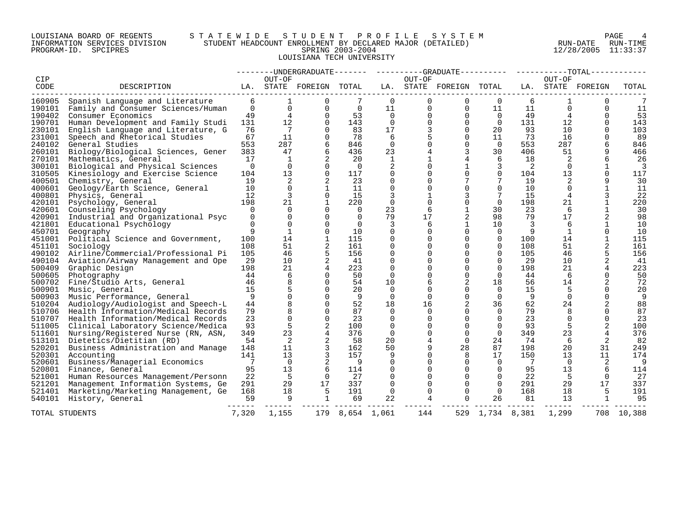## LOUISIANA BOARD OF REGENTS S T A T E W I D E S T U D E N T P R O F I L E S Y S T E M PAGE 4 INFORMATION SERVICES DIVISION STUDENT HEADCOUNT ENROLLMENT BY DECLARED MAJOR (DETAILED) RUN-DATE RUN-TIME PROGRAM-ID. SPCIPRES 6. THE SPRING 2003-2004 SPRING 2003-2004 12/28/2005 11:33:37 LOUISIANA TECH UNIVERSITY

|                  |                                                |               |                          |                         |                 |                      |                      | --------UNDERGRADUATE------- ---------GRADUATE---------- ---------TOTAL----- |                      |        |          |                   |            |
|------------------|------------------------------------------------|---------------|--------------------------|-------------------------|-----------------|----------------------|----------------------|------------------------------------------------------------------------------|----------------------|--------|----------|-------------------|------------|
| CIP              |                                                |               | OUT-OF                   |                         |                 |                      | OUT-OF               |                                                                              |                      |        | OUT-OF   |                   |            |
| CODE             | DESCRIPTION                                    |               |                          | LA. STATE FOREIGN TOTAL |                 |                      |                      | LA. STATE FOREIGN TOTAL                                                      |                      |        |          | LA. STATE FOREIGN | TOTAL      |
| 160905           | Spanish Language and Literature                | 6             | 1                        | $\Omega$                | 7               | $\Omega$             | $\Omega$             | $\mathbf 0$                                                                  | $\Omega$             | 6      | 1        | $\Omega$          |            |
| 190101           | Family and Consumer Sciences/Human             | $\mathbf 0$   | $\mathbf 0$              | $\Omega$                | $\mathbf 0$     | 11                   | 0                    | 0                                                                            | 11                   | 11     | 0        | $\Omega$          | 11         |
| 190402           | Consumer Economics                             | 49            | 4                        | $\Omega$                | 53              | $\Omega$             | $\Omega$             | $\Omega$                                                                     | $\Omega$             | 49     | 4        | $\Omega$          | 53         |
| 190701           | Human Development and Family Studi             | 131           | 12                       | $\Omega$                | 143             | $\Omega$             | $\Omega$             | $\Omega$                                                                     | $\Omega$             | 131    | 12       | ∩                 | 143        |
| 230101           | English Language and Literature, G             | 76            | 7                        | 0                       | 83              | 17                   | 3                    | $\Omega$                                                                     | 20                   | 93     | 10       |                   | 103        |
| 231001           | Speech and Rhetorical Studies                  | 67            | 11                       | $\Omega$                | 78              | 6                    |                      | $\Omega$                                                                     | 11                   | 73     | 16       |                   | 89         |
| 240102           | General Studies                                | 553           | 287                      | 6                       | 846             | $\Omega$             | $\Omega$             | $\Omega$                                                                     | $\Omega$             | 553    | 287      |                   | 846        |
| 260101           | Biology/Biological Sciences, Gener             | 383           | 47                       | 6                       | 436             | 23                   |                      | 3                                                                            | 30                   | 406    | 51       |                   | 466        |
| 270101           | Mathematics, General                           | 17            | 1                        | 2                       | 20              | 1                    |                      | 4                                                                            | 6                    | 18     | 2        |                   | 26         |
| 300101           | Biological and Physical Sciences               | $\Omega$      | $\Omega$                 | $\Omega$                | $\Omega$        | 2                    | $\Omega$             | $\mathbf 1$                                                                  | 3                    | 2      | $\Omega$ |                   | 3          |
| 310505           | Kinesiology and Exercise Science               | 104           | 13                       | $\Omega$                | 117             | $\mathbf 0$          | $\Omega$             | $\Omega$                                                                     | $\Omega$             | 104    | 13       |                   | 117        |
| 400501           | Chemistry, General                             | 19            | 2                        | 2                       | 23              | $\Omega$             | <sup>n</sup>         | 7                                                                            | 7                    | 19     | 2        |                   | 30         |
| 400601           | Geology/Earth Science, General                 | 10            | $\Omega$                 |                         | 11              | $\Omega$             |                      | $\Omega$                                                                     | $\Omega$             | 10     | $\Omega$ |                   | 11         |
| 400801           | Physics, General                               | 12            | 3                        | $\Omega$                | 15              | 3                    |                      | 3                                                                            | 7                    | 15     | 4        | 3                 | 22         |
| 420101           | Psychology, General                            | 198           | 21                       | $\mathbf{1}$            | 220             | $\Omega$             | $\Omega$             | $\Omega$                                                                     | $\Omega$             | 198    | 21       |                   | 220        |
| 420601           | Counseling Psychology                          | $\Omega$      | $\Omega$                 | $\Omega$                | $\Omega$        | 23                   | 6                    | $\mathbf{1}$                                                                 | 30                   | 23     | 6        |                   | 30         |
| 420901           | Industrial and Organizational Psyc             | $\Omega$      | $\Omega$                 | $\Omega$                | $\Omega$        | 79                   | 17                   | 2                                                                            | 98                   | 79     | 17       |                   | 98         |
| 421801           | Educational Psychology                         | $\Omega$<br>9 | $\Omega$<br>$\mathbf{1}$ | $\Omega$<br>$\Omega$    | $\Omega$<br>10  | 3                    | 6                    | 1                                                                            | 10                   | 3<br>9 | 6<br>1   | $\Omega$          | 10         |
| 450701           | Geography                                      | 100           | 14                       | $\mathbf{1}$            | 115             | $\Omega$<br>$\Omega$ | $\Omega$<br>$\Omega$ | $\mathbf 0$<br>$\Omega$                                                      | $\Omega$<br>$\Omega$ | 100    | 14       | $\mathbf{1}$      | 10<br>115  |
| 451001<br>451101 | Political Science and Government,<br>Sociology | 108           | 51                       | 2                       | 161             | $\Omega$             | $\Omega$             | $\Omega$                                                                     | $\Omega$             | 108    | 51       | 2                 | 161        |
| 490102           | Airline/Commercial/Professional Pi             | 105           | 46                       | 5                       | 156             | $\Omega$             | $\cap$               | $\Omega$                                                                     | $\Omega$             | 105    | 46       | 5                 | 156        |
| 490104           | Aviation/Airway Management and Ope             | 29            | 10                       | $\overline{2}$          | 41              | $\Omega$             |                      | $\Omega$                                                                     | $\Omega$             | 29     | 10       |                   | 41         |
| 500409           | Graphic Design                                 | 198           | 21                       | 4                       | 223             | $\Omega$             | $\Omega$             | $\Omega$                                                                     | $\Omega$             | 198    | 21       | 4                 | 223        |
| 500605           | Photography                                    | 44            | 6                        | $\Omega$                | 50              | $\Omega$             | U                    | $\Omega$                                                                     | $\Omega$             | 44     | -6       | ∩                 | 50         |
| 500702           | Fine/Studio Arts, General                      | 46            | 8                        | $\Omega$                | 54              | 10                   |                      | 2                                                                            | 18                   | 56     | 14       |                   | 72         |
| 500901           | Music, General                                 | 15            | 5                        | $\Omega$                | 20              | $\Omega$             | $\Omega$             | $\Omega$                                                                     | $\Omega$             | 15     | 5        |                   | 20         |
| 500903           | Music Performance, General                     | 9             | $\Omega$                 | $\Omega$                | 9               | $\Omega$             | $\Omega$             | $\Omega$                                                                     | $\Omega$             | 9      | $\Omega$ | $\Omega$          | 9          |
| 510204           | Audiology/Audiologist and Speech-L             | 44            | 8                        | $\Omega$                | 52              | 18                   | 16                   | 2                                                                            | 36                   | 62     | 24       |                   | 88         |
| 510706           | Health Information/Medical Records             | 79            | 8                        | $\Omega$                | 87              | $\Omega$             | $\Omega$             | $\Omega$                                                                     | $\Omega$             | 79     |          |                   | 87         |
| 510707           | Health Information/Medical Records             | 23            | $\Omega$                 | $\Omega$                | 23              | $\Omega$             | $\Omega$             | $\Omega$                                                                     | $\Omega$             | 23     | $\Omega$ | ∩                 | 23         |
|                  | 511005 Clinical Laboratory Science/Medica      | 93            | 5                        | 2                       | 100             | $\Omega$             | $\Omega$             | $\Omega$                                                                     | $\Omega$             | 93     | 5        |                   | 100        |
| 511601           | Nursing/Registered Nurse (RN, ASN,             | 349           | 23                       | $\overline{4}$          | 376             | $\Omega$             | $\Omega$             | $\Omega$                                                                     | $\Omega$             | 349    | 23       | 4                 | 376        |
| 513101           | Dietetics/Dietitian (RD)                       | 54            | 2                        | 2                       | 58              | 20                   | 4                    | $\Omega$                                                                     | 24                   | 74     | 6        | 2                 | 82         |
| 520201           | Business Administration and Manage             | 148           | 11                       | 3                       | 162             | 50                   |                      | 28                                                                           | 87                   | 198    | 20       | 31                | 249        |
| 520301           | Accounting                                     | 141           | 13                       | 3                       | 157             | 9                    |                      | 8                                                                            | 17                   | 150    | 13       | 11                | 174        |
| 520601           | Business/Managerial Economics                  | 7             | $\Omega$                 | 2                       | - 9             | $\Omega$             |                      | $\Omega$                                                                     | $\Omega$             | 7      | $\Omega$ | 2                 | 9          |
| 520801           | Finance, General                               | 95            | 13                       | 6                       | 114             | $\mathbf 0$          | $\Omega$             | $\mathbf 0$                                                                  | $\Omega$             | 95     | 13       | 6                 | 114        |
| 521001           | Human Resources Management/Personn             | 22            | -5                       | $\Omega$                | 27              | $\Omega$             |                      | $\Omega$                                                                     | $\Omega$             | 22     | -5       | $\Omega$          | 27         |
| 521201           | Management Information Systems, Ge             | 291           | 29                       | 17                      | 337             | $\Omega$             | $\Omega$             | $\Omega$                                                                     | $\Omega$             | 291    | 29       | 17                | 337        |
| 521401           | Marketing/Marketing Management, Ge             | 168           | 18                       | .5                      | 191             | $\Omega$             | $\Omega$             | $\Omega$                                                                     | $\Omega$             | 168    | 18       | 5                 | 191        |
| 540101           | History, General                               | 59            | 9                        | $\mathbf 1$             | 69              | 22                   | 4                    | $\Omega$                                                                     | 26                   | 81     | 13       | 1                 | 95         |
| TOTAL STUDENTS   |                                                | 7,320         | 1,155                    |                         | 179 8,654 1,061 |                      | 144                  |                                                                              | 529 1,734 8,381      |        | 1,299    |                   | 708 10,388 |
|                  |                                                |               |                          |                         |                 |                      |                      |                                                                              |                      |        |          |                   |            |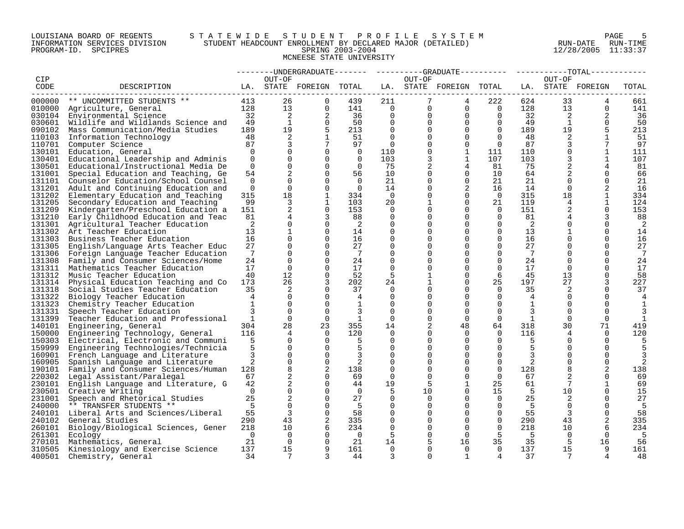## LOUISIANA BOARD OF REGENTS S T A T E W I D E S T U D E N T P R O F I L E S Y S T E M PAGE 5 INFORMATION SERVICES DIVISION STUDENT HEADCOUNT ENROLLMENT BY DECLARED MAJOR (DETAILED) RUN-DATE RUN-TIME PROGRAM-ID. SPCIPRES SPRING 2003-2004 12/28/2005 11:33:37 MCNEESE STATE UNIVERSITY

|                  |                                                               |                     |                      |                         |                |             |               | --------UNDERGRADUATE-------    ---------GRADUATE---------    ----------TOTAL------ |                      |                 |                |                      |           |
|------------------|---------------------------------------------------------------|---------------------|----------------------|-------------------------|----------------|-------------|---------------|-------------------------------------------------------------------------------------|----------------------|-----------------|----------------|----------------------|-----------|
| CIP              |                                                               |                     | OUT-OF               |                         |                |             | OUT-OF        |                                                                                     |                      |                 | OUT-OF         |                      |           |
| CODE             | DESCRIPTION                                                   |                     |                      | LA. STATE FOREIGN TOTAL |                |             |               | LA. STATE FOREIGN TOTAL                                                             |                      |                 |                | LA. STATE FOREIGN    | TOTAL     |
|                  | 000000 ** UNCOMMITTED STUDENTS **                             | 413                 | 26                   | $\Omega$                | 439            | 211         | $7^{\circ}$   | 4                                                                                   | 222                  | 624             | 33             |                      | 661       |
|                  | 010000 Agriculture, General                                   | 128                 | 13                   | $\Omega$                | 141            | $\bigcap$   | $\Omega$      | $\Omega$                                                                            | $\overline{0}$       | 128             | 13             | $\Omega$             | 141       |
|                  | 030104 Environmental Science                                  | 32                  | 2                    | 2                       | 36             | $\mathbf 0$ | $\mathbf{0}$  | $\mathbf 0$                                                                         | $\overline{0}$       | 32              | 2              | 2                    | 36        |
| 030601           | Wildlife and Wildlands Science and                            | 49                  | $\mathbf{1}$         | $\overline{0}$          | 50             | $\mathbf 0$ | 0             | $\mathbf 0$                                                                         | $\overline{0}$       | 49              | 1              | $\mathbf 0$          | 50        |
| 090102           | Mass Communication/Media Studies                              | 189                 | 19                   | 5                       | 213            | $\Omega$    |               | $\Omega$                                                                            | $\Omega$             | 189             | 19             |                      | 213       |
| 110103           | Information Technology                                        | 48                  | 2                    | $\mathbf{1}$            | 51             | $\Omega$    | $\Omega$      | $\Omega$                                                                            | $\Omega$             | 48              | 2              | $\mathbf 1$          | 51        |
| 110701           | Computer Science                                              | 87                  | 3                    |                         | 97             | $\Omega$    | $\Omega$      | $\Omega$                                                                            | $\Omega$             | 87              | 3              | 7                    | 97        |
| 130101           | Education, General                                            | $\Omega$            | $\Omega$             | $\Omega$                | $\overline{0}$ | 110         | $\Omega$      | $\mathbf{1}$                                                                        | 111                  | 110             | $\Omega$       | 1                    | 111       |
| 130401           | Educational Leadership and Adminis                            | $\Omega$            | $\Omega$             | $\Omega$                | $\Omega$       | 103         | 3             | $\mathbf{1}$                                                                        | 107                  | 103             | 3              | $\mathbf{1}$         | 107       |
| 130501           | Educational/Instructional Media De                            | $\Omega$            | $\mathbf 0$          | $\Omega$                | $\Omega$       | 75          | 2             | $\overline{4}$                                                                      | 81                   | 75              | $\overline{2}$ | 4                    | 81        |
| 131001           | Special Education and Teaching, Ge                            | 54                  | 2                    | $\Omega$                | 56             | 10          | $\Omega$      | $\Omega$                                                                            | 10                   | 64              |                | $\Omega$             | 66        |
| 131101           | Counselor Education/School Counsel                            | $\Omega$            | $\Omega$             | $\Omega$                | $\Omega$       | 21          | $\Omega$      | $\mathbf 0$                                                                         | 21                   | 21              | $\Omega$       | $\Omega$             | 21        |
|                  | 131201 Adult and Continuing Education and                     | $\Omega$            | $\Omega$             | $\Omega$                | $\overline{0}$ | 14          | 0             | 2                                                                                   | 16                   | 14              | $\Omega$       | 2                    | 16        |
| 131202           | Elementary Education and Teaching                             | 315                 | 18                   | $\mathbf{1}$            | 334            | $\Omega$    | $\Omega$      | $\Omega$                                                                            | $\overline{0}$       | 315             | 18             | $\mathbf{1}$         | 334       |
| 131205           | Secondary Education and Teaching                              | 99                  | 3                    | $\mathbf{1}$            | 103            | 20          |               | $\Omega$                                                                            | 21                   | 119             | 4              | $\mathbf{1}$         | 124       |
| 131209           | Kindergarten/Preschool Education a                            | 151                 | $\overline{a}$       | $\Omega$                | 153            | $\Omega$    | $\Omega$      | $\Omega$                                                                            | $\Omega$             | 151             | 2              | $\Omega$             | 153       |
| 131210           | Early Childhood Education and Teac                            | 81                  | 4                    | 3                       | 88             | $\mathbf 0$ | $\Omega$      | $\Omega$                                                                            | $\overline{0}$       | 81              |                | 3                    | 88        |
| 131301           |                                                               | 2                   | $\mathbf{0}$         | $\mathbf 0$             | $\overline{2}$ | $\mathbf 0$ |               | $\Omega$                                                                            | 0                    | 2               | $\Omega$       | $\Omega$             | 2         |
| 131302           | Agricultural Teacher Education<br>Art Teacher Education       | 13                  | $\mathbf{1}$         | $\Omega$                | 14             | $\mathbf 0$ |               | $\Omega$                                                                            | 0                    | 13 <sup>°</sup> | $\mathbf{1}$   | $\Omega$             | 14        |
| 131303           | Business Teacher Education                                    | 16                  | $\Omega$             | $\Omega$                | 16             | $\Omega$    |               | $\Omega$                                                                            | $\Omega$             |                 | $\Omega$       | $\Omega$             |           |
|                  |                                                               | 27                  | $\Omega$             | $\Omega$                | 27             | $\Omega$    |               | $\Omega$                                                                            | $\Omega$             | 16<br>27        | $\Omega$       | $\Omega$             | 16        |
| 131305           | English/Language Arts Teacher Educ                            | 7                   | $\Omega$             | $\Omega$                | 7              | $\Omega$    | 0             | $\Omega$                                                                            | $\Omega$             | 7               | $\Omega$       | $\Omega$             | 27<br>7   |
| 131308           | 131306 Foreign Language Teacher Education                     | 24                  | $\Omega$             | $\Omega$                | 24             | $\Omega$    |               | $\Omega$                                                                            | $\Omega$             | 24              | $\Omega$       | $\Omega$             | 24        |
|                  | Family and Consumer Sciences/Home                             |                     | $\mathbf 0$          | $\Omega$                |                | 0           | 0             | $\Omega$                                                                            | $\overline{0}$       | 17              | $\overline{0}$ | $\Omega$             |           |
| 131311           | Mathematics Teacher Education                                 | 17<br>40            | 12                   | $\Omega$                | 17<br>52       | 5           |               | $\Omega$                                                                            | 6                    |                 | 13             | $\Omega$             | 17        |
| 131312<br>131314 | Music Teacher Education<br>Physical Education Teaching and Co | 173                 | 26                   | 3                       | 202            | 24          |               | $\Omega$                                                                            | 25                   | 45<br>197       | 27             | 3                    | 58<br>227 |
| 131318           |                                                               | 35                  | 2                    | $\Omega$                | 37             | $\Omega$    | $\Omega$      | $\Omega$                                                                            | $\Omega$             | 35              | 2              | $\Omega$             | 37        |
|                  | Social Studies Teacher Education                              | $\overline{4}$      | $\Omega$             | $\Omega$                | $\overline{4}$ | $\Omega$    |               | $\Omega$                                                                            | $\Omega$             | $\overline{4}$  | $\Omega$       | $\Omega$             |           |
|                  | 131322 Biology Teacher Education                              | $\mathbf{1}$        | $\Omega$             | $\Omega$                | 1              | $\Omega$    | $\Omega$      | $\Omega$                                                                            | $\Omega$             | 1               | $\Omega$       | $\Omega$             | 4         |
| 131323           | Chemistry Teacher Education                                   |                     | $\Omega$             | $\cap$                  |                | $\Omega$    |               | $\cap$                                                                              | $\Omega$             |                 | $\cap$         | $\Omega$             |           |
| 131331           | Speech Teacher Education                                      |                     | $\Omega$             | $\Omega$                | 3<br>1         | $\Omega$    | 0             | $\Omega$                                                                            | $\Omega$             | 3               | $\Omega$       | $\Omega$             | 3         |
| 131399           | Teacher Education and Professional                            | $\mathbf{1}$<br>304 | 28                   | 23                      |                |             |               | 48                                                                                  |                      | 1               | 30             | 71                   | 1         |
| 140101           | Engineering, General                                          |                     |                      | $\Omega$                | 355            | 14          | 2             |                                                                                     | 64                   | 318             |                |                      | 419       |
| 150000           | Engineering Technology, General                               | 116                 | 4<br>$\Omega$        | $\Omega$                | 120            | $\Omega$    | 0<br>$\Omega$ | $\Omega$<br>$\Omega$                                                                | $\Omega$<br>$\Omega$ | 116             | 4<br>$\Omega$  | $\Omega$<br>$\Omega$ | 120       |
| 150303           | Electrical, Electronic and Communi                            | 5<br>5              |                      |                         | -5             | $\Omega$    |               |                                                                                     |                      | -5              |                |                      | 5         |
| 159999           | Engineering Technologies/Technicia                            |                     | $\Omega$<br>$\Omega$ | $\Omega$<br>$\Omega$    | 5<br>3         | $\Omega$    | $\Omega$      | $\Omega$<br>$\Omega$                                                                | $\Omega$             | .5              | $\Omega$       | $\Omega$<br>$\Omega$ |           |
| 160901           | French Language and Literature                                | 3                   |                      | $\Omega$                |                | $\Omega$    | 0             |                                                                                     | $\Omega$             | 3               |                |                      |           |
| 160905           | Spanish Language and Literature                               | $\overline{2}$      | $\overline{0}$       |                         | 2              | $\mathbf 0$ | $\Omega$      | $\Omega$                                                                            | $\overline{0}$       | $\overline{2}$  | $\mathbf 0$    | $\Omega$             |           |
| 190101           | Family and Consumer Sciences/Human                            | 128                 | 8                    | 2                       | 138            | $\Omega$    | 0             | $\Omega$                                                                            | $\overline{0}$       | 128             | 8              |                      | 138       |
| 220302           | Legal Assistant/Paralegal                                     | 67                  | 2                    | $\Omega$                | 69             | 0           | $\Omega$      | $\Omega$                                                                            | $\Omega$             | 67              |                | $\Omega$             | 69        |
| 230101           | English Language and Literature, G                            | 42                  | 2                    | $\Omega$                | 44             | 19          | 5             | $\mathbf 1$                                                                         | 25                   | 61              | 7              | $\mathbf{1}$         | 69        |
|                  | 230501 Creative Writing                                       | $\Omega$            | $\Omega$             | $\Omega$                | $\cap$         | 5           | 10            | $\Omega$                                                                            | 15                   | $-5$            | 10             | $\Omega$             | 15        |
| 231001           | Speech and Rhetorical Studies                                 | 25                  | 2                    | $\Omega$                | 27             | $\Omega$    | $\Omega$      | $\Omega$                                                                            | $\Omega$             | 25              | 2              | $\Omega$             | 27        |
|                  | 240000 ** TRANSFER STUDENTS **                                | $5^{\circ}$         | $\Omega$             | $\cap$                  | - 5            | $\Omega$    | $\Omega$      | $\Omega$                                                                            | $\Omega$             | - 5             | $\Omega$       | $\Omega$             | -5        |
|                  | 240101 Liberal Arts and Sciences/Liberal                      | 55                  | $\overline{3}$       | $\Omega$                | 58             | $\mathbf 0$ |               | $\mathbf 0$                                                                         | $\overline{0}$       | 55              | 3              | $\mathbf 0$          | 58        |
| 240102           | General Studies                                               | 290                 | 43                   | 2                       | 335            | 0           | 0             | $\Omega$                                                                            | $\overline{0}$       | 290             | 43             |                      | 335       |
| 260101           | Biology/Biological Sciences, Gener                            | 218                 | 10 <sup>°</sup>      | 6                       | 234            | $\Omega$    |               | $\Omega$                                                                            | $\Omega$             | 218             | 10             | 6                    | 234       |
| 261301           | Ecology                                                       | $\Omega$            | $\overline{0}$       | $\Omega$                | $\overline{0}$ | 5           |               | $\Omega$                                                                            | 5                    | - 5             | $\Omega$       | $\Omega$             | 5         |
| 270101           | Mathematics, General                                          | 21                  | $\Omega$             | $\Omega$                | 21             | 14          |               | 16                                                                                  | 35                   | 35              | -5             | 16                   | 56        |
|                  | 310505 Kinesiology and Exercise Science                       | 137                 | 15                   | 9                       | 161            | $\Omega$    | $\Omega$      | $\Omega$                                                                            | $\Omega$             | 137             | 15             | 9                    | 161       |
| 400501           | Chemistry, General                                            | 34                  |                      | २                       | 44             | 3           | $\Omega$      | $\mathbf{1}$                                                                        |                      | 37              |                |                      | 48        |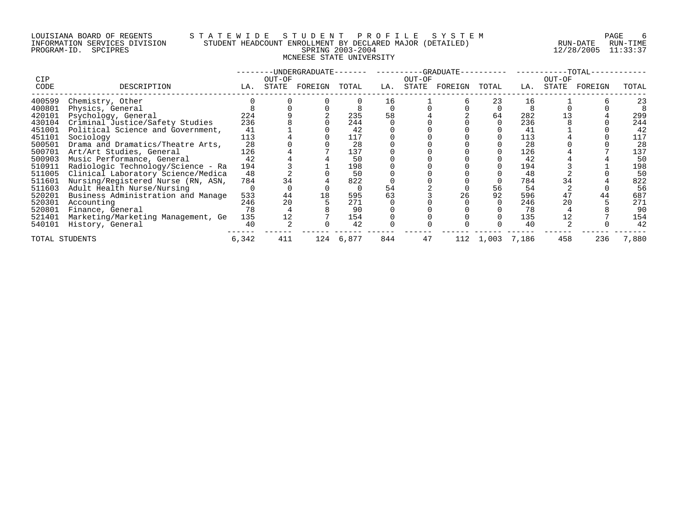## LOUISIANA BOARD OF REGENTS S T A T E W I D E S T U D E N T P R O F I L E S Y S T E M PAGE 6 INFORMATION SERVICES DIVISION STUDENT HEADCOUNT ENROLLMENT BY DECLARED MAJOR (DETAILED) RUN-DATE RUN-TIME PROGRAM-ID. SPCIPRES SPRING 2003-2004 12/28/2005 11:33:37 MCNEESE STATE UNIVERSITY

|                |                                    |       |        | -UNDERGRADUATE- |       |     |        | --GRADUATE- |       |       |        | -TOTAL- |       |
|----------------|------------------------------------|-------|--------|-----------------|-------|-----|--------|-------------|-------|-------|--------|---------|-------|
| <b>CIP</b>     |                                    |       | OUT-OF |                 |       |     | OUT-OF |             |       |       | OUT-OF |         |       |
| CODE           | DESCRIPTION                        | LA.   | STATE  | FOREIGN         | TOTAL | LA. | STATE  | FOREIGN     | TOTAL | LA.   | STATE  | FOREIGN | TOTAL |
| 400599         | Chemistry, Other                   |       |        |                 |       | 16  |        |             | 23    | 16    |        |         | 23    |
| 400801         | Physics, General                   |       |        |                 |       |     |        |             |       |       |        |         |       |
| 420101         | Psychology, General                | 224   |        |                 | 235   | 58  |        |             | 64    | 282   |        |         | 299   |
| 430104         | Criminal Justice/Safety Studies    | 236   |        |                 | 244   |     |        |             |       | 236   |        |         | 244   |
| 451001         | Political Science and Government,  | 41    |        |                 | 42    |     |        |             |       | 41    |        |         | 42    |
| 451101         | Sociology                          | 113   |        |                 | 117   |     |        |             |       | 113   |        |         | 117   |
| 500501         | Drama and Dramatics/Theatre Arts,  | 28    |        |                 | 28    |     |        |             |       | 28    |        |         | 28    |
| 500701         | Art/Art Studies, General           | 126   |        |                 | 137   |     |        |             |       | 126   |        |         | 137   |
| 500903         | Music Performance, General         | 42    |        |                 | 50    |     |        |             |       | 42    |        |         | 50    |
| 510911         | Radiologic Technology/Science - Ra | 194   |        |                 | 198   |     |        |             |       | 194   |        |         | 198   |
| 511005         | Clinical Laboratory Science/Medica | 48    |        |                 | 50    |     |        |             |       | 48    |        |         | 50    |
| 511601         | Nursing/Registered Nurse (RN, ASN, | 784   | 34     |                 | 822   |     |        |             |       | 784   |        |         | 822   |
| 511603         | Adult Health Nurse/Nursing         |       |        |                 |       | 54  |        |             | 56    | 54    |        |         | 56    |
| 520201         | Business Administration and Manage | 533   | 44     | 18              | 595   |     |        | 26          | 92    | 596   |        | 44      | 687   |
| 520301         | Accounting                         | 246   | 20     |                 | 271   |     |        |             |       | 246   | 20     |         | 271   |
| 520801         | Finance, General                   | 78    |        |                 | 90    |     |        |             |       | 78    |        |         | 90    |
| 521401         | Marketing/Marketing Management, Ge | 135   |        |                 | 154   |     |        |             |       | 135   |        |         | 154   |
| 540101         | History, General                   | 40    |        |                 | 42    |     |        |             |       | 40    |        |         | 42    |
| TOTAL STUDENTS |                                    | 6,342 | 411    | 124             | 6,877 | 844 | 47     | 112         | 1,003 | 7,186 | 458    | 236     | 7,880 |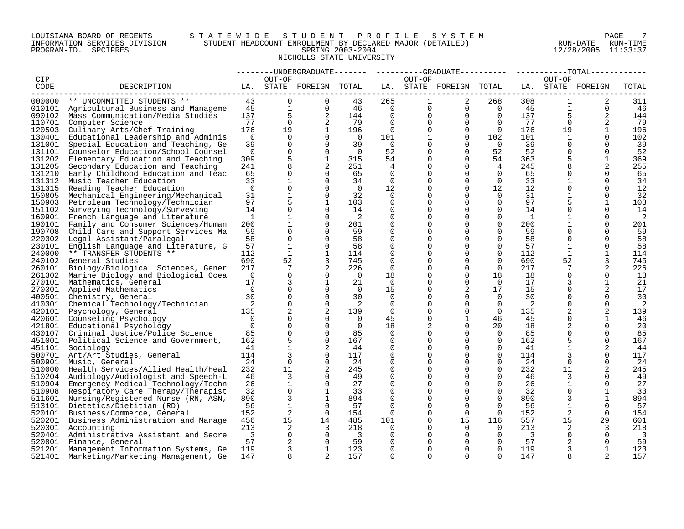## LOUISIANA BOARD OF REGENTS S T A T E W I D E S T U D E N T P R O F I L E S Y S T E M PAGE 7 INFORMATION SERVICES DIVISION STUDENT HEADCOUNT ENROLLMENT BY DECLARED MAJOR (DETAILED) RUN-DATE RUN-TIME PROGRAM-ID. SPCIPRES SPRING 2003-2004 12/28/2005 11:33:37 NICHOLLS STATE UNIVERSITY

|        |                                           |                         |                 |                         |                            |                |              | --------UNDERGRADUATE-------  ---------GRADUATE---------  ----------TOTAL------ |                |                 |                 |              |                         |
|--------|-------------------------------------------|-------------------------|-----------------|-------------------------|----------------------------|----------------|--------------|---------------------------------------------------------------------------------|----------------|-----------------|-----------------|--------------|-------------------------|
| CIP    |                                           |                         | OUT-OF          |                         |                            |                | OUT-OF       |                                                                                 |                |                 | OUT-OF          |              |                         |
| CODE   | DESCRIPTION                               |                         |                 | LA. STATE FOREIGN TOTAL |                            |                |              | LA. STATE FOREIGN TOTAL LA. STATE FOREIGN                                       |                |                 |                 |              | TOTAL                   |
|        |                                           |                         |                 |                         |                            |                |              |                                                                                 |                |                 |                 |              |                         |
|        | 000000 ** UNCOMMITTED STUDENTS **         | 43                      | $\Omega$        | $\Omega$                | 43                         | 265            | $\mathbf{1}$ | 2                                                                               | 268            | 308             | $\mathbf{1}$    | 2            | 311                     |
|        | 010101 Agricultural Business and Manageme | 45                      | $\mathbf{1}$    | $\Omega$                | 46                         | $\overline{0}$ |              | $0 \qquad \qquad$<br>$\Omega$                                                   | $\overline{0}$ | 45              | $\mathbf{1}$    | $\Omega$     | -46                     |
|        | 090102 Mass Communication/Media Studies   | 137                     | 5               | 2                       | 144                        | $\overline{0}$ | $\mathbf{0}$ | $\overline{0}$                                                                  | $\overline{0}$ | 137             | $5\overline{)}$ | 2            | 144                     |
| 110701 | Computer Science                          | 77                      | $\overline{0}$  | 2                       | 79                         | $\mathbf{0}$   | $\mathbf 0$  | $\mathbf 0$                                                                     | $\overline{0}$ | 77              | $\overline{0}$  | 2            | 79                      |
| 120503 | Culinary Arts/Chef Training               | 176                     | 19              | $\mathbf{1}$            | 196                        | $\overline{0}$ |              | $\mathbf 0$                                                                     | $\overline{0}$ | 176             | 19              | $\mathbf{1}$ | 196                     |
| 130401 | Educational Leadership and Adminis        | $\overline{0}$          | $\Omega$        | $\Omega$                | $\overline{0}$             | 101            |              | $\mathbf 0$                                                                     | 102            | 101             | $\mathbf{1}$    | $\Omega$     | 102                     |
| 131001 | Special Education and Teaching, Ge        | 39                      | $\Omega$        | $\Omega$                | 39                         | $\overline{0}$ | $\Omega$     | $\Omega$                                                                        | $\overline{0}$ | 39              | $\Omega$        | $\Omega$     | 39                      |
| 131101 | Counselor Education/School Counsel        | $\overline{0}$          | $\Omega$        | $\Omega$                | $\overline{0}$             | 52             | $\Omega$     | $\Omega$                                                                        | 52             | 52              | $\Omega$        | $\Omega$     | 52                      |
|        |                                           |                         |                 |                         |                            |                |              |                                                                                 |                |                 |                 |              |                         |
| 131202 | Elementary Education and Teaching         | 309                     | 5               | 1                       | 315                        | 54             | 0            | 0                                                                               | 54             | 363             |                 | 1            | 369                     |
| 131205 | Secondary Education and Teaching          | 241                     | 8               | 2                       | 251                        | 4              |              | $\Omega$                                                                        | $\overline{4}$ | 245             |                 | 2            | 255                     |
| 131210 | Early Childhood Education and Teac        | 65                      | $\mathbf 0$     | $\Omega$                | 65                         | 0              | 0            | $\Omega$                                                                        | $\overline{0}$ | 65              | 0               | $\Omega$     | 65                      |
|        | 131312 Music Teacher Education            | 33                      | $\mathbf{1}$    | $\Omega$                | 34                         | $\Omega$       | 0            | $\Omega$                                                                        | $\Omega$       | 33              | $\mathbf 1$     | $\Omega$     | 34                      |
| 131315 | Reading Teacher Education                 | $\overline{0}$          | $\Omega$        | $\Omega$                | $\overline{0}$             | 12             |              | $\Omega$                                                                        | 12             | 12 <sup>°</sup> | $\Omega$        | $\Omega$     | 12                      |
| 150805 | Mechanical Engineering/Mechanical         | 31                      | $\mathbf{1}$    | $\Omega$                | 32                         | $\Omega$       |              | $\Omega$                                                                        | $\Omega$       | 31              |                 | $\Omega$     | 32                      |
| 150903 | Petroleum Technology/Technician           | 97                      |                 | $\mathbf{1}$            | 103                        | 0              |              | $\Omega$                                                                        | $\mathbf 0$    | 97              |                 | 1            | 103                     |
| 151102 | Surveying Technology/Surveying            | 14                      | $\mathbf 0$     | $\Omega$                | 14                         | 0              | 0            | $\Omega$                                                                        | $\mathbf 0$    | 14              | $\mathbf 0$     | $\Omega$     | 14                      |
|        | 160901 French Language and Literature     | 1                       | $\mathbf{1}$    | $\Omega$                | $\overline{\phantom{0}}^2$ | 0              | 0            | $\Omega$                                                                        | $\Omega$       | $\mathbf{1}$    | 1               | $\Omega$     | 2                       |
| 190101 | Family and Consumer Sciences/Human        | 200                     |                 | $\Omega$                | 201                        | $\Omega$       |              | $\Omega$                                                                        | $\Omega$       | 200             | $\mathbf 1$     | $\Omega$     | 201                     |
| 190708 | Child Care and Support Services Ma        | 59                      | $\Omega$        | $\Omega$                | 59                         | $\mathbf 0$    |              | $\Omega$                                                                        | $\Omega$       | 59              | $\Omega$        | $\Omega$     | 59                      |
|        | 220302 Legal Assistant/Paralegal          | 58                      | $\Omega$        | $\Omega$                | 58                         | $\Omega$       |              | $\Omega$                                                                        | $\Omega$       | 58              | $\Omega$        | $\Omega$     | 58                      |
| 230101 | English Language and Literature, G        | 57                      | $\mathbf{1}$    | $\Omega$                | 58                         | $\Omega$       |              | $\Omega$                                                                        | 0              | 57              | $\mathbf{1}$    | $\Omega$     | 58                      |
| 240000 | ** TRANSFER STUDENTS **                   | 112                     | $\mathbf{1}$    | 1                       | 114                        | 0              |              | $\Omega$                                                                        | $\mathbf 0$    | 112             | 1               | 1            | 114                     |
|        | 240102 General Studies                    | 690                     | 52              | 3                       | 745                        | $\mathbf 0$    |              | $\Omega$                                                                        | $\mathbf 0$    | 690             | 52              | 3            | 745                     |
| 260101 | Biology/Biological Sciences, Gener        | 217                     | $7\phantom{.0}$ | 2                       | 226                        | 0              |              | $\Omega$                                                                        | $\Omega$       | 217             |                 | 2            | 226                     |
|        | 261302 Marine Biology and Biological Ocea | $\overline{0}$          | $\Omega$        | $\Omega$                | $\overline{0}$             | 18             |              | $\Omega$                                                                        | 18             | 18              | $\Omega$        | $\Omega$     | 18                      |
|        | 270101 Mathematics, General               | 17                      | 3               | $\mathbf{1}$            | 21                         | $\Omega$       |              | $\Omega$                                                                        | $\Omega$       | 17              | 3               | $\mathbf{1}$ | 21                      |
| 270301 | Applied Mathematics                       | $\overline{0}$          | $\mathbf 0$     | 0                       | $\overline{0}$             | 15             | 0            | 2                                                                               | 17             | 15              | 0               | 2            | 17                      |
|        | 400501 Chemistry, General                 | 30                      | $\Omega$        | $\Omega$                | 30                         | 0              |              | $\Omega$                                                                        | $\overline{0}$ | 30              | $\Omega$        | $\Omega$     | 30                      |
| 410301 | Chemical Technology/Technician            | $\overline{2}$          | $\mathbf 0$     | $\Omega$                | 2                          | 0              |              | $\Omega$                                                                        | $\overline{0}$ | 2               | 0               | $\mathbf 0$  | 2                       |
| 420101 | Psychology, General                       | 135                     | 2               | 2                       | 139                        | $\Omega$       |              | $\Omega$                                                                        | $\Omega$       | 135             | 2               | 2            | 139                     |
|        | 420601 Counseling Psychology              | $\overline{0}$          | $\Omega$        | $\Omega$                | $\overline{0}$             | 45             | 0            | $\mathbf{1}$                                                                    | 46             | 45              | $\Omega$        | $\mathbf{1}$ | 46                      |
| 421801 | Educational Psychology                    | $\Omega$                | $\Omega$        | $\Omega$                | $\Omega$                   | 18             | 2            | $\Omega$                                                                        | 20             | 18              | 2               | $\Omega$     | 20                      |
|        | 430107 Criminal Justice/Police Science    | 85                      | $\Omega$        | $\Omega$                | 85                         | 0              |              | $\Omega$                                                                        | $\overline{0}$ | 85              | $\Omega$        | $\Omega$     | 85                      |
| 451001 | Political Science and Government,         | 162                     | 5               | $\Omega$                | 167                        | 0              | 0            | $\Omega$                                                                        | $\Omega$       | 162             | 5               | $\Omega$     | 167                     |
|        |                                           | 41                      | $\mathbf{1}$    | 2                       | 44                         | $\Omega$       | 0            | $\Omega$                                                                        | $\Omega$       | 41              | $\mathbf{1}$    | 2            |                         |
| 451101 | Sociology                                 |                         |                 | $\Omega$                |                            | $\mathbf 0$    |              | $\Omega$                                                                        | $\Omega$       |                 |                 | $\Omega$     | 44                      |
|        | 500701 Art/Art Studies, General           | 114<br>24               | $\Omega$        | $\Omega$                | 117<br>24                  | $\mathbf 0$    | 0            | $\Omega$                                                                        | $\Omega$       | 114<br>24       | $\overline{0}$  | $\Omega$     | 117                     |
| 500901 | Music, General                            |                         |                 |                         |                            |                |              |                                                                                 |                |                 |                 |              | 24                      |
| 510000 | Health Services/Allied Health/Heal        | 232                     | 11              | 2                       | 245                        | $\Omega$       |              | $\Omega$                                                                        | $\Omega$       | 232             | 11              | 2            | 245                     |
| 510204 | Audiology/Audiologist and Speech-L        | 46                      | 3               | $\Omega$                | 49                         | 0              |              | $\Omega$                                                                        | $\Omega$       | 46              | 3               | $\Omega$     | 49                      |
| 510904 | Emergency Medical Technology/Techn        | 26                      | $\mathbf{1}$    | $\Omega$                | 27                         | 0              |              | $\Omega$                                                                        | $\Omega$       | 26              | $\mathbf{1}$    | $\Omega$     | 27                      |
|        | 510908 Respiratory Care Therapy/Therapist | 32                      | $\mathbf 0$     | 1                       | 33                         | $\mathbf 0$    |              | $\Omega$                                                                        | $\Omega$       | 32              | $\Omega$        | 1            | 33                      |
|        | 511601 Nursing/Registered Nurse (RN, ASN, | 890                     | 3               | $\mathbf{1}$            | 894                        | 0              |              | $\Omega$                                                                        | $\mathbf 0$    | 890             | 3               | $\mathbf{1}$ | 894                     |
|        | 513101 Dietetics/Dietitian (RD)           | 56                      | $\mathbf{1}$    | $\Omega$                | 57                         | $\Omega$       |              | $\Omega$                                                                        | $\Omega$       | 56              | 1               | $\Omega$     | 57                      |
|        | 520101 Business/Commerce, General         | 152                     | 2               | $\Omega$                | 154                        | $\Omega$       |              | $\Omega$                                                                        | $\Omega$       | 152             | 2               | $\Omega$     | 154                     |
|        | 520201 Business Administration and Manage | 456                     | 15              | 14                      | 485                        | 101            | 0            | 15                                                                              | 116            | 557             | 15              | 29           | 601                     |
|        | 520301 Accounting                         | 213                     | 2               | $\overline{3}$          | 218                        | $\Omega$       |              | $\Omega$                                                                        | $\Omega$       | 213             | 2               | 3            | 218                     |
|        | 520401 Administrative Assistant and Secre | $\overline{\mathbf{3}}$ | 0               | $\overline{0}$          | $\overline{\mathbf{3}}$    | 0              |              | $\Omega$                                                                        | $\mathbf 0$    | 3               | 0               | 0            | $\overline{\mathbf{3}}$ |
| 520801 | Finance, General                          | 57                      | 2               | $\Omega$                | 59                         | $\Omega$       |              | $\Omega$                                                                        | $\Omega$       | 57              | 2               | $\Omega$     | 59                      |
|        | 521201 Management Information Systems, Ge | 119                     | 3               | 1                       | 123                        | $\Omega$       | $\Omega$     | $\Omega$                                                                        | $\Omega$       | 119             | 3               | 1            | 123                     |
| 521401 | Marketing/Marketing Management, Ge        | 147                     | 8               | $\mathfrak{D}$          | 157                        | $\cap$         | $\Omega$     | $\cap$                                                                          | $\cap$         | 147             | 8               |              | 157                     |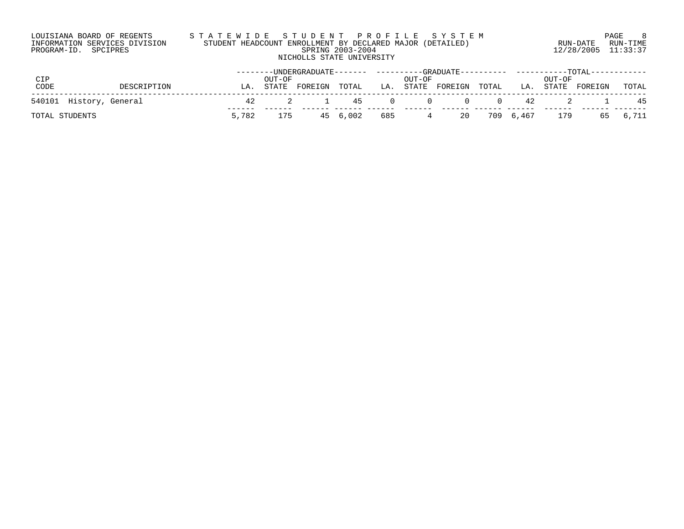| LOUISIANA BOARD OF REGENTS    |  |  |  |
|-------------------------------|--|--|--|
| INFORMATION SERVICES DIVISION |  |  |  |
| PROGRAM-ID. SPCIPRES          |  |  |  |

# LOUISIANA BOARD OF REGENTS S T A T E W I D E S T U D E N T P R O F I L E S Y S T E M PAGE 8 INFORMATION SERVICES DIVISION STUDENT HEADCOUNT ENROLLMENT BY DECLARED MAJOR (DETAILED) RUN-DATE RUN-TIME PROGRAM-ID. SPCIPRES SPRING 2003-2004 12/28/2005 11:33:37 NICHOLLS STATE UNIVERSITY

|                         |       |        |         |              |                 |                   |       |    |                  | --------UNDERGRADUATE------- ---------GRADUATE---------- ----------TOTAL----------- |          |
|-------------------------|-------|--------|---------|--------------|-----------------|-------------------|-------|----|------------------|-------------------------------------------------------------------------------------|----------|
| CIP                     |       | OUT-OF |         |              | OUT-OF          |                   |       |    | OUT-OF           |                                                                                     |          |
| CODE<br>DESCRIPTION     | LA    | STATE  | FOREIGN | TOTAL        |                 | LA. STATE FOREIGN | TOTAL |    | LA. STATE        | FOREIGN                                                                             | TOTAL    |
| 540101 History, General | 42    |        | 2 1     |              |                 | 45 0 0 0 0        |       | 42 |                  |                                                                                     | - 45     |
| TOTAL STUDENTS          | 5,782 | 175    |         | 45 6,002 685 | $4\overline{4}$ |                   |       |    | 20 709 6,467 179 |                                                                                     | 65 6,711 |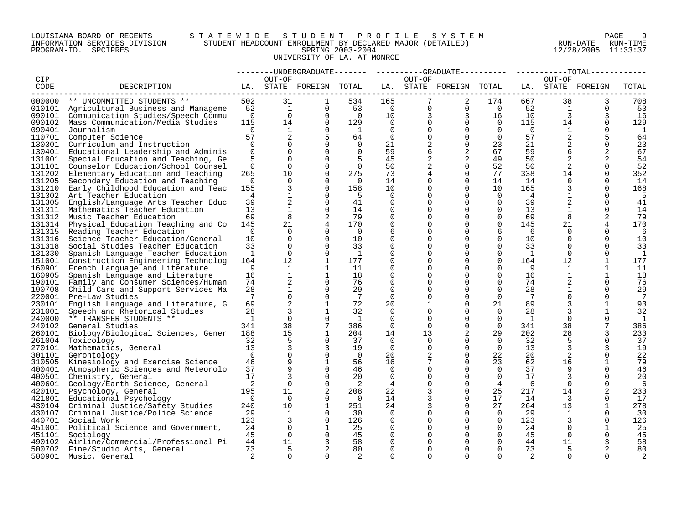## LOUISIANA BOARD OF REGENTS S T A T E W I D E S T U D E N T P R O F I L E S Y S T E M PAGE 9 INFORMATION SERVICES DIVISION STUDENT HEADCOUNT ENROLLMENT BY DECLARED MAJOR (DETAILED) RUN-DATE RUN-TIME PROGRAM-ID. SPCIPRES SPRING 2003-2004 12/28/2005 11:33:37 UNIVERSITY OF LA. AT MONROE

|        |                                           |                 |                   |                         |                 |                |          | ----UNDERGRADUATE-------    ---------GRADUATE---------    ----------TOTAL------ |                |                 |                |                   |                |
|--------|-------------------------------------------|-----------------|-------------------|-------------------------|-----------------|----------------|----------|---------------------------------------------------------------------------------|----------------|-----------------|----------------|-------------------|----------------|
| CIP    |                                           |                 | OUT-OF            |                         |                 |                | OUT-OF   |                                                                                 |                |                 | OUT-OF         |                   |                |
| CODE   | DESCRIPTION                               |                 |                   | LA. STATE FOREIGN TOTAL |                 |                |          | LA. STATE FOREIGN TOTAL                                                         |                |                 |                | LA. STATE FOREIGN | TOTAL          |
| ------ | 000000 ** UNCOMMITTED STUDENTS **         | 502             | 31                | 1                       | 534             | 165            | 7        | 2                                                                               | 174            | 667             | 38             | 3                 | 708            |
|        | 010101 Agricultural Business and Manageme | 52              | $\mathbf{1}$      | $\Omega$                | 53              | $\overline{0}$ |          | $\mathbf{0}$<br>$\overline{0}$                                                  | $\overline{0}$ | 52              | $\mathbf{1}$   | $\Omega$          | 53             |
|        |                                           |                 | $\Omega$          | $\Omega$                | $\overline{0}$  |                |          | $\overline{3}$                                                                  |                |                 | $\overline{3}$ | 3                 |                |
|        | 090101 Communication Studies/Speech Commu | $\overline{0}$  |                   |                         |                 | 10             |          | 3                                                                               | 16             | 10              |                |                   | 16             |
| 090102 | Mass Communication/Media Studies          | 115             | 14                | $\Omega$                | 129             | $\Omega$       |          | $\Omega$<br>$\overline{0}$                                                      | $\overline{0}$ | 115             | 14             | $\Omega$          | 129            |
| 090401 | Journalism                                | $\Omega$        | 1                 | $\Omega$                | $\mathbf{1}$    | $\Omega$       |          | $\Omega$<br>$\Omega$                                                            | $\Omega$       | $\overline{0}$  | 1              | $\Omega$          | 1              |
| 110701 | Computer Science                          | 57              | 2                 |                         | 64              | $\Omega$       | $\Omega$ | $\Omega$                                                                        | $\Omega$       | 57              | 2              | 5                 | 64             |
| 130301 | Curriculum and Instruction                | $\Omega$        | $\Omega$          | $\Omega$                | $\Omega$        | 21             | 2        | $\overline{0}$                                                                  | 23             | 21              | 2              | $\Omega$          | 23             |
| 130401 | Educational Leadership and Adminis        | $\Omega$        | $\Omega$          | $\Omega$                | $\Omega$        | 59             | 6        | 2                                                                               | 67             | 59              | 6              | 2                 | 67             |
| 131001 | Special Education and Teaching, Ge        | 5               | $\Omega$          | $\Omega$                |                 | 45             | 2        | 2                                                                               | 49             | 50              | 2              | 2                 | 54             |
| 131101 | Counselor Education/School Counsel        | $\Omega$        | $\Omega$          | $\Omega$                | $\Omega$        | 50             |          | $\Omega$<br>2                                                                   | 52             | 50              | 2              | $\Omega$          | 52             |
| 131202 | Elementary Education and Teaching         | 265             | 10                | $\Omega$                | 275             | 73             |          | $\Omega$                                                                        | 77             | 338             | 14             | $\Omega$          | 352            |
| 131205 | Secondary Education and Teaching          | $\Omega$        | $\Omega$          | $\Omega$                | $\cap$          | 14             | 0        | $\Omega$                                                                        | 14             | 14              | $\Omega$       | $\Omega$          | 14             |
| 131210 | Early Childhood Education and Teac        | 155             | $\overline{3}$    | $\Omega$                | 158             | 10             | $\Omega$ | $\Omega$                                                                        | 10             | 165             | 3              | $\Omega$          | 168            |
|        | 131302 Art Teacher Education              | 4               | $\mathbf 1$       | $\Omega$                | -5              | 0              | 0        | $\Omega$                                                                        | $\overline{0}$ | 4               | 1              | $\Omega$          | 5              |
| 131305 | English/Language Arts Teacher Educ        | 39              | 2                 | $\Omega$                | 41              | $\Omega$       |          | $\Omega$                                                                        | $\Omega$       | 39              |                | $\Omega$          | 41             |
| 131311 | Mathematics Teacher Education             | 13              | $\mathbf 1$       | $\Omega$                | 14              | $\mathbf 0$    | 0        | $\Omega$                                                                        | $\Omega$       | 13              | 1              | $\Omega$          | 14             |
| 131312 | Music Teacher Education                   | 69              | 8                 | $\overline{2}$          | 79              | $\Omega$       | 0        | $\Omega$                                                                        | $\Omega$       | 69              | 8              | 2                 | 79             |
| 131314 | Physical Education Teaching and Co        | 145             | 21                | $\overline{4}$          | 170             | $\mathbf 0$    | $\Omega$ | $\mathbf 0$                                                                     | $\mathbf 0$    | 145             | 21             | 4                 | 170            |
| 131315 | Reading Teacher Education                 | $\Omega$        | $\Omega$          | $\Omega$                | $\Omega$        | 6              | 0        | $\Omega$                                                                        | 6              | 6               | $\Omega$       | $\Omega$          | 6              |
| 131316 | Science Teacher Education/General         | 10              | $\Omega$          | $\Omega$                | 10              | $\mathbf 0$    | 0        | $\Omega$                                                                        | $\Omega$       | 10              | $\Omega$       | $\Omega$          | 10             |
| 131318 | Social Studies Teacher Education          | 33              | $\Omega$          | $\Omega$                | 33              | $\Omega$       | 0        | $\Omega$                                                                        | $\Omega$       | 33              | $\Omega$       | $\Omega$          | 33             |
| 131330 | Spanish Language Teacher Education        | 1               | $\Omega$          | $\Omega$                | $\overline{1}$  | $\Omega$       | 0        | $\Omega$                                                                        | $\Omega$       | <sup>1</sup>    | $\Omega$       | $\Omega$          | 1              |
|        | 151001 Construction Engineering Technolog | 164             | $12 \overline{ }$ | $\mathbf{1}$            | 177             | $\Omega$       |          | $\Omega$                                                                        | $\Omega$       | 164             | 12             |                   | 177            |
| 160901 | French Language and Literature            | 9               | 1                 | 1                       | 11              | 0              | 0        | $\Omega$                                                                        | 0              | 9               | 1              | 1                 | 11             |
| 160905 | Spanish Language and Literature           | 16              | $\mathbf{1}$      | 1                       | 18              | $\Omega$       |          | $\Omega$                                                                        | 0              | 16              | 1              | 1                 | 18             |
| 190101 | Family and Consumer Sciences/Human        | 74              | 2                 | $\Omega$                | 76              | $\Omega$       |          | $\Omega$                                                                        | $\Omega$       | 74              |                | $\Omega$          | 76             |
| 190708 | Child Care and Support Services Ma        | 28              | $\mathbf 1$       | $\Omega$                | 29              | $\Omega$       | 0        | $\Omega$                                                                        | $\Omega$       | 28              |                | $\Omega$          | 29             |
|        | 220001 Pre-Law Studies                    | $7\overline{ }$ | $\Omega$          | $\Omega$                | $7\phantom{.0}$ | $\Omega$       |          | $\Omega$                                                                        | $\Omega$       | $7\overline{ }$ |                | $\Omega$          | 7              |
| 230101 | English Language and Literature, G        | 69              | 2                 | $\mathbf 1$             | 72              | 20             |          | $\mathbf 0$                                                                     | 21             | 89              | 3              | 1                 | 93             |
| 231001 | Speech and Rhetorical Studies             | 28              | 3                 | 1                       | 32              | $\Omega$       | 0        | $\Omega$                                                                        | $\Omega$       | 28              | 3              | 1                 | 32             |
| 240000 | ** TRANSFER STUDENTS **                   | 1               | $\Omega$          | $\Omega$                | - 1             | $\Omega$       | $\Omega$ | $\Omega$                                                                        | $\Omega$       | <sup>1</sup>    | $\Omega$       | $\Omega$          | 1              |
| 240102 | General Studies                           | 341             | 38                | $7\phantom{.0}$         | 386             | $\Omega$       | $\Omega$ | $\Omega$                                                                        | $\Omega$       | 341             | 38             | 7                 | 386            |
| 260101 | Biology/Biological Sciences, Gener        | 188             | 15                | $\mathbf{1}$            | 204             | 14             | 13       | 2                                                                               | 29             | 202             | 28             | 3                 | 233            |
| 261004 | Toxicology                                | 32              | 5                 | $\Omega$                | 37              | $\Omega$       | 0        | $\mathbf 0$                                                                     | $\overline{0}$ | 32              | 5              | $\Omega$          | 37             |
|        | 270101 Mathematics, General               | 13              | 3                 | 3                       | 19              | $\Omega$       | $\Omega$ | $\Omega$                                                                        | $\Omega$       | 13              | 3              | 3                 | 19             |
|        | 301101 Gerontology                        | $\Omega$        | $\Omega$          | $\Omega$                | $\overline{0}$  | 20             |          | $\Omega$                                                                        | 22             | 20              | 2              | $\Omega$          | 22             |
| 310505 | Kinesiology and Exercise Science          | 46              | 9                 | 1                       | 56              | 16             |          | $\Omega$                                                                        | 23             | 62              | 16             | 1                 | 79             |
|        | 400401 Atmospheric Sciences and Meteorolo | 37              | $\circ$           | $\Omega$                | 46              | $\Omega$       | 0        | $\Omega$                                                                        | $\Omega$       | 37              | 9              | $\Omega$          | 46             |
| 400501 | Chemistry, General                        | 17              | 3                 | $\Omega$                | 20              | $\Omega$       | 0        | $\Omega$                                                                        | $\Omega$       | 17              | 3              | $\Omega$          | 20             |
| 400601 | Geology/Earth Science, General            | 2               | $\Omega$          | $\Omega$                | 2               | $\overline{4}$ |          | $\Omega$                                                                        | $\overline{4}$ | 6               | $\Omega$       | $\Omega$          | 6              |
|        | 420101 Psychology, General                | 195             | 11                | 2                       | 208             | 22             |          | $\Omega$                                                                        | 25             | 217             | 14             | 2                 | 233            |
| 421801 | Educational Psychology                    | $\Omega$        | $\Omega$          | $\Omega$                | $\Omega$        | 14             | 3        | $\Omega$                                                                        | 17             | 14              | $\overline{3}$ | $\Omega$          | 17             |
|        | 430104 Criminal Justice/Safety Studies    | 240             | 10                | $\mathbf{1}$            | 251             | 24             |          | $\Omega$                                                                        | 27             | 264             | 13             | 1                 | 278            |
| 430107 | Criminal Justice/Police Science           | 29              | $\mathbf{1}$      | $\Omega$                | 30              | $\Omega$       | 0        | $\Omega$                                                                        | $\Omega$       | 29              | 1              | $\Omega$          | 30             |
| 440701 | Social Work                               | 123             | 3                 | $\mathbf 0$             | 126             | 0              | $\Omega$ | $\mathbf 0$                                                                     | $\overline{0}$ | 123             | 3              | $\mathbf 0$       | 126            |
|        | 451001 Political Science and Government,  | 24              | $\Omega$          | 1                       | 25              | $\Omega$       |          | $\Omega$                                                                        | $\Omega$       | 24              | $\Omega$       | 1                 | 25             |
| 451101 | Sociology                                 | 45              | $\overline{0}$    | $\Omega$                | 45              | 0              | 0        | $\Omega$                                                                        | 0              | 45              | $\overline{0}$ | $\Omega$          | 45             |
| 490102 | Airline/Commercial/Professional Pi        | 44              | 11                | 3                       | 58              | $\Omega$       |          | $\Omega$                                                                        | $\Omega$       | 44              | 11             | 3                 | 58             |
|        | 500702 Fine/Studio Arts, General          | 73              | 5                 | 2                       | 80              | $\Omega$       | 0        | $\Omega$                                                                        | $\Omega$       | 73              | 5              | 2                 | 80             |
| 500901 | Music, General                            | 2               | $\cap$            | $\cap$                  | $\mathfrak{D}$  | $\cap$         | $\Omega$ | $\Omega$                                                                        | $\cap$         | 2               | $\cap$         | $\cap$            | $\overline{a}$ |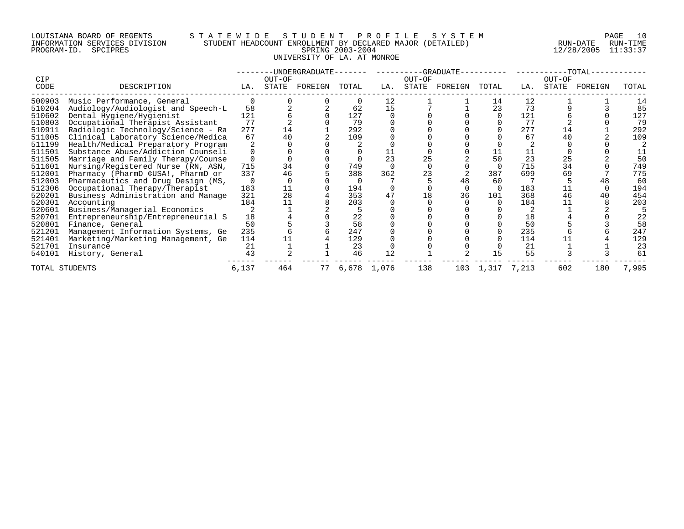## LOUISIANA BOARD OF REGENTS S T A T E W I D E S T U D E N T P R O F I L E S Y S T E M PAGE 10 INFORMATION SERVICES DIVISION STUDENT HEADCOUNT ENROLLMENT BY DECLARED MAJOR (DETAILED) RUN-DATE RUN-TIME PROGRAM-ID. SPCIPRES SPRING 2003-2004 12/28/2005 11:33:37 UNIVERSITY OF LA. AT MONROE

| <b>CIP</b> |                                    |       | OUT-OF | -UNDERGRADUATE- |       |             | OUT-OF | -GRADUATE- |             |     | OUT-OF | -TOTAL- |       |
|------------|------------------------------------|-------|--------|-----------------|-------|-------------|--------|------------|-------------|-----|--------|---------|-------|
| CODE       | DESCRIPTION                        | LA.   | STATE  | FOREIGN         | TOTAL | LA.         | STATE  | FOREIGN    | TOTAL       | LA. | STATE  | FOREIGN | TOTAL |
| 500903     | Music Performance, General         |       |        |                 |       | 12          |        |            | 14          | 12  |        |         | 14    |
| 510204     | Audiology/Audiologist and Speech-L | 58    |        |                 | 62    | 15          |        |            | 23          | 73  |        |         | 85    |
| 510602     | Dental Hygiene/Hygienist           | 121   |        |                 | 127   |             |        |            |             | 121 |        |         | 127   |
| 510803     | Occupational Therapist Assistant   | 77    |        |                 | 79    |             |        |            |             | 77  |        |         | 79    |
| 510911     | Radiologic Technology/Science - Ra | 277   | 14     |                 | 292   |             |        |            |             | 277 | 14     |         | 292   |
| 511005     | Clinical Laboratory Science/Medica | 67    | 40     |                 | 109   |             |        |            |             | 67  | 40     |         | 109   |
| 511199     | Health/Medical Preparatory Program |       |        |                 |       |             |        |            |             |     |        |         |       |
| 511501     | Substance Abuse/Addiction Counseli |       |        |                 |       |             |        |            | 11          | 11  |        |         |       |
| 511505     | Marriage and Family Therapy/Counse |       |        |                 |       | 23          | 25     |            | 50          | 23  | 25     |         | 50    |
| 511601     | Nursing/Registered Nurse (RN, ASN, | 715   | 34     |                 | 749   |             |        |            |             | 715 | 34     |         | 749   |
| 512001     | Pharmacy (PharmD ¢USA!, PharmD or  | 337   | 46     |                 | 388   | 362         | 23     |            | 387         | 699 | 69     |         | 775   |
| 512003     | Pharmaceutics and Drug Design (MS, |       |        |                 |       |             |        | 48         | 60          |     |        |         | 60    |
| 512306     | Occupational Therapy/Therapist     | 183   | 11     |                 | 194   |             |        |            |             | 183 |        |         | 194   |
| 520201     | Business Administration and Manage | 321   | 28     |                 | 353   |             | 18     | 36         | 101         | 368 | 46     |         | 454   |
| 520301     | Accounting                         | 184   |        |                 | 203   |             |        |            |             | 184 |        |         | 203   |
| 520601     | Business/Managerial Economics      |       |        |                 |       |             |        |            |             |     |        |         |       |
| 520701     | Entrepreneurship/Entrepreneurial S | 18    |        |                 | 22    |             |        |            |             | 18  |        |         | 22    |
| 520801     | Finance, General                   | 50    |        |                 | 58    |             |        |            |             | 50  |        |         | 58    |
| 521201     | Management Information Systems, Ge | 235   |        |                 | 247   |             |        |            |             | 235 |        |         | 247   |
| 521401     | Marketing/Marketing Management, Ge | 114   |        |                 | 129   |             |        |            |             | 114 |        |         | 129   |
| 521701     | Insurance                          | 21    |        |                 | 23    |             |        |            |             | 21  |        |         | 23    |
| 540101     | History, General                   | 43    |        |                 | 46    | 12          |        |            |             | 55  |        |         | 61    |
|            | TOTAL STUDENTS                     | 6,137 | 464    | 77              |       | 6,678 1,076 | 138    | 103        | 1,317 7,213 |     | 602    | 180     | 7,995 |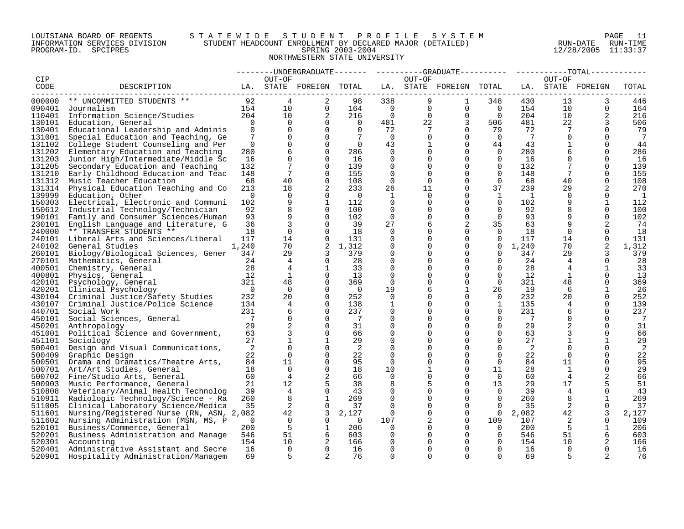## LOUISIANA BOARD OF REGENTS S T A T E W I D E S T U D E N T P R O F I L E S Y S T E M PAGE 11 INFORMATION SERVICES DIVISION STUDENT HEADCOUNT ENROLLMENT BY DECLARED MAJOR (DETAILED) RUN-DATE RUN-TIME PROGRAM-ID. SPCIPRES SPRING 2003-2004 12/28/2005 11:33:37 NORTHWESTERN STATE UNIVERSITY

|         |                                           |                |                |                         |                |                |             |                         |                |                 |                 | $-{\tt TOTAL}-$   |                 |
|---------|-------------------------------------------|----------------|----------------|-------------------------|----------------|----------------|-------------|-------------------------|----------------|-----------------|-----------------|-------------------|-----------------|
| CIP     |                                           |                | OUT-OF         |                         |                |                | OUT-OF      |                         |                |                 | OUT-OF          |                   |                 |
| CODE    | DESCRIPTION                               |                |                | LA. STATE FOREIGN TOTAL |                |                |             | LA. STATE FOREIGN TOTAL |                |                 |                 | LA. STATE FOREIGN | TOTAL           |
| ------- |                                           |                |                |                         |                |                |             |                         |                |                 |                 |                   |                 |
|         | 000000 ** UNCOMMITTED STUDENTS **         | 92             | $\overline{4}$ | 2                       | 98             | 338            | 9           | 1                       | 348            | 430             | 13              | 3                 | 446             |
| 090401  | Journalism                                | 154            | 10             | $\mathbf 0$             | 164            | $\bigcirc$     | $\mathbf 0$ | $\mathbf 0$             | $\Omega$       | 154             | 10              | $\Omega$          | 164             |
|         | 110401 Information Science/Studies        | 204            | 10             | 2                       | 216            | $\overline{0}$ | $\Omega$    | $\mathbf 0$             | $\Omega$       | 204             | 10              |                   | 216             |
| 130101  | Education, General                        | $\Omega$       | $\Omega$       | $\Omega$                | $\Omega$       | 481            | 22          | 3                       | 506            | 481             | 22              |                   | 506             |
| 130401  | Educational Leadership and Adminis        | $\Omega$       | $\Omega$       | $\Omega$                | $\Omega$       | 72             |             | $\Omega$                | 79             | 72              | 7               | $\Omega$          | 79              |
|         |                                           | 7              | $\mathbf 0$    | $\Omega$                | 7              | $\overline{0}$ | $\Omega$    | $\Omega$                | $\mathbf 0$    | $7\phantom{.0}$ | $\Omega$        | $\Omega$          | $7\phantom{.0}$ |
| 131001  | Special Education and Teaching, Ge        |                |                |                         |                |                |             |                         |                |                 |                 |                   |                 |
| 131102  | College Student Counseling and Per        | $\overline{0}$ | $\mathbf 0$    | 0                       | $\overline{0}$ | 43             |             | 0                       | 44             | 43              | 1               | $\Omega$          | 44              |
| 131202  | Elementary Education and Teaching         | 280            | 6              | $\Omega$                | 286            | $\mathbf 0$    |             | $\mathbf 0$             | $\overline{0}$ | 280             | 6               | $\Omega$          | 286             |
| 131203  | Junior High/Intermediate/Middle Sc        | 16             | 0              | $\Omega$                | 16             | 0              |             | $\Omega$                | 0              | 16              | 0               | $\Omega$          | 16              |
| 131205  | Secondary Education and Teaching          | 132            | 7              | $\Omega$                | 139            | $\Omega$       | ∩           | $\Omega$                | $\Omega$       | 132             |                 | $\Omega$          | 139             |
| 131210  | Early Childhood Education and Teac        | 148            | 7              | $\Omega$                | 155            | $\Omega$       | $\Omega$    | $\Omega$                | $\Omega$       | 148             | $7\phantom{.0}$ | $\Omega$          | 155             |
| 131312  | Music Teacher Education                   | 68             | 40             | $\Omega$                | 108            | $\Omega$       | $\Omega$    | $\Omega$                | $\Omega$       | 68              | 40              | $\Omega$          | 108             |
| 131314  | Physical Education Teaching and Co        | 213            | 18             | 2                       | 233            | 26             | 11          | $\Omega$                | 37             | 239             | 29              | 2                 | 270             |
| 139999  | Education, Other                          | $\Omega$       | $\Omega$       | $\Omega$                | $\overline{0}$ | 1              | $\Omega$    | $\Omega$                | $\mathbf{1}$   | <sup>1</sup>    | $\Omega$        | $\Omega$          | 1               |
| 150303  | Electrical, Electronic and Communi        | 102            | 9              | 1                       | 112            | $\Omega$       | ∩           | $\Omega$                | $\mathbf 0$    | 102             | 9               | 1                 | 112             |
| 150612  | Industrial Technology/Technician          | 92             | 8              | $\Omega$                | 100            | 0              | 0           | 0                       | $\Omega$       | 92              | 8               | $\mathbf 0$       | 100             |
| 190101  | Family and Consumer Sciences/Human        | 93             | 9              | $\Omega$                | 102            | $\mathbf 0$    | 0           | 0                       | $\mathbf 0$    | 93              | 9               | $\Omega$          | 102             |
| 230101  | English Language and Literature, G        | 36             | 3              | $\Omega$                | 39             | 27             |             | 2                       | 35             | 63              | 9               | 2                 | 74              |
| 240000  | ** TRANSFER STUDENTS **                   | 18             | $\mathbf 0$    | $\Omega$                | 18             | 0              |             | $\Omega$                | 0              | 18              | $\mathbf 0$     | $\Omega$          | 18              |
| 240101  | Liberal Arts and Sciences/Liberal         | 117            | 14             | $\Omega$                | 131            | $\Omega$       |             | $\Omega$                | $\Omega$       | 117             | 14              | $\Omega$          | 131             |
| 240102  | General Studies                           | 1,240          | 70             | 2                       | 1,312          | $\Omega$       |             | $\Omega$                | $\overline{0}$ | 1,240           | 70              | 2                 | 1,312           |
| 260101  | Biology/Biological Sciences, Gener 347    |                | 29             | 3                       | 379            | $\mathbf 0$    |             | $\Omega$                | $\Omega$       | 347             | 29              | 3                 | 379             |
| 270101  |                                           | 24             | $\overline{4}$ | $\Omega$                | 28             | $\Omega$       |             | $\Omega$                | $\Omega$       | 24              | 4               | $\Omega$          |                 |
|         | Mathematics, General                      |                |                |                         |                |                |             | $\Omega$                |                |                 |                 |                   | -28             |
| 400501  | Chemistry, General                        | 28             | 4              | 1                       | 33             | 0              |             |                         | 0              | 28              | 4               | $\mathbf{1}$      | 33              |
| 400801  | Physics, General                          | 12             | 1              | $\Omega$                | 13             | $\Omega$       |             | $\Omega$                | 0              | 12              | 1               | $\Omega$          | 13              |
| 420101  | Psychology, General                       | 321            | 48             | $\Omega$                | 369            | 0              |             | $\mathbf 0$             | 0              | 321             | 48              | 0                 | 369             |
|         | 420201 Clinical Psychology                | $\overline{0}$ | $\Omega$       | $\Omega$                | $\overline{0}$ | 19             | 6           | 1                       | 26             | 19              | 6               | 1                 | 26              |
|         | 430104 Criminal Justice/Safety Studies    | 232            | 20             | $\Omega$                | 252            | 0              |             | $\Omega$                | $\overline{0}$ | 232             | 20              | $\Omega$          | 252             |
|         | 430107 Criminal Justice/Police Science    | 134            | 4              | $\Omega$                | 138            | 1              |             | $\Omega$                | $\mathbf{1}$   | 135             | 4               | $\Omega$          | 139             |
| 440701  | Social Work                               | 231            | 6              | $\Omega$                | 237            | $\Omega$       |             | $\Omega$                | $\Omega$       | 231             | 6               | $\Omega$          | 237             |
| 450101  | Social Sciences, General                  | $\overline{7}$ | $\Omega$       | $\Omega$                | $\overline{7}$ | $\Omega$       |             | $\Omega$                | $\Omega$       | 7               |                 | $\Omega$          | 7               |
| 450201  | Anthropology                              | 29             | 2              | $\Omega$                | 31             | $\Omega$       |             | $\Omega$                | $\Omega$       | 29              | 2               | $\Omega$          | 31              |
|         | 451001 Political Science and Government,  | 63             | 3              | $\Omega$                | 66             | 0              |             | $\Omega$                | 0              | 63              |                 | $\Omega$          | 66              |
| 451101  | Sociology                                 | 27             |                | 1                       | 29             | $\Omega$       |             | $\Omega$                | $\Omega$       | 27              |                 | 1                 | 29              |
| 500401  | Design and Visual Communications,         | 2              | $\Omega$       | $\Omega$                | 2              | $\Omega$       |             | $\Omega$                | $\Omega$       | 2               | $\Omega$        | $\Omega$          | 2               |
| 500409  | Graphic Design                            | 22             | $\Omega$       | $\Omega$                | 22             | $\mathbf 0$    |             | $\Omega$                | $\Omega$       | 22              | $\Omega$        | $\Omega$          | 22              |
| 500501  | Drama and Dramatics/Theatre Arts,         | 84             | 11             | $\Omega$                | 95             | $\Omega$       |             | $\Omega$                | $\mathbf 0$    | 84              | 11              | 0                 | 95              |
|         | 500701 Art/Art Studies, General           | 18             | $\Omega$       | $\Omega$                | 18             | 10             |             | $\Omega$                | 11             | 28              | 1               | $\Omega$          | 29              |
|         | 500702 Fine/Studio Arts, General          | 60             | 4              | $\overline{2}$          | 66             | $\Omega$       | $\Omega$    | $\Omega$                | $\Omega$       | 60              | 4               | 2                 | 66              |
| 500903  |                                           | 21             | $12 \,$        | 5                       | 38             | 8              | 5           | $\Omega$                | 13             | 29              | 17              | 5                 | 51              |
|         | Music Performance, General                | 39             | $\overline{4}$ | $\Omega$                | 43             | $\Omega$       |             | $\Omega$                | $\Omega$       | 39              |                 | $\Omega$          |                 |
|         | 510808 Veterinary/Animal Health Technolog |                |                |                         |                |                |             |                         |                |                 | 4               |                   | 43              |
| 510911  | Radiologic Technology/Science - Ra        | 260            | 8              | 1                       | 269            | 0              | 0           | 0                       | 0              | 260             | 8               | 1                 | 269             |
| 511005  | Clinical Laboratory Science/Medica        | 35             | 2              | $\Omega$                | 37             | $\Omega$       | 0           | $\Omega$                | $\Omega$       | 35              | 2               | $\Omega$          | 37              |
| 511601  | Nursing/Registered Nurse (RN, ASN, 2,082  |                | 42             | 3                       | 2,127          | 0              |             | $\mathbf 0$             | $\overline{0}$ | 2,082           | 42              | 3                 | 2,127           |
| 511602  | Nursing Administration (MSN, MS, P        | 0              | $\overline{0}$ | $\mathbf 0$             | $\overline{0}$ | 107            |             | 0                       | 109            | 107             | 2               | $\Omega$          | 109             |
| 520101  | Business/Commerce, General                | 200            | 5              | 1                       | 206            | $\Omega$       |             | $\Omega$                | $\Omega$       | 200             | 5               | $\mathbf 1$       | 206             |
| 520201  | Business Administration and Manage        | 546            | 51             | 6                       | 603            | 0              |             | $\Omega$                | $\mathbf 0$    | 546             | 51              | 6                 | 603             |
| 520301  | Accounting                                | 154            | 10             | 2                       | 166            | $\Omega$       |             | ∩                       | $\Omega$       | 154             | 10              | 2                 | 166             |
| 520401  | Administrative Assistant and Secre        | 16             | $\Omega$       | $\Omega$                | 16             | $\Omega$       |             | $\Omega$                | $\Omega$       | 16              | $\Omega$        | $\Omega$          | 16              |
| 520901  | Hospitality Administration/Managem        | 69             | 5              | 2                       | 76             | $\Omega$       | $\cap$      | $\cap$                  | $\cap$         | 69              |                 |                   | 76              |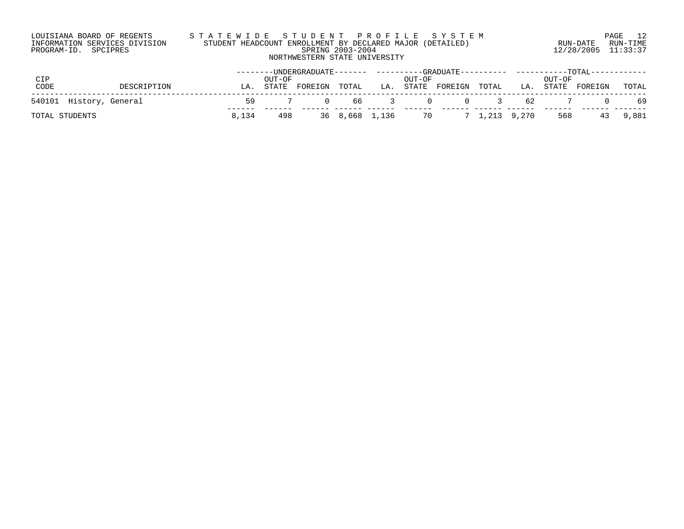| LOUISIANA BOARD OF REGENTS    | STATEWIDE STUDENT PROFILE SYSTEM                          |                         | 12<br>PAGE |
|-------------------------------|-----------------------------------------------------------|-------------------------|------------|
| INFORMATION SERVICES DIVISION | STUDENT HEADCOUNT ENROLLMENT BY DECLARED MAJOR (DETAILED) | RUN-DATE                | RUN-TIME   |
| PROGRAM-ID. SPCIPRES          | SPRING 2003-2004                                          | $12/28/2005$ $11:33:37$ |            |
|                               | NORTHWESTERN STATE UNIVERSITY                             |                         |            |

|                         |             |       |        |         |                |     |        |               |                                                                      |               |        | --------UNDERGRADUATE------- ---------GRADUATE---------- ----------TOTAL----------- |       |
|-------------------------|-------------|-------|--------|---------|----------------|-----|--------|---------------|----------------------------------------------------------------------|---------------|--------|-------------------------------------------------------------------------------------|-------|
| CIP                     |             |       | OUT-OF |         |                |     | OUT-OF |               |                                                                      |               | OUT-OF |                                                                                     |       |
| CODE                    | DESCRIPTION | LA.   | STATE  | FOREIGN | TOTAL          | LA. |        | STATE FOREIGN | TOTAL                                                                | LA.           | STATE  | FOREIGN                                                                             | TOTAL |
| 540101 History, General |             | 59    |        | $\cap$  | 66             |     |        | $\Omega$      | $\begin{array}{ccc} & & & & \text{3} \ & & & & \text{4} \end{array}$ | 62            |        |                                                                                     | 69    |
| TOTAL STUDENTS          |             | 8,134 | 498    |         | 36 8,668 1,136 |     | 70     |               |                                                                      | 7 1,213 9,270 | 568    | 43                                                                                  | 9,881 |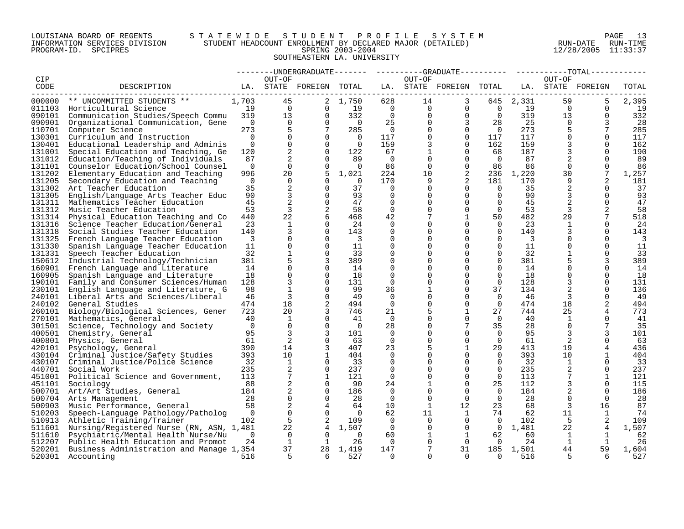## LOUISIANA BOARD OF REGENTS S T A T E W I D E S T U D E N T P R O F I L E S Y S T E M PAGE 13 INFORMATION SERVICES DIVISION STUDENT HEADCOUNT ENROLLMENT BY DECLARED MAJOR (DETAILED) RUN-DATE RUN-TIME PROGRAM-ID. SPCIPRES SPRING 2003-2004 12/28/2005 11:33:37 SOUTHEASTERN LA. UNIVERSITY

|        |                                                 |                |                 |                         |                         |                |                | --------UNDERGRADUATE-------    ---------GRADUATE---------    ---------TOTAL------ |                |                           |                |                   |       |
|--------|-------------------------------------------------|----------------|-----------------|-------------------------|-------------------------|----------------|----------------|------------------------------------------------------------------------------------|----------------|---------------------------|----------------|-------------------|-------|
| CIP    |                                                 |                | OUT-OF          |                         |                         |                | OUT-OF         |                                                                                    |                |                           | OUT-OF         |                   |       |
| CODE   | DESCRIPTION                                     |                |                 | LA. STATE FOREIGN TOTAL |                         |                |                | LA. STATE FOREIGN TOTAL                                                            |                |                           |                | LA. STATE FOREIGN | TOTAL |
|        |                                                 |                |                 |                         |                         |                |                |                                                                                    |                |                           |                |                   |       |
| 000000 | ** UNCOMMITTED STUDENTS **                      | 1,703          | 45              |                         | 2 1,750                 | 628            | 14             | 3                                                                                  |                | 645 2,331                 | 59             |                   | 2,395 |
|        | 011103 Horticultural Science                    | 19             | $\overline{0}$  | $\Omega$                | 19                      | $\overline{0}$ |                | $0 \qquad \qquad$<br>$\overline{0}$                                                | $\overline{0}$ | 19                        | $\overline{0}$ | $\Omega$          | 19    |
|        | 090101 Communication Studies/Speech Commu 319   |                | 13              | $\Omega$                | 332                     | $\overline{0}$ | $\overline{0}$ | $\Omega$                                                                           | $\overline{0}$ | 319                       | 13             | $\Omega$          | 332   |
| 090901 | Organizational Communication, Gene              | $\overline{0}$ | $\Omega$        | $\Omega$                | $\overline{0}$          | 25             | $\overline{0}$ | $\overline{3}$                                                                     | 28             | 25                        | $\Omega$       | 3                 | -28   |
| 110701 | Computer Science                                | 273            | 5               | $7\overline{ }$         | 285                     | $\overline{0}$ | $\Omega$       | $\overline{0}$                                                                     | $\overline{0}$ | 273                       | 5              | $7\phantom{.0}$   | 285   |
| 130301 | Curriculum and Instruction                      | $\Omega$       | $\mathbf 0$     | $\Omega$                | $\overline{0}$          | 117            | $\mathbf{0}$   | $\overline{0}$                                                                     | 117            | 117                       | $\mathbf 0$    | $\Omega$          | 117   |
| 130401 | Educational Leadership and Adminis              | $\Omega$       | $\mathbf 0$     | $\overline{0}$          | $\overline{0}$          | 159            | $\mathbf{3}$   | $\overline{0}$                                                                     | 162            | 159                       | 3              | $\Omega$          | 162   |
| 131001 | Special Education and Teaching, Ge              | 120            | 2               | $\Omega$                | 122                     | 67             | $\mathbf 1$    | $\mathbf 0$                                                                        | 68             | 187                       | 3              | $\Omega$          | 190   |
| 131012 | Education/Teaching of Individuals               | 87             | 2               | $\Omega$                | 89                      | $\overline{0}$ | $\Omega$       | $\Omega$                                                                           | $\bigcirc$     | 87                        | $\overline{2}$ | $\Omega$          | -89   |
| 131101 | Counselor Education/School Counsel              | $\Omega$       | $\Omega$        | $\Omega$                | $\overline{0}$          | 86             | $\Omega$       | $\mathbf 0$                                                                        | 86             | 86                        | $\Omega$       | $\Omega$          | 86    |
| 131202 | Elementary Education and Teaching               | 996            | 20              |                         | $5 \quad 1,021$         | 224            | 10             | 2                                                                                  |                | 236 1,220                 | 30             | $7\phantom{.0}$   | 1,257 |
| 131205 | Secondary Education and Teaching                | $\overline{0}$ | $\overline{0}$  | $\Omega$                | $\bigcirc$              | 170            | 9              | 2                                                                                  | 181            | 170                       | 9              | 2                 | 181   |
| 131302 | Art Teacher Education                           | 35             | 2               | $\Omega$                | 37                      | $\Omega$       | $\Omega$       | $\Omega$                                                                           | $\Omega$       | 35                        | 2              | $\Omega$          | 37    |
| 131305 | English/Language Arts Teacher Educ              | 90             | $\overline{3}$  | $\Omega$                | 93                      | $\Omega$       | $\Omega$       | $\Omega$                                                                           | $\overline{0}$ | 90                        | 3              | $\Omega$          | 93    |
| 131311 | Mathematics Teacher Education                   | 45             | $\overline{a}$  | $\Omega$                | 47                      | 0              | $\Omega$       | $\mathbf 0$                                                                        | $\overline{0}$ | 45                        | 2              | $\mathbf 0$       | 47    |
| 131312 | Music Teacher Education                         | 53             | 3               | 2                       | 58                      | $\Omega$       | $\overline{0}$ | $\overline{0}$                                                                     | $\overline{0}$ | 53                        | 3              | 2                 | 58    |
| 131314 | Physical Education Teaching and Co              | 440            | 22              | 6                       | 468                     | 42             | 7              | $\mathbf{1}$                                                                       | 50             | 482                       | 29             | $7\phantom{.0}$   | 518   |
| 131316 | Science Teacher Education/General               | 23             | $\mathbf{1}$    | $\Omega$                | 24                      | $\mathbf 0$    | $\Omega$       | $\mathbf 0$                                                                        | $\overline{0}$ | 23                        | $\mathbf{1}$   | $\Omega$          | 24    |
| 131318 | Social Studies Teacher Education                | 140            | 3               | 0                       | 143                     | 0              | $\mathbf 0$    | $\mathbf 0$                                                                        | $\Omega$       | 140                       | 3              | $\Omega$          | 143   |
| 131325 | French Language Teacher Education               | 3              | $\Omega$        | $\Omega$                | $\overline{\mathbf{3}}$ | $\Omega$       | $\Omega$       | $\Omega$                                                                           | $\Omega$       | $\overline{\phantom{a}3}$ | $\Omega$       | $\Omega$          | 3     |
| 131330 | Spanish Language Teacher Education              | 11             | $\mathbf 0$     | $\Omega$                | 11                      | $\Omega$       | $\Omega$       | $\Omega$                                                                           | $\Omega$       | 11                        | $\Omega$       | $\Omega$          | 11    |
| 131331 | Speech Teacher Education                        | 32             | $\mathbf{1}$    | $\Omega$                | 33                      | 0              | $\Omega$       | $\mathbf 0$                                                                        | $\mathbf 0$    | 32                        |                | $\Omega$          | 33    |
| 150612 | Industrial Technology/Technician                | 381            | 5               | 3                       | 389                     | $\mathbf 0$    | $\Omega$       | $\mathbf 0$                                                                        | $\Omega$       | 381                       |                | 3                 | 389   |
| 160901 | French Language and Literature                  | 14             | $\mathbf 0$     | $\Omega$                | 14                      | $\Omega$       | $\Omega$       | $\Omega$                                                                           | $\Omega$       | 14                        | 0              | $\Omega$          | 14    |
| 160905 | Spanish Language and Literature                 | 18             | $\mathbf 0$     | $\Omega$                | 18                      | $\mathbf 0$    | $\cap$         | $\mathbf 0$                                                                        | $\Omega$       | 18                        | $\mathbf 0$    | $\Omega$          | 18    |
| 190101 | Family and Consumer Sciences/Human              | 128            | 3               | $\Omega$                | 131                     | $\Omega$       | $\Omega$       | $\Omega$                                                                           | $\Omega$       | 128                       | 3              | $\Omega$          | 131   |
| 230101 | English Language and Literature, G              | 98             | $\mathbf{1}$    | $\Omega$                | 99                      | 36             | 1              | $\mathbf 0$                                                                        | 37             | 134                       | 2              | $\Omega$          | 136   |
|        | 240101 Liberal Arts and Sciences/Liberal        | 46             | 3               | $\Omega$                | 49                      | $\Omega$       | $\Omega$       | $\Omega$                                                                           | $\Omega$       | 46                        | 3              | $\Omega$          | -49   |
| 240102 | General Studies                                 | 474            | 18              | 2                       | 494                     | $\mathbf 0$    | 0              | $\mathbf 0$                                                                        | $\overline{0}$ | 474                       | 18             | 2                 | 494   |
| 260101 | Biology/Biological Sciences, Gener              | 723            | 20              | 3                       | 746                     | 21             | 5              | $\mathbf{1}$                                                                       | 27             | 744                       | 25             | 4                 | 773   |
| 270101 | Mathematics, General                            | 40             | 1               | $\Omega$                | 41                      | $\Omega$       | $\Omega$       | $\Omega$                                                                           | $\overline{0}$ | 40                        | 1              | $\Omega$          | 41    |
| 301501 | Science, Technology and Society                 | $\overline{0}$ | $\Omega$        | $\Omega$                | $\overline{0}$          | 28             | $\Omega$       | $7\phantom{.0}$                                                                    | 35             | 28                        | $\Omega$       | 7                 | 35    |
| 400501 | Chemistry, General                              | 95             | $\overline{3}$  | 3                       | 101                     | $\Omega$       | $\Omega$       | $\Omega$                                                                           | $\Omega$       | 95                        | 3              |                   | 101   |
| 400801 | Physics, General                                | 61             | 2               | $\Omega$                | 63                      | $\Omega$       | $\Omega$       | $\Omega$                                                                           | $\overline{0}$ | 61                        | 2              | $\Omega$          | 63    |
| 420101 | Psychology, General                             | 390            | 14              | 3                       | 407                     | 23             | 5              | $\mathbf{1}$                                                                       | 29             | 413                       | 19             | 4                 | 436   |
|        | 430104 Criminal Justice/Safety Studies          | 393            | 10              | 1                       | 404                     | $\mathbf 0$    | 0              | $\mathbf 0$                                                                        | $\overline{0}$ | 393                       | 10             | 1                 | 404   |
| 430107 | Criminal Justice/Police Science                 | 32             | 1               | 0                       | 33                      | 0              | $\overline{0}$ | $\mathbf 0$                                                                        | $\mathbf 0$    | 32                        | 1              | 0                 | 33    |
| 440701 | Social Work                                     | 235            | 2               | $\Omega$                | 237                     | $\Omega$       | $\Omega$       | $\Omega$                                                                           | $\Omega$       | 235                       | 2              | $\Omega$          | 237   |
| 451001 | Political Science and Government,               | 113            | $7\overline{ }$ | 1                       | 121                     | $\Omega$       | $\Omega$       | $\Omega$                                                                           | $\Omega$       | 113                       | 7              | 1                 | 121   |
| 451101 | Sociology                                       | 88             | $\overline{a}$  | $\mathbf 0$             | 90                      | 24             | $\mathbf 1$    | $\mathbf 0$                                                                        | 25             | 112                       | $\overline{3}$ | $\mathbf 0$       | 115   |
| 500701 | Art/Art Studies, General                        | 184            | 2               | $\Omega$                | 186                     | $\overline{0}$ | $\Omega$       | $\Omega$                                                                           | $\overline{0}$ | 184                       |                | $\Omega$          | 186   |
| 500704 | Arts Management                                 | 28             | $\mathbf 0$     | $\Omega$                | 28                      | $\Omega$       | $\mathbf 0$    | $\overline{0}$                                                                     | $\Omega$       | 28                        | $\overline{0}$ | $\Omega$          | -28   |
| 500903 | Music Performance, General                      | 58             | $\sqrt{2}$      | $\overline{4}$          | 64                      | 10             | $\mathbf{1}$   | 12                                                                                 | 23             | 68                        | 3              | 16                | 87    |
| 510203 | Speech-Language Pathology/Patholog              | $\overline{0}$ | $\mathbf 0$     | $\overline{0}$          | $\overline{0}$          | 62             | 11             | $\mathbf{1}$                                                                       | 74             | 62                        | 11             | 1                 | -74   |
|        | 510913 Athletic Training/Trainer                | 102            | 5               | 2                       | 109                     | $\Omega$       | $\mathbf{0}$   | $\overline{0}$                                                                     | $\Omega$       | 102                       | 5              | 2                 | 109   |
| 511601 | Nursing/Registered Nurse (RN, ASN, 1,481        |                | 22              | $\overline{4}$          | 1,507                   | $\Omega$       | $\Omega$       | $\Omega$                                                                           | $\overline{0}$ | 1,481                     | 22             |                   | 1,507 |
| 511610 | Psychiatric/Mental Health Nurse/Nu              | $\Omega$       | $\overline{0}$  | $\Omega$                | $\Omega$                | 60             | 1              | $\mathbf{1}$                                                                       | 62             | 60                        | 1              | 1                 | 62    |
| 512207 | Public Health Education and Promot              | 24             | <sup>1</sup>    | 1                       | 26                      | $\overline{0}$ | $\Omega$       | $\overline{0}$                                                                     | $\overline{0}$ | 24                        | 1              | 1                 | 26    |
|        | 520201 Business Administration and Manage 1,354 |                | 37              |                         | 28 1,419                | 147            | 7              | 31                                                                                 |                | 185 1,501                 | 44             | 59                | 1,604 |
| 520301 | Accounting                                      | 516            | $5\overline{2}$ | 6                       | 527                     | $\Omega$       | $\Omega$       | $\Omega$                                                                           | $\Omega$       | 516                       | .5             | 6                 | 527   |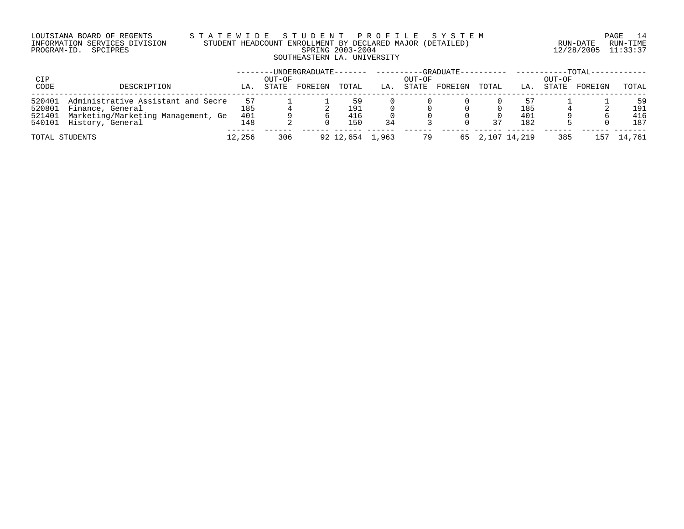## LOUISIANA BOARD OF REGENTS S T A T E W I D E S T U D E N T P R O F I L E S Y S T E M PAGE 14 INFORMATION SERVICES DIVISION STUDENT HEADCOUNT ENROLLMENT BY DECLARED MAJOR (DETAILED) RUN-DATE RUN-TIME PROGRAM-ID. SPCIPRES SPRING 2003-2004 12/28/2005 11:33:37 SOUTHEASTERN LA. UNIVERSITY

| CIP    |                                    |        | OUT-OF | -UNDERGRADUATE------- |                 |     | OUT-OF | --GRADUATE---------- |              |     | -----------TOTAL--<br>OUT-OF |         |        |
|--------|------------------------------------|--------|--------|-----------------------|-----------------|-----|--------|----------------------|--------------|-----|------------------------------|---------|--------|
| CODE   | DESCRIPTION                        | LA.    | STATE  | FOREIGN               | TOTAL           | LA. | STATE  | FOREIGN              | TOTAL        | LA. | STATE                        | FOREIGN | TOTAL  |
| 520401 | Administrative Assistant and Secre | 57     |        |                       | 59              |     |        |                      |              | 57  |                              |         | 59     |
| 520801 | Finance, General                   | 185    |        |                       | 191             |     |        |                      |              | 185 |                              |         | 191    |
| 521401 | Marketing/Marketing Management, Ge | 401    |        |                       | 416             |     |        |                      |              | 401 |                              |         | 416    |
|        | 540101 History, General            | 148    |        |                       | 150             | 34  |        |                      | 37           | 182 |                              |         | 187    |
|        | TOTAL STUDENTS                     | 12,256 | 306    |                       | 92 12,654 1,963 |     | 79     | 65                   | 2,107 14,219 |     | 385                          | 157     | 14,761 |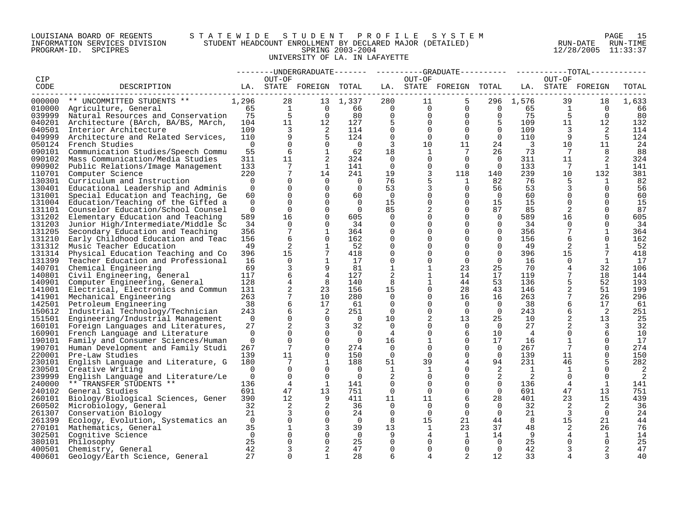## LOUISIANA BOARD OF REGENTS S T A T E W I D E S T U D E N T P R O F I L E S Y S T E M PAGE 15 INFORMATION SERVICES DIVISION STUDENT HEADCOUNT ENROLLMENT BY DECLARED MAJOR (DETAILED) RUN-DATE RUN-TIME PROGRAM-ID. SPCIPRES SPRING 2003-2004 12/28/2005 11:33:37 UNIVERSITY OF LA. IN LAFAYETTE

|        |                                           |                |                         |                         |                |                          |                | --------UNDERGRADUATE------- ---------GRADUATE---------- -----------TOTAL------- |                                          |                         |                         |                |          |
|--------|-------------------------------------------|----------------|-------------------------|-------------------------|----------------|--------------------------|----------------|----------------------------------------------------------------------------------|------------------------------------------|-------------------------|-------------------------|----------------|----------|
| CIP    |                                           |                | OUT-OF                  |                         |                |                          | OUT-OF         |                                                                                  |                                          |                         | OUT-OF                  |                |          |
| CODE   | LA. STATE FOREIGN TOTAL<br>DESCRIPTION    |                |                         |                         |                |                          |                | LA. STATE FOREIGN TOTAL LA. STATE FOREIGN                                        |                                          |                         |                         |                | TOTAL    |
|        | 000000 ** UNCOMMITTED STUDENTS **         | 1,296          | 28                      |                         | 13 1,337       | 280                      | 11             | 5                                                                                |                                          | 296 1,576               | 39                      | 18             | 1,633    |
|        | 010000 Agriculture, General               | 65             | $\frac{1}{r}$           |                         | $0 \t\t 66$    | $\overline{0}$           | $\overline{0}$ |                                                                                  | $\begin{matrix} 0 & 0 & 65 \end{matrix}$ |                         | $\overline{1}$          | $\bigcirc$     | 66       |
| 039999 | Natural Resources and Conservation 75     |                | 5                       | $\overline{0}$          | 80             | $\Omega$                 | $\overline{0}$ | $\Omega$                                                                         | $\overline{0}$                           | 75                      | 5                       | $\Omega$       | 80       |
|        | 040201 Architecture (BArch, BA/BS, MArch, | 104            | 11                      | 12                      | 127            | - 5                      | $\Omega$       | $\Omega$                                                                         | $\overline{5}$                           | 109                     | 11                      | 12             | 132      |
| 040501 | Interior Architecture                     | 109            | $\overline{\mathbf{3}}$ | $\overline{\mathbf{c}}$ | 114            | $\mathbf 0$              | $\overline{0}$ | $\Omega$                                                                         | $\overline{0}$                           | 109                     | $\overline{\mathbf{3}}$ | $\overline{2}$ | 114      |
| 049999 | Architecture and Related Services,        | 110            | 9                       | $-5$                    | 124            | $\mathbf 0$              | $\Omega$       | $\Omega$                                                                         | $\overline{0}$                           | 110                     | 9                       | - 5            | 124      |
|        | 050124 French Studies                     | $\overline{0}$ | $\Omega$                | $\Omega$                | $\overline{0}$ | 3                        | 10             | 11                                                                               | 24                                       | $\overline{\mathbf{3}}$ | 10 <sup>°</sup>         | 11             | 24       |
| 090101 | Communication Studies/Speech Commu        | 55             | 6                       | $\mathbf{1}$            | 62             | 18                       | $\mathbf{1}$   | $7\phantom{.0}$                                                                  | 26                                       | 73                      | $\overline{7}$          | 8              | 88       |
| 090102 | Mass Communication/Media Studies          | 311            | 11                      | 2                       | 324            | $\overline{0}$           | $\mathbf{0}$   | $\Omega$                                                                         | $\overline{0}$                           | 311                     | 11                      |                | 324      |
| 090902 | Public Relations/Image Management         | 133            | $7\overline{ }$         | $\mathbf{1}$            | 141            | $\overline{0}$           | $\Omega$       | $\overline{0}$                                                                   | $\overline{0}$                           | 133                     | $\overline{7}$          | $\mathbf{1}$   | 141      |
| 110701 | Computer Science                          | 220            | $7\phantom{.}$          | 14                      | 241            | 19                       | 3              | 118                                                                              | 140                                      | 239                     | 10                      | 132            | 381      |
| 130301 | Curriculum and Instruction                | $\overline{0}$ | $\Omega$                | $\overline{0}$          | $\overline{0}$ | 76                       | 5              | $\mathbf{1}$                                                                     | 82                                       | 76                      | -5                      | $\mathbf{1}$   | 82       |
| 130401 | Educational Leadership and Adminis        | $\Omega$       | $\Omega$                | $\Omega$                | $\overline{0}$ | 53                       | 3              | $\Omega$                                                                         | 56                                       | 53                      | 3                       | $\Omega$       | 56       |
| 131001 | Special Education and Teaching, Ge        | 60             | $\overline{0}$          | $\Omega$                | 60             | $\overline{\phantom{0}}$ | $\overline{0}$ | 0                                                                                | $\overline{0}$                           | 60                      | $\mathbf{0}$            | $\Omega$       | 60       |
|        | 131004 Education/Teaching of the Gifted a | $\Omega$       | $\Omega$                | $\Omega$                | $\bigcirc$     | 15                       | $\Omega$       | $\Omega$                                                                         | 15                                       | 15                      | $\Omega$                | $\Omega$       | 15       |
| 131101 | Counselor Education/School Counsel        | $\mathbf 0$    | $\overline{0}$          | $\Omega$                | $\overline{0}$ | 85                       | 2              | $\Omega$                                                                         | 87                                       | 85                      | 2                       | $\mathbf 0$    | 87       |
| 131202 | Elementary Education and Teaching         | 589            | 16                      | $\Omega$                | 605            | $\Omega$                 | $\Omega$       | $\Omega$                                                                         | $\Omega$                                 | 589                     | 16                      | $\Omega$       | 605      |
| 131203 | Junior High/Intermediate/Middle Sc        | 34             | $\Omega$                | $\Omega$                | 34             | $\Omega$                 | $\Omega$       | $\Omega$                                                                         | $\Omega$                                 | 34                      | $\Omega$                | $\Omega$       | 34       |
| 131205 | Secondary Education and Teaching          | 356            | $7\phantom{.0}$         | $\mathbf{1}$            | 364            | $\mathbf 0$              | $\Omega$       | $\Omega$                                                                         | $\overline{0}$                           | 356                     | $7\overline{ }$         | $\mathbf 1$    | 364      |
| 131210 | Early Childhood Education and Teac        | 156            | 6                       | $\Omega$                | 162            | 0                        | $\Omega$       | $\Omega$                                                                         | $\mathbf 0$                              | 156                     | 6                       | $\Omega$       | 162      |
| 131312 | Music Teacher Education                   | 49             | 2                       | 1                       | 52             | 0                        | $\Omega$       | $\Omega$                                                                         | $\Omega$                                 | 49                      | 2                       | 1              | -52      |
| 131314 | Physical Education Teaching and Co        | 396            | 15                      | $7\phantom{.0}$         | 418            | $\Omega$                 | $\Omega$       | $\Omega$                                                                         | $\Omega$                                 | 396                     | 15                      | 7              | 418      |
| 131399 | Teacher Education and Professional        | 16             | $\Omega$                | $\mathbf{1}$            | 17             | $\Omega$                 |                | $\Omega$                                                                         | $\Omega$                                 | 16                      | $\Omega$                | 1              | 17       |
| 140701 | Chemical Engineering                      | 69             | 3                       | 9                       | 81             |                          |                | 23                                                                               | 25                                       | 70                      | 4                       | 32             | 106      |
|        | 140801 Civil Engineering, General         | 117            | 6                       |                         | 127            | 2                        |                | 14                                                                               | 17                                       | 119                     | 7                       | 18             | 144      |
| 140901 | Computer Engineering, General             | 128            | $\overline{4}$          | -8                      | 140            | 8                        | $\mathbf{1}$   | 44                                                                               | 53                                       | 136                     | 5                       | 52             | 193      |
| 141001 | Electrical, Electronics and Commun        | 131            | 2                       | 23                      | 156            | 15                       | $\Omega$       | 28                                                                               | 43                                       | 146                     |                         | 51             | 199      |
| 141901 | Mechanical Engineering                    | 263            | $7\phantom{.}$          | 10                      | 280            | $\Omega$                 |                | 16                                                                               | 16                                       | 263                     |                         | 26             | 296      |
| 142501 | Petroleum Engineering                     | 38             | 6                       | 17                      | 61             | 0                        | $\Omega$       | $\Omega$                                                                         | $\overline{0}$                           | 38                      | 6                       | 17             | 61       |
| 150612 | Industrial Technology/Technician          | 243            | 6                       | 2                       | 251            | $\overline{0}$           | $\Omega$       | $\Omega$                                                                         | $\overline{0}$                           | 243                     | 6                       | $\overline{2}$ | 251      |
| 151501 | Engineering/Industrial Management         | $\overline{0}$ | $\overline{0}$          | $\overline{0}$          | $\overline{0}$ | 10                       | 2              | 13                                                                               | 25                                       | 10                      |                         | 13             | 25       |
| 160101 | Foreign Languages and Literatures,        | 27             | 2                       | 3                       | 32             | - 0                      | 0              | $\overline{0}$                                                                   | $\overline{0}$                           | 27                      |                         | 3              | 32       |
|        | 160901 French Language and Literature     | $\overline{0}$ | $\Omega$                | $\Omega$                | $\overline{0}$ | 4                        | $\Omega$       | 6                                                                                | 10                                       | $\overline{4}$          | $\Omega$                | 6              | 10       |
| 190101 | Family and Consumer Sciences/Human        | $\overline{0}$ | $\Omega$                | $\Omega$                | $\overline{0}$ | 16                       | $\mathbf{1}$   | $\Omega$                                                                         | 17                                       | 16                      | 1                       | $\Omega$       | 17       |
| 190701 | Human Development and Family Studi        | 267            | $7\overline{ }$         | $\Omega$                | 274            | $\overline{0}$           | 0              | $\mathbf 0$                                                                      | $\overline{0}$                           | 267                     | $7\overline{ }$         | $\Omega$       | 274      |
|        | 220001 Pre-Law Studies                    | 139            | 11                      | $\overline{0}$          | 150            | $\Omega$                 | $\Omega$       | $\Omega$                                                                         | $\overline{0}$                           | 139                     | 11                      | $\Omega$       | 150      |
| 230101 | English Language and Literature, G        | 180            | 7                       | 1                       | 188            | 51                       | 39             | 4                                                                                | 94                                       | 231                     | 46                      |                | 282      |
| 230501 | Creative Writing                          | $\Omega$       | $\Omega$                | $\Omega$                | $\overline{0}$ | <sup>1</sup>             | 1              | $\Omega$                                                                         | 2                                        | $\overline{1}$          | 1                       | $\Omega$       | 2        |
| 239999 | English Language and Literature/Le        | $\overline{0}$ | $\overline{0}$          | $\mathbf 0$             | $\overline{0}$ | 2                        | 0              | $\mathbf{0}$                                                                     | 2                                        | 2                       | $\overline{0}$          | $\mathbf 0$    | 2        |
| 240000 | ** TRANSFER STUDENTS **                   | 136            | 4                       | 1                       | 141            | 0                        | $\Omega$       | $\Omega$                                                                         | $\overline{0}$                           | 136                     | 4                       | 1              | 141      |
| 240102 | General Studies                           | 691            | 47                      | 13                      | 751            | $\Omega$                 | $\Omega$       | $\Omega$                                                                         | $\Omega$                                 | 691                     | 47                      | 13             | 751      |
| 260101 | Biology/Biological Sciences, Gener        | 390            | $12 \,$                 | 9                       | 411            | 11                       | 11             | 6                                                                                | 28                                       | 401                     | 23                      | 15             | 439      |
| 260502 | Microbiology, General                     | 32             | 2                       | 2                       | 36             | $\Omega$                 | $\Omega$       | $\Omega$                                                                         | $\overline{0}$                           | 32                      | 2                       | 2              | 36       |
| 261307 | Conservation Biology                      | 21             | 3                       | $\overline{0}$          | 24             | 0                        | $\mathbf 0$    | $\overline{0}$                                                                   | $\mathbf{0}$                             | 21                      | 3                       | $\overline{0}$ | 24       |
| 261399 | Ecology, Evolution, Systematics an        | $\overline{0}$ | $\overline{0}$          | $\Omega$                | $\Omega$       | 8                        | 15             | 21                                                                               | 44                                       | 8                       | 15                      | 21             | 44       |
| 270101 | Mathematics, General                      | 35             | $\mathbf{1}$            | 3                       | 39             | 13                       | 1              | 23                                                                               | 37                                       | 48                      | 2                       | 26             | 76       |
| 302501 | Cognitive Science                         | $\overline{0}$ | $\Omega$                | $\Omega$                | $\overline{0}$ | 9                        | 4              | 1                                                                                | 14                                       | 9                       | 4                       | 1              | 14       |
|        | 380101 Philosophy                         | 25             | $\Omega$                | $\Omega$                | 25             | $\Omega$                 | 0              | $\Omega$                                                                         | $\Omega$                                 | 25                      | $\Omega$                | $\Omega$       | 25       |
| 400601 | 400501 Chemistry, General                 | 42<br>27       | 3<br>$\Omega$           | 2<br>$\mathbf{1}$       | 47<br>28       | $\Omega$<br>6            | $\Omega$<br>4  | $\Omega$<br>2                                                                    | $\Omega$<br>12                           | 42<br>33                |                         | 2              | 47<br>40 |
|        | Geology/Earth Science, General            |                |                         |                         |                |                          |                |                                                                                  |                                          |                         |                         |                |          |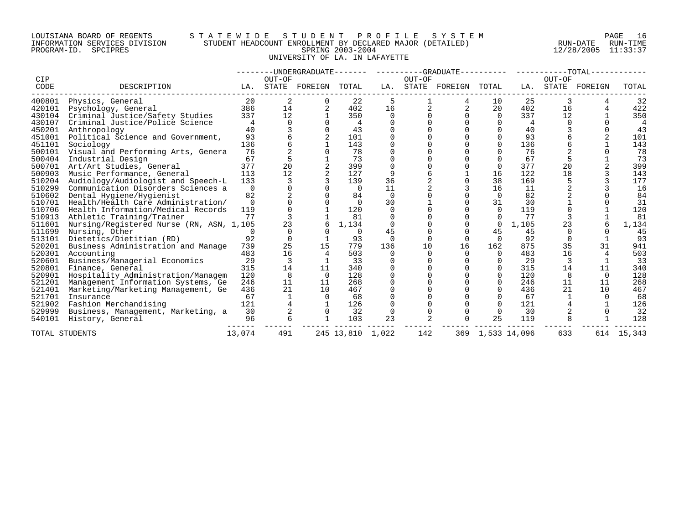## LOUISIANA BOARD OF REGENTS S T A T E W I D E S T U D E N T P R O F I L E S Y S T E M PAGE 16 INFORMATION SERVICES DIVISION STUDENT HEADCOUNT ENROLLMENT BY DECLARED MAJOR (DETAILED) RUN-DATE RUN-TIME PROGRAM-ID. SPCIPRES SPRING 2003-2004 12/28/2005 11:33:37 UNIVERSITY OF LA. IN LAFAYETTE

|             |                                          |          |        | --------UNDERGRADUATE------- |                  |          |                | ---------GRADUATE---------- |          |              | $--------TOTAL-$ |         |        |
|-------------|------------------------------------------|----------|--------|------------------------------|------------------|----------|----------------|-----------------------------|----------|--------------|------------------|---------|--------|
| CIP<br>CODE | DESCRIPTION                              | LA.      | OUT-OF | STATE FOREIGN                | TOTAL            | LA.      | OUT-OF         | STATE FOREIGN               | TOTAL    | LA.          | OUT-OF<br>STATE  | FOREIGN | TOTAL  |
| 400801      | Physics, General                         | 20       |        |                              | 22               | 5        |                |                             | 10       | 25           |                  |         | 32     |
| 420101      | Psychology, General                      | 386      | 14     |                              | 402              | 16       |                | 2                           | 20       | 402          | 16               |         | 422    |
| 430104      | Criminal Justice/Safety Studies          | 337      | 12     |                              | 350              | $\Omega$ |                |                             | $\Omega$ | 337          | 12               |         | 350    |
| 430107      | Criminal Justice/Police Science          | 4        |        |                              | 4                |          |                |                             |          | 4            |                  |         |        |
| 450201      | Anthropology                             | 40       |        |                              | 43               |          |                |                             |          | 40           |                  |         | 43     |
| 451001      | Political Science and Government,        | 93       |        |                              | 101              |          |                |                             |          | 93           |                  |         | 101    |
| 451101      | Sociology                                | 136      |        |                              | 143              |          |                |                             | U        | 136          |                  |         | 143    |
| 500101      | Visual and Performing Arts, Genera       | 76       |        |                              | 78               |          |                |                             |          | 76           |                  |         | 78     |
| 500404      | Industrial Design                        | 67       |        |                              | 73               |          |                |                             |          | 67           |                  |         | 73     |
| 500701      | Art/Art Studies, General                 | 377      | 20     |                              | 399              |          |                |                             | $\Omega$ | 377          | 20               |         | 399    |
| 500903      | Music Performance, General               | 113      | 12     |                              | 127              | 9        |                |                             | 16       | 122          | 18               |         | 143    |
| 510204      | Audiology/Audiologist and Speech-L       | 133      |        |                              | 139              | 36       |                |                             | 38       | 169          |                  |         | 177    |
| 510299      | Communication Disorders Sciences a       | $\Omega$ |        |                              | $\Omega$         | 11       |                |                             | 16       | 11           |                  |         | 16     |
| 510602      | Dental Hygiene/Hygienist                 | 82       |        |                              | 84               | 0        |                |                             | $\Omega$ | 82           |                  |         | 84     |
| 510701      | Health/Health Care Administration/       | $\Omega$ |        |                              | ∩                | 30       |                |                             | 31       | 30           |                  |         | 31     |
| 510706      | Health Information/Medical Records       | 119      |        |                              | 120              | 0        |                |                             | $\Omega$ | 119          |                  |         | 120    |
| 510913      | Athletic Training/Trainer                | 77       |        |                              | 81               | $\Omega$ |                |                             |          | 77           |                  |         | 81     |
| 511601      | Nursing/Registered Nurse (RN, ASN, 1,105 |          | 23     |                              | 1,134            |          |                |                             | 0        | 1,105        | 23               |         | 1,134  |
| 511699      | Nursing, Other                           | O        |        |                              | $\Omega$         | 45       |                |                             | 45       | 45           |                  |         | 45     |
| 513101      | Dietetics/Dietitian (RD)                 | 92       | 0      |                              | 93               | $\Omega$ |                | $\Omega$                    | $\Omega$ | 92           |                  |         | 93     |
| 520201      | Business Administration and Manage       | 739      | 25     | 15                           | 779              | 136      | 10             | 16                          | 162      | 875          | 35               | 31      | 941    |
| 520301      | Accounting                               | 483      | 16     |                              | 503              | 0        |                | 0                           | 0        | 483          | 16               |         | 503    |
| 520601      | Business/Managerial Economics            | 29       | 3      |                              | 33               |          |                |                             | $\Omega$ | 29           |                  |         | 33     |
| 520801      | Finance, General                         | 315      | 14     | 11                           | 340              |          |                |                             | $\Omega$ | 315          | 14               | 11      | 340    |
| 520901      | Hospitality Administration/Managem       | 120      | 8      | $\Omega$                     | 128              |          |                |                             | 0        | 120          | 8                | 0       | 128    |
| 521201      | Management Information Systems, Ge       | 246      | 11     | 11                           | 268              |          |                |                             | $\Omega$ | 246          | 11               | 11      | 268    |
| 521401      | Marketing/Marketing Management, Ge       | 436      | 21     | 10                           | 467              |          |                |                             | $\Omega$ | 436          | 21               | 10      | 467    |
| 521701      | Insurance                                | 67       |        | $\Omega$                     | 68               |          |                |                             |          | 67           |                  |         | 68     |
| 521902      | Fashion Merchandising                    | 121      |        |                              | 126              |          |                |                             | $\Omega$ | 121          |                  |         | 126    |
| 529999      | Business, Management, Marketing, a       | 30       |        | $\Omega$                     | 32               | 0        |                |                             |          | 30           |                  |         | 32     |
| 540101      | History, General                         | 96       | б      |                              | 103              | 23       | $\overline{2}$ | U                           | 25       | 119          |                  |         | 128    |
|             | TOTAL STUDENTS                           | 13,074   | 491    |                              | 245 13,810 1,022 |          | 142            | 369                         |          | 1,533 14,096 | 633              | 614     | 15,343 |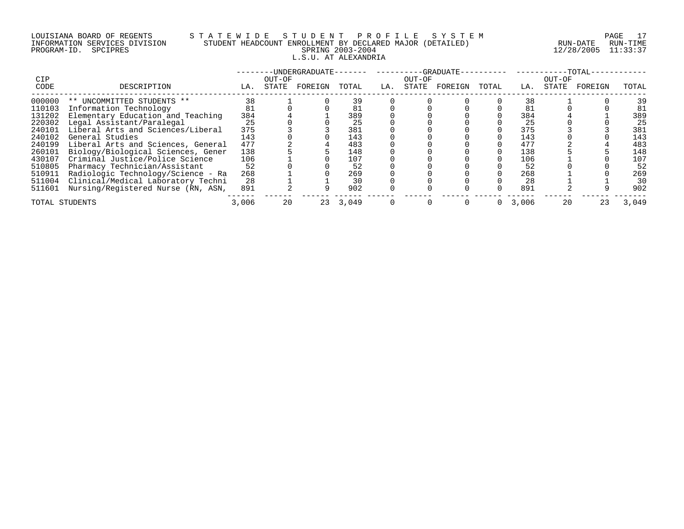# LOUISIANA BOARD OF REGENTS S T A T E W I D E S T U D E N T P R O F I L E S Y S T E M PAGE 17 INFORMATION SERVICES DIVISION STUDENT HEADCOUNT ENROLLMENT BY DECLARED MAJOR (DETAILED) RUN-DATE RUN-TIME PROGRAM-ID. SPCIPRES SPRING 2003-2004 12/28/2005 11:33:37 L.S.U. AT ALEXANDRIA

| <b>CIP</b>     |                                    |       | OUT-OF | -UNDERGRADUATE- |       |     | OUT-OF | $-$ -GRADUATE- |       |       | OUT-OF | $-TOTAL-$ |       |
|----------------|------------------------------------|-------|--------|-----------------|-------|-----|--------|----------------|-------|-------|--------|-----------|-------|
| CODE           | DESCRIPTION                        | LA.   | STATE  | FOREIGN         | TOTAL | LA. | STATE  | FOREIGN        | TOTAL | LA.   | STATE  | FOREIGN   | TOTAL |
| 000000         | ** UNCOMMITTED STUDENTS **         | 38    |        |                 | 39    |     |        |                |       | 38    |        |           | 39    |
| 110103         | Information Technology             | 81    |        |                 |       |     |        |                |       | 81    |        |           | 81    |
| 131202         | Elementary Education and Teaching  | 384   |        |                 | 389   |     |        |                |       | 384   |        |           | 389   |
| 220302         | Legal Assistant/Paralegal          | 25    |        |                 | 25    |     |        |                |       | 25    |        |           | 25    |
| 240101         | Liberal Arts and Sciences/Liberal  | 375   |        |                 | 381   |     |        |                |       | 375   |        |           | 381   |
| 240102         | General Studies                    | 143   |        |                 | 143   |     |        |                |       | 143   |        |           | 143   |
| 240199         | Liberal Arts and Sciences, General | 477   |        |                 | 483   |     |        |                |       | 477   |        |           | 483   |
| 260101         | Biology/Biological Sciences, Gener | 138   |        |                 | 148   |     |        |                |       | 138   |        |           | 148   |
| 430107         | Criminal Justice/Police Science    | 106   |        |                 | 107   |     |        |                |       | 106   |        |           | 107   |
| 510805         | Pharmacy Technician/Assistant      | 52    |        |                 | 52    |     |        |                |       | 52    |        |           | 52    |
| 510911         | Radiologic Technology/Science - Ra | 268   |        |                 | 269   |     |        |                |       | 268   |        |           | 269   |
| 511004         | Clinical/Medical Laboratory Techni | 28    |        |                 | 30    |     |        |                |       | 28    |        |           | 30    |
| 511601         | Nursing/Registered Nurse (RN, ASN, | 891   |        |                 | 902   |     |        |                |       | 891   |        |           | 902   |
| TOTAL STUDENTS |                                    | 3,006 | 20     | 23              | 3,049 |     |        |                |       | 3,006 | 20     | 23        | 3,049 |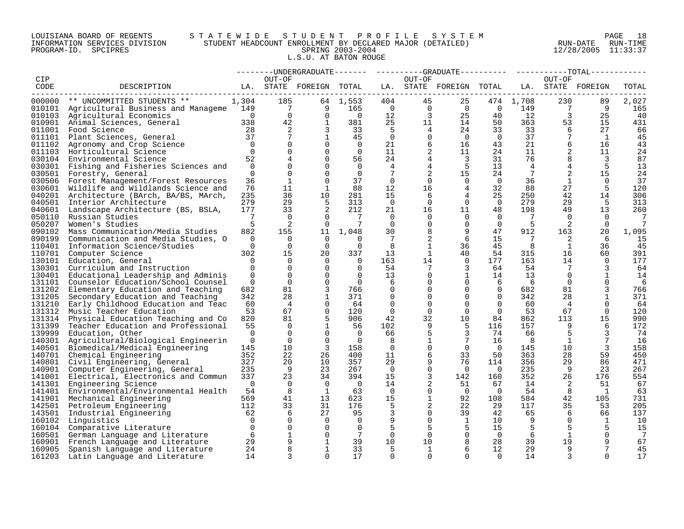## LOUISIANA BOARD OF REGENTS S T A T E W I D E S T U D E N T P R O F I L E S Y S T E M PAGE 18 INFORMATION SERVICES DIVISION STUDENT HEADCOUNT ENROLLMENT BY DECLARED MAJOR (DETAILED) RUN-DATE RUN-TIME PROGRAM-ID. SPCIPRES SPRING 2003-2004 12/28/2005 11:33:37 L.S.U. AT BATON ROUGE

|        |                                               |                |                |                         |                       |                          |                 | --------UNDERGRADUATE------- ---------GRADUATE--------- ---------TOTAL------ |                   |                 |                 |                   |       |
|--------|-----------------------------------------------|----------------|----------------|-------------------------|-----------------------|--------------------------|-----------------|------------------------------------------------------------------------------|-------------------|-----------------|-----------------|-------------------|-------|
| CIP    |                                               |                | OUT-OF         |                         |                       |                          | OUT-OF          |                                                                              |                   |                 | OUT-OF          |                   |       |
| CODE   | DESCRIPTION                                   |                |                | LA. STATE FOREIGN TOTAL |                       |                          |                 | LA. STATE FOREIGN TOTAL                                                      |                   |                 |                 | LA. STATE FOREIGN | TOTAL |
| 000000 | ** UNCOMMITTED STUDENTS **                    | 1,304          | 185            |                         | 64 1,553              | 404                      | 45              | 25                                                                           |                   | 474 1,708       | 230             | 89                | 2,027 |
|        | 010101 Agricultural Business and Manageme 149 |                | $\overline{7}$ | 9                       | 165                   | $\bigcirc$               | $\overline{0}$  | $\overline{0}$                                                               | $\overline{0}$    | 149             | $7\overline{ }$ | - 9               | 165   |
|        |                                               | $\overline{0}$ |                |                         |                       |                          |                 |                                                                              |                   |                 |                 |                   |       |
|        | 010103 Agricultural Economics                 |                | $\overline{0}$ | $\mathbf 0$             | $\overline{0}$<br>381 | 12                       | 3               | 25                                                                           | 40                | 12              | 3               | 25<br>15          | 40    |
| 010901 | Animal Sciences, General                      | 338            | 42             | 1                       |                       | 25                       | 11              | 14                                                                           | 50                | 363             | 53              |                   | 431   |
| 011001 | Food Science                                  | 28             | 2              | 3                       | 33                    | $-5$                     | $4\overline{ }$ | 24                                                                           | 33                | 33              | 6               | 27                | 66    |
| 011101 | Plant Sciences, General                       | 37             | 7              | 1                       | 45                    | $\overline{0}$           | 0               | $\overline{0}$                                                               | $\overline{0}$    | 37              |                 | 1                 | 45    |
| 011102 | Agronomy and Crop Science                     | $\bigcap$      | $\Omega$       | $\Omega$                | $\overline{0}$        | 21                       | 6               | 16                                                                           | 43                | 21              | 6               | 16                | 43    |
| 011103 | Horticultural Science                         | $\overline{0}$ | $\mathbf 0$    | 0                       | $\overline{0}$        | 11                       | 2               | 11                                                                           | 24                | 11              |                 | 11                | 24    |
| 030104 | Environmental Science                         | 52             | 4              | $\Omega$                | 56                    | 24                       | 4               | 3                                                                            | 31                | 76              | 8               | 3                 | 87    |
| 030301 | Fishing and Fisheries Sciences and            | $\overline{0}$ | $\Omega$       | $\Omega$                | $\Omega$              | 4                        | 4               | 5                                                                            | 13 <sup>°</sup>   | $\overline{4}$  | 4               | -5                | 13    |
| 030501 | Forestry, General                             | $\Omega$       | $\Omega$       | $\Omega$                | $\Omega$              | 7                        | 2               | 15                                                                           | 24                | $7\overline{ }$ | 2               | 15                | 24    |
|        | 030506 Forest Management/Forest Resources     | 36             | 1              | $\Omega$                | 37                    | $\Omega$                 | $\Omega$        | $\Omega$                                                                     | $\overline{0}$    | 36              | 1               | $\Omega$          | 37    |
|        | 030601 Wildlife and Wildlands Science and     | 76             | 11             | 1                       | 88                    | 12                       | 16              | 4                                                                            | 32                | 88              | 27              | 5                 | 120   |
|        | 040201 Architecture (BArch, BA/BS, MArch,     | 235            | 36             | 10                      | 281                   | 15                       | 6               | 4                                                                            | 25                | 250             | 42              | 14                | 306   |
|        | 040501 Interior Architecture                  | 279            | 29             | 5                       | 313                   | $\overline{0}$           | $\overline{0}$  | $\Omega$                                                                     | $\overline{0}$    | 279             | 29              | -5                | 313   |
| 040601 | Landscape Architecture (BS, BSLA,             | 177            | 33             | 2                       | 212                   | 21                       | 16              | 11                                                                           | 48                | 198             | 49              | 13                | 260   |
| 050110 | Russian Studies                               | 7              | $\mathbf 0$    | $\Omega$                | $\overline{7}$        | $\Omega$                 | $\mathbf{0}$    | $\Omega$                                                                     | $\Omega$          | 7               | $\Omega$        | $\cap$            | 7     |
| 050207 | Women's Studies                               | 5              | 2              | $\Omega$                |                       | $\Omega$                 | $\mathbf 0$     | $\mathbf 0$                                                                  | $\Omega$          | -5              | 2               |                   |       |
| 090102 | Mass Communication/Media Studies              | 882            | 155            | 11                      | 1,048                 | 30                       | 8               | 9                                                                            | 47                | 912             | 163             | 20                | 1,095 |
| 090199 | Communication and Media Studies, O            | $\Omega$       | $\Omega$       | $\Omega$                | $\Omega$              | 7                        | 2               | 6                                                                            | 15                | -7              | 2               | 6                 | 15    |
| 110401 | Information Science/Studies                   | $\Omega$       | $\Omega$       | $\Omega$                | $\Omega$              | -8                       | $\mathbf{1}$    | 36                                                                           | 45                | -8              | 1               | 36                | 45    |
| 110701 | Computer Science                              | 302            | 15             | 20                      | 337                   | 13                       | 1               | 40                                                                           | 54                | 315             | 16              | 60                | 391   |
| 130101 | Education, General                            | $\Omega$       | $\Omega$       | $\Omega$                | $\Omega$              | 163                      | 14              | $\Omega$                                                                     | 177               | 163             | 14              | $\Omega$          | 177   |
| 130301 | Curriculum and Instruction                    | $\Omega$       | $\mathbf 0$    | $\Omega$                | $\Omega$              | 54                       | 7               | 3                                                                            | 64                | 54              |                 | 3                 | 64    |
| 130401 | Educational Leadership and Adminis            | $\Omega$       | $\Omega$       | $\Omega$                | $\Omega$              | 13                       | $\Omega$        | $\mathbf 1$                                                                  | 14                | 13              | $\Omega$        | $\mathbf{1}$      | 14    |
| 131101 | Counselor Education/School Counsel            | $\mathbf 0$    | $\mathbf 0$    | $\Omega$                | $\overline{0}$        | 6                        | $\mathbf{0}$    | $\overline{0}$                                                               | 6                 | - 6             | $\Omega$        | $\Omega$          | 6     |
| 131202 | Elementary Education and Teaching             | 682            | 81             | 3                       | 766                   | 0                        | $\mathbf{0}$    | $\Omega$                                                                     | $\overline{0}$    | 682             | 81              |                   | 766   |
| 131205 | Secondary Education and Teaching              | 342            | 28             | 1                       | 371                   | $\Omega$                 | $\Omega$        | $\Omega$                                                                     | $\Omega$          | 342             | 28              |                   | 371   |
| 131210 | Early Childhood Education and Teac            | 60             | 4              | $\Omega$                | 64                    | $\Omega$                 | $\mathbf 0$     | $\Omega$                                                                     | $\Omega$          | 60              | $\overline{4}$  | $\Omega$          | 64    |
| 131312 | Music Teacher Education                       | 53             | 67             | $\Omega$                | 120                   | 0                        | $\Omega$        | $\Omega$                                                                     | $\Omega$          | 53              | 67              | $\Omega$          | 120   |
| 131314 | Physical Education Teaching and Co            | 820            | 81             | 5                       | 906                   | 42                       | 32              | 10 <sup>°</sup>                                                              | 84                | 862             | 113             | 15                | 990   |
| 131399 | Teacher Education and Professional            | 55             | 0              | 1                       | 56                    | 102                      | 9               | 5                                                                            | 116               | 157             |                 | 6                 | 172   |
| 139999 | Education, Other                              | $\Omega$       | $\Omega$       | $\Omega$                | $\cap$                | 66                       | 5               | 3                                                                            | 74                | 66              | 5               | 3                 | 74    |
| 140301 | Agricultural/Biological Engineerin            | $\Omega$       | $\Omega$       | $\Omega$                | $\Omega$              | 8                        | $\mathbf{1}$    | $7\phantom{.0}$                                                              | 16                | -8              | 1               | 7                 | 16    |
|        | 140501 Biomedical/Medical Engineering         | 145            | 10             | 3                       | 158                   | $\overline{0}$           | 0               | $\overline{0}$                                                               | $\overline{0}$    | 145             | 10 <sup>°</sup> | 3                 | 158   |
|        | 140701 Chemical Engineering                   | 352            | 22             | 26                      | 400                   | 11                       | 6               | 33                                                                           | 50                | 363             | 28              | 59                | 450   |
|        | 140801 Civil Engineering, General             | 327            | 20             | 10                      | 357                   | 29                       | 9               | 76                                                                           | 114               | 356             | 29              | 86                | 471   |
| 140901 | Computer Engineering, General                 | 235            | -9             | 23                      | 267                   | $\overline{0}$           | $\mathbf 0$     | $\Omega$                                                                     | $\cap$            | 235             | 9               | 23                | 267   |
| 141001 | Electrical, Electronics and Commun            | 337            | 23             | 34                      | 394                   | 15                       | 3               | 142                                                                          | 160               | 352             | 26              | 176               | 554   |
| 141301 | Engineering Science                           | $\overline{0}$ | $\mathbf 0$    | 0                       | $\overline{0}$        | 14                       | 2               | 51                                                                           | 67                | 14              | 2               | 51                | 67    |
| 141401 | Environmental/Environmental Health            | 54             | 8              | 1                       | 63                    | $\overline{\phantom{0}}$ | 0               | $\overline{0}$                                                               | $\overline{0}$    | 54              | 8               | $\overline{1}$    | 63    |
| 141901 | Mechanical Engineering                        | 569            | 41             | 13                      | 623                   | 15                       | 1               | 92                                                                           | 108               | 584             | 42              | 105               | 731   |
| 142501 | Petroleum Engineering                         | 112            | 33             | 31                      | 176                   | 5                        | 2               | 22                                                                           | 29                | 117             | 35              | 53                | 205   |
| 143501 | Industrial Engineering                        | 62             | 6              | 27                      | 95                    | 3                        | $\mathbf 0$     | 39                                                                           | 42                | 65              | 6               | 66                | 137   |
| 160102 | Linguistics                                   | $\Omega$       | 0              | $\Omega$                | $\Omega$              | 9                        | $\mathbf 0$     | $\mathbf{1}$                                                                 | 10                | 9               | $\Omega$        | 1                 | 10    |
| 160104 | Comparative Literature                        | $\Omega$       | 0              | $\Omega$                | $\Omega$              | 5                        | 5               | 5                                                                            | 15                | 5               | 5               | 5                 | 15    |
| 160501 | German Language and Literature                | 6              | $\mathbf 1$    | $\Omega$                | $7\phantom{.0}$       | $\overline{0}$           | $\overline{0}$  | $\Omega$                                                                     | $\overline{0}$    | 6               | 1               | $\Omega$          | 7     |
| 160901 | French Language and Literature                | 29             | 9              | 1                       | 39                    | 10                       | 10              | 8                                                                            | 28                | 39              | 19              |                   | 67    |
| 160905 | Spanish Language and Literature               | 24             | 8              | 1                       | 33                    | 5                        | 1               | 6                                                                            | $12 \overline{ }$ | 29              | 9               | 7                 | 45    |
| 161203 | Latin Language and Literature                 | 14             | 3              | $\Omega$                | 17                    | $\Omega$                 | $\Omega$        | $\Omega$                                                                     | $\Omega$          | 14              | 3               | $\cap$            | 17    |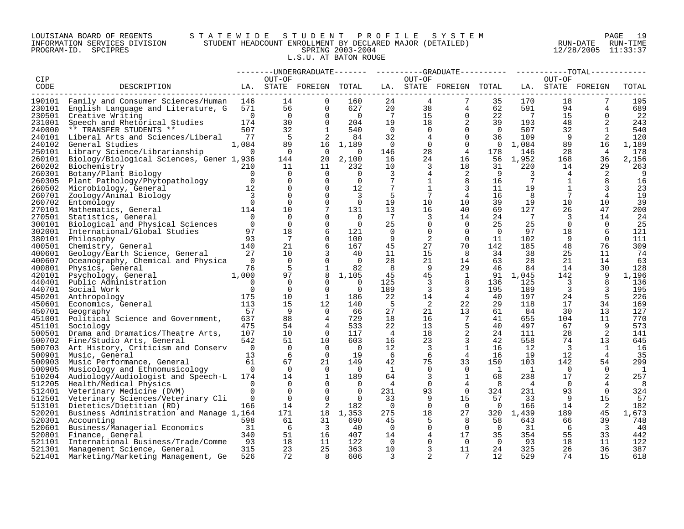## LOUISIANA BOARD OF REGENTS S T A T E W I D E S T U D E N T P R O F I L E S Y S T E M PAGE 19 INFORMATION SERVICES DIVISION STUDENT HEADCOUNT ENROLLMENT BY DECLARED MAJOR (DETAILED) RUN-DATE RUN-TIME PROGRAM-ID. SPCIPRES SPRING 2003-2004 12/28/2005 11:33:37 L.S.U. AT BATON ROUGE

|        |                                                 |                |                | --------UNDERGRADUATE------- |                |                         |                | ----------GRADUATE---------- |                |                |          | --TOTAL-----      |       |
|--------|-------------------------------------------------|----------------|----------------|------------------------------|----------------|-------------------------|----------------|------------------------------|----------------|----------------|----------|-------------------|-------|
| CIP    |                                                 |                | OUT-OF         |                              |                |                         | OUT-OF         |                              |                |                | OUT-OF   |                   |       |
| CODE   | DESCRIPTION                                     |                |                | LA. STATE FOREIGN TOTAL      |                |                         |                | LA. STATE FOREIGN TOTAL      |                |                |          | LA. STATE FOREIGN | TOTAL |
|        |                                                 |                |                |                              |                |                         |                |                              |                |                |          |                   |       |
|        | 190101 Family and Consumer Sciences/Human       | 146            | 14             | $\Omega$                     | 160            | 24                      | $\overline{4}$ | 7                            | 35             | 170            | 18       | 7                 | 195   |
| 230101 | English Language and Literature, G              | 571            | 56             | $\Omega$                     | 627            | 20                      | 38             | 4                            | 62             | 591            | 94       | 4                 | 689   |
|        |                                                 |                |                |                              |                |                         |                |                              |                | $\overline{7}$ |          |                   |       |
|        | 230501 Creative Writing                         | $\overline{0}$ | $\Omega$       | $\Omega$                     | $\overline{0}$ | $\overline{7}$          | 15             | $\mathbf 0$                  | 22             |                | 15       | $\Omega$          | 22    |
| 231001 | Speech and Rhetorical Studies                   | 174            | 30             | 0                            | 204            | 19                      | 18             | 2                            | 39             | 193            | 48       | 2                 | 243   |
| 240000 | ** TRANSFER STUDENTS **                         | 507            | 32             | 1                            | 540            | $\overline{0}$          | $\overline{0}$ | $\mathbf 0$                  | $\overline{0}$ | 507            | 32       | 1                 | 540   |
| 240101 | Liberal Arts and Sciences/Liberal               | 77             | -5             | 2                            | 84             | 32                      | 4              | $\Omega$                     | 36             | 109            | 9        | 2                 | 120   |
| 240102 | General Studies                                 | 1,084          | 89             | 16                           | 1,189          | $\overline{\mathbf{0}}$ | $\overline{0}$ | $\mathbf 0$                  | $\overline{0}$ | 1,084          | 89       | 16                | 1,189 |
|        | 250101 Library Science/Librarianship            | $\Omega$       | $\Omega$       | $\Omega$                     | $\Omega$       | 146                     | 28             | $\overline{4}$               | 178            | 146            | 28       | $\overline{4}$    | 178   |
| 260101 | Biology/Biological Sciences, Gener 1,936        |                | 144            | 20                           | 2,100          | 16                      | 24             | 16                           | 56             | 1,952          | 168      | 36                | 2,156 |
|        |                                                 |                |                |                              |                |                         |                |                              |                |                |          |                   |       |
| 260202 | Biochemistry                                    | 210            | 11             | 11                           | 232            | 10                      | 3              | 18                           | 31             | 220            | 14       | 29                | 263   |
| 260301 | Botany/Plant Biology                            | $\Omega$       | 0              | $\Omega$                     | $\Omega$       | 3                       | 4              | 2                            | 9              | 3              | 4        | 2                 | 9     |
| 260305 | Plant Pathology/Phytopathology                  | $\overline{0}$ | 0              | 0                            | 0              | $7\phantom{.0}$         | 1              | 8                            | 16             | 7              | 1        | 8                 | 16    |
| 260502 | Microbiology, General                           | 12             | $\Omega$       | $\Omega$                     | 12             | 7                       |                | 3                            | 11             | 19             |          | 3                 | 23    |
| 260701 | Zoology/Animal Biology                          | 3              | $\Omega$       | $\Omega$                     | 3              | 5                       | 7              | $\overline{4}$               | 16             | 8              | 7        | 4                 | 19    |
| 260702 | Entomology                                      | $\Omega$       | $\Omega$       | $\Omega$                     | $\Omega$       | 19                      | 10             | 10                           | 39             | 19             | 10       | 10                | 39    |
| 270101 | Mathematics, General                            | 114            | 10             | 7                            | 131            | 13                      | 16             | 40                           | 69             | 127            | 26       | 47                | 200   |
| 270501 | Statistics, General                             | $\Omega$       | $\mathbf 0$    | $\mathbf 0$                  | $\Omega$       | 7                       | 3              | 14                           | 24             | 7              | 3        | 14                | 24    |
|        |                                                 |                |                |                              |                |                         |                |                              |                |                |          |                   |       |
| 300101 | Biological and Physical Sciences                | $\Omega$       | $\Omega$       | $\mathbf 0$                  | $\Omega$       | 25                      | 0              | $\mathbf 0$                  | 25             | 25             | $\Omega$ | $\Omega$          | 25    |
| 302001 | International/Global Studies                    | 97             | 18             | 6                            | 121            | 0                       | 0              | $\Omega$                     | $\overline{0}$ | 97             | 18       | 6                 | 121   |
| 380101 | Philosophy                                      | 93             | 7              | $\Omega$                     | 100            | 9                       | 2              | $\Omega$                     | 11             | 102            | 9        | $\Omega$          | 111   |
| 400501 | Chemistry, General                              | 140            | 21             | 6                            | 167            | 45                      | 27             | 70                           | 142            | 185            | 48       | 76                | 309   |
| 400601 | Geology/Earth Science, General                  | 27             | 10             | 3                            | 40             | 11                      | 15             | 8                            | 34             | 38             | 25       | 11                | 74    |
| 400607 | Oceanography, Chemical and Physica              | $\Omega$       | $\Omega$       | $\Omega$                     | $\Omega$       | 28                      | 21             | 14                           | 63             | 28             | 21       | 14                | 63    |
| 400801 | Physics, General                                | 76             | 5              | $\mathbf{1}$                 | 82             | 8                       | 9              | 29                           | 46             | 84             | 14       | 30                | 128   |
| 420101 | Psychology, General                             | 1,000          | 97             | 8                            | 1,105          | 45                      | 45             | $\mathbf{1}$                 |                | 91 1,045       | 142      |                   | 1,196 |
| 440401 | Public Administration                           | $\Omega$       | $\Omega$       | $\Omega$                     | $\Omega$       | 125                     | 3              | 8                            | 136            | 125            | 3        | 8                 | 136   |
|        |                                                 | $\Omega$       |                |                              |                |                         |                |                              |                |                |          |                   |       |
| 440701 | Social Work                                     |                | $\mathbf 0$    | $\Omega$                     | $\Omega$       | 189                     | 3              | 3                            | 195            | 189            | 3        | 3                 | 195   |
| 450201 | Anthropology                                    | 175            | 10             | 1                            | 186            | 22                      | 14             | $\overline{4}$               | 40             | 197            | 24       | -5                | 226   |
| 450601 | Economics, General                              | 113            | 15             | 12                           | 140            | -5                      | 2              | 22                           | 29             | 118            | 17       | 34                | 169   |
| 450701 | Geography                                       | 57             | 9              | $\Omega$                     | 66             | 27                      | 21             | 13                           | 61             | 84             | 30       | 13                | 127   |
| 451001 | Political Science and Government,               | 637            | 88             | 4                            | 729            | 18                      | 16             | 7                            | 41             | 655            | 104      | 11                | 770   |
| 451101 | Sociology                                       | 475            | 54             | 4                            | 533            | 22                      | 13             | 5                            | 40             | 497            | 67       | 9                 | 573   |
| 500501 | Drama and Dramatics/Theatre Arts,               | 107            | 10             | $\Omega$                     | 117            | $\overline{4}$          | 18             | 2                            | 24             | 111            | 28       | 2                 | 141   |
| 500702 | Fine/Studio Arts, General                       | 542            | 51             | 10                           | 603            | 16                      | 23             | 3                            | 42             | 558            | 74       | 13                | 645   |
|        |                                                 |                |                |                              |                |                         |                |                              |                |                |          |                   |       |
|        | 500703 Art History, Criticism and Conserv       | $\overline{0}$ | $\overline{0}$ | $\Omega$                     | $\Omega$       | 12                      | 3              | $\mathbf{1}$                 | 16             | 12             | 3        | 1                 | 16    |
| 500901 | Music, General                                  | 13             | 6              | $\Omega$                     | 19             | 6                       | 6              | $\overline{4}$               | 16             | 19             | 12       | $\overline{4}$    | 35    |
| 500903 | Music Performance, General                      | 61             | 67             | 21                           | 149            | 42                      | 75             | 33                           | 150            | 103            | 142      | 54                | 299   |
| 500905 | Musicology and Ethnomusicology                  | $\Omega$       | $\Omega$       | $\Omega$                     | $\Omega$       | 1                       | 0              | $\Omega$                     | 1              | <sup>1</sup>   | $\Omega$ | $\Omega$          | 1     |
| 510204 | Audiology/Audiologist and Speech-L              | 174            | 14             | 1                            | 189            | 64                      | 3              | $\mathbf{1}$                 | 68             | 238            | 17       | 2                 | 257   |
|        | 512205 Health/Medical Physics                   | $\Omega$       | 0              | $\Omega$                     | $\Omega$       | 4                       | $\mathbf 0$    | 4                            | 8              | 4              | $\Omega$ | 4                 | 8     |
|        | 512401 Veterinary Medicine (DVM)                | $\Omega$       | $\Omega$       | $\Omega$                     | $\Omega$       | 231                     | 93             | $\overline{0}$               | 324            | 231            | 93       | $\Omega$          | 324   |
|        | 512501 Veterinary Sciences/Veterinary Cli       | 0              | $\Omega$       | $\Omega$                     | $\Omega$       | 33                      | 9              | 15                           | 57             | 33             | 9        | 15                | 57    |
|        | 513101 Dietetics/Dietitian (RD)                 | 166            | 14             | 2                            | 182            | $\overline{0}$          | $\Omega$       | $\Omega$                     | $\overline{0}$ | 166            | 14       | 2                 | 182   |
|        |                                                 |                |                |                              |                |                         |                |                              |                |                |          |                   |       |
|        | 520201 Business Administration and Manage 1,164 |                | 171            | 18                           | 1,353          | 275                     | 18             | 27                           |                | 320 1,439      | 189      | 45                | 1,673 |
|        | 520301 Accounting                               | 598            | 61             | 31                           | 690            | 45                      | 5              | 8                            | 58             | 643            | 66       | 39                | 748   |
|        | 520601 Business/Managerial Economics            | 31             | 6              | 3                            | 40             | $\overline{0}$          | 0              | $\Omega$                     | $\overline{0}$ | 31             | 6        | 3                 | 40    |
| 520801 | Finance, General                                | 340            | 51             | 16                           | 407            | 14                      | 4              | 17                           | 35             | 354            | 55       | 33                | 442   |
|        | 521101 International Business/Trade/Comme       | 93             | 18             | 11                           | 122            | $\overline{\mathbf{0}}$ | 0              | $\Omega$                     | $\Omega$       | 93             | 18       | 11                | 122   |
|        | 521301 Management Science, General              | 315            | 23             | 25                           | 363            | 10                      | 3              | 11                           | 24             | 325            | 26       | 36                | 387   |
| 521401 | Marketing/Marketing Management, Ge              | 526            | 72             | $\mathsf{R}$                 | 606            | 3                       | $\overline{2}$ | 7                            | 12             | 529            | 74       | 15                | 618   |
|        |                                                 |                |                |                              |                |                         |                |                              |                |                |          |                   |       |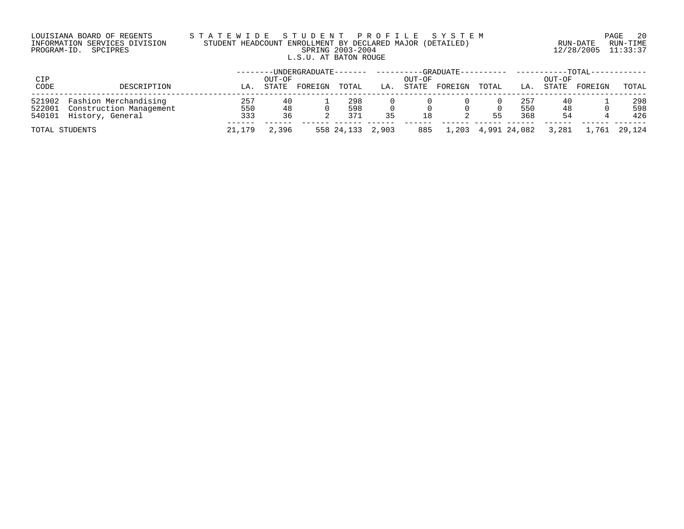# LOUISIANA BOARD OF REGENTS S T A T E W I D E S T U D E N T P R O F I L E S Y S T E M PAGE 20 INFORMATION SERVICES DIVISION STUDENT HEADCOUNT ENROLLMENT BY DECLARED MAJOR (DETAILED) RUN-DATE RUN-TIME PROGRAM-ID. SPCIPRES SPRING 2003-2004 12/28/2005 11:33:37 L.S.U. AT BATON ROUGE

| CIP  |                                                                                           |                   | OUT-OF         | ------UNDERGRADUATE------- |                   |    | OUT-OF | --GRADUATE---------- |       |                    | OUT-OF         | $-$ TOTAL-   |                   |
|------|-------------------------------------------------------------------------------------------|-------------------|----------------|----------------------------|-------------------|----|--------|----------------------|-------|--------------------|----------------|--------------|-------------------|
| CODE | DESCRIPTION                                                                               | LA                | STATE          | FOREIGN                    | TOTAL             | LA | STATE  | FOREIGN              | TOTAL | LA.                | STATE          | FOREIGN      | TOTAL             |
|      | 521902 Fashion Merchandising<br>522001 Construction Management<br>540101 History, General | 257<br>550<br>333 | 40<br>48<br>36 |                            | 298<br>598<br>371 | 35 | 18     |                      | 55    | 257<br>550<br>368  | 40<br>48<br>54 |              | 298<br>598<br>426 |
|      | TOTAL STUDENTS                                                                            | 21,179            | 2,396          |                            | 558 24,133 2,903  |    | 885    |                      |       | 1,203 4,991 24,082 | 3,281          | 1,761 29,124 |                   |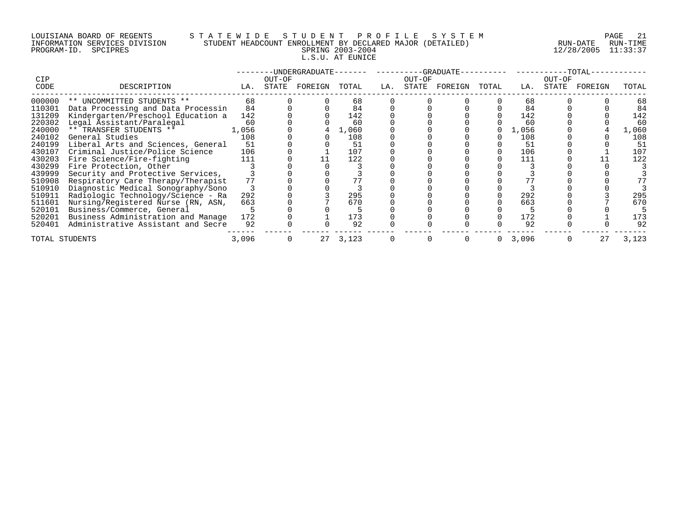# LOUISIANA BOARD OF REGENTS S T A T E W I D E S T U D E N T P R O F I L E S Y S T E M PAGE 21 INFORMATION SERVICES DIVISION STUDENT HEADCOUNT ENROLLMENT BY DECLARED MAJOR (DETAILED) RUN-DATE RUN-TIME PROGRAM-ID. SPCIPRES SPRING 2003-2004 12/28/2005 11:33:37 L.S.U. AT EUNICE

|        |                                    |       |        | -UNDERGRADUATE--- |       |     |        | $-GRADUATE -$ |       |       |        | -TOTAL- |       |
|--------|------------------------------------|-------|--------|-------------------|-------|-----|--------|---------------|-------|-------|--------|---------|-------|
| CIP    |                                    |       | OUT-OF |                   |       |     | OUT-OF |               |       |       | OUT-OF |         |       |
| CODE   | DESCRIPTION                        | LA.   | STATE  | FOREIGN           | TOTAL | LA. | STATE  | FOREIGN       | TOTAL | LA.   | STATE  | FOREIGN | TOTAL |
| 000000 | ** UNCOMMITTED STUDENTS **         | 68    |        |                   | 68    |     |        |               |       | 68    |        |         | 68    |
| 110301 | Data Processing and Data Processin | 84    |        |                   | 84    |     |        |               |       | 84    |        |         | 84    |
| 131209 | Kindergarten/Preschool Education a | 142   |        |                   | 142   |     |        |               |       | 142   |        |         | 142   |
| 220302 | Legal Assistant/Paralegal          | 60    |        |                   | 60    |     |        |               |       | 60    |        |         | 60    |
| 240000 | ** TRANSFER STUDENTS **            | 1,056 |        |                   | 1,060 |     |        |               |       | 1,056 |        |         | 1,060 |
| 240102 | General Studies                    | 108   |        |                   | 108   |     |        |               |       | 108   |        |         | 108   |
| 240199 | Liberal Arts and Sciences, General | 51    |        |                   | 51    |     |        |               |       | 51    |        |         | 51    |
| 430107 | Criminal Justice/Police Science    | 106   |        |                   | 107   |     |        |               |       | 106   |        |         | 107   |
| 430203 | Fire Science/Fire-fighting         | 111   |        |                   | 122   |     |        |               |       | 111   |        |         | 122   |
| 430299 | Fire Protection, Other             |       |        |                   |       |     |        |               |       |       |        |         |       |
| 439999 | Security and Protective Services,  |       |        |                   |       |     |        |               |       |       |        |         |       |
| 510908 | Respiratory Care Therapy/Therapist | 77    |        |                   |       |     |        |               |       |       |        |         |       |
| 510910 | Diagnostic Medical Sonography/Sono |       |        |                   |       |     |        |               |       |       |        |         |       |
| 510911 | Radiologic Technology/Science - Ra | 292   |        |                   | 295   |     |        |               |       | 292   |        |         | 295   |
| 511601 | Nursing/Registered Nurse (RN, ASN, | 663   |        |                   | 670   |     |        |               |       | 663   |        |         | 670   |
| 520101 | Business/Commerce, General         |       |        |                   |       |     |        |               |       |       |        |         |       |
| 520201 | Business Administration and Manage | 172   |        |                   | 173   |     |        |               |       | 172   |        |         | 173   |
| 520401 | Administrative Assistant and Secre | 92    |        |                   | 92    |     |        |               |       | 92    |        |         | 92    |
|        | TOTAL STUDENTS                     | 3,096 |        | 27                | 3,123 |     |        |               | 0     | 3,096 |        | 27      | 3,123 |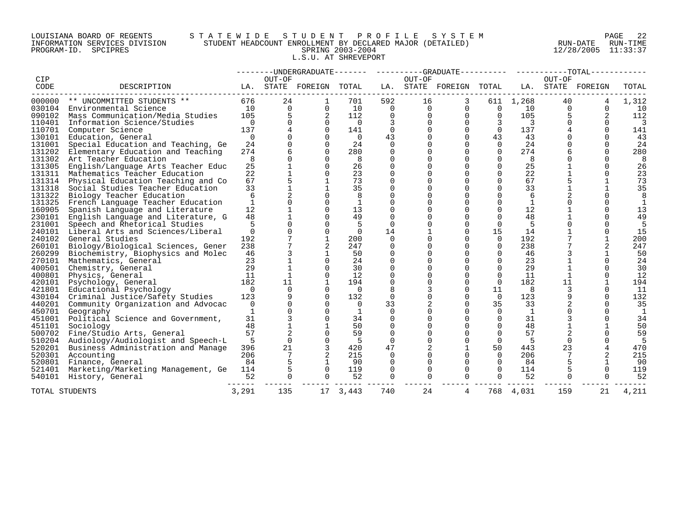## LOUISIANA BOARD OF REGENTS S T A T E W I D E S T U D E N T P R O F I L E S Y S T E M PAGE 22 INFORMATION SERVICES DIVISION STUDENT HEADCOUNT ENROLLMENT BY DECLARED MAJOR (DETAILED) RUN-DATE RUN-TIME PROGRAM-ID. SPCIPRES SPRING 2003-2004 12/28/2005 11:33:37 L.S.U. AT SHREVEPORT

|                |                                           |                |             | --------UNDERGRADUATE------- |                |          |             |                     |          |              |          |                   |       |
|----------------|-------------------------------------------|----------------|-------------|------------------------------|----------------|----------|-------------|---------------------|----------|--------------|----------|-------------------|-------|
| CIP            |                                           |                | OUT-OF      |                              |                |          | OUT-OF      |                     |          |              | OUT-OF   |                   |       |
| CODE           | DESCRIPTION                               |                |             | LA. STATE FOREIGN            | TOTAL          | LA.      |             | STATE FOREIGN TOTAL |          |              |          | LA. STATE FOREIGN | TOTAL |
| 000000         | ** UNCOMMITTED STUDENTS **                | 676            | 24          |                              | 701            | 592      | 16          | 3                   |          | 611 1,268    | 40       |                   | 1,312 |
| 030104         | Environmental Science                     | 10             | $\Omega$    | $\Omega$                     | 10             | $\Omega$ | $\Omega$    | $\Omega$            | $\Omega$ | 10           | $\Omega$ | $\Omega$          | 10    |
| 090102         | Mass Communication/Media Studies          | 105            | 5           | 2                            | 112            |          |             | $\mathbf 0$         | $\Omega$ | 105          |          | 2                 | 112   |
| 110401         | Information Science/Studies               | $\Omega$       |             | $\Omega$                     | $\overline{0}$ | 3        |             | 0                   | 3        | 3            |          | $\Omega$          | 3     |
| 110701         | Computer Science                          | 137            |             | $\Omega$                     | 141            | $\Omega$ |             | $\Omega$            | $\Omega$ | 137          |          | $\Omega$          | 141   |
| 130101         | Education, General                        | $\mathbf 0$    |             | $\Omega$                     | $\Omega$       | 43       |             | $\Omega$            | 43       | 43           |          | $\Omega$          | 43    |
| 131001         | Special Education and Teaching, Ge        | 24             |             | $\Omega$                     | 24             | $\Omega$ |             | $\Omega$            | $\Omega$ | 24           |          | $\Omega$          | 24    |
| 131202         | Elementary Education and Teaching         | 274            |             | $\cap$                       | 280            | $\Omega$ |             | $\Omega$            | $\Omega$ | 274          |          | $\Omega$          | 280   |
| 131302         | Art Teacher Education                     | 8              | $\Omega$    | $\Omega$                     | -8             | $\Omega$ |             | $\Omega$            | $\Omega$ | 8            |          | $\Omega$          | 8     |
| 131305         | English/Language Arts Teacher Educ        | 25             |             | $\Omega$                     | 26             | 0        |             | $\Omega$            | $\Omega$ | 25           |          | $\Omega$          | 26    |
| 131311         | Mathematics Teacher Education             | 22             |             | $\Omega$                     | 23             | $\Omega$ |             | $\Omega$            | $\Omega$ | 22           |          | $\Omega$          | 23    |
|                | 131314 Physical Education Teaching and Co | 67             |             |                              | 73             |          |             | $\Omega$            | $\Omega$ | 67           |          |                   | 73    |
| 131318         | Social Studies Teacher Education          | 33             |             |                              | 35             |          |             | $\Omega$            | $\Omega$ | 33           |          |                   | 35    |
| 131322         | Biology Teacher Education                 | 6              |             |                              | 8              |          |             | $\Omega$            | $\Omega$ | 6            |          |                   |       |
| 131325         | French Language Teacher Education         | $\mathbf{1}$   |             | $\Omega$                     | $\mathbf{1}$   |          |             | $\Omega$            | $\Omega$ |              |          |                   |       |
| 160905         | Spanish Language and Literature           | 12             |             | $\Omega$                     | 13             |          |             | $\Omega$            | $\Omega$ | 12           |          | $\Omega$          | 13    |
| 230101         | English Language and Literature, G        | 48             |             | $\Omega$                     | 49             | $\Omega$ |             | $\Omega$            | $\Omega$ | 48           |          | $\Omega$          | 49    |
| 231001         | Speech and Rhetorical Studies             |                |             | $\Omega$                     | 5              | $\Omega$ |             | $\Omega$            | $\Omega$ | 5            |          |                   | 5     |
| 240101         | Liberal Arts and Sciences/Liberal         | $\Omega$       |             | $\Omega$                     | $\Omega$       | 14       |             | $\Omega$            | 15       | 14           |          |                   | 15    |
| 240102         | General Studies                           | 192            |             | $\mathbf{1}$                 | 200            | $\Omega$ |             | $\Omega$            | $\Omega$ | 192          |          |                   | 200   |
| 260101         | Biology/Biological Sciences, Gener        | 238            |             | 2                            | 247            | $\Omega$ |             | $\Omega$            | $\Omega$ | 238          |          | 2                 | 247   |
| 260299         | Biochemistry, Biophysics and Molec        | 46             |             |                              | 50             |          |             | $\Omega$            |          | 46           |          |                   | 50    |
| 270101         | Mathematics, General                      | 23             |             | $\Omega$                     | 24             | $\Omega$ |             | $\Omega$            | $\Omega$ | 23           |          | $\Omega$          | 24    |
| 400501         | Chemistry, General                        | 29             |             | $\cap$                       | 30             |          |             | $\Omega$            | $\Omega$ | 29           |          | $\Omega$          | 30    |
| 400801         | Physics, General                          | 11             |             | $\Omega$                     | 12             |          |             | $\Omega$            | $\Omega$ | 11           |          |                   | 12    |
| 420101         | Psychology, General                       | 182            | 11          | $\mathbf{1}$                 | 194            | $\Omega$ |             | $\Omega$            | $\Omega$ | 182          | 11       |                   | 194   |
| 421801         | Educational Psychology                    | $\cap$         | $\Omega$    | $\Omega$                     | $\overline{0}$ |          |             | $\Omega$            | 11       | 8            |          | $\Omega$          | 11    |
| 430104         | Criminal Justice/Safety Studies           | 123            |             | $\Omega$                     | 132            | $\Omega$ |             | $\Omega$            | $\Omega$ | 123          |          |                   | 132   |
| 440201         | Community Organization and Advocac        | $\overline{0}$ |             | $\Omega$                     | $\Omega$       | 33       |             | $\Omega$            | 35       | 33           |          | $\Omega$          | 35    |
| 450701         | Geography                                 | $\mathbf{1}$   |             | $\Omega$                     | 1              | $\Omega$ |             | $\Omega$            | $\Omega$ | <sup>1</sup> |          |                   | 1     |
| 451001         | Political Science and Government,         | 31             |             |                              | 34             |          |             | $\Omega$            | $\Omega$ | 31           |          |                   | 34    |
| 451101         | Sociology                                 | 48             |             |                              | 50             | $\Omega$ |             | $\Omega$            | $\Omega$ | 48           |          |                   | 50    |
| 500702         | Fine/Studio Arts, General                 | 57             |             |                              | 59             |          |             | $\Omega$            | $\Omega$ | 57           |          |                   | 59    |
| 510204         | Audiology/Audiologist and Speech-L        | - 5            | $\Omega$    | $\Omega$                     | - 5            | 0        |             | $\Omega$            | $\Omega$ | -5           |          |                   | 5     |
| 520201         | Business Administration and Manage        | 396            | 21          | 3                            | 420            | 47       | 2           | $\mathbf{1}$        | 50       | 443          | 23       | 4                 | 470   |
| 520301         | Accounting                                | 206            |             | 2                            | 215            | $\Omega$ |             | $\Omega$            | $\Omega$ | 206          |          |                   | 215   |
| 520801         | Finance, General                          | 84             |             |                              | 90             |          |             | $\Omega$            |          | 84           |          |                   | 90    |
| 521401         | Marketing/Marketing Management, Ge        | 114            | 5           | $\Omega$                     | 119            | $\Omega$ | $\Omega$    | $\Omega$            | $\Omega$ | 114          |          | $\Omega$          | 119   |
| 540101         | History, General                          | 52             | $\mathbf 0$ | $\Omega$                     | 52             | 0        | $\mathbf 0$ | $\Omega$            | $\Omega$ | 52           |          | $\Omega$          | 52    |
| TOTAL STUDENTS |                                           | 3,291          | 135         | 17                           | 3,443          | 740      | 24          | 4                   | 768      | 4,031        | 159      | 21                | 4,211 |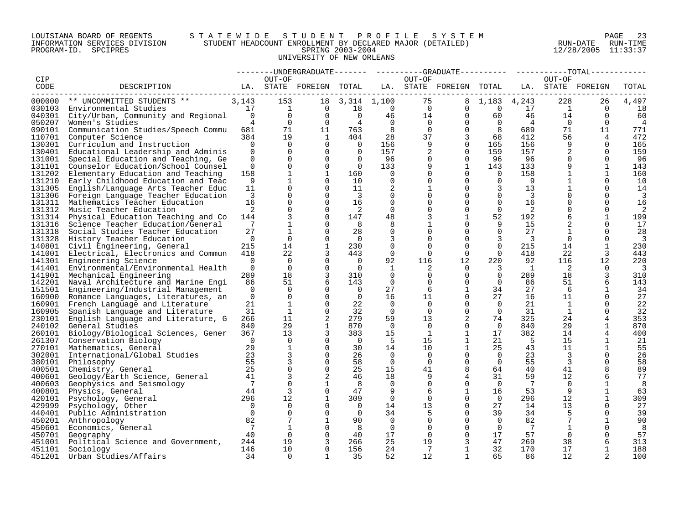## LOUISIANA BOARD OF REGENTS S T A T E W I D E S T U D E N T P R O F I L E S Y S T E M PAGE 23 INFORMATION SERVICES DIVISION STUDENT HEADCOUNT ENROLLMENT BY DECLARED MAJOR (DETAILED) RUN-DATE RUN-TIME PROGRAM-ID. SPCIPRES SPRING 2003-2004 12/28/2005 11:33:37 UNIVERSITY OF NEW ORLEANS

|                  |                                                                                  |                              |                                               |                      |                                  |                      |                                   | --------UNDERGRADUATE------- ---------GRADUATE--------- ---------TOTAL------ |                                      |                         |                      |                      |                          |
|------------------|----------------------------------------------------------------------------------|------------------------------|-----------------------------------------------|----------------------|----------------------------------|----------------------|-----------------------------------|------------------------------------------------------------------------------|--------------------------------------|-------------------------|----------------------|----------------------|--------------------------|
| CIP              |                                                                                  |                              | OUT-OF                                        |                      |                                  |                      | OUT-OF                            |                                                                              |                                      |                         | OUT-OF               |                      |                          |
| CODE             | LA. STATE FOREIGN TOTAL LA. STATE FOREIGN TOTAL LA. STATE FOREIGN<br>DESCRIPTION |                              |                                               |                      |                                  |                      |                                   |                                                                              |                                      |                         |                      |                      | TOTAL                    |
|                  |                                                                                  |                              |                                               |                      |                                  |                      |                                   |                                                                              |                                      |                         |                      |                      |                          |
|                  | $000000$ ** UNCOMMITTED STUDENTS ** 3,143                                        |                              | 153                                           |                      | 18 3, 314 1, 100                 | $\overline{0}$       | 75                                |                                                                              | 8 1,183 4,243                        |                         | 228                  | 26                   | 4,497                    |
|                  | 030103 Environmental Studies                                                     |                              | 17 1                                          |                      | $0\qquad 18$                     |                      | $\overline{0}$                    | $\Omega$                                                                     |                                      | $0\qquad 17$            | $\overline{1}$       | $\overline{0}$       | 18                       |
|                  | 040301 City/Urban, Community and Regional 0                                      |                              | $\overline{0}$<br>$4 \quad$<br>$\overline{0}$ | $\Omega$<br>$\Omega$ | $\overline{0}$<br>$\overline{4}$ | $\Omega$             | 46                                | $14$ 0                                                                       | 60                                   | 46                      | 14<br>$\overline{0}$ | $\Omega$             | 60                       |
| 050207           | Women's Studies                                                                  |                              | 71                                            |                      |                                  | 8                    | $\Omega$                          | $\overline{0}$<br>$\overline{0}$<br>$\overline{0}$                           | $0\qquad \qquad 4$<br>8 <sup>8</sup> |                         | 71                   | $\Omega$             | $\frac{4}{3}$<br>771     |
| 090101<br>110701 | Communication Studies/Speech Commu 681<br>Computer Science                       | 384                          | 19                                            | 11<br>1              | 763<br>404                       | 28                   |                                   | 37<br>3 <sup>7</sup>                                                         | 68                                   | 689<br>412              | 56                   | 11<br>$\overline{4}$ | 472                      |
| 130301           | Curriculum and Instruction                                                       | $\overline{0}$               | $\Omega$                                      | $\Omega$             | $\overline{0}$                   | 156                  | 9                                 | $\Omega$                                                                     | 165                                  | 156                     | 9                    | $\Omega$             | 165                      |
| 130401           | Educational Leadership and Adminis                                               | $\Omega$                     | $\Omega$                                      | $\Omega$             | $\overline{0}$                   | 157                  | 2                                 | $\Omega$                                                                     | 159                                  | 157                     | $\overline{2}$       | $\Omega$             | 159                      |
| 131001           | Special Education and Teaching, Ge                                               | $\overline{0}$               | $\Omega$                                      | $\overline{0}$       | $\overline{0}$                   | 96                   | 0                                 | $\Omega$                                                                     | 96                                   | 96                      | $\mathbf 0$          | $\Omega$             | - 96                     |
| 131101           | Counselor Education/School Counsel                                               | $\Omega$                     | $\Omega$                                      | $\Omega$             | $\overline{0}$                   | 133                  | 9                                 | $\mathbf{1}$                                                                 | 143                                  | 133                     | 9                    |                      | 143                      |
| 131202           | Elementary Education and Teaching                                                | 158                          | $\mathbf{1}$                                  | $\mathbf{1}$         | 160                              | $\Omega$             | $\mathbf{0}$                      | $\Omega$                                                                     | $\overline{0}$                       | 158                     |                      |                      | 160                      |
| 131210           | Early Childhood Education and Teac                                               | 9                            | $\mathbf{1}$                                  | $\Omega$             | 10                               | $\Omega$             | $\Omega$                          | $\Omega$                                                                     | $\Omega$                             | - 9                     |                      | $\Omega$             | 10                       |
| 131305           | English/Language Arts Teacher Educ                                               | 11                           | $\Omega$                                      | $\Omega$             | 11                               | 2                    |                                   | $\Omega$                                                                     | $\overline{3}$                       | 13                      |                      | $\Omega$             | 14                       |
| 131306           | Foreign Language Teacher Education                                               | $\overline{\mathbf{3}}$      | $\Omega$                                      | $\overline{0}$       | $\overline{\mathbf{3}}$          | $\mathbf 0$          | $\Omega$                          | $\Omega$                                                                     | $\overline{0}$                       | $\overline{\mathbf{3}}$ |                      | $\Omega$             | $\overline{\mathbf{3}}$  |
| 131311           | Mathematics Teacher Education                                                    | 16                           | $\Omega$                                      | $\Omega$             | 16                               | $\Omega$             |                                   | $\Omega$                                                                     | $\Omega$                             | 16                      |                      | $\Omega$             | 16                       |
| 131312           | Music Teacher Education                                                          | 2                            | $\Omega$                                      | $\Omega$             | - 2                              | $\Omega$             | $\Omega$                          | $\Omega$                                                                     | $\Omega$                             | 2                       | $\Omega$             | $\Omega$             | 2                        |
|                  | 131314 Physical Education Teaching and Co                                        | 144                          | 3                                             | $\Omega$             | 147                              | 48                   | 3                                 | $\mathbf{1}$                                                                 | 52                                   | 192                     | 6                    | $\mathbf{1}$         | 199                      |
| 131316           | Science Teacher Education/General                                                | $7\phantom{.0}\phantom{.0}7$ | $\mathbf{1}$                                  | $\mathbf 0$          | - 8                              | 8                    |                                   | $\Omega$                                                                     | 9                                    | 15                      | 2                    | $\Omega$             | 17                       |
| 131318           | Social Studies Teacher Education                                                 | 27                           | $\mathbf{1}$                                  | $\Omega$             | 28                               | 0                    | $\Omega$                          | $\Omega$                                                                     | $\overline{0}$                       | 27                      | 1                    | $\Omega$             | 28                       |
| 131328           | History Teacher Education                                                        | $\Omega$                     | $\Omega$                                      | $\Omega$             | $\bigcirc$                       | 3                    | $\Omega$                          | $\Omega$                                                                     | 3                                    | $\overline{\mathbf{3}}$ | $\Omega$             | $\Omega$             | $\overline{\mathbf{3}}$  |
| 140801           | Civil Engineering, General                                                       | 215                          | 14                                            | $\mathbf{1}$         | 230                              | $\Omega$             | $\Omega$                          | $\Omega$                                                                     | $\Omega$                             | 215                     | 14                   | 1                    | 230                      |
|                  | 141001 Electrical, Electronics and Commun                                        | 418                          | 22                                            | 3                    | 443                              | $\Omega$             | $\Omega$                          | $\Omega$                                                                     | $\Omega$                             | 418                     | 22                   | 3                    | 443                      |
|                  | 141301 Engineering Science                                                       | $\bigcap$                    | $\Omega$                                      | $\Omega$             | $\bigcap$                        | 92                   | 116                               | $12 \,$                                                                      | 220                                  | 92                      | 116                  | 12                   | 220                      |
| 141401           | Environmental/Environmental Health                                               | $\Omega$                     | $\overline{0}$                                | $\Omega$             | $\Omega$                         | 1                    | 2                                 | $\Omega$                                                                     | 3                                    | $\mathbf{1}$            | 2                    | $\Omega$             | $\overline{\phantom{a}}$ |
| 141901           | Mechanical Engineering                                                           | 289                          | 18                                            | $\overline{3}$       | 310                              | $\Omega$             | $\Omega$                          | $\Omega$                                                                     | $\overline{0}$                       | 289                     | 18                   | 3                    | 310                      |
| 142201           | Naval Architecture and Marine Engi                                               | 86                           | 51                                            | 6                    | 143                              | $\Omega$             | $\Omega$                          | $\Omega$                                                                     | $\Omega$                             | 86                      | 51                   | 6                    | 143                      |
| 151501           | Engineering/Industrial Management                                                | $\overline{0}$               | $\Omega$                                      | $\Omega$             | $\Omega$                         | 27                   | 6                                 | $\mathbf 1$                                                                  | 34                                   | 27                      | - 6                  | 1                    | 34                       |
| 160900           | Romance Languages, Literatures, an                                               | $\Omega$                     | $\Omega$                                      | $\Omega$             | $\bigcap$                        | 16                   | 11                                | $\Omega$                                                                     | 27                                   | 16                      | 11                   | $\Omega$             | 27                       |
| 160901           | French Language and Literature                                                   | 21                           | $\mathbf{1}$                                  | $\mathbf 0$          | 22                               | $\overline{0}$       | $\overline{0}$                    | $\mathbf 0$                                                                  | $\overline{0}$                       | 21                      | $\mathbf{1}$         | 0                    | 22                       |
| 160905           | Spanish Language and Literature                                                  | 31                           | 1                                             | $\Omega$             | 32                               | $\overline{0}$       | $\Omega$                          | $\Omega$                                                                     | $\overline{0}$                       | 31                      | 1                    | $\Omega$             | 32                       |
| 230101           | English Language and Literature, G                                               | 266                          | 11<br>29                                      | 2<br>$\mathbf{1}$    | 279<br>870                       | 59<br>$\overline{0}$ | 13 <sup>°</sup><br>$\overline{0}$ | 2<br>$\Omega$                                                                | 74<br>$\overline{0}$                 | 325<br>840              | 24<br>29             | 4                    | 353<br>870               |
| 240102           | General Studies                                                                  | 840<br>367                   | 13                                            | 3                    | 383                              | 15                   | 1                                 | $\mathbf{1}$                                                                 | 17                                   | 382                     | 14                   | 1<br>4               | 400                      |
| 260101<br>261307 | Biology/Biological Sciences, Gener<br>Conservation Biology                       | $\bigcap$                    | $\overline{0}$                                | $\mathbf 0$          | $\bigcap$                        | - 5                  | 15                                | $\mathbf{1}$                                                                 | 21                                   | 5                       | 15                   | $\mathbf{1}$         | 21                       |
| 270101           | Mathematics, General                                                             | 29                           | $\mathbf{1}$                                  | $\Omega$             | 30                               | 14                   | 10                                | $\mathbf{1}$                                                                 | 25                                   | 43                      | 11                   | 1                    | 55                       |
| 302001           | International/Global Studies                                                     | 23                           |                                               | $\mathbf 0$          | 26                               | $\Omega$             | $\overline{0}$                    | $\Omega$                                                                     | $\overline{0}$                       | 23                      | $\overline{3}$       | $\Omega$             | 26                       |
| 380101           | Philosophy                                                                       | 55                           | 3                                             | $\Omega$             | 58                               | $\Omega$             | $\Omega$                          | $\Omega$                                                                     | $\overline{0}$                       | 55                      | $\overline{3}$       | $\Omega$             | 58                       |
| 400501           | Chemistry, General                                                               | 25                           | $\Omega$                                      | $\Omega$             | 25                               | 15                   | 41                                | 8                                                                            | 64                                   | 40                      | 41                   | 8                    | 89                       |
| 400601           | Geology/Earth Science, General                                                   | 41                           | 3                                             | 2                    | 46                               | 18                   | 9                                 | 4                                                                            | 31                                   | 59                      | 12                   | 6                    | 77                       |
| 400603           | Geophysics and Seismology                                                        | 7                            | $\Omega$                                      | $\mathbf{1}$         | - 8                              | $\Omega$             | 0                                 | $\Omega$                                                                     | $\overline{0}$                       | $7\overline{ }$         | $\Omega$             |                      | 8                        |
| 400801           | Physics, General                                                                 | 44                           | $\mathcal{L}$                                 | $\Omega$             | 47                               | 9                    | 6                                 | $\mathbf{1}$                                                                 | 16                                   | 53                      | 9                    |                      | 63                       |
| 420101           | Psychology, General                                                              | $2\overline{96}$             | $12 \,$                                       | $\mathbf 1$          | 309                              | $\overline{0}$       | $\mathbf{0}$                      | $\Omega$                                                                     | $\overline{0}$                       | 296                     | 12 <sup>°</sup>      |                      | 309                      |
| 429999           | Psychology, Other                                                                | $\bigcap$                    | $\Omega$                                      | $\Omega$             | $\cap$                           | 14                   | 13                                | $\Omega$                                                                     | 27                                   | 14                      | 13                   | $\Omega$             | 27                       |
| 440401           | Public Administration                                                            | $\overline{0}$               | $\Omega$                                      | $\Omega$             | $\overline{0}$                   | 34                   | 5                                 | $\Omega$                                                                     | 39                                   | 34                      | .5                   | $\Omega$             | 39                       |
| 450201           | Anthropology                                                                     | 82                           | $7\phantom{.}$                                | $\mathbf{1}$         | 90                               | $\overline{0}$       | $\mathbf 0$                       | $\mathbf 0$                                                                  | $\overline{0}$                       | 82                      | $7\overline{ }$      | $\mathbf{1}$         | 90                       |
|                  | 450601 Economics, General                                                        | $\overline{7}$               |                                               | $\Omega$             | - 8                              | $\Omega$             | $\Omega$                          | $\Omega$                                                                     | $\Omega$                             | $\overline{7}$          |                      | $\Omega$             | -8                       |
| 450701           | Geography                                                                        | 40                           | $\Omega$                                      | $\mathbf 0$          | 40                               | 17                   | $\mathbf{0}$                      | $\overline{0}$                                                               | 17                                   | 57                      | $\overline{0}$       | $\Omega$             | 57                       |
| 451001           | Political Science and Government,                                                | 244                          | 19                                            | 3                    | 266                              | 25                   | 19                                | 3                                                                            | 47                                   | 269                     | 38                   | 6                    | 313                      |
|                  | 451101 Sociology                                                                 | 146                          | 10                                            | $\Omega$             | 156                              | 24                   | $7\phantom{.0}$                   | $\mathbf{1}$                                                                 | 32                                   | 170                     | 17                   | $\mathbf{1}$         | 188                      |
| 451201           | Urban Studies/Affairs                                                            | 34                           | $\Omega$                                      | $\mathbf{1}$         | 35                               | 52                   | 12                                | $\mathbf{1}$                                                                 | 65                                   | 86                      | 12                   |                      | 100                      |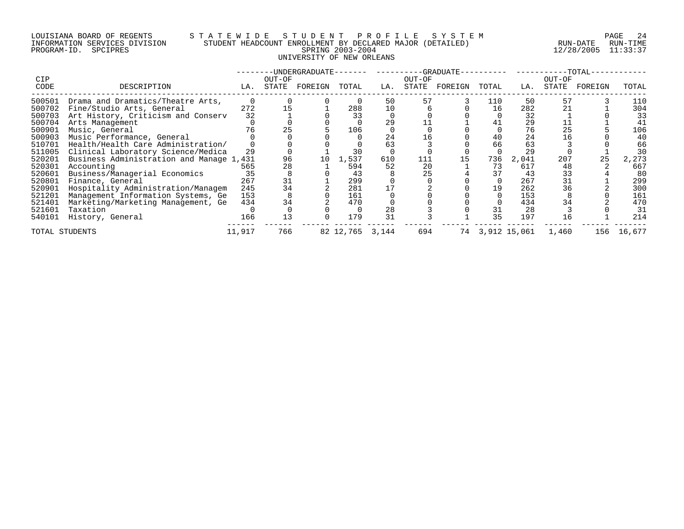## LOUISIANA BOARD OF REGENTS S T A T E W I D E S T U D E N T P R O F I L E S Y S T E M PAGE 24 INFORMATION SERVICES DIVISION STUDENT HEADCOUNT ENROLLMENT BY DECLARED MAJOR (DETAILED) RUN-DATE RUN-TIME PROGRAM-ID. SPCIPRES SPRING 2003-2004 12/28/2005 11:33:37 UNIVERSITY OF NEW ORLEANS

|                |                                          |        |        | -UNDERGRADUATE- |                 |     |        | -GRADUATE- |       |              |        | $-TOTAL-$ |        |
|----------------|------------------------------------------|--------|--------|-----------------|-----------------|-----|--------|------------|-------|--------------|--------|-----------|--------|
| CIP            |                                          |        | OUT-OF |                 |                 |     | OUT-OF |            |       |              | OUT-OF |           |        |
| CODE           | DESCRIPTION                              | LA.    | STATE  | FOREIGN         | TOTAL           | LA. | STATE  | FOREIGN    | TOTAL | LA.          | STATE  | FOREIGN   | TOTAL  |
| 500501         | Drama and Dramatics/Theatre Arts,        |        |        |                 |                 | 50  | 57     |            | 110   | 50           | 57     |           | 110    |
| 500702         | Fine/Studio Arts, General                | 272    |        |                 | 288             | 10  |        |            | 16    | 282          | 21     |           | 304    |
| 500703         | Art History, Criticism and Conserv       | 32     |        |                 | 33              |     |        |            |       | 32           |        |           | 33     |
| 500704         | Arts Management                          |        |        |                 |                 | 29  |        |            | 41    | 29           |        |           | 41     |
| 500901         | Music, General                           |        |        |                 | 106             |     |        |            |       | 76           | 25     |           | 106    |
| 500903         | Music Performance, General               |        |        |                 |                 | 24  | 16     |            | 40    | 24           |        |           | 40     |
| 510701         | Health/Health Care Administration/       |        |        |                 |                 | 63  |        |            | 66    | 63           |        |           | 66     |
| 511005         | Clinical Laboratory Science/Medica       | 29     |        |                 | 30              |     |        |            |       | 29           |        |           | 30     |
| 520201         | Business Administration and Manage 1,431 |        | 96     | 10              | 1,537           | 610 | 111    | 15         | 736   | 2,041        | 207    | 25        | 2,273  |
| 520301         | Accounting                               | 565    | 28     |                 | 594             | 52  | 20     |            | 73    | 617          | 48     |           | 667    |
| 520601         | Business/Managerial Economics            | 35     |        |                 | 43              |     | 25     |            | 37    | 43           | 33     |           | 80     |
| 520801         | Finance, General                         | 267    | 31     |                 | 299             |     |        |            |       | 267          | 31     |           | 299    |
| 520901         | Hospitality Administration/Managem       | 245    | 34     |                 | 281             |     |        |            | 19    | 262          | 36     |           | 300    |
| 521201         | Management Information Systems, Ge       | 153    |        |                 | 161             |     |        |            |       | 153          |        |           | 161    |
| 521401         | Marketing/Marketing Management, Ge       | 434    |        |                 | 470             |     |        |            |       | 434          |        |           | 470    |
| 521601         | Taxation                                 |        |        |                 |                 | 28  |        |            | 31    | 28           |        |           | 31     |
| 540101         | History, General                         | 166    | 13     |                 | 179             | 31  |        |            | 35    | 197          | 16     |           | 214    |
| TOTAL STUDENTS |                                          | 11,917 | 766    |                 | 82 12,765 3,144 |     | 694    | 74         |       | 3,912 15,061 | 1,460  | 156       | 16,677 |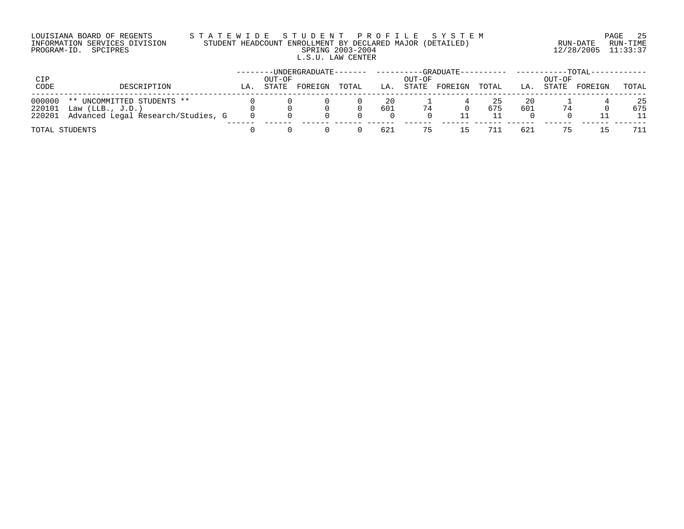# LOUISIANA BOARD OF REGENTS S T A T E W I D E S T U D E N T P R O F I L E S Y S T E M PAGE 25 INFORMATION SERVICES DIVISION STUDENT HEADCOUNT ENROLLMENT BY DECLARED MAJOR (DETAILED) RUN-DATE RUN-TIME PROGRAM-ID. SPCIPRES SPRING 2003-2004 12/28/2005 11:33:37 L.S.U. LAW CENTER

| CIP<br>CODE | DESCRIPTION                               | LA. | OUT-OF<br>STATE | $-UNDERGRADUATE------$<br>FOREIGN | TOTAL | LA  | OUT-OF<br>STATE | -GRADUATE----------<br>FOREIGN | TOTAL | LA. | OUT-OF<br>STATE | $TOTAT - -$<br>FOREIGN | TOTAL |
|-------------|-------------------------------------------|-----|-----------------|-----------------------------------|-------|-----|-----------------|--------------------------------|-------|-----|-----------------|------------------------|-------|
|             |                                           |     |                 |                                   |       |     |                 |                                |       |     |                 |                        |       |
| 000000      | ** UNCOMMITTED STUDENTS **                |     |                 |                                   |       | 20  |                 |                                | 25    | 20  |                 |                        | 25    |
|             | 220101 Law (LLB., J.D.)                   |     |                 |                                   |       | 601 | 74              |                                | 675   | 601 | 74              |                        | 675   |
|             | 220201 Advanced Legal Research/Studies, G |     |                 |                                   |       |     |                 |                                |       |     |                 |                        | 11    |
|             | TOTAL STUDENTS                            |     |                 |                                   |       | 621 | 75              |                                | 711   | 621 |                 | 15                     | 711   |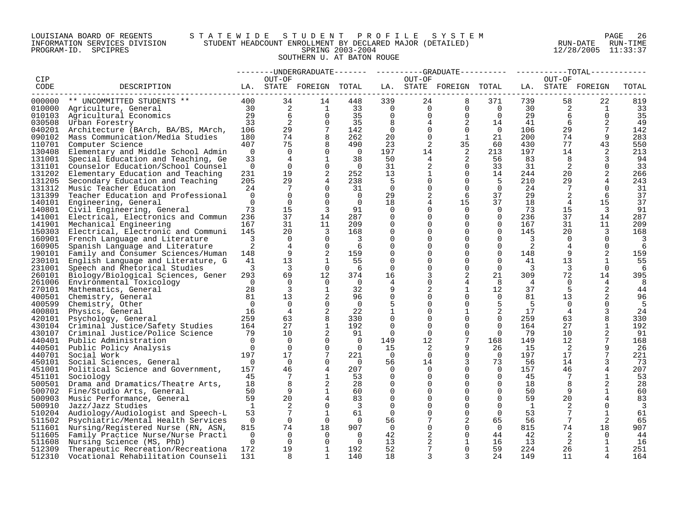## LOUISIANA BOARD OF REGENTS S T A T E W I D E S T U D E N T P R O F I L E S Y S T E M PAGE 26 INFORMATION SERVICES DIVISION STUDENT HEADCOUNT ENROLLMENT BY DECLARED MAJOR (DETAILED) RUN-DATE RUN-TIME PROGRAM-ID. SPCIPRES SPRING 2003-2004 12/28/2005 11:33:37 SOUTHERN U. AT BATON ROUGE

|            |                                           |                |                 |                         |                         |                |                | --------UNDERGRADUATE-------  ---------GRADUATE----------  ----------TOTAL----- |                |     |                 |                   |       |
|------------|-------------------------------------------|----------------|-----------------|-------------------------|-------------------------|----------------|----------------|---------------------------------------------------------------------------------|----------------|-----|-----------------|-------------------|-------|
| <b>CIP</b> |                                           |                | OUT-OF          |                         |                         |                | OUT-OF         |                                                                                 |                |     | OUT-OF          |                   |       |
| CODE       | DESCRIPTION                               |                |                 | LA. STATE FOREIGN TOTAL |                         |                |                | LA. STATE FOREIGN TOTAL                                                         |                |     |                 | LA. STATE FOREIGN | TOTAL |
|            | 000000 ** UNCOMMITTED STUDENTS **         | 400            | 34              | 14                      | 448                     | 339            | 24             | 8                                                                               | 371            | 739 | 58              | 22                | 819   |
|            | 010000 Agriculture, General               | 30             | 2               | 1                       | 33                      | $\overline{0}$ | $\overline{0}$ | $\overline{0}$                                                                  | $\overline{0}$ | 30  | 2               | 1                 | 33    |
| 010103     | Agricultural Economics                    | 29             | 6               | $\Omega$                | 35                      | $\Omega$       | $\mathbf 0$    | $\overline{0}$                                                                  | $\Omega$       | 29  | 6               | $\Omega$          | 35    |
|            | 030508 Urban Forestry                     | 33             | 2               | $\Omega$                | 35                      | 8              | 4              | 2                                                                               | 14             | 41  | 6               |                   | 49    |
| 040201     | Architecture (BArch, BA/BS, MArch,        | 106            | 29              | $7\phantom{.0}$         | 142                     | $\Omega$       | $\Omega$       | $\Omega$                                                                        | $\overline{0}$ | 106 | 29              | $7\phantom{.0}$   | 142   |
| 090102     | Mass Communication/Media Studies          | 180            | 74              | 8                       | 262                     | 20             | $\mathbf 0$    | $\mathbf{1}$                                                                    | 21             | 200 | 74              | 9                 | 283   |
| 110701     | Computer Science                          | 407            | 75              | 8                       | 490                     | 23             | 2              | 35                                                                              | 60             | 430 | 77              | 43                | 550   |
| 130408     | Elementary and Middle School Admin        | $\overline{0}$ | $\Omega$        | $\Omega$                | $\overline{0}$          | 197            | 14             | 2                                                                               | 213            | 197 | 14              | 2                 | 213   |
| 131001     | Special Education and Teaching, Ge        | 33             | $\overline{4}$  | $\mathbf{1}$            | 38                      | 50             | 4              | 2                                                                               | 56             | 83  | 8               | 3                 | 94    |
| 131101     | Counselor Education/School Counsel        | $\overline{0}$ | $\Omega$        | $\Omega$                | $\overline{0}$          | 31             | $\overline{a}$ | $\Omega$                                                                        | 33             | 31  | 2               | $\Omega$          | 33    |
| 131202     | Elementary Education and Teaching         | 231            | 19              | 2                       | 252                     | 13             | 1              | 0                                                                               | 14             | 244 | 20              | 2                 | 266   |
| 131205     | Secondary Education and Teaching          | 205            | 29              | 4                       | 238                     | - 5            | 0              | $\Omega$                                                                        | -5             | 210 | 29              | 4                 | 243   |
| 131312     | Music Teacher Education                   | 24             | 7               | $\Omega$                | 31                      | $\Omega$       | 0              | $\Omega$                                                                        | $\Omega$       | 24  | 7               | $\Omega$          | 31    |
| 131399     | Teacher Education and Professional        | $\overline{0}$ | $\Omega$        | $\Omega$                | $\overline{0}$          | 29             | 2              | 6                                                                               | 37             | 29  | 2               | 6                 | 37    |
|            | 140101 Engineering, General               | $\Omega$       | $\Omega$        | $\Omega$                | $\Omega$                | 18             |                | 15                                                                              | 37             | 18  | 4               | 15                | 37    |
|            | 140801 Civil Engineering, General         | 73             | 15              | 3                       | 91                      | $\overline{0}$ |                | $\mathbf 0$                                                                     | $\overline{0}$ | 73  | 15              | 3                 | 91    |
|            | 141001 Electrical, Electronics and Commun | 236            | 37              | 14                      | 287                     | $\Omega$       | 0              | $\Omega$                                                                        | $\Omega$       | 236 | 37              | 14                | 287   |
| 141901     | Mechanical Engineering                    | 167            | 31              | 11                      | 209                     | $\Omega$       |                | $\Omega$                                                                        | $\mathbf 0$    | 167 | 31              | 11                | 209   |
| 150303     | Electrical, Electronic and Communi        | 145            | 20              | 3                       | 168                     | 0              |                | $\Omega$                                                                        | $\Omega$       | 145 | 20              | 3                 | 168   |
| 160901     | French Language and Literature            | 3              | $\Omega$        | $\Omega$                | $\overline{\mathbf{3}}$ | $\Omega$       |                | $\Omega$                                                                        | $\Omega$       | 3   | $\Omega$        | $\Omega$          | 3     |
| 160905     | Spanish Language and Literature           | 2              | $\overline{4}$  | $\mathbf 0$             | 6                       | $\mathbf 0$    |                | $\Omega$                                                                        | $\mathbf 0$    | 2   | 4               | $\mathbf 0$       | 6     |
|            | 190101 Family and Consumer Sciences/Human | 148            | 9               | 2                       | 159                     | 0              |                | $\Omega$                                                                        | $\mathbf 0$    | 148 | 9               | 2                 | 159   |
| 230101     | English Language and Literature, G        | 41             | 13              | 1                       | 55                      | $\Omega$       |                | $\Omega$                                                                        | $\Omega$       | 41  | 13              | $\mathbf{1}$      | 55    |
| 231001     | Speech and Rhetorical Studies             | 3              | $\overline{3}$  | $\Omega$                | -6                      | $\Omega$       |                | $\Omega$                                                                        | $\Omega$       | 3   | $\overline{3}$  | $\Omega$          | 6     |
|            | 260101 Biology/Biological Sciences, Gener | 293            | 69              | 12                      | 374                     | 16             |                | 2                                                                               | 21             | 309 | 72              | 14                | 395   |
| 261006     | Environmental Toxicology                  | $\Omega$       | $\Omega$        | $\Omega$                | $\overline{0}$          | 4              | $\Omega$       | 4                                                                               | 8              | 4   | $\Omega$        | 4                 | 8     |
|            | 270101 Mathematics, General               | 28             | 3               | 1                       | 32                      | 9              | 2              | 1                                                                               | 12             | 37  | 5               | 2                 | 44    |
| 400501     | Chemistry, General                        | 81             | 13              | 2                       | 96                      | $\mathbf 0$    |                | $\Omega$                                                                        | $\Omega$       | 81  | 13              | 2                 | 96    |
| 400599     | Chemistry, Other                          | $\bigcap$      | $\Omega$        | $\Omega$                | $\Omega$                | 5              | $\Omega$       | $\Omega$                                                                        | 5              | -5  | $\Omega$        | $\Omega$          | 5     |
| 400801     | Physics, General                          | 16             | $\overline{4}$  | 2                       | 22                      |                |                | $\mathbf{1}$                                                                    | 2              | 17  | $\overline{4}$  | 3                 | 24    |
| 420101     | Psychology, General                       | 259            | 63              | 8                       | 330                     | $\mathbf 0$    | $\Omega$       | $\Omega$                                                                        | $\Omega$       | 259 | 63              | 8                 | 330   |
|            | 430104 Criminal Justice/Safety Studies    | 164            | 27              | 1                       | 192                     | 0              | $\Omega$       | $\Omega$                                                                        | $\Omega$       | 164 | 27              | 1                 | 192   |
|            | 430107 Criminal Justice/Police Science    | 79             | 10 <sup>°</sup> |                         | 91                      | $\Omega$       | $\Omega$       | $\Omega$                                                                        | $\Omega$       | 79  | 10              | 2                 | 91    |
|            | 440401 Public Administration              | $\Omega$       | $\Omega$        | $\Omega$                | $\Omega$                | 149            | 12             | $7\overline{ }$                                                                 | 168            | 149 | 12              |                   | 168   |
|            | 440501 Public Policy Analysis             | $\Omega$       | $\Omega$        | $\Omega$                | $\cap$                  | 15             | 2              | 9                                                                               | 26             | 15  | 2               | 9                 | 26    |
|            | 440701 Social Work                        | 197            | 17              | $7\phantom{.0}$         | 221                     | $\overline{0}$ | 0              | $\mathbf 0$                                                                     | $\overline{0}$ | 197 | 17              | 7                 | 221   |
| 450101     | Social Sciences, General                  | $\Omega$       | $\Omega$        | $\Omega$                | $\Omega$                | 56             | 14             | 3                                                                               | 73             | 56  | 14              | 3                 | 73    |
|            | 451001 Political Science and Government,  | 157            | 46              | 4                       | 207                     | $\Omega$       | $\Omega$       | $\Omega$                                                                        | $\overline{0}$ | 157 | 46              |                   | 207   |
| 451101     | Sociology                                 | 45             | 7               | $\mathbf 1$             | 53                      | $\Omega$       | 0              | $\Omega$                                                                        | $\Omega$       | 45  | $7\phantom{.0}$ | $\mathbf{1}$      | 53    |
| 500501     | Drama and Dramatics/Theatre Arts,         | 18             | 8               | 2                       | 28                      | $\Omega$       |                | $\Omega$                                                                        | $\Omega$       | 18  | 8               | 2                 | 28    |
| 500702     | Fine/Studio Arts, General                 | 50             | 9               | $\mathbf 1$             | 60                      | $\mathbf 0$    |                | $\Omega$                                                                        | $\mathbf 0$    | 50  | 9               | 1                 | 60    |
| 500903     | Music Performance, General                | 59             | 20              |                         | 83                      | 0              |                | 0                                                                               | 0              | 59  | 20              | 4                 | 83    |
| 500910     | Jazz/Jazz Studies                         | <sup>1</sup>   | 2               | $\Omega$                | 3                       | $\Omega$       |                | $\Omega$                                                                        | $\Omega$       | -1  | 2               | $\Omega$          | 3     |
| 510204     | Audiology/Audiologist and Speech-L        | 53             | 7               | 1                       | 61                      | $\Omega$       |                | $\Omega$                                                                        | $\Omega$       | 53  |                 | 1                 | 61    |
| 511502     | Psychiatric/Mental Health Services        | $\overline{0}$ | $\Omega$        | $\Omega$                | 0                       | 56             |                | $\overline{2}$                                                                  | 65             | 56  | 7               | 2                 | 65    |
| 511601     | Nursing/Registered Nurse (RN, ASN,        | 815            | 74              | 18                      | 907                     | $\overline{0}$ |                | $\Omega$                                                                        | $\Omega$       | 815 | 74              | 18                | 907   |
| 511605     | Family Practice Nurse/Nurse Practi        | 0              | 0               | $\Omega$                | $\overline{0}$          | 42             | 2              | $\Omega$                                                                        | 44             | 42  | 2               | $\Omega$          | 44    |
| 511608     | Nursing Science (MS, PhD)                 | $\Omega$       | $\Omega$        | $\Omega$                | $\Omega$                | 13             | 2              | 1                                                                               | 16             | 13  | 2               |                   | 16    |
| 512309     | Therapeutic Recreation/Recreationa        | 172            | 19              | $\mathbf{1}$            | 192                     | 52             |                | $\Omega$                                                                        | 59             | 224 | 26              | 1                 | 251   |
| 512310     | Vocational Rehabilitation Counseli        | 131            | 8               | $\mathbf{1}$            | 140                     | 18             | 3              | 3                                                                               | 24             | 149 | 11              |                   | 164   |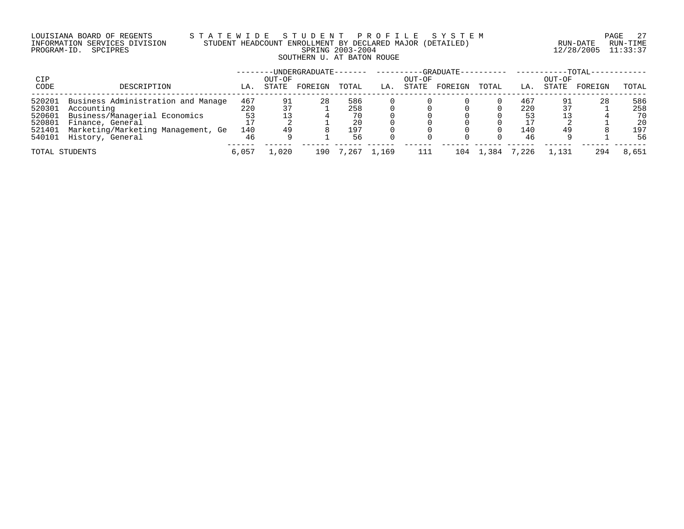# LOUISIANA BOARD OF REGENTS S T A T E W I D E S T U D E N T P R O F I L E S Y S T E M PAGE 27 INFORMATION SERVICES DIVISION STUDENT HEADCOUNT ENROLLMENT BY DECLARED MAJOR (DETAILED) RUN-DATE RUN-TIME PROGRAM-ID. SPCIPRES SPRING 2003-2004 12/28/2005 11:33:37 SOUTHERN U. AT BATON ROUGE

|             |                                    |       |                 | -UNDERGRADUATE- |       |       |                 | -GRADUATE-- |         |       |                 | $-TOTAL-$ |       |
|-------------|------------------------------------|-------|-----------------|-----------------|-------|-------|-----------------|-------------|---------|-------|-----------------|-----------|-------|
| CIP<br>CODE | DESCRIPTION                        | LA.   | OUT-OF<br>STATE | FOREIGN         | TOTAL | LA.   | OUT-OF<br>STATE | FOREIGN     | TOTAL   | LA.   | OUT-OF<br>STATE | FOREIGN   | TOTAL |
| 520201      | Business Administration and Manage | 467   | 91              | 28              | 586   |       |                 |             |         | 467   | 91              | 28        | 586   |
| 520301      | Accounting                         | 220   |                 |                 | 258   |       |                 |             |         | 220   |                 |           | 258   |
| 520601      | Business/Managerial Economics      | 53    |                 |                 |       |       |                 |             |         | 53    |                 |           | 70    |
| 520801      | Finance, General                   |       |                 |                 | 20    |       |                 |             |         |       |                 |           | 20    |
| 521401      | Marketing/Marketing Management, Ge | 140   | 49              |                 | 197   |       |                 |             |         | 140   | 49              |           | 197   |
| 540101      | History, General                   | 46    |                 |                 | 56    |       |                 |             |         | 46    |                 |           | 56    |
|             | TOTAL STUDENTS                     | 6,057 | 1,020           | 190             | 7,267 | 1,169 | 111             | 104         | . . 384 | ',226 | 1,131           | 294       | 8,651 |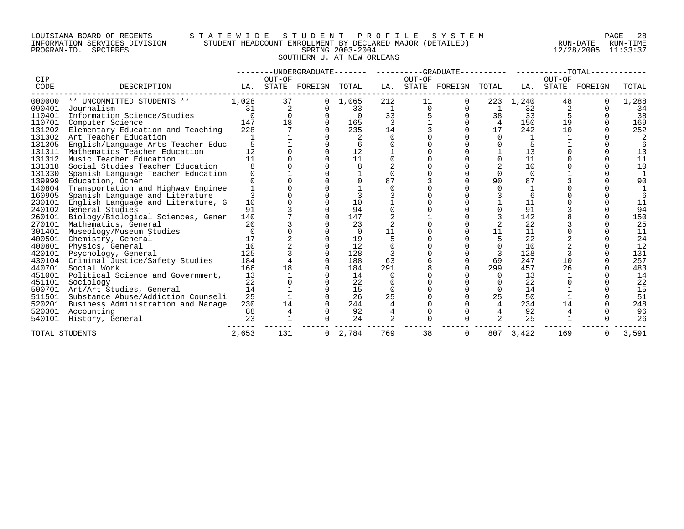## LOUISIANA BOARD OF REGENTS S T A T E W I D E S T U D E N T P R O F I L E S Y S T E M PAGE 28 INFORMATION SERVICES DIVISION STUDENT HEADCOUNT ENROLLMENT BY DECLARED MAJOR (DETAILED) RUN-DATE RUN-TIME PROGRAM-ID. SPCIPRES SPRING 2003-2004 12/28/2005 11:33:37 SOUTHERN U. AT NEW ORLEANS

|             |                                    |          |                 |          |       |              |          | --------UNDERGRADUATE------- ---------GRADUATE---------- ----------TOTAL-- |          |          |                 |         |       |
|-------------|------------------------------------|----------|-----------------|----------|-------|--------------|----------|----------------------------------------------------------------------------|----------|----------|-----------------|---------|-------|
| CIP<br>CODE | DESCRIPTION                        | LA.      | OUT-OF<br>STATE | FOREIGN  | TOTAL | LA.          | OUT-OF   | STATE FOREIGN                                                              | TOTAL    | LA.      | OUT-OF<br>STATE | FOREIGN | TOTAL |
| 000000      | ** UNCOMMITTED STUDENTS **         | 1,028    | 37              |          | 1,065 | 212          | 11       |                                                                            | 223      | 1,240    | 48              |         | 1,288 |
| 090401      | Journalism                         | 31       | 2               |          | 33    | <sup>1</sup> | $\Omega$ |                                                                            |          | 32       |                 |         | 34    |
| 110401      | Information Science/Studies        | $\Omega$ |                 |          |       | 33           |          |                                                                            | 38       | 33       |                 |         | 38    |
| 110701      | Computer Science                   | 147      | 18              |          | 165   | 3            |          |                                                                            | 4        | 150      | 19              |         | 169   |
| 131202      | Elementary Education and Teaching  | 228      |                 |          | 235   | 14           |          |                                                                            | 17       | 242      | 10              |         | 252   |
| 131302      | Art Teacher Education              |          |                 |          |       | $\Omega$     |          |                                                                            |          |          |                 |         |       |
| 131305      | English/Language Arts Teacher Educ |          |                 |          |       |              |          |                                                                            |          |          |                 |         |       |
| 131311      | Mathematics Teacher Education      | 12       |                 |          | 12    |              |          |                                                                            |          | 13       |                 |         | 13    |
| 131312      | Music Teacher Education            | 11       |                 |          | 11    |              |          |                                                                            |          | 11       |                 |         | 11    |
| 131318      | Social Studies Teacher Education   |          |                 |          |       |              |          |                                                                            |          | 10       |                 |         | 10    |
| 131330      | Spanish Language Teacher Education |          |                 |          |       |              |          |                                                                            |          | $\Omega$ |                 |         |       |
| 139999      | Education, Other                   |          |                 |          |       | 87           |          |                                                                            | 90       | 87       |                 |         | 90    |
| 140804      | Transportation and Highway Enginee |          |                 |          |       |              |          |                                                                            |          |          |                 |         |       |
| 160905      | Spanish Language and Literature    |          |                 |          |       |              |          |                                                                            |          |          |                 |         |       |
| 230101      | English Language and Literature, G | 10       |                 |          | 10    |              |          |                                                                            |          | 11       |                 |         | 11    |
| 240102      | General Studies                    | 91       |                 |          | 94    |              |          |                                                                            |          | 91       |                 |         | 94    |
| 260101      | Biology/Biological Sciences, Gener | 140      |                 |          | 147   |              |          |                                                                            |          | 142      |                 |         | 150   |
| 270101      | Mathematics, General               | 20       |                 |          | 23    |              |          |                                                                            |          | 22       |                 |         | 25    |
| 301401      | Museology/Museum Studies           |          |                 |          |       | 11           |          |                                                                            | 11       | 11       |                 |         | 11    |
| 400501      | Chemistry, General                 | 17       |                 |          | 19    |              |          |                                                                            |          | 22       |                 |         | 24    |
| 400801      | Physics, General                   | 10       |                 |          | 12    |              |          |                                                                            |          | 10       |                 |         | 12    |
| 420101      | Psychology, General                | 125      |                 |          | 128   |              |          |                                                                            | 3        | 128      |                 |         | 131   |
| 430104      | Criminal Justice/Safety Studies    | 184      |                 |          | 188   | 63           |          |                                                                            | 69       | 247      | 10              |         | 257   |
| 440701      | Social Work                        | 166      | 18              |          | 184   | 291          |          |                                                                            | 299      | 457      | 26              |         | 483   |
| 451001      | Political Science and Government,  | 13       |                 |          | 14    |              |          |                                                                            | $\Omega$ | 13       |                 |         | 14    |
| 451101      | Sociology                          | 22       |                 |          | 22    |              |          |                                                                            |          | 22       |                 |         | 22    |
| 500701      | Art/Art Studies, General           | 14       |                 |          | 15    |              |          |                                                                            |          | 14       |                 |         | 15    |
| 511501      | Substance Abuse/Addiction Counseli | 25       |                 |          | 26    | 25           |          |                                                                            | 25       | 50       |                 |         | 51    |
| 520201      | Business Administration and Manage | 230      | 14              |          | 244   |              |          |                                                                            | 4        | 234      | 14              |         | 248   |
| 520301      | Accounting                         | 88       |                 |          | 92    |              |          |                                                                            |          | 92       |                 |         | 96    |
| 540101      | History, General                   | 23       |                 |          | 24    |              |          |                                                                            |          | 25       |                 |         | 26    |
|             | TOTAL STUDENTS                     | 2,653    | 131             | $\Omega$ | 2,784 | 769          | 38       | $\Omega$                                                                   | 807      | 3,422    | 169             |         | 3,591 |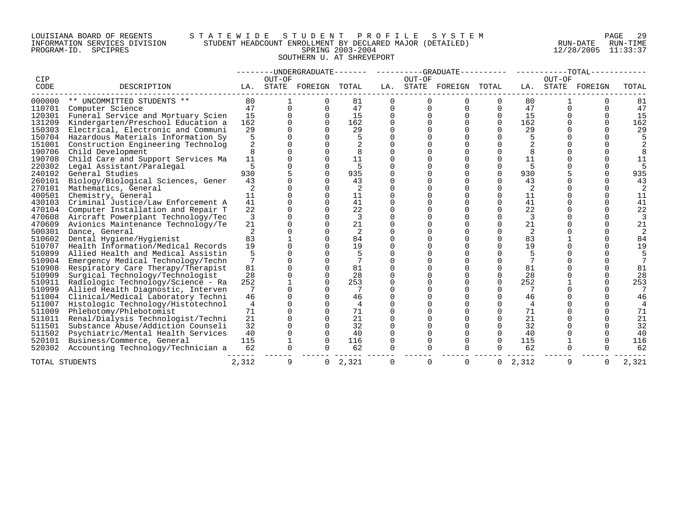## LOUISIANA BOARD OF REGENTS S T A T E W I D E S T U D E N T P R O F I L E S Y S T E M PAGE 29 INFORMATION SERVICES DIVISION STUDENT HEADCOUNT ENROLLMENT BY DECLARED MAJOR (DETAILED) RUN-DATE RUN-TIME PROGRAM-ID. SPCIPRES SPRING 2003-2004 12/28/2005 11:33:37 SOUTHERN U. AT SHREVEPORT

|        |                                    |                |          |                |       |          |          | --------UNDERGRADUATE------- ---------GRADUATE---------- -----------TOTAL-- |                |       |        |          |                |
|--------|------------------------------------|----------------|----------|----------------|-------|----------|----------|-----------------------------------------------------------------------------|----------------|-------|--------|----------|----------------|
| CIP    |                                    |                | OUT-OF   |                |       |          | OUT-OF   |                                                                             |                |       | OUT-OF |          |                |
| CODE   | DESCRIPTION                        | LA.            |          | STATE FOREIGN  | TOTAL | LA.      |          | STATE FOREIGN TOTAL                                                         |                | LA.   | STATE  | FOREIGN  | TOTAL          |
| 000000 | ** UNCOMMITTED STUDENTS **         | 80             |          | $\Omega$       | 81    | $\Omega$ | $\Omega$ | $\Omega$                                                                    | $\Omega$       | 80    |        | O        | 81             |
| 110701 | Computer Science                   | 47             | 0        | $\Omega$       | 47    | 0        | $\Omega$ | $\Omega$                                                                    | $\Omega$       | 47    | 0      | $\Omega$ | 47             |
| 120301 | Funeral Service and Mortuary Scien | 15             | $\Omega$ | $\Omega$       | 15    | 0        |          | $\Omega$                                                                    | $\mathbf 0$    | 15    |        | U        | 15             |
| 131209 | Kindergarten/Preschool Education a | 162            |          | $\Omega$       | 162   | O        |          |                                                                             | $\Omega$       | 162   |        |          | 162            |
| 150303 | Electrical, Electronic and Communi | 29             |          |                | 29    |          |          |                                                                             |                | 29    |        |          | 29             |
| 150704 | Hazardous Materials Information Sy | 5              |          |                | 5     | O        |          |                                                                             |                | 5     |        |          |                |
| 151001 | Construction Engineering Technolog | 2              |          |                |       | 0        |          |                                                                             |                | 2     |        |          |                |
| 190706 | Child Development                  | 8              |          | O              | 8     | 0        |          |                                                                             | 0              | 8     |        |          | 8              |
| 190708 | Child Care and Support Services Ma | 11             |          |                | 11    | 0        |          |                                                                             | 0              | 11    |        |          | 11             |
| 220302 | Legal Assistant/Paralegal          | 5              |          |                | 5     |          |          |                                                                             |                | 5     |        |          |                |
| 240102 | General Studies                    | 930            |          | $\Omega$       | 935   | O        |          |                                                                             | 0              | 930   |        |          | 935            |
| 260101 | Biology/Biological Sciences, Gener | 43             |          | $\Omega$       | 43    | 0        |          |                                                                             | $\Omega$       | 43    |        |          | 43             |
| 270101 | Mathematics, General               | 2              |          | 0              | 2     | 0        |          |                                                                             | 0              | 2     |        |          |                |
| 400501 | Chemistry, General                 | 11             |          | $\Omega$       | 11    | O        |          |                                                                             | 0              | 11    |        |          | 11             |
| 430103 | Criminal Justice/Law Enforcement A | 41             |          |                | 41    | O        |          |                                                                             |                | 41    |        |          | 41             |
| 470104 | Computer Installation and Repair T | 22             |          |                | 22    | O        |          |                                                                             | ∩              | 22    |        |          | 22             |
| 470608 | Aircraft Powerplant Technology/Tec | 3              |          |                | 3     | 0        |          |                                                                             |                | 3     |        |          |                |
| 470609 | Avionics Maintenance Technology/Te | 21             |          | $\Omega$       | 21    | 0        |          |                                                                             | 0              | 21    |        |          | 21             |
| 500301 | Dance, General                     | 2              |          | $\Omega$       | 2     | 0        |          |                                                                             | 0              | 2     |        |          |                |
| 510602 | Dental Hygiene/Hygienist           | 83             |          | $\Omega$       | 84    | O        |          |                                                                             | $\Omega$       | 83    |        |          | 84             |
| 510707 | Health Information/Medical Records | 19             |          |                | 19    |          |          |                                                                             |                | 19    |        |          | 19             |
| 510899 | Allied Health and Medical Assistin | 5              |          |                | 5     | U        |          |                                                                             |                | 5     |        |          |                |
| 510904 | Emergency Medical Technology/Techn |                |          | $\Omega$       | 7     | U        |          |                                                                             |                |       |        |          |                |
| 510908 | Respiratory Care Therapy/Therapist | 81             |          | $\Omega$       | 81    |          |          |                                                                             | $\Omega$       | 81    |        |          | 81             |
| 510909 | Surgical Technology/Technologist   | 28             |          | $\Omega$       | 28    | 0        |          |                                                                             | $\Omega$       | 28    |        |          | 28             |
| 510911 | Radiologic Technology/Science - Ra | 252            |          |                | 253   |          |          |                                                                             | 0              | 252   |        |          | 253            |
| 510999 | Allied Health Diagnostic, Interven |                |          |                |       |          |          |                                                                             |                |       |        |          |                |
| 511004 | Clinical/Medical Laboratory Techni | 46             |          |                | 46    | O        |          |                                                                             | U              | 46    |        |          | 46             |
| 511007 | Histologic Technology/Histotechnol | $\overline{4}$ |          | $\Omega$       | 4     | 0        |          |                                                                             | 0              | 4     |        |          | $\overline{4}$ |
| 511009 | Phlebotomy/Phlebotomist            | 71             |          | $\Omega$       | 71    | 0        |          |                                                                             | 0              | 71    |        |          | 71             |
| 511011 | Renal/Dialysis Technologist/Techni | 21             |          |                | 21    | 0        |          |                                                                             | ∩              | 21    |        |          | 21             |
| 511501 | Substance Abuse/Addiction Counseli | 32             |          |                | 32    | O        |          |                                                                             |                | 32    |        |          | 32             |
| 511502 | Psychiatric/Mental Health Services | 40             |          | $\Omega$       | 40    | 0        |          |                                                                             | 0              | 40    |        |          | 40             |
| 520101 | Business/Commerce, General         | 115            |          | $\Omega$       | 116   | 0        |          |                                                                             | 0              | 115   |        |          | 116            |
| 520302 | Accounting Technology/Technician a | 62             |          | O              | 62    | 0        | 0        | U                                                                           |                | 62    | 0      |          | 62             |
|        | TOTAL STUDENTS                     | 2,312          | 9        | $\overline{0}$ | 2,321 | 0        | 0        | 0                                                                           | $\overline{0}$ | 2,312 | 9      | 0        | 2,321          |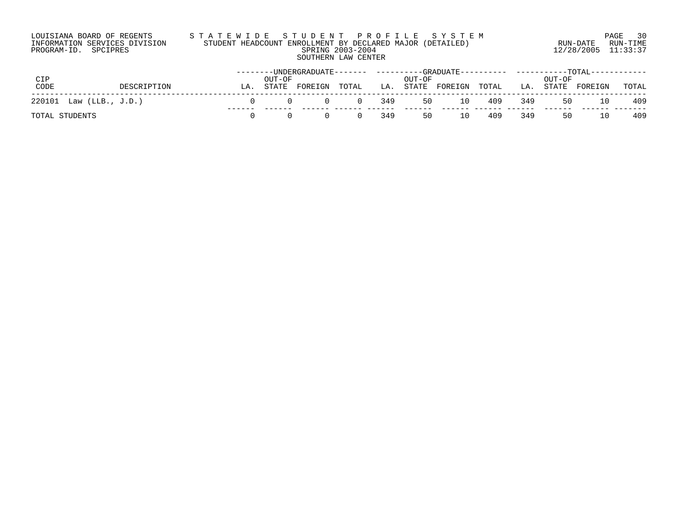# LOUISIANA BOARD OF REGENTS S T A T E W I D E S T U D E N T P R O F I L E S Y S T E M PAGE 30 INFORMATION SERVICES DIVISION STUDENT HEADCOUNT ENROLLMENT BY DECLARED MAJOR (DETAILED) RUN-DATE RUN-TIME PROGRAM-ID. SPCIPRES SPRING 2003-2004 12/28/2005 11:33:37 SOUTHERN LAW CENTER

|                         |    |        | --------UNDERGRADUATE------- |          |     |        | ----------GRADUATE---------- |        |     |        | -----------TOTAL------- |       |
|-------------------------|----|--------|------------------------------|----------|-----|--------|------------------------------|--------|-----|--------|-------------------------|-------|
| CIP                     |    | OUT-OF |                              |          |     | OUT-OF |                              |        |     | OUT-OF |                         |       |
| CODE<br>DESCRIPTION     | LA |        | STATE FOREIGN                | TOTAL    | LA. |        | STATE FOREIGN                | TOTAL  | LA. | STATE  | FOREIGN                 | TOTAL |
| 220101 Law (LLB., J.D.) |    |        |                              | $\Omega$ | 349 | 50     |                              | 10 409 | 349 | 50     | 10                      | -409  |
| TOTAL STUDENTS          |    |        |                              |          | 349 | 50     | 10                           | 409    | 349 | 50     | 10                      | 409   |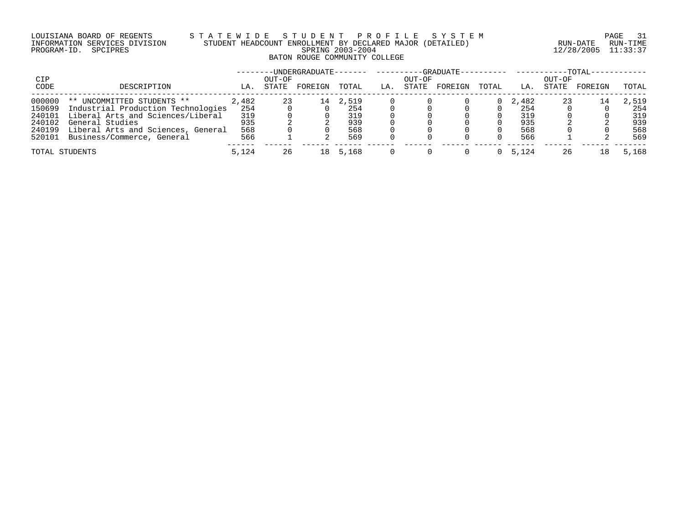# LOUISIANA BOARD OF REGENTS S T A T E W I D E S T U D E N T P R O F I L E S Y S T E M PAGE 31 INFORMATION SERVICES DIVISION STUDENT HEADCOUNT ENROLLMENT BY DECLARED MAJOR (DETAILED) RUN-DATE RUN-TIME PROGRAM-ID. SPCIPRES SPRING 2003-2004 12/28/2005 11:33:37 BATON ROUGE COMMUNITY COLLEGE

|                |                                    |       |        | -UNDERGRADUATE------- |       |     |        | -GRADUATE---------- |       |       |        | -TOTAL- |       |
|----------------|------------------------------------|-------|--------|-----------------------|-------|-----|--------|---------------------|-------|-------|--------|---------|-------|
| <b>CIP</b>     |                                    |       | OUT-OF |                       |       |     | OUT-OF |                     |       |       | OUT-OF |         |       |
| CODE           | DESCRIPTION                        | LA.   | STATE  | FOREIGN               | TOTAL | LA. | STATE  | FOREIGN             | TOTAL | LA.   | STATE  | FOREIGN | TOTAL |
| 000000         | ** UNCOMMITTED STUDENTS **         | 2,482 | 23     | 14                    | 2,519 |     |        |                     |       | 2,482 | 23     | 14      | 2,519 |
| 150699         | Industrial Production Technologies | 254   |        |                       | 254   |     |        |                     |       | 254   |        |         | 254   |
| 240101         | Liberal Arts and Sciences/Liberal  | 319   |        |                       | 319   |     |        |                     |       | 319   |        |         | 319   |
| 240102         | General Studies                    | 935   |        |                       | 939   |     |        |                     |       | 935   |        |         | 939   |
| 240199         | Liberal Arts and Sciences, General | 568   |        |                       | 568   |     |        |                     |       | 568   |        |         | 568   |
| 520101         | Business/Commerce, General         | 566   |        |                       | 569   |     |        |                     |       | 566   |        |         | 569   |
| TOTAL STUDENTS |                                    | 5,124 | 26     | 18                    | 5,168 |     |        |                     |       | 5,124 | 26     | 18      | 5,168 |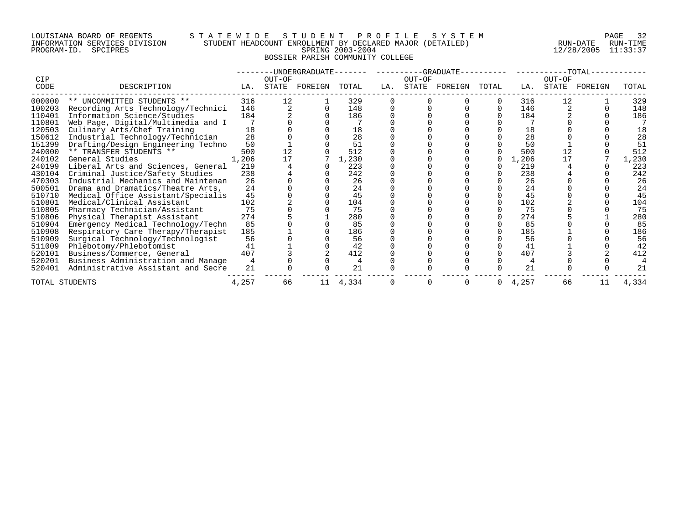## LOUISIANA BOARD OF REGENTS S T A T E W I D E S T U D E N T P R O F I L E S Y S T E M PAGE 32 INFORMATION SERVICES DIVISION STUDENT HEADCOUNT ENROLLMENT BY DECLARED MAJOR (DETAILED) RUN-DATE RUN-TIME PROGRAM-ID. SPCIPRES SPRING 2003-2004 12/28/2005 11:33:37 BOSSIER PARISH COMMUNITY COLLEGE

| CIP            |                                    |       | OUT-OF | --UNDERGRADUATE-- |       |     | ----------GRADUATE--<br>OUT-OF |         |       |       | OUT-OF | $-TOTAL-$ |       |
|----------------|------------------------------------|-------|--------|-------------------|-------|-----|--------------------------------|---------|-------|-------|--------|-----------|-------|
| CODE           | DESCRIPTION                        | LA.   | STATE  | FOREIGN           | TOTAL | LA. | STATE                          | FOREIGN | TOTAL | LA.   | STATE  | FOREIGN   | TOTAL |
| 000000         | ** UNCOMMITTED STUDENTS **         | 316   | 12     |                   | 329   |     |                                |         |       | 316   | 12     |           | 329   |
| 100203         | Recording Arts Technology/Technici | 146   |        |                   | 148   |     |                                |         |       | 146   |        |           | 148   |
| 110401         | Information Science/Studies        | 184   |        |                   | 186   |     |                                |         |       | 184   |        |           | 186   |
| 110801         | Web Page, Digital/Multimedia and I |       |        |                   |       |     |                                |         |       |       |        |           |       |
| 120503         | Culinary Arts/Chef Training        | 18    |        |                   | 18    |     |                                |         |       | 18    |        |           | 18    |
| 150612         | Industrial Technology/Technician   | 28    |        |                   | 28    |     |                                |         |       | 28    |        |           | 28    |
| 151399         | Drafting/Design Engineering Techno | 50    |        |                   | 51    |     |                                |         |       | 50    |        |           | 51    |
| 240000         | ** TRANSFER STUDENTS **            | 500   |        |                   | 512   |     |                                |         |       | 500   | 12     |           | 512   |
| 240102         | General Studies                    | 1,206 | 17     |                   | 1,230 |     |                                |         |       | 1,206 | 17     |           | 1,230 |
| 240199         | Liberal Arts and Sciences, General | 219   |        |                   | 223   |     |                                |         |       | 219   |        |           | 223   |
| 430104         | Criminal Justice/Safety Studies    | 238   |        |                   | 242   |     |                                |         |       | 238   |        |           | 242   |
| 470303         | Industrial Mechanics and Maintenan | 26    |        |                   | 26    |     |                                |         |       | 26    |        |           | 26    |
| 500501         | Drama and Dramatics/Theatre Arts,  | 24    |        |                   | 24    |     |                                |         |       | 24    |        |           | 24    |
| 510710         | Medical Office Assistant/Specialis | 45    |        |                   | 45    |     |                                |         |       | 45    |        |           | 45    |
| 510801         | Medical/Clinical Assistant         | 102   |        |                   | 104   |     |                                |         |       | 102   |        |           | 104   |
| 510805         | Pharmacy Technician/Assistant      | 75    |        |                   | 75    |     |                                |         |       | 75    |        |           | 75    |
| 510806         | Physical Therapist Assistant       | 274   |        |                   | 280   |     |                                |         |       | 274   |        |           | 280   |
| 510904         | Emergency Medical Technology/Techn | 85    |        |                   | 85    |     |                                |         |       | 85    |        |           | 85    |
| 510908         | Respiratory Care Therapy/Therapist | 185   |        |                   | 186   |     |                                |         |       | 185   |        |           | 186   |
| 510909         | Surgical Technology/Technologist   | 56    |        |                   | 56    |     |                                |         |       | 56    |        |           | 56    |
| 511009         | Phlebotomy/Phlebotomist            | 41    |        |                   | 42    |     |                                |         |       | 41    |        |           | 42    |
| 520101         | Business/Commerce, General         | 407   |        |                   | 412   |     |                                |         |       | 407   |        |           | 412   |
| 520201         | Business Administration and Manage |       |        |                   |       |     |                                |         |       |       |        |           |       |
| 520401         | Administrative Assistant and Secre | 21    |        |                   | 21    |     |                                |         |       | 21    |        |           | 21    |
| TOTAL STUDENTS |                                    | 4,257 | 66     | 11                | 4,334 |     | 0                              |         | 0     | 4,257 | 66     | 11        | 4,334 |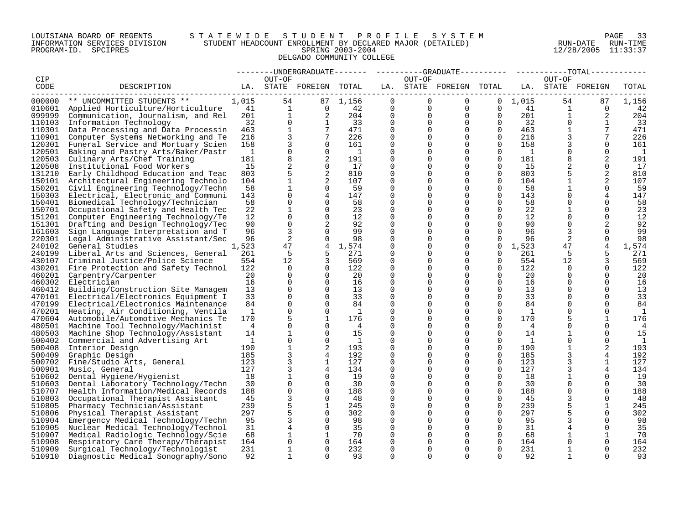## LOUISIANA BOARD OF REGENTS S T A T E W I D E S T U D E N T P R O F I L E S Y S T E M PAGE 33 INFORMATION SERVICES DIVISION STUDENT HEADCOUNT ENROLLMENT BY DECLARED MAJOR (DETAILED) RUN-DATE RUN-TIME PROGRAM-ID. SPCIPRES SPRING 2003-2004 12/28/2005 11:33:37 DELGADO COMMUNITY COLLEGE

|        |                                           |              |                |                          |                |             |                |                         |              |                 |              | --------UNDERGRADUATE------- ---------GRADUATE---------- -----------TOTAL------- |       |
|--------|-------------------------------------------|--------------|----------------|--------------------------|----------------|-------------|----------------|-------------------------|--------------|-----------------|--------------|----------------------------------------------------------------------------------|-------|
| CIP    |                                           |              | OUT-OF         |                          |                |             | OUT-OF         |                         |              |                 | OUT-OF       |                                                                                  |       |
| CODE   | DESCRIPTION                               |              |                | LA. STATE FOREIGN TOTAL  |                |             |                | LA. STATE FOREIGN TOTAL |              |                 |              | LA. STATE FOREIGN                                                                | TOTAL |
| 000000 | ** UNCOMMITTED STUDENTS **                | 1,015        | 54             |                          | 87 1,156       | $\mathbf 0$ | $\overline{0}$ | $\overline{0}$          |              | $0 \quad 1,015$ | 54           | 87                                                                               | 1,156 |
|        | 010601 Applied Horticulture/Horticulture  | 41           |                | $\mathbf{1}$<br>$\Omega$ | -42            | 0           | $\overline{0}$ | $\overline{0}$          | $\Omega$     | 41              | $\mathbf{1}$ | $\Omega$                                                                         | 42    |
| 099999 |                                           | 201          | $\mathbf{1}$   | 2                        | 204            | 0           | $\mathbf 0$    | $\overline{0}$          | $\mathbf 0$  | 201             | $\mathbf{1}$ | 2                                                                                | 204   |
| 110103 | Communication, Journalism, and Rel        | 32           | $\Omega$       | $\overline{1}$           | 33             | $\Omega$    | $\Omega$       | $\Omega$                | $\Omega$     | 32              | $\Omega$     | $\mathbf{1}$                                                                     | 33    |
|        | Information Technology                    | 463          | $\mathbf{1}$   | $7\phantom{.0}$          |                | $\Omega$    |                | $\Omega$                | $\Omega$     |                 | $\mathbf{1}$ | $7\phantom{.}$                                                                   |       |
| 110301 | Data Processing and Data Processin        |              |                |                          | 471            |             | $\Omega$       |                         |              | 463             |              |                                                                                  | 471   |
| 110901 | Computer Systems Networking and Te        | 216          | 3              | 7                        | 226            | 0           | $\mathbf 0$    | $\mathbf 0$             | $\mathbf{0}$ | 216             | 3            | 7                                                                                | 226   |
| 120301 | Funeral Service and Mortuary Scien        | 158          | 3              | $\Omega$                 | 161            | $\Omega$    | $\Omega$       | $\Omega$                | $\Omega$     | 158             |              | $\Omega$                                                                         | 161   |
| 120501 | Baking and Pastry Arts/Baker/Pastr        | 1            | 0              | $\mathbf 0$              | $\overline{1}$ | $\Omega$    | $\Omega$       | $\Omega$                | $\Omega$     | 1               | $\mathbf 0$  | $\Omega$                                                                         | 1     |
| 120503 | Culinary Arts/Chef Training               | 181          | 8              | 2                        | 191            | $\Omega$    | $\Omega$       | $\Omega$                | $\Omega$     | 181             | 8            | 2                                                                                | 191   |
| 120508 | Institutional Food Workers                | 15           | $\overline{c}$ | $\mathbf 0$              | 17             | $\mathbf 0$ | 0              | $\mathbf 0$             | $\Omega$     | 15              | 2            | $\mathbf 0$                                                                      | 17    |
| 131210 | Early Childhood Education and Teac        | 803          | 5              | 2                        | 810            | 0           | $\Omega$       | 0                       | 0            | 803             | 5            | 2                                                                                | 810   |
|        | 150101 Architectural Engineering Technolo | 104          | $\mathbf 1$    | 2                        | 107            | $\Omega$    | $\Omega$       | $\Omega$                | $\Omega$     | 104             |              | 2                                                                                | 107   |
| 150201 | Civil Engineering Technology/Techn        | 58           | $\mathbf{1}$   | $\Omega$                 | 59             | $\Omega$    | $\Omega$       | $\Omega$                | $\Omega$     | 58              | $\mathbf{1}$ | $\Omega$                                                                         | 59    |
| 150303 | Electrical, Electronic and Communi        | 143          | $\Omega$       | 4                        | 147            | $\Omega$    | $\Omega$       | $\Omega$                | $\Omega$     | 143             | $\Omega$     | 4                                                                                | 147   |
| 150401 | Biomedical Technology/Technician          | 58           | $\mathbf 0$    | $\mathbf 0$              | 58             | $\Omega$    | $\Omega$       | $\mathbf 0$             | $\Omega$     | 58              | $\Omega$     | $\mathbf 0$                                                                      | 58    |
| 150701 | Occupational Safety and Health Tec        | 22           | 1              | 0                        | 23             | $\Omega$    | $\Omega$       | $\mathbf 0$             | $\Omega$     | 22              |              | 0                                                                                | 23    |
| 151201 | Computer Engineering Technology/Te        | 12           | $\Omega$       | $\Omega$                 | 12             | $\Omega$    | $\Omega$       | $\Omega$                | $\Omega$     | 12              | $\Omega$     | $\Omega$                                                                         | 12    |
| 151301 | Drafting and Design Technology/Tec        | 90           | $\Omega$       | 2                        | 92             | $\Omega$    | $\Omega$       | $\Omega$                | $\Omega$     | 90              | $\Omega$     | 2                                                                                | 92    |
| 161603 | Sign Language Interpretation and T        | 96           | 3              | $\mathbf 0$              | 99             | $\mathbf 0$ | 0              | $\mathbf 0$             | $\Omega$     | 96              | 3            | $\mathbf 0$                                                                      | 99    |
| 220301 | Legal Administrative Assistant/Sec        | 96           | 2              | $\Omega$                 | 98             | $\Omega$    | $\Omega$       | $\Omega$                | $\Omega$     | 96              | 2            | $\Omega$                                                                         | 98    |
| 240102 | General Studies                           | 1,523        | 47             | 4                        | 1,574          | $\Omega$    | 0              | $\mathbf 0$             | $\mathbf 0$  | 1,523           | 47           | 4                                                                                | 1,574 |
| 240199 | Liberal Arts and Sciences, General        | 261          | 5              | 5                        | 271            | $\Omega$    | $\Omega$       | $\Omega$                | $\Omega$     | 261             | -5           | 5                                                                                | 271   |
|        | 430107 Criminal Justice/Police Science    | 554          | $12 \,$        | $\overline{3}$           | 569            | $\Omega$    | $\Omega$       | $\Omega$                | $\Omega$     | 554             | 12           | 3                                                                                | 569   |
| 430201 | Fire Protection and Safety Technol        | 122          | $\overline{0}$ | $\mathbf 0$              | 122            | 0           | $\Omega$       | $\mathbf 0$             | $\mathbf 0$  | 122             | 0            | 0                                                                                | 122   |
| 460201 | Carpentry/Carpenter                       | 20           | $\Omega$       | $\Omega$                 | 20             | $\Omega$    | $\Omega$       | $\Omega$                | $\Omega$     | 20              | $\Omega$     | $\Omega$                                                                         | 20    |
| 460302 | Electrician                               | 16           | $\Omega$       | $\Omega$                 | 16             | $\Omega$    | $\Omega$       | $\Omega$                | $\Omega$     | 16              | $\Omega$     | $\Omega$                                                                         | 16    |
| 460412 | Building/Construction Site Managem        | 13           | $\Omega$       | $\Omega$                 | 13             | $\Omega$    | $\Omega$       | $\Omega$                | $\Omega$     | 13              | $\Omega$     | $\Omega$                                                                         | 13    |
| 470101 | Electrical/Electronics Equipment I        | 33           | $\mathbf 0$    | $\mathbf 0$              | 33             | $\mathbf 0$ | $\Omega$       | $\mathbf 0$             | $\Omega$     | 33              | $\Omega$     | $\mathbf 0$                                                                      | 33    |
| 470199 | Electrical/Electronics Maintenance        | 84           | $\mathbf 0$    | 0                        | 84             | $\Omega$    | 0              | 0                       | $\mathbf 0$  | 84              | 0            | 0                                                                                | 84    |
| 470201 | Heating, Air Conditioning, Ventila        | $\mathbf{1}$ | $\Omega$       | $\Omega$                 | $\mathbf{1}$   | $\Omega$    | $\Omega$       | $\Omega$                | $\Omega$     | 1               | $\Omega$     | $\Omega$                                                                         | 1     |
| 470604 | Automobile/Automotive Mechanics Te        | 170          | 5              | $\mathbf{1}$             | 176            | $\Omega$    | $\Omega$       | $\Omega$                | $\Omega$     | 170             | 5            | $\mathbf{1}$                                                                     | 176   |
| 480501 | Machine Tool Technology/Machinist         | 4            | $\mathbf 0$    | $\Omega$                 | $\overline{4}$ | $\Omega$    | $\Omega$       | $\Omega$                | $\Omega$     | 4               | $\Omega$     | $\Omega$                                                                         | 4     |
| 480503 | Machine Shop Technology/Assistant         | 14           | $\mathbf 1$    | $\Omega$                 | 15             | $\mathbf 0$ | $\Omega$       | $\mathbf 0$             | $\Omega$     | 14              |              | $\Omega$                                                                         | 15    |
| 500402 | Commercial and Advertising Art            | 1            | $\mathbf 0$    | $\Omega$                 | $\mathbf{1}$   | $\Omega$    | 0              | $\mathbf 0$             | 0            | 1               | 0            | 0                                                                                | 1     |
| 500408 | Interior Design                           | 190          | $\mathbf{1}$   | 2                        | 193            | $\Omega$    | $\Omega$       | $\Omega$                | $\Omega$     | 190             | $\mathbf{1}$ | 2                                                                                | 193   |
| 500409 | Graphic Design                            | 185          | 3              | 4                        | 192            | $\Omega$    | $\Omega$       | $\Omega$                | $\Omega$     | 185             | 3            | 4                                                                                | 192   |
| 500702 | Fine/Studio Arts, General                 | 123          | 3              | $\mathbf{1}$             | 127            | $\mathbf 0$ | 0              | $\mathbf 0$             | $\mathbf 0$  | 123             | 3            | 1                                                                                | 127   |
| 500901 | Music, General                            | 127          | 3              | 4                        | 134            | $\Omega$    | $\Omega$       | $\Omega$                | $\Omega$     | 127             | 3            | 4                                                                                | 134   |
| 510602 | Dental Hygiene/Hygienist                  | 18           | 1              | $\Omega$                 | 19             | $\Omega$    | $\Omega$       | $\Omega$                | $\Omega$     | 18              | 1            | $\mathbf 0$                                                                      | 19    |
| 510603 | Dental Laboratory Technology/Techn        | 30           | $\Omega$       | $\Omega$                 | 30             | $\Omega$    | $\Omega$       | $\Omega$                | $\Omega$     | 30              | $\Omega$     | $\Omega$                                                                         | 30    |
| 510707 | Health Information/Medical Records        | 188          | $\mathbf 0$    | $\Omega$                 | 188            | $\Omega$    | $\Omega$       | $\Omega$                | $\Omega$     | 188             | $\Omega$     | $\Omega$                                                                         | 188   |
| 510803 | Occupational Therapist Assistant          | 45           | 3              | 0                        | 48             | $\Omega$    | 0              | 0                       | $\mathbf 0$  | 45              | 3            | 0                                                                                | 48    |
| 510805 | Pharmacy Technician/Assistant             | 239          | 5              | 1                        | 245            | $\Omega$    | $\Omega$       | $\Omega$                | $\Omega$     | 239             | 5            | 1                                                                                | 245   |
| 510806 | Physical Therapist Assistant              | 297          | 5              | $\Omega$                 | 302            | $\Omega$    | $\Omega$       | $\Omega$                | $\Omega$     | 297             |              | $\Omega$                                                                         | 302   |
| 510904 | Emergency Medical Technology/Techn        | 95           | $\overline{3}$ | $\Omega$                 | 98             | $\Omega$    | $\Omega$       | $\Omega$                | $\Omega$     | 95              | 3            | $\Omega$                                                                         | 98    |
| 510905 | Nuclear Medical Technology/Technol        | 31           | $\overline{4}$ | $\mathbf 0$              | 35             | $\mathbf 0$ | $\Omega$       | $\mathbf 0$             | $\Omega$     | 31              |              | $\mathbf 0$                                                                      | 35    |
| 510907 | Medical Radiologic Technology/Scie        | 68           | 1              | 1                        | 70             | 0           | 0              | 0                       | 0            | 68              |              | 1                                                                                | 70    |
| 510908 | Respiratory Care Therapy/Therapist        | 164          | $\Omega$       | $\Omega$                 | 164            | $\Omega$    | $\Omega$       | $\Omega$                | $\Omega$     | 164             | $\Omega$     | $\Omega$                                                                         | 164   |
| 510909 | Surgical Technology/Technologist          | 231          | $\mathbf{1}$   | $\Omega$                 | 232            | $\Omega$    | $\Omega$       | $\Omega$                | $\Omega$     | 231             | $\mathbf{1}$ | $\Omega$                                                                         | 232   |
| 510910 | Diagnostic Medical Sonography/Sono        | 92           | $\mathbf{1}$   | $\cap$                   | 93             | $\cap$      | $\Omega$       | $\cap$                  | $\cap$       | 92              |              | $\Omega$                                                                         | 93    |
|        |                                           |              |                |                          |                |             |                |                         |              |                 |              |                                                                                  |       |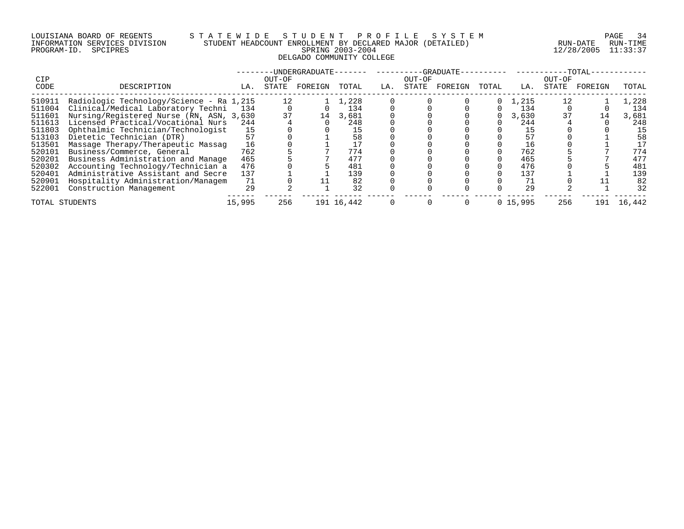## LOUISIANA BOARD OF REGENTS S T A T E W I D E S T U D E N T P R O F I L E S Y S T E M PAGE 34 INFORMATION SERVICES DIVISION STUDENT HEADCOUNT ENROLLMENT BY DECLARED MAJOR (DETAILED) RUN-DATE RUN-TIME PROGRAM-ID. SPCIPRES SPRING 2003-2004 12/28/2005 11:33:37 DELGADO COMMUNITY COLLEGE

| <b>CIP</b>                           |                                                                                                                                           |                        | OUT-OF   | -UNDERGRADUATE- |                        |     | OUT-OF | -GRADUATE- |          |                       | OUT-OF | -TOTAL- |                        |
|--------------------------------------|-------------------------------------------------------------------------------------------------------------------------------------------|------------------------|----------|-----------------|------------------------|-----|--------|------------|----------|-----------------------|--------|---------|------------------------|
| CODE                                 | DESCRIPTION                                                                                                                               | LA.                    | STATE    | FOREIGN         | TOTAL                  | LA. | STATE  | FOREIGN    | TOTAL    | LA.                   | STATE  | FOREIGN | TOTAL                  |
| 510911<br>511004<br>511601           | Radiologic Technology/Science - Ra 1,215<br>Clinical/Medical Laboratory Techni<br>Nursing/Registered Nurse (RN, ASN, 3,630)               | -134                   | 12<br>37 | 14              | 1,228<br>134<br>3,681  |     |        |            | $\Omega$ | 1,215<br>134<br>3,630 |        | 14      | 1,228<br>134<br>3,681  |
| 511613<br>511803<br>513103           | Licensed Practical/Vocational Nurs<br>Ophthalmic Technician/Technologist<br>Dietetic Technician (DTR)                                     | 244<br>15<br>57        |          |                 | 248<br>58              |     |        |            |          | 244<br>15             |        |         | 248<br>15<br>58        |
| 513501<br>520101<br>520201           | Massage Therapy/Therapeutic Massag<br>Business/Commerce, General<br>Business Administration and Manage                                    | 16<br>762<br>465       |          |                 | 774<br>477             |     |        |            |          | 16<br>762<br>465      |        |         | 17<br>774<br>477       |
| 520302<br>520401<br>520901<br>522001 | Accounting Technology/Technician a<br>Administrative Assistant and Secre<br>Hospitality Administration/Managem<br>Construction Management | 476<br>137<br>71<br>29 |          |                 | 481<br>139<br>82<br>32 |     |        |            |          | 476<br>137<br>29      |        |         | 481<br>139<br>82<br>32 |
| TOTAL STUDENTS                       |                                                                                                                                           | 15,995                 | 256      |                 | 191 16,442             |     |        |            |          | 0, 15, 995            | 256    | 191     | 16,442                 |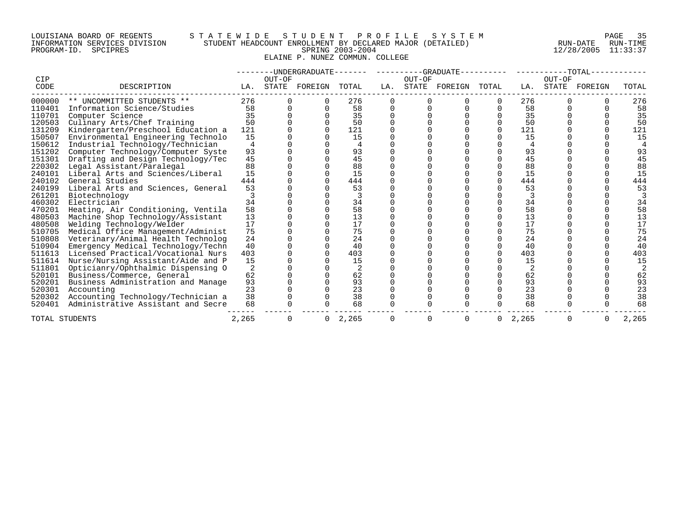## LOUISIANA BOARD OF REGENTS S T A T E W I D E S T U D E N T P R O F I L E S Y S T E M PAGE 35 INFORMATION SERVICES DIVISION STUDENT HEADCOUNT ENROLLMENT BY DECLARED MAJOR (DETAILED) RUN-DATE RUN-TIME PROGRAM-ID. SPCIPRES SPRING 2003-2004 12/28/2005 11:33:37 ELAINE P. NUNEZ COMMUN. COLLEGE

|                |                                    |       | --UNDERGRADUATE------- |               |       |     | ----------GRADUATE- |         |          |       | $-TOTAL-$       |         |       |  |
|----------------|------------------------------------|-------|------------------------|---------------|-------|-----|---------------------|---------|----------|-------|-----------------|---------|-------|--|
| CIP<br>CODE    | DESCRIPTION                        | LA.   | OUT-OF                 | STATE FOREIGN | TOTAL | LA. | OUT-OF<br>STATE     | FOREIGN | TOTAL    | LA.   | OUT-OF<br>STATE | FOREIGN | TOTAL |  |
| 000000         | ** UNCOMMITTED STUDENTS **         | 276   |                        |               | 276   |     |                     |         |          | 276   |                 |         | 276   |  |
| 110401         | Information Science/Studies        | 58    |                        |               | 58    |     |                     |         |          | 58    |                 |         | 58    |  |
| 110701         | Computer Science                   | 35    |                        |               | 35    |     |                     |         |          | 35    |                 |         | 35    |  |
| 120503         | Culinary Arts/Chef Training        | 50    |                        |               | 50    |     |                     |         |          | 50    |                 |         | 50    |  |
| 131209         | Kindergarten/Preschool Education a | 121   |                        |               | 121   |     |                     |         | $\Omega$ | 121   |                 |         | 121   |  |
| 150507         | Environmental Engineering Technolo | 15    |                        |               | 15    |     |                     |         |          | 15    |                 |         | 15    |  |
| 150612         | Industrial Technology/Technician   |       |                        |               |       |     |                     |         |          |       |                 |         |       |  |
| 151202         | Computer Technology/Computer Syste | 93    |                        |               | 93    |     |                     |         |          | 93    |                 |         | 93    |  |
| 151301         | Drafting and Design Technology/Tec | 45    |                        |               | 45    |     |                     |         |          | 45    |                 |         | 45    |  |
| 220302         | Legal Assistant/Paralegal          | 88    |                        |               | 88    |     |                     |         |          | 88    |                 |         | 88    |  |
| 240101         | Liberal Arts and Sciences/Liberal  | 15    |                        |               | 15    |     |                     |         | 0        | 15    |                 |         | 15    |  |
| 240102         | General Studies                    | 444   |                        |               | 444   |     |                     |         | 0        | 444   |                 |         | 444   |  |
| 240199         | Liberal Arts and Sciences, General | 53    |                        |               | 53    |     |                     |         |          | 53    |                 |         | 53    |  |
| 261201         | Biotechnology                      |       |                        |               |       |     |                     |         |          |       |                 |         |       |  |
| 460302         | Electrician                        | 34    |                        |               | 34    |     |                     |         |          | 34    |                 |         | 34    |  |
| 470201         | Heating, Air Conditioning, Ventila | 58    |                        |               | 58    |     |                     |         |          | 58    |                 |         | 58    |  |
| 480503         | Machine Shop Technology/Assistant  | 13    |                        |               | 13    |     |                     |         |          | 13    |                 |         | 13    |  |
| 480508         | Welding Technology/Welder          | 17    |                        |               | 17    |     |                     |         |          | 17    |                 |         | 17    |  |
| 510705         | Medical Office Management/Administ | 75    |                        |               | 75    |     |                     |         |          | 75    |                 |         | 75    |  |
| 510808         | Veterinary/Animal Health Technolog | 24    |                        |               | 24    |     |                     |         |          | 24    |                 |         | 24    |  |
| 510904         | Emergency Medical Technology/Techn | 40    |                        |               | 40    |     |                     |         |          | 40    |                 |         | 40    |  |
| 511613         | Licensed Practical/Vocational Nurs | 403   |                        |               | 403   |     |                     |         |          | 403   |                 |         | 403   |  |
| 511614         | Nurse/Nursing Assistant/Aide and P | 15    |                        |               | 15    |     |                     |         |          | 15    |                 |         | 15    |  |
| 511801         | Opticianry/Ophthalmic Dispensing O | 2     |                        |               |       |     |                     |         |          |       |                 |         |       |  |
| 520101         | Business/Commerce, General         | 62    |                        |               | 62    |     |                     |         |          | 62    |                 |         | 62    |  |
| 520201         | Business Administration and Manage | 93    |                        |               | 93    |     |                     |         |          | 93    |                 |         | 93    |  |
| 520301         | Accounting                         | 23    |                        |               | 23    |     |                     |         |          | 23    |                 |         | 23    |  |
| 520302         | Accounting Technology/Technician a | 38    |                        |               | 38    |     |                     |         |          | 38    |                 |         | 38    |  |
| 520401         | Administrative Assistant and Secre | 68    |                        |               | 68    |     |                     |         |          | 68    |                 |         | 68    |  |
| TOTAL STUDENTS |                                    | 2,265 | O                      | 0             | 2,265 |     | O                   |         | 0        | 2,265 |                 |         | 2,265 |  |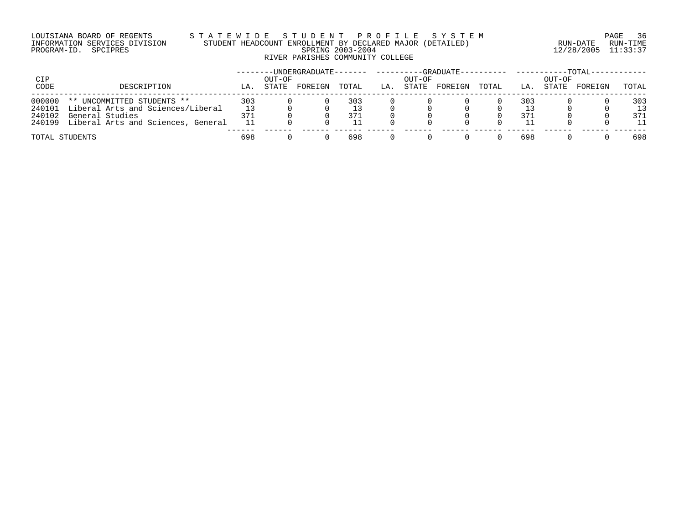## LOUISIANA BOARD OF REGENTS S T A T E W I D E S T U D E N T P R O F I L E S Y S T E M PAGE 36 INFORMATION SERVICES DIVISION STUDENT HEADCOUNT ENROLLMENT BY DECLARED MAJOR (DETAILED) RUN-DATE RUN-TIME PROGRAM-ID. SPCIPRES SPRING 2003-2004 12/28/2005 11:33:37 RIVER PARISHES COMMUNITY COLLEGE

|                |                                           | -UNDERGRADUATE------- |        |         |       |     |        | -GRADUATE--- |       | -TOTAL - |        |         |       |  |
|----------------|-------------------------------------------|-----------------------|--------|---------|-------|-----|--------|--------------|-------|----------|--------|---------|-------|--|
| CIP            |                                           |                       | OUT-OF |         |       |     | OUT-OF |              |       |          | OUT-OF |         |       |  |
| CODE           | DESCRIPTION                               | LA.                   | STATE  | FOREIGN | TOTAL | LA. | STATE  | FOREIGN      | TOTAL | LA.      | STATE  | FOREIGN | TOTAL |  |
| 000000         | ** UNCOMMITTED STUDENTS **                | 303                   |        |         | 303   |     |        |              |       | 303      |        |         | 303   |  |
| 240101         | Liberal Arts and Sciences/Liberal         | 13                    |        |         |       |     |        |              |       |          |        |         | 13    |  |
| 240102         | General Studies                           | 371                   |        |         | 371   |     |        |              |       | 371      |        |         | 371   |  |
|                | 240199 Liberal Arts and Sciences, General |                       |        |         |       |     |        |              |       |          |        |         | 11    |  |
| TOTAL STUDENTS |                                           | 698                   |        |         | 698   |     |        |              |       | 698      |        |         | 698   |  |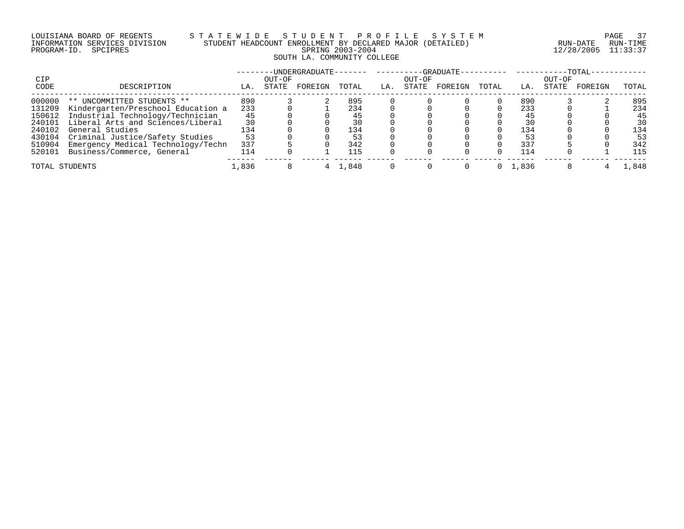#### LOUISIANA BOARD OF REGENTS S T A T E W I D E S T U D E N T P R O F I L E S Y S T E M PAGE 37 INFORMATION SERVICES DIVISION STUDENT HEADCOUNT ENROLLMENT BY DECLARED MAJOR (DETAILED) RUN-DATE RUN-TIME PROGRAM-ID. SPCIPRES SPRING 2003-2004 12/28/2005 11:33:37 SOUTH LA. COMMUNITY COLLEGE

|        |                                    |       |        | -UNDERGRADUATE------- |       |     |        | $-$ GRADUATE $-$ |       |       |        | $-TOTAL-$ |       |
|--------|------------------------------------|-------|--------|-----------------------|-------|-----|--------|------------------|-------|-------|--------|-----------|-------|
| CIP    |                                    |       | OUT-OF |                       |       |     | OUT-OF |                  |       |       | OUT-OF |           |       |
| CODE   | DESCRIPTION                        | LA.   | STATE  | FOREIGN               | TOTAL | LA. | STATE  | FOREIGN          | TOTAL | LA.   | STATE  | FOREIGN   | TOTAL |
| 000000 | ** UNCOMMITTED STUDENTS **         | 890   |        |                       | 895   |     |        |                  |       | 890   |        |           | 895   |
| 131209 | Kindergarten/Preschool Education a | 233   |        |                       | 234   |     |        |                  |       | 233   |        |           | 234   |
| 150612 | Industrial Technology/Technician   | 45    |        |                       |       |     |        |                  |       |       |        |           | 45    |
| 240101 | Liberal Arts and Sciences/Liberal  | 30    |        |                       |       |     |        |                  |       | 30    |        |           | 30    |
| 240102 | General Studies                    | 134   |        |                       | 134   |     |        |                  |       | 134   |        |           | 134   |
| 430104 | Criminal Justice/Safety Studies    | 53    |        |                       |       |     |        |                  |       |       |        |           | 53    |
| 510904 | Emergency Medical Technology/Techn | 337   |        |                       | 342   |     |        |                  |       | 337   |        |           | 342   |
| 520101 | Business/Commerce, General         | 114   |        |                       | 115   |     |        |                  |       | 114   |        |           | 115   |
|        | TOTAL STUDENTS                     | 1,836 |        |                       | 1,848 |     |        |                  |       | 1,836 |        |           | .848  |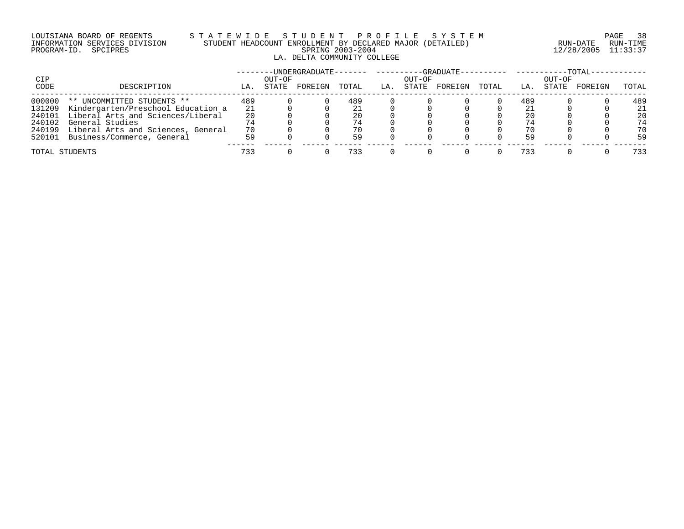#### LOUISIANA BOARD OF REGENTS S T A T E W I D E S T U D E N T P R O F I L E S Y S T E M PAGE 38 INFORMATION SERVICES DIVISION STUDENT HEADCOUNT ENROLLMENT BY DECLARED MAJOR (DETAILED) RUN-DATE RUN-TIME PROGRAM-ID. SPCIPRES SPRING 2003-2004 12/28/2005 11:33:37 LA. DELTA COMMUNITY COLLEGE

|                |                                    |     |                 | -UNDERGRADUATE- |       |     |                 | $-GRADIIATE-$ |       |     |                 | $-TOTAL-$ |       |
|----------------|------------------------------------|-----|-----------------|-----------------|-------|-----|-----------------|---------------|-------|-----|-----------------|-----------|-------|
| CIP<br>CODE    | DESCRIPTION                        | LA. | OUT-OF<br>STATE | FOREIGN         | TOTAL | LA. | OUT-OF<br>STATE | FOREIGN       | TOTAL | LA. | OUT-OF<br>STATE | FOREIGN   | TOTAL |
| 000000         | ** UNCOMMITTED STUDENTS **         | 489 |                 |                 | 489   |     |                 |               |       | 489 |                 |           | 489   |
| 131209         | Kindergarten/Preschool Education a | 21  |                 |                 |       |     |                 |               |       |     |                 |           | 21    |
| 240101         | Liberal Arts and Sciences/Liberal  | 20  |                 |                 | 20    |     |                 |               |       | 20  |                 |           | 20    |
| 240102         | General Studies                    |     |                 |                 | 74    |     |                 |               |       |     |                 |           | 74    |
| 240199         | Liberal Arts and Sciences, General | 70  |                 |                 | 70    |     |                 |               |       |     |                 |           | 70    |
| 520101         | Business/Commerce, General         | 59  |                 |                 | 59    |     |                 |               |       | 59  |                 |           | 59    |
| TOTAL STUDENTS |                                    | 733 |                 |                 | 733   |     |                 |               |       | 733 |                 |           | 733   |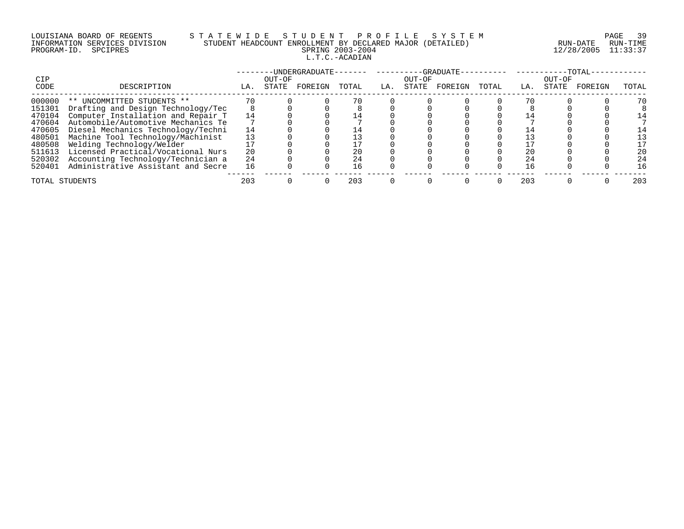# LOUISIANA BOARD OF REGENTS S T A T E W I D E S T U D E N T P R O F I L E S Y S T E M PAGE 39 INFORMATION SERVICES DIVISION STUDENT HEADCOUNT ENROLLMENT BY DECLARED MAJOR (DETAILED) RUN-DATE RUN-TIME PROGRAM-ID. SPCIPRES SPRING 2003-2004 12/28/2005 11:33:37 L.T.C.-ACADIAN

| CIP            |                                    |     | OUT-OF | -UNDERGRADUATE- |       |     | OUT-OF | -GRADUATE- |       |     | OUT-OF | $-TOTAL-$ |       |
|----------------|------------------------------------|-----|--------|-----------------|-------|-----|--------|------------|-------|-----|--------|-----------|-------|
| CODE           | DESCRIPTION                        | LA. | STATE  | FOREIGN         | TOTAL | LA. | STATE  | FOREIGN    | TOTAL | LA. | STATE  | FOREIGN   | TOTAL |
| 000000         | ** UNCOMMITTED STUDENTS **         |     |        |                 |       |     |        |            |       |     |        |           | 70    |
| 151301         | Drafting and Design Technology/Tec |     |        |                 |       |     |        |            |       |     |        |           |       |
| 470104         | Computer Installation and Repair T | 14  |        |                 |       |     |        |            |       |     |        |           | 14    |
| 470604         | Automobile/Automotive Mechanics Te |     |        |                 |       |     |        |            |       |     |        |           |       |
| 470605         | Diesel Mechanics Technology/Techni | 14  |        |                 |       |     |        |            |       |     |        |           |       |
| 480501         | Machine Tool Technology/Machinist  |     |        |                 |       |     |        |            |       |     |        |           | 13    |
| 480508         | Welding Technology/Welder          |     |        |                 |       |     |        |            |       |     |        |           | 17    |
| 511613         | Licensed Practical/Vocational Nurs | 20  |        |                 |       |     |        |            |       | 20  |        |           | 20    |
| 520302         | Accounting Technology/Technician a | 24  |        |                 |       |     |        |            |       | 24  |        |           | 24    |
| 520401         | Administrative Assistant and Secre | 16  |        |                 | 16    |     |        |            |       | 16  |        |           | 16    |
| TOTAL STUDENTS |                                    | 203 |        |                 | 203   |     |        |            |       | 203 |        |           | 203   |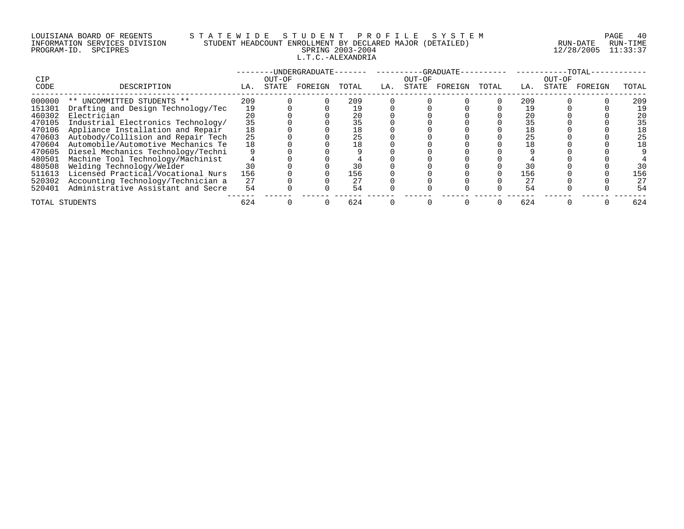# LOUISIANA BOARD OF REGENTS S T A T E W I D E S T U D E N T P R O F I L E S Y S T E M PAGE 40 INFORMATION SERVICES DIVISION STUDENT HEADCOUNT ENROLLMENT BY DECLARED MAJOR (DETAILED) RUN-DATE RUN-TIME PROGRAM-ID. SPCIPRES SPRING 2003-2004 12/28/2005 11:33:37 L.T.C.-ALEXANDRIA

| <b>CIP</b>     |                                    |     | OUT-OF | -UNDERGRADUATE- |       |     | OUT-OF | -GRADUATE- |       |     | OUT-OF | -TOTAL- |       |
|----------------|------------------------------------|-----|--------|-----------------|-------|-----|--------|------------|-------|-----|--------|---------|-------|
| CODE           | DESCRIPTION                        | LA. | STATE  | FOREIGN         | TOTAL | LA. | STATE  | FOREIGN    | TOTAL | LA. | STATE  | FOREIGN | TOTAL |
| 000000         | ** UNCOMMITTED STUDENTS **         | 209 |        |                 | 209   |     |        |            |       | 209 |        |         | 209   |
| 151301         | Drafting and Design Technology/Tec | 19  |        |                 |       |     |        |            |       |     |        |         | 19    |
| 460302         | Electrician                        | 20  |        |                 |       |     |        |            |       | 20  |        |         | 20    |
| 470105         | Industrial Electronics Technology/ | 35  |        |                 | 35    |     |        |            |       |     |        |         | 35    |
| 470106         | Appliance Installation and Repair  | 18  |        |                 | 18    |     |        |            |       | 18  |        |         | 18    |
| 470603         | Autobody/Collision and Repair Tech | 25  |        |                 |       |     |        |            |       | 25  |        |         | 25    |
| 470604         | Automobile/Automotive Mechanics Te | 18  |        |                 | 18    |     |        |            |       |     |        |         | 18    |
| 470605         | Diesel Mechanics Technology/Techni |     |        |                 |       |     |        |            |       |     |        |         |       |
| 480501         | Machine Tool Technology/Machinist  |     |        |                 |       |     |        |            |       |     |        |         |       |
| 480508         | Welding Technology/Welder          | 30  |        |                 |       |     |        |            |       | 30  |        |         | 30    |
| 511613         | Licensed Practical/Vocational Nurs | 156 |        |                 | 156   |     |        |            |       | 156 |        |         | 156   |
| 520302         | Accounting Technology/Technician a | 27  |        |                 | 27    |     |        |            |       | 27  |        |         | 27    |
| 520401         | Administrative Assistant and Secre | 54  |        |                 |       |     |        |            |       | 54  |        |         | 54    |
| TOTAL STUDENTS |                                    | 624 |        |                 | 624   |     |        |            |       | 624 |        |         | 624   |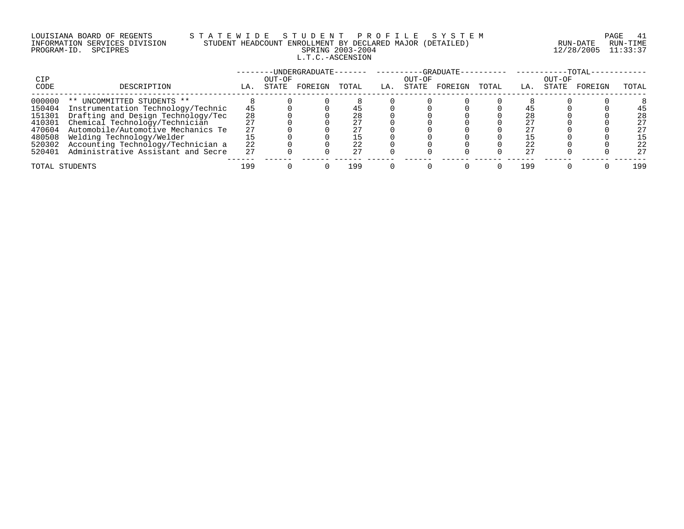# LOUISIANA BOARD OF REGENTS S T A T E W I D E S T U D E N T P R O F I L E S Y S T E M PAGE 41 INFORMATION SERVICES DIVISION STUDENT HEADCOUNT ENROLLMENT BY DECLARED MAJOR (DETAILED) RUN-DATE RUN-TIME PROGRAM-ID. SPCIPRES SPRING 2003-2004 12/28/2005 11:33:37 L.T.C.-ASCENSION

|        |                                    |     |        | -UNDERGRADUATE------- |       |     |        | ---GRADUATE----------     ------- |       |     |        | $-{\tt TOTAL}$ |       |
|--------|------------------------------------|-----|--------|-----------------------|-------|-----|--------|-----------------------------------|-------|-----|--------|----------------|-------|
| CIP    |                                    |     | OUT-OF |                       |       |     | OUT-OF |                                   |       |     | OUT-OF |                |       |
| CODE   | DESCRIPTION                        | LA. | STATE  | FOREIGN               | TOTAL | LA. | STATE  | FOREIGN                           | TOTAL | LA. | STATE  | FOREIGN        | TOTAL |
| 000000 | ** UNCOMMITTED STUDENTS **         |     |        |                       |       |     |        |                                   |       |     |        |                |       |
| 150404 | Instrumentation Technology/Technic | 45  |        |                       |       |     |        |                                   |       |     |        |                | 45    |
| 151301 | Drafting and Design Technology/Tec | 28  |        |                       |       |     |        |                                   |       | 28  |        |                | 28    |
| 410301 | Chemical Technology/Technician     |     |        |                       |       |     |        |                                   |       |     |        |                | 27    |
| 470604 | Automobile/Automotive Mechanics Te |     |        |                       |       |     |        |                                   |       |     |        |                | 27    |
| 480508 | Welding Technology/Welder          |     |        |                       |       |     |        |                                   |       |     |        |                | 15    |
| 520302 | Accounting Technology/Technician a | 22  |        |                       |       |     |        |                                   |       |     |        |                | 22    |
| 520401 | Administrative Assistant and Secre | 27  |        |                       |       |     |        |                                   |       | 27  |        |                | 27    |
|        | TOTAL STUDENTS                     | 199 |        |                       | 199   |     |        |                                   |       | 199 |        |                | 199   |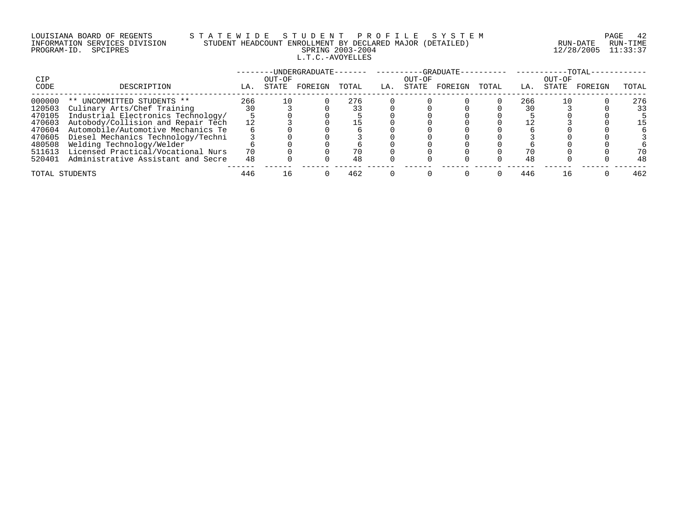# LOUISIANA BOARD OF REGENTS S T A T E W I D E S T U D E N T P R O F I L E S Y S T E M PAGE 42 INFORMATION SERVICES DIVISION STUDENT HEADCOUNT ENROLLMENT BY DECLARED MAJOR (DETAILED) RUN-DATE RUN-TIME PROGRAM-ID. SPCIPRES SPRING 2003-2004 12/28/2005 11:33:37 L.T.C.-AVOYELLES

|                |                                    |     |                 | -UNDERGRADUATE- |       |     |                 | $-GRADIIATE-$ |       |     |                 | $-$ TOTAL $\cdot$ |       |
|----------------|------------------------------------|-----|-----------------|-----------------|-------|-----|-----------------|---------------|-------|-----|-----------------|-------------------|-------|
| CIP<br>CODE    | DESCRIPTION                        | LA. | OUT-OF<br>STATE | FOREIGN         | TOTAL | LA. | OUT-OF<br>STATE | FOREIGN       | TOTAL | LA. | OUT-OF<br>STATE | FOREIGN           | TOTAL |
| 000000         | ** UNCOMMITTED STUDENTS **         | 266 | 10              |                 | 276   |     |                 |               |       | 266 |                 |                   | 276   |
| 120503         | Culinary Arts/Chef Training        | 30  |                 |                 |       |     |                 |               |       |     |                 |                   | 33    |
| 470105         | Industrial Electronics Technology/ |     |                 |                 |       |     |                 |               |       |     |                 |                   |       |
| 470603         | Autobody/Collision and Repair Tech | 12  |                 |                 |       |     |                 |               |       |     |                 |                   | 15    |
| 470604         | Automobile/Automotive Mechanics Te |     |                 |                 |       |     |                 |               |       |     |                 |                   |       |
| 470605         | Diesel Mechanics Technology/Techni |     |                 |                 |       |     |                 |               |       |     |                 |                   |       |
| 480508         | Welding Technology/Welder          |     |                 |                 |       |     |                 |               |       |     |                 |                   |       |
| 511613         | Licensed Practical/Vocational Nurs | 70  |                 |                 |       |     |                 |               |       |     |                 |                   | 70    |
| 520401         | Administrative Assistant and Secre | 48  |                 |                 | 48    |     |                 |               |       | 48  |                 |                   | 48    |
| TOTAL STUDENTS |                                    | 446 | Lб              |                 | 462   |     |                 |               |       | 446 |                 |                   | 462   |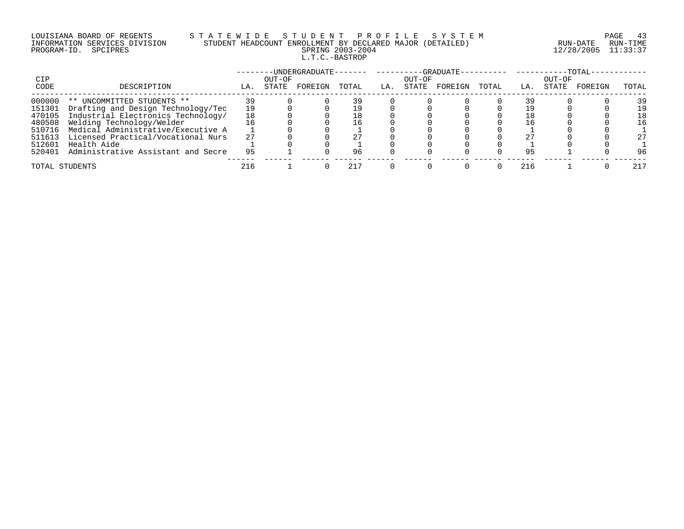# LOUISIANA BOARD OF REGENTS S T A T E W I D E S T U D E N T P R O F I L E S Y S T E M PAGE 43 INFORMATION SERVICES DIVISION STUDENT HEADCOUNT ENROLLMENT BY DECLARED MAJOR (DETAILED) RUN-DATE RUN-TIME PROGRAM-ID. SPCIPRES SPRING 2003-2004 12/28/2005 11:33:37 L.T.C.-BASTROP

|        |                                    |     |        |         |       |     |        |         |       |     |        | $-TOTAI$ |       |
|--------|------------------------------------|-----|--------|---------|-------|-----|--------|---------|-------|-----|--------|----------|-------|
| CIP    |                                    |     | OUT-OF |         |       |     | OUT-OF |         |       |     | OUT-OF |          |       |
| CODE   | DESCRIPTION                        | LA. | STATE  | FOREIGN | TOTAL | LA. | STATE  | FOREIGN | TOTAL | LA. | STATE  | FOREIGN  | TOTAL |
| 000000 | ** UNCOMMITTED STUDENTS **         |     |        |         |       |     |        |         |       |     |        |          | 39    |
| 151301 | Drafting and Design Technology/Tec |     |        |         |       |     |        |         |       |     |        |          | 19    |
| 470105 | Industrial Electronics Technology/ |     |        |         | 18    |     |        |         |       |     |        |          | 18    |
| 480508 | Welding Technology/Welder          |     |        |         | l 6   |     |        |         |       |     |        |          | 16    |
| 510716 | Medical Administrative/Executive A |     |        |         |       |     |        |         |       |     |        |          |       |
| 511613 | Licensed Practical/Vocational Nurs | 27  |        |         |       |     |        |         |       |     |        |          | 27    |
| 512601 | Health Aide                        |     |        |         |       |     |        |         |       |     |        |          |       |
| 520401 | Administrative Assistant and Secre | 95  |        |         | 96    |     |        |         |       | 95  |        |          | 96    |
|        | TOTAL STUDENTS                     | 216 |        |         | 217   |     |        |         |       | 216 |        |          | 217   |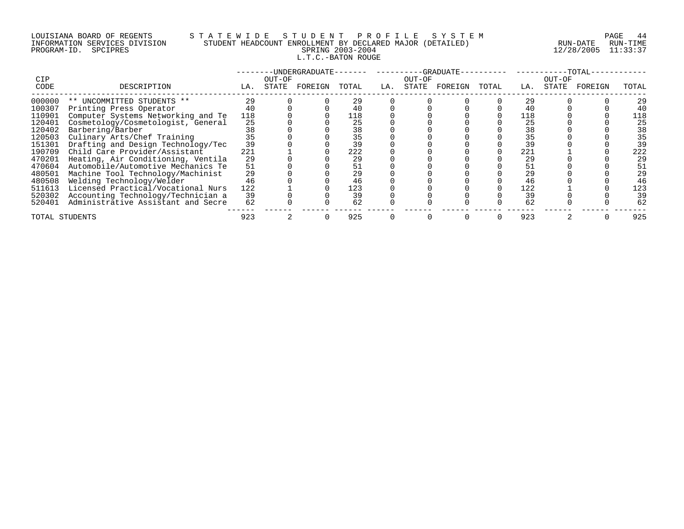# LOUISIANA BOARD OF REGENTS S T A T E W I D E S T U D E N T P R O F I L E S Y S T E M PAGE 44 INFORMATION SERVICES DIVISION STUDENT HEADCOUNT ENROLLMENT BY DECLARED MAJOR (DETAILED) RUN-DATE RUN-TIME PROGRAM-ID. SPCIPRES SPRING 2003-2004 12/28/2005 11:33:37 L.T.C.-BATON ROUGE

| <b>CIP</b>     |                                    |     | OUT-OF | -UNDERGRADUATE- |       |     | OUT-OF | -GRADUATE- |       |     | OUT-OF | -TOTAL- |       |
|----------------|------------------------------------|-----|--------|-----------------|-------|-----|--------|------------|-------|-----|--------|---------|-------|
| CODE           | DESCRIPTION                        | LA. | STATE  | FOREIGN         | TOTAL | LA. | STATE  | FOREIGN    | TOTAL | LA. | STATE  | FOREIGN | TOTAL |
| 000000         | ** UNCOMMITTED STUDENTS **         | 29  |        |                 | 29    |     |        |            |       | 29  |        |         | 29    |
| 100307         | Printing Press Operator            |     |        |                 |       |     |        |            |       |     |        |         | 40    |
| 110901         | Computer Systems Networking and Te | 118 |        |                 | 118   |     |        |            |       | 118 |        |         | 118   |
| 120401         | Cosmetology/Cosmetologist, General | 25  |        |                 | 25    |     |        |            |       | 25  |        |         | 25    |
| 120402         | Barbering/Barber                   | 38  |        |                 | 38    |     |        |            |       | 38  |        |         | 38    |
| 120503         | Culinary Arts/Chef Training        | 35  |        |                 | 35    |     |        |            |       | 35  |        |         | 35    |
| 151301         | Drafting and Design Technology/Tec | 39  |        |                 | 39    |     |        |            |       |     |        |         | 39    |
| 190709         | Child Care Provider/Assistant      | 221 |        |                 | 222   |     |        |            |       | 221 |        |         | 222   |
| 470201         | Heating, Air Conditioning, Ventila | 29  |        |                 | 29    |     |        |            |       | 29  |        |         | 29    |
| 470604         | Automobile/Automotive Mechanics Te | 51  |        |                 | 51    |     |        |            |       |     |        |         | 51    |
| 480501         | Machine Tool Technology/Machinist  | 29  |        |                 | 29    |     |        |            |       | 29  |        |         | 29    |
| 480508         | Welding Technology/Welder          | 46  |        |                 | 46    |     |        |            |       | 46  |        |         | 46    |
| 511613         | Licensed Practical/Vocational Nurs | 122 |        |                 | 123   |     |        |            |       | 122 |        |         | 123   |
| 520302         | Accounting Technology/Technician a | 39  |        |                 | 39    |     |        |            |       | 39  |        |         | 39    |
| 520401         | Administrative Assistant and Secre | 62  |        |                 | 62    |     |        |            |       | 62  |        |         | 62    |
| TOTAL STUDENTS |                                    | 923 |        |                 | 925   |     |        |            |       | 923 |        |         | 925   |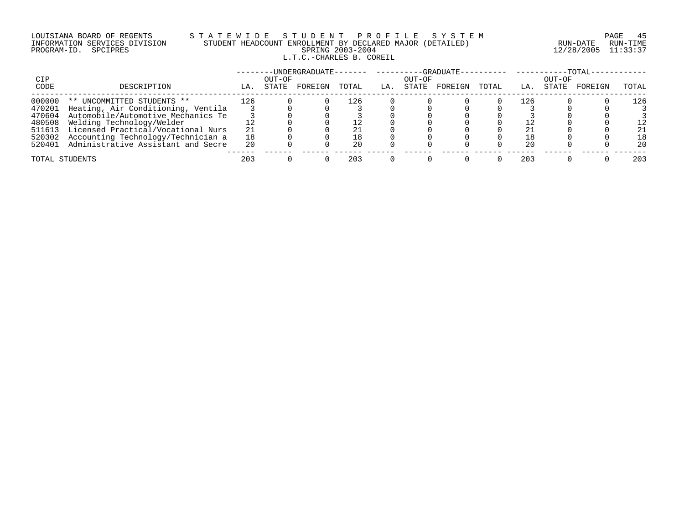### LOUISIANA BOARD OF REGENTS S T A T E W I D E S T U D E N T P R O F I L E S Y S T E M PAGE 45 INFORMATION SERVICES DIVISION STUDENT HEADCOUNT ENROLLMENT BY DECLARED MAJOR (DETAILED) RUN-DATE RUN-TIME PROGRAM-ID. SPCIPRES SPRING 2003-2004 12/28/2005 11:33:37 L.T.C.-CHARLES B. COREIL

|             |                                    |     |                 | -UNDERGRADUATE- |       |     |                 | $-$ -GRADUATE $-$ |       |     |                 | $-TOTAL-$ |       |
|-------------|------------------------------------|-----|-----------------|-----------------|-------|-----|-----------------|-------------------|-------|-----|-----------------|-----------|-------|
| CIP<br>CODE | DESCRIPTION                        | LA. | OUT-OF<br>STATE | FOREIGN         | TOTAL | LA. | OUT-OF<br>STATE | FOREIGN           | TOTAL | LA. | OUT-OF<br>STATE | FOREIGN   | TOTAL |
|             |                                    |     |                 |                 |       |     |                 |                   |       |     |                 |           |       |
| 000000      | ** UNCOMMITTED STUDENTS **         | 126 |                 |                 | ⊥26.  |     |                 |                   |       | 126 |                 |           | l 26  |
| 470201      | Heating, Air Conditioning, Ventila |     |                 |                 |       |     |                 |                   |       |     |                 |           |       |
| 470604      | Automobile/Automotive Mechanics Te |     |                 |                 |       |     |                 |                   |       |     |                 |           |       |
| 480508      | Welding Technology/Welder          |     |                 |                 |       |     |                 |                   |       |     |                 |           |       |
| 511613      | Licensed Practical/Vocational Nurs | 21  |                 |                 |       |     |                 |                   |       |     |                 |           | 21    |
| 520302      | Accounting Technology/Technician a | 18  |                 |                 |       |     |                 |                   |       |     |                 |           | 18    |
| 520401      | Administrative Assistant and Secre | 20  |                 |                 | 20    |     |                 |                   |       | 20  |                 |           | 20    |
|             | TOTAL STUDENTS                     | 203 |                 |                 | 203   |     |                 |                   |       | 203 |                 |           | 203   |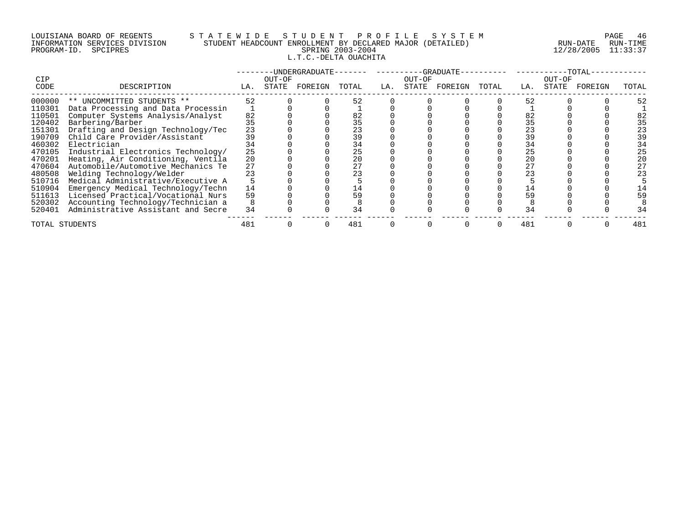#### LOUISIANA BOARD OF REGENTS S T A T E W I D E S T U D E N T P R O F I L E S Y S T E M PAGE 46 INFORMATION SERVICES DIVISION STUDENT HEADCOUNT ENROLLMENT BY DECLARED MAJOR (DETAILED) RUN-DATE RUN-TIME PROGRAM-ID. SPCIPRES SPRING 2003-2004 12/28/2005 11:33:37 L.T.C.-DELTA OUACHITA

|                    |                                    |     |                 | -UNDERGRADUATE- |       |     |                 | $-GRADUATE$ |       |     |                 | -TOTAL· |       |
|--------------------|------------------------------------|-----|-----------------|-----------------|-------|-----|-----------------|-------------|-------|-----|-----------------|---------|-------|
| <b>CIP</b><br>CODE | DESCRIPTION                        | LA. | OUT-OF<br>STATE | FOREIGN         | TOTAL | LA. | OUT-OF<br>STATE | FOREIGN     | TOTAL | LA. | OUT-OF<br>STATE | FOREIGN | TOTAL |
|                    |                                    |     |                 |                 |       |     |                 |             |       |     |                 |         |       |
| 000000             | ** UNCOMMITTED STUDENTS **         | 52  |                 |                 | 52    |     |                 |             |       | 52  |                 |         |       |
| 110301             | Data Processing and Data Processin |     |                 |                 |       |     |                 |             |       |     |                 |         |       |
| 110501             | Computer Systems Analysis/Analyst  | 82  |                 |                 | 82    |     |                 |             |       | 82  |                 |         |       |
| 120402             | Barbering/Barber                   | 35  |                 |                 |       |     |                 |             |       | 35  |                 |         |       |
| 151301             | Drafting and Design Technology/Tec | 23  |                 |                 | 23    |     |                 |             |       | 23  |                 |         | 23    |
| 190709             | Child Care Provider/Assistant      |     |                 |                 | 39    |     |                 |             |       | 39  |                 |         |       |
| 460302             | Electrician                        |     |                 |                 | 34    |     |                 |             |       |     |                 |         |       |
| 470105             | Industrial Electronics Technology/ | 25  |                 |                 | 25    |     |                 |             |       | 25  |                 |         | 25    |
| 470201             | Heating, Air Conditioning, Ventila | 20  |                 |                 |       |     |                 |             |       | 20  |                 |         | 20    |
| 470604             | Automobile/Automotive Mechanics Te | 27  |                 |                 |       |     |                 |             |       | 27  |                 |         | 27    |
| 480508             | Welding Technology/Welder          | 23  |                 |                 |       |     |                 |             |       | 23  |                 |         | 23    |
| 510716             | Medical Administrative/Executive A |     |                 |                 |       |     |                 |             |       |     |                 |         |       |
| 510904             | Emergency Medical Technology/Techn | 14  |                 |                 |       |     |                 |             |       | 14  |                 |         |       |
| 511613             | Licensed Practical/Vocational Nurs | 59  |                 |                 | 59    |     |                 |             |       |     |                 |         |       |
| 520302             | Accounting Technology/Technician a |     |                 |                 |       |     |                 |             |       |     |                 |         |       |
| 520401             | Administrative Assistant and Secre | 34  |                 |                 | 34    |     |                 |             |       | 34  |                 |         |       |
|                    | TOTAL STUDENTS                     | 481 |                 |                 | 481   |     |                 |             |       | 481 |                 |         | 481   |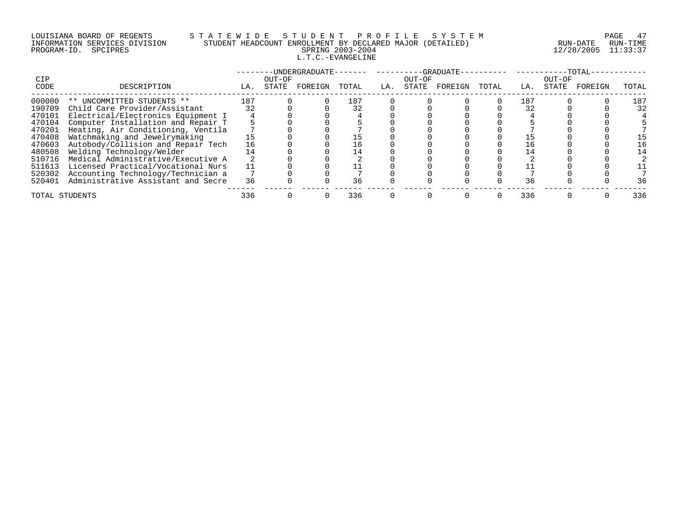# LOUISIANA BOARD OF REGENTS S T A T E W I D E S T U D E N T P R O F I L E S Y S T E M PAGE 47 INFORMATION SERVICES DIVISION STUDENT HEADCOUNT ENROLLMENT BY DECLARED MAJOR (DETAILED) RUN-DATE RUN-TIME PROGRAM-ID. SPCIPRES SPRING 2003-2004 12/28/2005 11:33:37 L.T.C.-EVANGELINE

| CIP            |                                    |     | OUT-OF | -UNDERGRADUATE- |       |     | OUT-OF | -GRADUATE- |       |     | OUT-OF | $-TOTAL-$ |       |
|----------------|------------------------------------|-----|--------|-----------------|-------|-----|--------|------------|-------|-----|--------|-----------|-------|
| CODE           | DESCRIPTION                        | LA. | STATE  | FOREIGN         | TOTAL | LA. | STATE  | FOREIGN    | TOTAL | LA. | STATE  | FOREIGN   | TOTAL |
| 000000         | ** UNCOMMITTED STUDENTS **         | 187 |        |                 | 187   |     |        |            |       | 187 |        |           | 187   |
| 190709         | Child Care Provider/Assistant      | 32  |        |                 |       |     |        |            |       | 32  |        |           | 32    |
| 470101         | Electrical/Electronics Equipment I |     |        |                 |       |     |        |            |       |     |        |           |       |
| 470104         | Computer Installation and Repair T |     |        |                 |       |     |        |            |       |     |        |           |       |
| 470201         | Heating, Air Conditioning, Ventila |     |        |                 |       |     |        |            |       |     |        |           |       |
| 470408         | Watchmaking and Jewelrymaking      |     |        |                 |       |     |        |            |       |     |        |           | 15    |
| 470603         | Autobody/Collision and Repair Tech | 16  |        |                 | 16    |     |        |            |       |     |        |           | 16    |
| 480508         | Welding Technology/Welder          |     |        |                 | 14    |     |        |            |       |     |        |           | 14    |
| 510716         | Medical Administrative/Executive A |     |        |                 |       |     |        |            |       |     |        |           |       |
| 511613         | Licensed Practical/Vocational Nurs |     |        |                 |       |     |        |            |       |     |        |           |       |
| 520302         | Accounting Technology/Technician a |     |        |                 |       |     |        |            |       |     |        |           |       |
| 520401         | Administrative Assistant and Secre | 36  |        |                 | 36    |     |        |            |       | 36  |        |           | 36    |
| TOTAL STUDENTS |                                    | 336 |        |                 | 336   |     |        |            |       | 336 |        |           | 336   |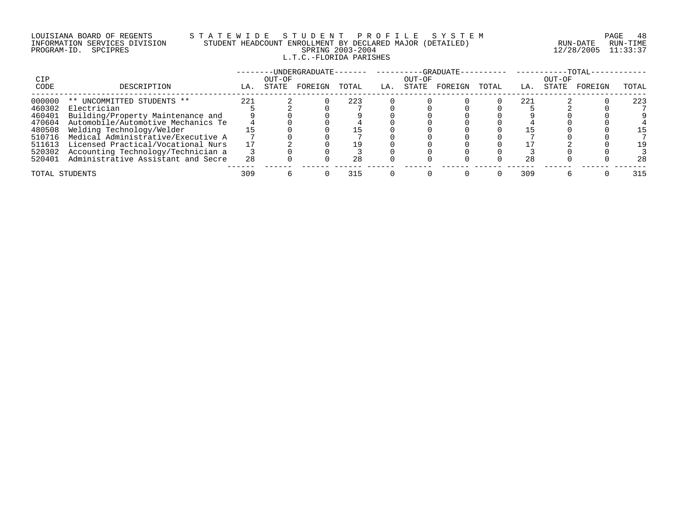## LOUISIANA BOARD OF REGENTS S T A T E W I D E S T U D E N T P R O F I L E S Y S T E M PAGE 48 INFORMATION SERVICES DIVISION STUDENT HEADCOUNT ENROLLMENT BY DECLARED MAJOR (DETAILED) RUN-DATE RUN-TIME PROGRAM-ID. SPCIPRES SPRING 2003-2004 12/28/2005 11:33:37 L.T.C.-FLORIDA PARISHES

|                |                                    |     |        | -UNDERGRADUATE- |       |     |        | --GRADUATE- |       |     |        | -TOTAL  |       |
|----------------|------------------------------------|-----|--------|-----------------|-------|-----|--------|-------------|-------|-----|--------|---------|-------|
| CIP            |                                    |     | OUT-OF |                 |       |     | OUT-OF |             |       |     | OUT-OF |         |       |
| CODE           | DESCRIPTION                        | LA. | STATE  | FOREIGN         | TOTAL | LA. | STATE  | FOREIGN     | TOTAL | LA. | STATE  | FOREIGN | TOTAL |
| 000000         | ** UNCOMMITTED STUDENTS **         | 221 |        |                 | 223   |     |        |             |       | 221 |        |         | 223   |
| 460302         | Electrician                        |     |        |                 |       |     |        |             |       |     |        |         |       |
| 460401         | Building/Property Maintenance and  |     |        |                 |       |     |        |             |       |     |        |         |       |
| 470604         | Automobile/Automotive Mechanics Te |     |        |                 |       |     |        |             |       |     |        |         |       |
| 480508         | Welding Technology/Welder          |     |        |                 |       |     |        |             |       |     |        |         | -5    |
| 510716         | Medical Administrative/Executive A |     |        |                 |       |     |        |             |       |     |        |         |       |
| 511613         | Licensed Practical/Vocational Nurs |     |        |                 | 19    |     |        |             |       |     |        |         | 19    |
| 520302         | Accounting Technology/Technician a |     |        |                 |       |     |        |             |       |     |        |         |       |
| 520401         | Administrative Assistant and Secre | 28  |        |                 | 2.8   |     |        |             |       | 28  |        |         | 28    |
| TOTAL STUDENTS |                                    | 309 |        |                 | 315   |     |        |             |       | 309 |        |         | 315   |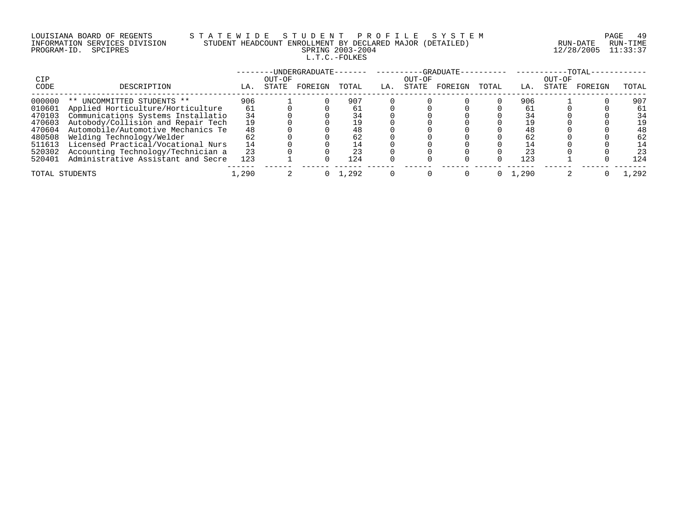# LOUISIANA BOARD OF REGENTS S T A T E W I D E S T U D E N T P R O F I L E S Y S T E M PAGE 49 INFORMATION SERVICES DIVISION STUDENT HEADCOUNT ENROLLMENT BY DECLARED MAJOR (DETAILED) RUN-DATE RUN-TIME PROGRAM-ID. SPCIPRES SPRING 2003-2004 12/28/2005 11:33:37 L.T.C.-FOLKES

|                |                                    |       |        | -UNDERGRADUATE- |       |     |        | $-GRADUATE-$ |       |       |        | -TOTAL- |       |
|----------------|------------------------------------|-------|--------|-----------------|-------|-----|--------|--------------|-------|-------|--------|---------|-------|
| CIP            |                                    |       | OUT-OF |                 |       |     | OUT-OF |              |       |       | OUT-OF |         |       |
| CODE           | DESCRIPTION                        | LA.   | STATE  | FOREIGN         | TOTAL | LA. | STATE  | FOREIGN      | TOTAL | LA.   | STATE  | FOREIGN | TOTAL |
| 000000         | ** UNCOMMITTED STUDENTS **         | 906   |        |                 | 907   |     |        |              |       | 906   |        |         | 907   |
| 010601         | Applied Horticulture/Horticulture  | 61    |        |                 | 61    |     |        |              |       | 61    |        |         | 61    |
| 470103         | Communications Systems Installatio | 34    |        |                 |       |     |        |              |       |       |        |         | 34    |
| 470603         | Autobody/Collision and Repair Tech |       |        |                 |       |     |        |              |       |       |        |         | 19    |
| 470604         | Automobile/Automotive Mechanics Te | 48    |        |                 |       |     |        |              |       | 48    |        |         | 48    |
| 480508         | Welding Technology/Welder          |       |        |                 |       |     |        |              |       | 62    |        |         | 62    |
| 511613         | Licensed Practical/Vocational Nurs | 14    |        |                 |       |     |        |              |       |       |        |         | 14    |
| 520302         | Accounting Technology/Technician a | 23    |        |                 |       |     |        |              |       | 23    |        |         | 23    |
| 520401         | Administrative Assistant and Secre | 123   |        |                 | 124   |     |        |              |       | 123   |        |         | 124   |
| TOTAL STUDENTS |                                    | L,290 |        |                 | 1,292 |     |        |              |       | 1,290 |        |         | .292  |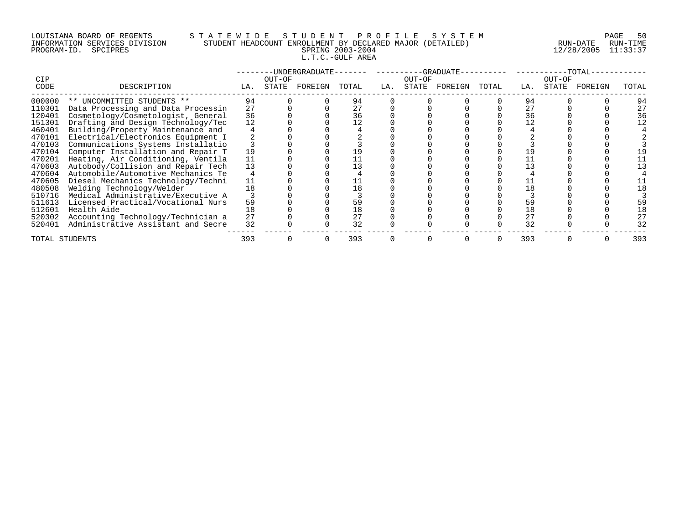## LOUISIANA BOARD OF REGENTS S T A T E W I D E S T U D E N T P R O F I L E S Y S T E M PAGE 50 INFORMATION SERVICES DIVISION STUDENT HEADCOUNT ENROLLMENT BY DECLARED MAJOR (DETAILED) RUN-DATE RUN-TIME PROGRAM-ID. SPCIPRES SPRING 2003-2004 12/28/2005 11:33:37 L.T.C.-GULF AREA

|                |                                    |     |        | -UNDERGRADUATE- |       |     |        | -GRADUATE- |       |     |        | -TOTAL· |       |
|----------------|------------------------------------|-----|--------|-----------------|-------|-----|--------|------------|-------|-----|--------|---------|-------|
| <b>CIP</b>     |                                    |     | OUT-OF |                 |       |     | OUT-OF |            |       |     | OUT-OF |         |       |
| CODE           | DESCRIPTION                        | LA. | STATE  | FOREIGN         | TOTAL | LA. | STATE  | FOREIGN    | TOTAL | LA. | STATE  | FOREIGN | TOTAL |
| 000000         | ** UNCOMMITTED STUDENTS **         | 94  |        |                 | 94    |     |        |            |       | 94  |        |         | 94    |
| 110301         | Data Processing and Data Processin | 27  |        |                 |       |     |        |            |       | 27  |        |         | 27    |
| 120401         | Cosmetology/Cosmetologist, General | 36  |        |                 | 36    |     |        |            |       | 36  |        |         | 36    |
| 151301         | Drafting and Design Technology/Tec | 12  |        |                 |       |     |        |            |       |     |        |         |       |
| 460401         | Building/Property Maintenance and  |     |        |                 |       |     |        |            |       |     |        |         |       |
| 470101         | Electrical/Electronics Equipment I |     |        |                 |       |     |        |            |       |     |        |         |       |
| 470103         | Communications Systems Installatio |     |        |                 |       |     |        |            |       |     |        |         |       |
| 470104         | Computer Installation and Repair T | 19  |        |                 |       |     |        |            |       |     |        |         |       |
| 470201         | Heating, Air Conditioning, Ventila | 11  |        |                 |       |     |        |            |       |     |        |         |       |
| 470603         | Autobody/Collision and Repair Tech | 13  |        |                 |       |     |        |            |       |     |        |         |       |
| 470604         | Automobile/Automotive Mechanics Te |     |        |                 |       |     |        |            |       |     |        |         |       |
| 470605         | Diesel Mechanics Technology/Techni | 11  |        |                 |       |     |        |            |       |     |        |         |       |
| 480508         | Welding Technology/Welder          | 18  |        |                 |       |     |        |            |       |     |        |         |       |
| 510716         | Medical Administrative/Executive A |     |        |                 |       |     |        |            |       |     |        |         |       |
| 511613         | Licensed Practical/Vocational Nurs | 59  |        |                 |       |     |        |            |       | 59  |        |         |       |
| 512601         | Health Aide                        | 18  |        |                 |       |     |        |            |       | 18  |        |         |       |
| 520302         | Accounting Technology/Technician a | 27  |        |                 |       |     |        |            |       | 27  |        |         |       |
| 520401         | Administrative Assistant and Secre | 32  |        |                 | 32    |     |        |            |       | 32  |        |         | 32    |
| TOTAL STUDENTS |                                    | 393 |        |                 | 393   |     |        |            |       | 393 |        |         | 393   |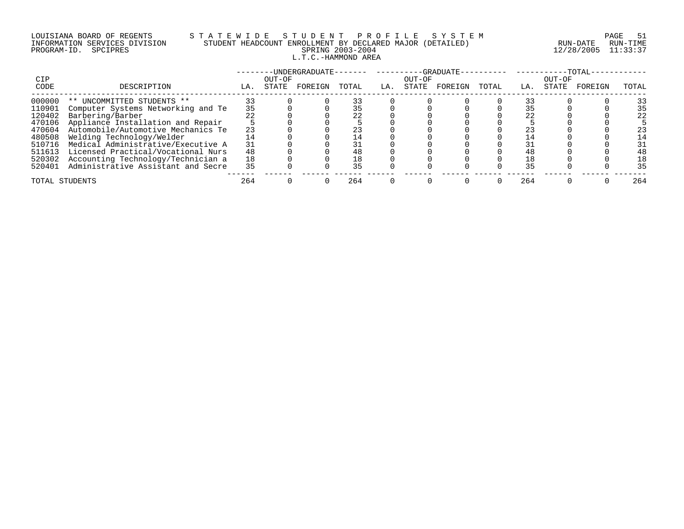# LOUISIANA BOARD OF REGENTS S T A T E W I D E S T U D E N T P R O F I L E S Y S T E M PAGE 51 INFORMATION SERVICES DIVISION STUDENT HEADCOUNT ENROLLMENT BY DECLARED MAJOR (DETAILED) RUN-DATE RUN-TIME PROGRAM-ID. SPCIPRES SPRING 2003-2004 12/28/2005 11:33:37 L.T.C.-HAMMOND AREA

| CIP            |                                    |     | OUT-OF | -UNDERGRADUATE- |       | -------- | OUT-OF | -GRADUATE- |       |     | OUT-OF | -TOTAL  |       |
|----------------|------------------------------------|-----|--------|-----------------|-------|----------|--------|------------|-------|-----|--------|---------|-------|
| CODE           | DESCRIPTION                        | LA. | STATE  | FOREIGN         | TOTAL | LA.      | STATE  | FOREIGN    | TOTAL | LA. | STATE  | FOREIGN | TOTAL |
| 000000         | ** UNCOMMITTED STUDENTS **         |     |        |                 |       |          |        |            |       |     |        |         | 33    |
| 110901         | Computer Systems Networking and Te | 35  |        |                 |       |          |        |            |       |     |        |         | 35    |
| 120402         | Barbering/Barber                   |     |        |                 |       |          |        |            |       |     |        |         | 22    |
| 470106         | Appliance Installation and Repair  |     |        |                 |       |          |        |            |       |     |        |         |       |
| 470604         | Automobile/Automotive Mechanics Te | 23  |        |                 |       |          |        |            |       |     |        |         | 23    |
| 480508         | Welding Technology/Welder          |     |        |                 |       |          |        |            |       |     |        |         | 14    |
| 510716         | Medical Administrative/Executive A | 31  |        |                 |       |          |        |            |       |     |        |         | 31    |
| 511613         | Licensed Practical/Vocational Nurs | 48  |        |                 | 48    |          |        |            |       |     |        |         | 48    |
| 520302         | Accounting Technology/Technician a | 18  |        |                 | 18    |          |        |            |       |     |        |         | 18    |
| 520401         | Administrative Assistant and Secre | 35  |        |                 | 35    |          |        |            |       | 35  |        |         | 35    |
| TOTAL STUDENTS |                                    | 264 |        |                 | 264   |          |        |            |       | 264 |        |         | 264   |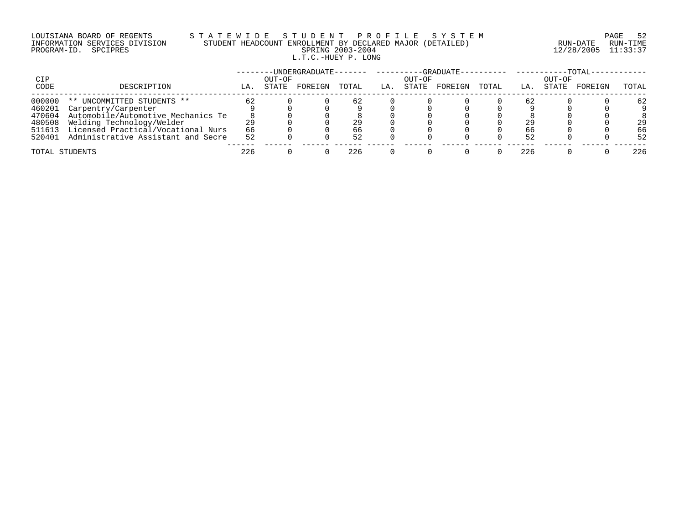# LOUISIANA BOARD OF REGENTS S T A T E W I D E S T U D E N T P R O F I L E S Y S T E M PAGE 52 INFORMATION SERVICES DIVISION STUDENT HEADCOUNT ENROLLMENT BY DECLARED MAJOR (DETAILED) RUN-DATE RUN-TIME PROGRAM-ID. SPCIPRES SPRING 2003-2004 12/28/2005 11:33:37 L.T.C.-HUEY P. LONG

|                |                                    |     |                 | ·UNDERGRADUATE- |       |     |                 | -GRADUATE- |       |     |                 | $-TOTAL-$ |       |
|----------------|------------------------------------|-----|-----------------|-----------------|-------|-----|-----------------|------------|-------|-----|-----------------|-----------|-------|
| CIP<br>CODE    | DESCRIPTION                        | LA. | OUT-OF<br>STATE | FOREIGN         | TOTAL | LA. | OUT-OF<br>STATE | FOREIGN    | TOTAL | LA. | OUT-OF<br>STATE | FOREIGN   | TOTAL |
| 000000         | UNCOMMITTED STUDENTS **<br>$***$   | 62  |                 |                 | 62    |     |                 |            |       | 62  |                 |           | 62    |
| 460201         | Carpentry/Carpenter                |     |                 |                 |       |     |                 |            |       |     |                 |           |       |
| 470604         | Automobile/Automotive Mechanics Te |     |                 |                 |       |     |                 |            |       |     |                 |           |       |
| 480508         | Welding Technology/Welder          |     |                 |                 | 29    |     |                 |            |       | 29  |                 |           | 29    |
| 511613         | Licensed Practical/Vocational Nurs | 66  |                 |                 | 66    |     |                 |            |       | 66  |                 |           | 66    |
| 520401         | Administrative Assistant and Secre | 52  |                 |                 | 52    |     |                 |            |       | 52  |                 |           | 52    |
| TOTAL STUDENTS |                                    | 226 |                 |                 | 226   |     |                 |            |       | 226 |                 |           | 226   |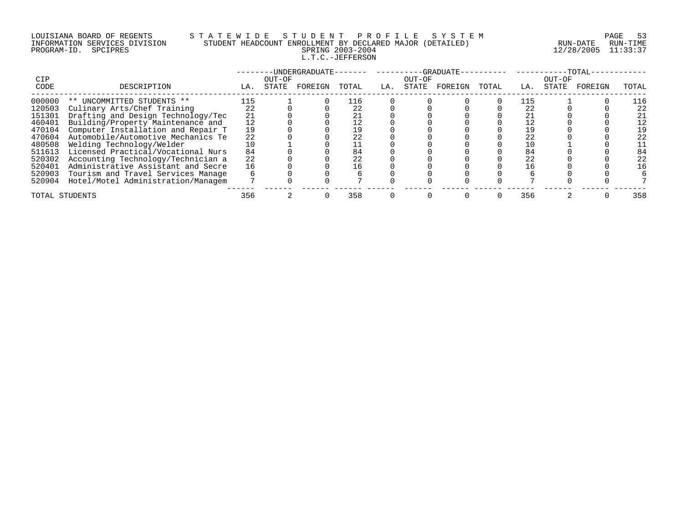# LOUISIANA BOARD OF REGENTS S T A T E W I D E S T U D E N T P R O F I L E S Y S T E M PAGE 53 INFORMATION SERVICES DIVISION STUDENT HEADCOUNT ENROLLMENT BY DECLARED MAJOR (DETAILED) RUN-DATE RUN-TIME PROGRAM-ID. SPCIPRES SPRING 2003-2004 12/28/2005 11:33:37 L.T.C.-JEFFERSON

| CIP            |                                    |     | OUT-OF | -UNDERGRADUATE- |       |     | OUT-OF | --GRADUATE- |       |     | OUT-OF | -TOTAL  |       |
|----------------|------------------------------------|-----|--------|-----------------|-------|-----|--------|-------------|-------|-----|--------|---------|-------|
| CODE           | DESCRIPTION                        | LA. | STATE  | FOREIGN         | TOTAL | LA. | STATE  | FOREIGN     | TOTAL | LA. | STATE  | FOREIGN | TOTAL |
| 000000         | ** UNCOMMITTED STUDENTS **         | 115 |        |                 | 116   |     |        |             |       |     |        |         |       |
| 120503         | Culinary Arts/Chef Training        | 22  |        |                 | 22    |     |        |             |       | 22  |        |         | 22    |
| 151301         | Drafting and Design Technology/Tec | 21  |        |                 |       |     |        |             |       |     |        |         | 21    |
| 460401         | Building/Property Maintenance and  |     |        |                 |       |     |        |             |       |     |        |         | 12    |
| 470104         | Computer Installation and Repair T | 19  |        |                 |       |     |        |             |       |     |        |         |       |
| 470604         | Automobile/Automotive Mechanics Te | 22  |        |                 | 22    |     |        |             |       | 22  |        |         | 22    |
| 480508         | Welding Technology/Welder          |     |        |                 |       |     |        |             |       |     |        |         |       |
| 511613         | Licensed Practical/Vocational Nurs | 84  |        |                 | 84    |     |        |             |       | 84  |        |         | 84    |
| 520302         | Accounting Technology/Technician a | 22  |        |                 | 22    |     |        |             |       | 22  |        |         | 22    |
| 520401         | Administrative Assistant and Secre | 16  |        |                 | Lб    |     |        |             |       |     |        |         | 16    |
| 520903         | Tourism and Travel Services Manage |     |        |                 |       |     |        |             |       |     |        |         |       |
| 520904         | Hotel/Motel Administration/Managem |     |        |                 |       |     |        |             |       |     |        |         |       |
| TOTAL STUDENTS |                                    | 356 |        |                 | 358   |     |        |             |       | 356 |        |         | 358   |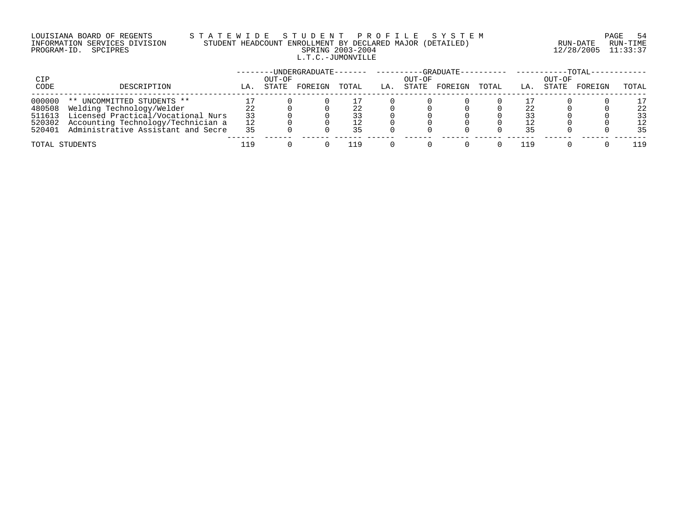# LOUISIANA BOARD OF REGENTS S T A T E W I D E S T U D E N T P R O F I L E S Y S T E M PAGE 54 INFORMATION SERVICES DIVISION STUDENT HEADCOUNT ENROLLMENT BY DECLARED MAJOR (DETAILED) RUN-DATE RUN-TIME PROGRAM-ID. SPCIPRES SPRING 2003-2004 12/28/2005 11:33:37 L.T.C.-JUMONVILLE

|        |                                           |     |        |         |       |     |        |         |       |     |        | $-TOTAL-$ |       |
|--------|-------------------------------------------|-----|--------|---------|-------|-----|--------|---------|-------|-----|--------|-----------|-------|
| CIP    |                                           |     | OUT-OF |         |       |     | OUT-OF |         | TOTAL |     | OUT-OF |           |       |
| CODE   | DESCRIPTION                               | LA  | STATE  | FOREIGN | TOTAL | LA. | STATE  | FOREIGN |       | LA. | STATE  | FOREIGN   | TOTAL |
| 000000 | ** UNCOMMITTED STUDENTS **                |     |        |         |       |     |        |         |       |     |        |           | 17    |
| 480508 | Welding Technology/Welder                 |     |        |         |       |     |        |         |       |     |        |           | 22    |
| 511613 | Licensed Practical/Vocational Nurs        | 33  |        |         |       |     |        |         |       |     |        |           | 33    |
| 520302 | Accounting Technology/Technician a        | 12  |        |         |       |     |        |         |       |     |        |           | 12    |
|        | 520401 Administrative Assistant and Secre | 35  |        |         | 35    |     |        |         |       | 35  |        |           | 35    |
|        | TOTAL STUDENTS                            | 119 |        |         |       |     |        |         |       | 119 |        |           | 19    |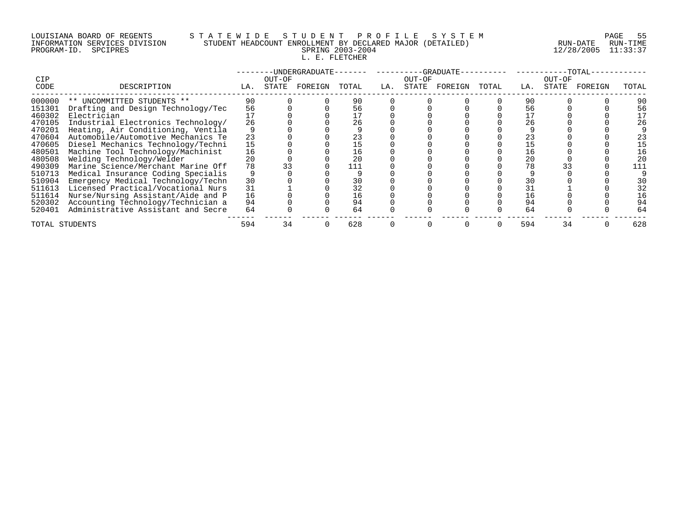#### LOUISIANA BOARD OF REGENTS S T A T E W I D E S T U D E N T P R O F I L E S Y S T E M PAGE 55 INFORMATION SERVICES DIVISION STUDENT HEADCOUNT ENROLLMENT BY DECLARED MAJOR (DETAILED) RUN-DATE RUN-TIME PROGRAM-ID. SPCIPRES SPRING 2003-2004 12/28/2005 11:33:37 L. E. FLETCHER

|                |                                    |     |        | -UNDERGRADUATE- |       |     |        | -GRADUATE- |       |     |        | -TOTAL· |       |
|----------------|------------------------------------|-----|--------|-----------------|-------|-----|--------|------------|-------|-----|--------|---------|-------|
| <b>CIP</b>     |                                    |     | OUT-OF |                 |       |     | OUT-OF |            |       |     | OUT-OF |         |       |
| CODE           | DESCRIPTION                        | LA. | STATE  | FOREIGN         | TOTAL | LA. | STATE  | FOREIGN    | TOTAL | LA. | STATE  | FOREIGN | TOTAL |
| 000000         | ** UNCOMMITTED STUDENTS **         | 90  |        |                 | 90    |     |        |            |       | 90  |        |         | 90    |
| 151301         | Drafting and Design Technology/Tec | 56  |        |                 | 56    |     |        |            |       | 56  |        |         | 56    |
| 460302         | Electrician                        |     |        |                 |       |     |        |            |       |     |        |         |       |
| 470105         | Industrial Electronics Technology/ | 26  |        |                 | 26    |     |        |            |       | 26  |        |         | 26    |
| 470201         | Heating, Air Conditioning, Ventila |     |        |                 |       |     |        |            |       |     |        |         |       |
| 470604         | Automobile/Automotive Mechanics Te | 23  |        |                 |       |     |        |            |       | 23  |        |         | 23    |
| 470605         | Diesel Mechanics Technology/Techni | 15  |        |                 |       |     |        |            |       |     |        |         |       |
| 480501         | Machine Tool Technology/Machinist  | 16  |        |                 | 16    |     |        |            |       | 16  |        |         |       |
| 480508         | Welding Technology/Welder          | 20  |        |                 |       |     |        |            |       | 20  |        |         | 20    |
| 490309         | Marine Science/Merchant Marine Off | 78  |        |                 |       |     |        |            |       |     |        |         |       |
| 510713         | Medical Insurance Coding Specialis |     |        |                 |       |     |        |            |       |     |        |         |       |
| 510904         | Emergency Medical Technology/Techn | 30  |        |                 |       |     |        |            |       | 30  |        |         | 30    |
| 511613         | Licensed Practical/Vocational Nurs | 31  |        |                 | 32    |     |        |            |       |     |        |         | 32    |
| 511614         | Nurse/Nursing Assistant/Aide and P | 16  |        |                 | 16    |     |        |            |       | 16  |        |         | 16    |
| 520302         | Accounting Technology/Technician a | 94  |        |                 | 94    |     |        |            |       | 94  |        |         | 94    |
| 520401         | Administrative Assistant and Secre | 64  |        |                 | 64    |     |        |            |       | 64  |        |         | 64    |
| TOTAL STUDENTS |                                    | 594 | 34     |                 | 628   |     |        |            |       | 594 | 34     |         | 628   |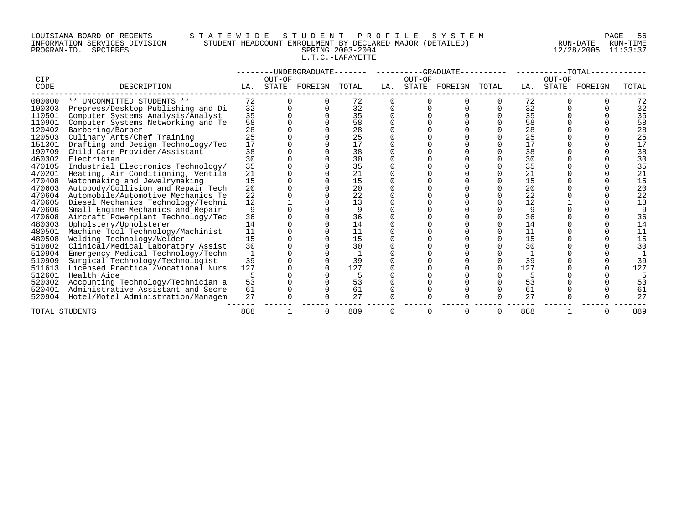#### LOUISIANA BOARD OF REGENTS S T A T E W I D E S T U D E N T P R O F I L E S Y S T E M PAGE 56 INFORMATION SERVICES DIVISION STUDENT HEADCOUNT ENROLLMENT BY DECLARED MAJOR (DETAILED) RUN-DATE RUN-TIME PROGRAM-ID. SPCIPRES SPRING 2003-2004 12/28/2005 11:33:37 L.T.C.-LAFAYETTE

|        |                                    |     |        | --UNDERGRADUATE------- |       |     | ----------GRADUATE- |         |       |     |        | -TOTAL- |       |
|--------|------------------------------------|-----|--------|------------------------|-------|-----|---------------------|---------|-------|-----|--------|---------|-------|
| CIP    |                                    |     | OUT-OF |                        |       |     | OUT-OF              |         |       |     | OUT-OF |         |       |
| CODE   | DESCRIPTION                        | LA. | STATE  | FOREIGN                | TOTAL | LA. | STATE               | FOREIGN | TOTAL | LA. | STATE  | FOREIGN | TOTAL |
| 000000 | ** UNCOMMITTED STUDENTS **         | 72  |        |                        | 72    |     |                     |         |       | 72  |        |         | 72    |
| 100303 | Prepress/Desktop Publishing and Di | 32  |        |                        | 32    |     |                     |         |       | 32  |        |         | 32    |
| 110501 | Computer Systems Analysis/Analyst  | 35  |        |                        | 35    |     |                     |         |       | 35  |        |         | 35    |
| 110901 | Computer Systems Networking and Te | 58  |        |                        | 58    |     |                     |         |       | 58  |        |         | 58    |
| 120402 | Barbering/Barber                   | 28  |        |                        | 28    |     |                     |         |       | 28  |        |         | 28    |
| 120503 | Culinary Arts/Chef Training        | 25  |        |                        | 25    |     |                     |         |       | 25  |        |         | 25    |
| 151301 | Drafting and Design Technology/Tec | 17  |        |                        | 17    |     |                     |         |       | 17  |        |         | 17    |
| 190709 | Child Care Provider/Assistant      | 38  |        |                        | 38    |     |                     |         |       | 38  |        |         | 38    |
| 460302 | Electrician                        | 30  |        |                        | 30    |     |                     |         |       | 30  |        |         | 30    |
| 470105 | Industrial Electronics Technology/ | 35  |        |                        | 35    |     |                     |         |       | 35  |        |         | 35    |
| 470201 | Heating, Air Conditioning, Ventila | 21  |        |                        | 21    |     |                     |         |       | 21  |        |         | 21    |
| 470408 | Watchmaking and Jewelrymaking      | 15  |        |                        | 15    |     |                     |         |       | 15  |        |         | 15    |
| 470603 | Autobody/Collision and Repair Tech | 20  |        |                        | 20    |     |                     |         |       | 20  |        |         | 20    |
| 470604 | Automobile/Automotive Mechanics Te | 22  |        |                        | 22    |     |                     |         |       | 22  |        |         | 22    |
| 470605 | Diesel Mechanics Technology/Techni | 12  |        |                        | 13    |     |                     |         |       | 12  |        |         | 13    |
| 470606 | Small Engine Mechanics and Repair  | 9   |        |                        | 9     |     |                     |         |       |     |        |         |       |
| 470608 | Aircraft Powerplant Technology/Tec | 36  |        |                        | 36    |     |                     |         |       | 36  |        |         | 36    |
| 480303 | Upholstery/Upholsterer             | 14  |        |                        | 14    |     |                     |         |       | 14  |        |         | 14    |
| 480501 | Machine Tool Technology/Machinist  | 11  |        |                        | 11    |     |                     |         |       | 11  |        |         | 11    |
| 480508 | Welding Technology/Welder          | 15  |        |                        | 15    |     |                     |         |       | 15  |        |         | 15    |
| 510802 | Clinical/Medical Laboratory Assist | 30  |        |                        | 30    |     |                     |         |       | 30  |        |         | 30    |
| 510904 | Emergency Medical Technology/Techn |     |        |                        |       |     |                     |         |       |     |        |         |       |
| 510909 | Surgical Technology/Technologist   | 39  |        |                        | 39    |     |                     |         |       | 39  |        |         | 39    |
| 511613 | Licensed Practical/Vocational Nurs | 127 |        |                        | 127   |     |                     |         |       | 127 |        |         | 127   |
| 512601 | Health Aide                        |     |        |                        |       |     |                     |         |       |     |        |         |       |
| 520302 | Accounting Technology/Technician a | 53  |        |                        | 53    |     |                     |         |       | 53  |        |         | 53    |
| 520401 | Administrative Assistant and Secre | 61  |        |                        | 61    |     |                     |         |       | 61  |        |         | 61    |
| 520904 | Hotel/Motel Administration/Managem | 27  |        |                        | 27    |     |                     |         |       | 27  |        |         | 27    |
|        | TOTAL STUDENTS                     | 888 |        |                        | 889   |     |                     |         |       | 888 |        |         | 889   |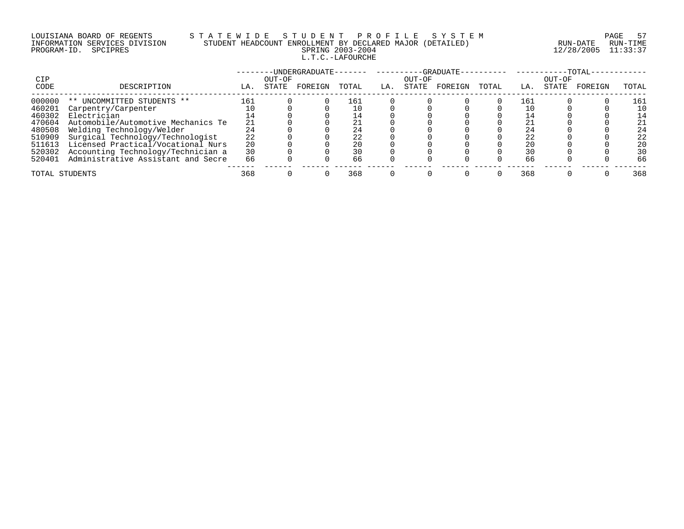# LOUISIANA BOARD OF REGENTS S T A T E W I D E S T U D E N T P R O F I L E S Y S T E M PAGE 57 INFORMATION SERVICES DIVISION STUDENT HEADCOUNT ENROLLMENT BY DECLARED MAJOR (DETAILED) RUN-DATE RUN-TIME PROGRAM-ID. SPCIPRES SPRING 2003-2004 12/28/2005 11:33:37 L.T.C.-LAFOURCHE

|                |                                    |     |        | -UNDERGRADUATE- |       |     |        | -GRADUATE- |       |     |        | $-TOTAL$ |       |
|----------------|------------------------------------|-----|--------|-----------------|-------|-----|--------|------------|-------|-----|--------|----------|-------|
| CIP            |                                    |     | OUT-OF |                 |       |     | OUT-OF |            |       |     | OUT-OF |          |       |
| CODE           | DESCRIPTION                        | LA. | STATE  | FOREIGN         | TOTAL | LA. | STATE  | FOREIGN    | TOTAL | LA. | STATE  | FOREIGN  | TOTAL |
| 000000         | ** UNCOMMITTED STUDENTS **         | 161 |        |                 | 161   |     |        |            |       | 161 |        |          | 161   |
| 460201         | Carpentry/Carpenter                |     |        |                 |       |     |        |            |       |     |        |          | 10    |
| 460302         | Electrician                        |     |        |                 |       |     |        |            |       |     |        |          | 14    |
| 470604         | Automobile/Automotive Mechanics Te | 21  |        |                 |       |     |        |            |       |     |        |          | 21    |
| 480508         | Welding Technology/Welder          | 24  |        |                 |       |     |        |            |       | 24  |        |          | 24    |
| 510909         | Surgical Technology/Technologist   | 22  |        |                 |       |     |        |            |       | 22  |        |          | 22    |
| 511613         | Licensed Practical/Vocational Nurs | 20  |        |                 |       |     |        |            |       | 20  |        |          | 20    |
| 520302         | Accounting Technology/Technician a | 30  |        |                 |       |     |        |            |       | 30  |        |          | 30    |
| 520401         | Administrative Assistant and Secre | 66  |        |                 | 66    |     |        |            |       | 66  |        |          | 66    |
| TOTAL STUDENTS |                                    | 368 |        |                 | 368   |     |        |            |       | 368 |        |          | 368   |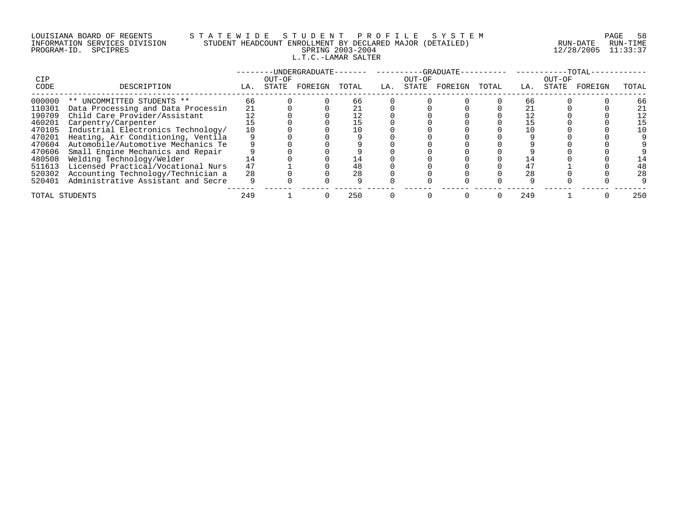# LOUISIANA BOARD OF REGENTS S T A T E W I D E S T U D E N T P R O F I L E S Y S T E M PAGE 58 INFORMATION SERVICES DIVISION STUDENT HEADCOUNT ENROLLMENT BY DECLARED MAJOR (DETAILED) RUN-DATE RUN-TIME PROGRAM-ID. SPCIPRES SPRING 2003-2004 12/28/2005 11:33:37 L.T.C.-LAMAR SALTER

| <b>CIP</b>     |                                    |     | OUT-OF | UNDERGRADUATE- |       |     | OUT-OF | -GRADUATE- |       |     | OUT-OF | TOTAL.  |       |
|----------------|------------------------------------|-----|--------|----------------|-------|-----|--------|------------|-------|-----|--------|---------|-------|
| CODE           | DESCRIPTION                        | LA. | STATE  | FOREIGN        | TOTAL | LA. | STATE  | FOREIGN    | TOTAL | LA. | STATE  | FOREIGN | TOTAL |
| 000000         | ** UNCOMMITTED STUDENTS **         | 66  |        |                | 66    |     |        |            |       | 66  |        |         | 66    |
| 110301         | Data Processing and Data Processin | 21  |        |                |       |     |        |            |       |     |        |         | 21    |
| 190709         | Child Care Provider/Assistant      |     |        |                |       |     |        |            |       |     |        |         | 12    |
| 460201         | Carpentry/Carpenter                |     |        |                |       |     |        |            |       |     |        |         | 15    |
| 470105         | Industrial Electronics Technology/ |     |        |                |       |     |        |            |       |     |        |         | 10    |
| 470201         | Heating, Air Conditioning, Ventila |     |        |                |       |     |        |            |       |     |        |         |       |
| 470604         | Automobile/Automotive Mechanics Te |     |        |                |       |     |        |            |       |     |        |         |       |
| 470606         | Small Engine Mechanics and Repair  |     |        |                |       |     |        |            |       |     |        |         |       |
| 480508         | Welding Technology/Welder          | 14  |        |                |       |     |        |            |       |     |        |         |       |
| 511613         | Licensed Practical/Vocational Nurs | 47  |        |                | 48    |     |        |            |       | 47  |        |         | 48    |
| 520302         | Accounting Technology/Technician a | 28  |        |                | 28    |     |        |            |       | 28  |        |         | 28    |
| 520401         | Administrative Assistant and Secre |     |        |                |       |     |        |            |       |     |        |         |       |
| TOTAL STUDENTS |                                    | 249 |        |                | 250   |     |        |            |       | 249 |        |         | 250   |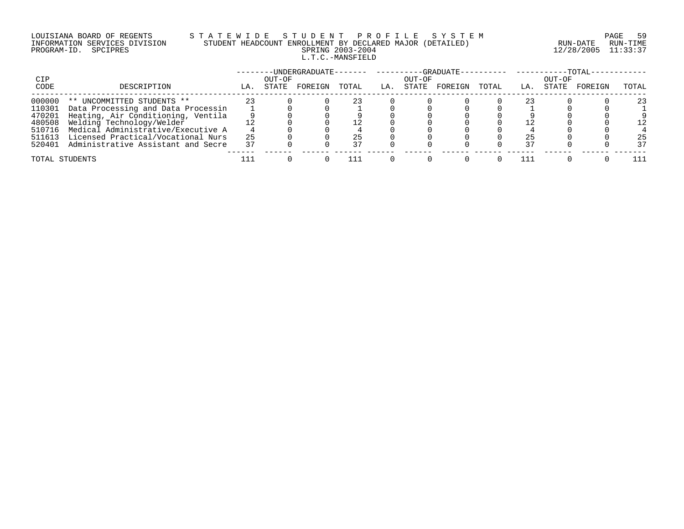# LOUISIANA BOARD OF REGENTS S T A T E W I D E S T U D E N T P R O F I L E S Y S T E M PAGE 59 INFORMATION SERVICES DIVISION STUDENT HEADCOUNT ENROLLMENT BY DECLARED MAJOR (DETAILED) RUN-DATE RUN-TIME PROGRAM-ID. SPCIPRES SPRING 2003-2004 12/28/2005 11:33:37 L.T.C.-MANSFIELD

|        |                                    |     |        |         |       |     |        | --GRADUATE---------- ------- |       |     |        | $-TOTAL$ |       |
|--------|------------------------------------|-----|--------|---------|-------|-----|--------|------------------------------|-------|-----|--------|----------|-------|
| CIP    |                                    |     | OUT-OF |         |       |     | OUT-OF |                              |       |     | OUT-OF |          |       |
| CODE   | DESCRIPTION                        | LA. | STATE  | FOREIGN | TOTAL | LA. | STATE  | FOREIGN                      | TOTAL | LA. | STATE  | FOREIGN  | TOTAL |
| 000000 | ** UNCOMMITTED STUDENTS **         |     |        |         |       |     |        |                              |       |     |        |          | 23    |
| 110301 | Data Processing and Data Processin |     |        |         |       |     |        |                              |       |     |        |          |       |
| 470201 | Heating, Air Conditioning, Ventila |     |        |         |       |     |        |                              |       |     |        |          |       |
| 480508 | Welding Technology/Welder          |     |        |         |       |     |        |                              |       |     |        |          |       |
| 510716 | Medical Administrative/Executive A |     |        |         |       |     |        |                              |       |     |        |          |       |
| 511613 | Licensed Practical/Vocational Nurs | 25  |        |         |       |     |        |                              |       |     |        |          | 25    |
| 520401 | Administrative Assistant and Secre | 37  |        |         |       |     |        |                              |       |     |        |          | 37    |
|        | TOTAL STUDENTS                     |     |        |         |       |     |        |                              |       |     |        |          |       |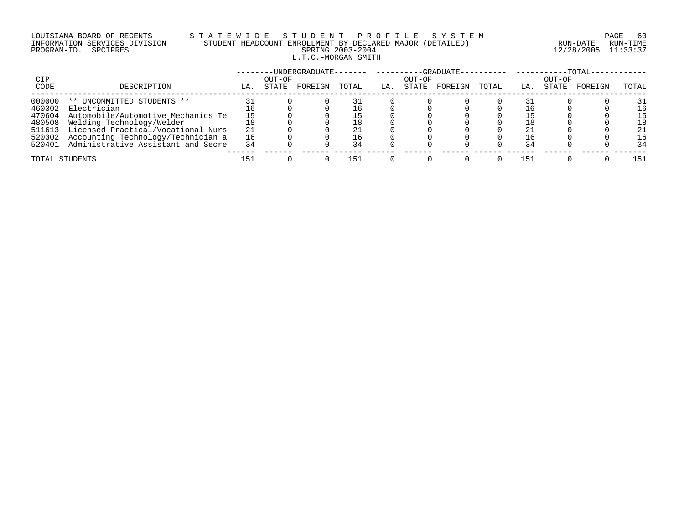# LOUISIANA BOARD OF REGENTS S T A T E W I D E S T U D E N T P R O F I L E S Y S T E M PAGE 60 INFORMATION SERVICES DIVISION STUDENT HEADCOUNT ENROLLMENT BY DECLARED MAJOR (DETAILED) RUN-DATE RUN-TIME PROGRAM-ID. SPCIPRES SPRING 2003-2004 12/28/2005 11:33:37 L.T.C.-MORGAN SMITH

|             |                                    |     |                 |         |       |     |                 | -GRADUATE---------- ------- |       |     |                 | $-{\tt TOTAL}-$ |       |
|-------------|------------------------------------|-----|-----------------|---------|-------|-----|-----------------|-----------------------------|-------|-----|-----------------|-----------------|-------|
| CIP<br>CODE | DESCRIPTION                        | LA. | OUT-OF<br>STATE | FOREIGN | TOTAL | LA. | OUT-OF<br>STATE | FOREIGN                     | TOTAL | LA. | OUT-OF<br>STATE | FOREIGN         | TOTAL |
| 000000      | ** UNCOMMITTED STUDENTS **         |     |                 |         |       |     |                 |                             |       |     |                 |                 | 31    |
| 460302      | Electrician                        |     |                 |         |       |     |                 |                             |       |     |                 |                 | 16    |
| 470604      | Automobile/Automotive Mechanics Te |     |                 |         |       |     |                 |                             |       |     |                 |                 | 15    |
| 480508      | Welding Technology/Welder          |     |                 |         | 18    |     |                 |                             |       |     |                 |                 | 18    |
| 511613      | Licensed Practical/Vocational Nurs | 21  |                 |         |       |     |                 |                             |       |     |                 |                 | 21    |
| 520302      | Accounting Technology/Technician a | 16  |                 |         | ⊥6.   |     |                 |                             |       |     |                 |                 | 16    |
| 520401      | Administrative Assistant and Secre | 34  |                 |         | 34    |     |                 |                             |       | 34  |                 |                 | 34    |
|             | TOTAL STUDENTS                     | 151 |                 |         | 151   |     |                 |                             |       | .51 |                 |                 | 151   |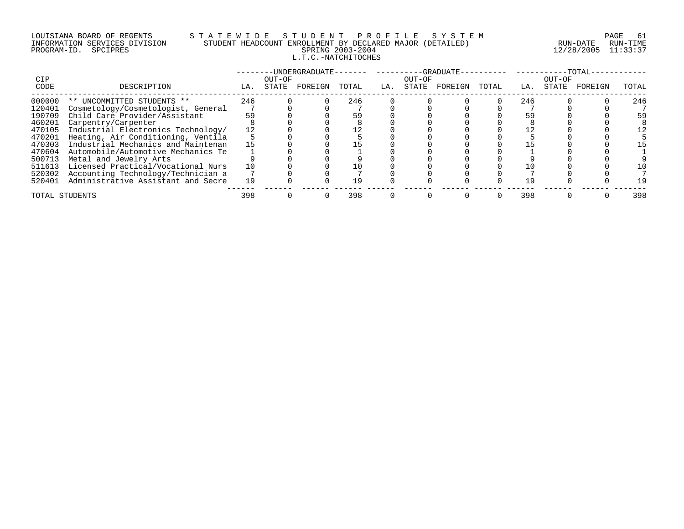## LOUISIANA BOARD OF REGENTS S T A T E W I D E S T U D E N T P R O F I L E S Y S T E M PAGE 61 INFORMATION SERVICES DIVISION STUDENT HEADCOUNT ENROLLMENT BY DECLARED MAJOR (DETAILED) RUN-DATE RUN-TIME PROGRAM-ID. SPCIPRES SPRING 2003-2004 12/28/2005 11:33:37 L.T.C.-NATCHITOCHES

|                |                                    |     | OUT-OF | ·IJNDERGRADIJATE- |       |     |                 | -GRADUATE |       |     | OUT-OF | TOTAL   |       |
|----------------|------------------------------------|-----|--------|-------------------|-------|-----|-----------------|-----------|-------|-----|--------|---------|-------|
| CIP<br>CODE    | DESCRIPTION                        | LA. | STATE  | FOREIGN           | TOTAL | LA. | OUT-OF<br>STATE | FOREIGN   | TOTAL | LA. | STATE  | FOREIGN | TOTAL |
| 000000         | ** UNCOMMITTED STUDENTS **         | 246 |        |                   | 246   |     |                 |           |       | 246 |        |         | 246   |
| 120401         | Cosmetology/Cosmetologist, General |     |        |                   |       |     |                 |           |       |     |        |         |       |
| 190709         | Child Care Provider/Assistant      | 59  |        |                   |       |     |                 |           |       | 59  |        |         | 59    |
| 460201         | Carpentry/Carpenter                |     |        |                   |       |     |                 |           |       |     |        |         |       |
| 470105         | Industrial Electronics Technology/ |     |        |                   |       |     |                 |           |       |     |        |         |       |
| 470201         | Heating, Air Conditioning, Ventila |     |        |                   |       |     |                 |           |       |     |        |         |       |
| 470303         | Industrial Mechanics and Maintenan |     |        |                   |       |     |                 |           |       |     |        |         |       |
| 470604         | Automobile/Automotive Mechanics Te |     |        |                   |       |     |                 |           |       |     |        |         |       |
| 500713         | Metal and Jewelry Arts             |     |        |                   |       |     |                 |           |       |     |        |         |       |
| 511613         | Licensed Practical/Vocational Nurs |     |        |                   |       |     |                 |           |       |     |        |         |       |
| 520302         | Accounting Technology/Technician a |     |        |                   |       |     |                 |           |       |     |        |         |       |
| 520401         | Administrative Assistant and Secre | 19  |        |                   | 1 9   |     |                 |           |       |     |        |         |       |
| TOTAL STUDENTS |                                    | 398 |        |                   | 398   |     |                 |           |       | 398 |        |         | 398   |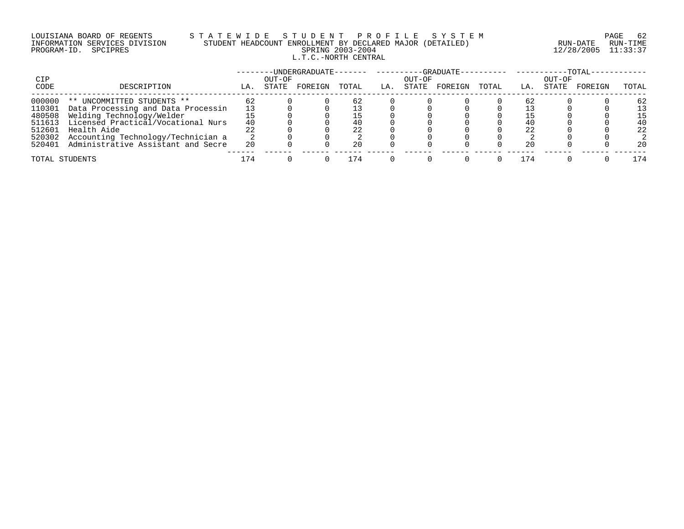# LOUISIANA BOARD OF REGENTS S T A T E W I D E S T U D E N T P R O F I L E S Y S T E M PAGE 62 INFORMATION SERVICES DIVISION STUDENT HEADCOUNT ENROLLMENT BY DECLARED MAJOR (DETAILED) RUN-DATE RUN-TIME PROGRAM-ID. SPCIPRES SPRING 2003-2004 12/28/2005 11:33:37 L.T.C.-NORTH CENTRAL

|        |                                    |     |        | -UNDERGRADUATE- |       |     |        | -GRADUATE- |       |     |        | $-TOTAL-$ |       |
|--------|------------------------------------|-----|--------|-----------------|-------|-----|--------|------------|-------|-----|--------|-----------|-------|
| CIP    |                                    |     | OUT-OF |                 |       |     | OUT-OF |            |       |     | OUT-OF |           |       |
| CODE   | DESCRIPTION                        | LA. | STATE  | FOREIGN         | TOTAL | LA. | STATE  | FOREIGN    | TOTAL | LA. | STATE  | FOREIGN   | TOTAL |
| 000000 | ** UNCOMMITTED STUDENTS **         | 62  |        |                 | 62    |     |        |            |       | -62 |        |           | 62    |
| 110301 | Data Processing and Data Processin |     |        |                 |       |     |        |            |       |     |        |           |       |
| 480508 | Welding Technology/Welder          |     |        |                 |       |     |        |            |       |     |        |           |       |
| 511613 | Licensed Practical/Vocational Nurs | 40  |        |                 |       |     |        |            |       | 40  |        |           | 40    |
| 512601 | Health Aide                        |     |        |                 | 22    |     |        |            |       | 22  |        |           | 22    |
| 520302 | Accounting Technology/Technician a |     |        |                 |       |     |        |            |       |     |        |           |       |
| 520401 | Administrative Assistant and Secre | 20  |        |                 | 20    |     |        |            |       | 20  |        |           | 20    |
|        | TOTAL STUDENTS                     | L74 |        |                 | 74    |     |        |            |       |     |        |           | l 74  |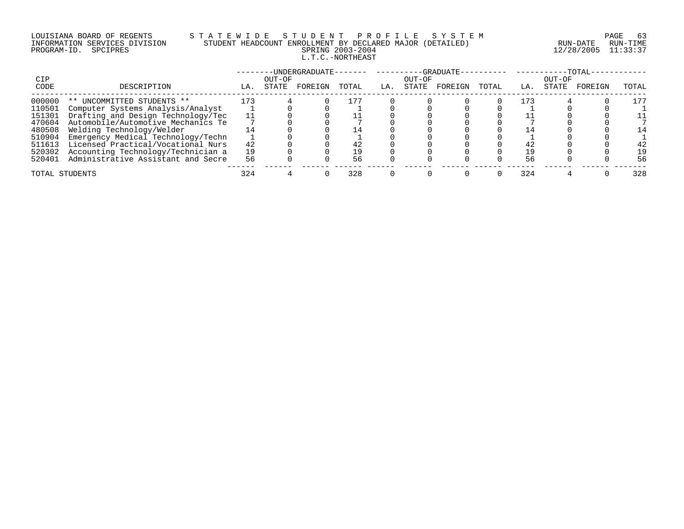# LOUISIANA BOARD OF REGENTS S T A T E W I D E S T U D E N T P R O F I L E S Y S T E M PAGE 63 INFORMATION SERVICES DIVISION STUDENT HEADCOUNT ENROLLMENT BY DECLARED MAJOR (DETAILED) RUN-DATE RUN-TIME PROGRAM-ID. SPCIPRES SPRING 2003-2004 12/28/2005 11:33:37 L.T.C.-NORTHEAST

|                |                                    |     |        | -UNDERGRADUATE- |                |     |        | --GRADUATE- |       |       |        | $-{\tt TOTAL}$ |       |
|----------------|------------------------------------|-----|--------|-----------------|----------------|-----|--------|-------------|-------|-------|--------|----------------|-------|
| CIP            |                                    |     | OUT-OF |                 |                |     | OUT-OF |             |       |       | OUT-OF |                |       |
| CODE           | DESCRIPTION                        | LA. | STATE  | FOREIGN         | TOTAL          | LA. | STATE  | FOREIGN     | TOTAL | LA.   | STATE  | FOREIGN        | TOTAL |
| 000000         | ** UNCOMMITTED STUDENTS **         | 173 |        |                 |                |     |        |             |       | L 7 3 |        |                | 177   |
| 110501         | Computer Systems Analysis/Analyst  |     |        |                 |                |     |        |             |       |       |        |                |       |
| 151301         | Drafting and Design Technology/Tec |     |        |                 |                |     |        |             |       |       |        |                |       |
| 470604         | Automobile/Automotive Mechanics Te |     |        |                 |                |     |        |             |       |       |        |                |       |
| 480508         | Welding Technology/Welder          |     |        |                 | $\overline{4}$ |     |        |             |       |       |        |                | 14    |
| 510904         | Emergency Medical Technology/Techn |     |        |                 |                |     |        |             |       |       |        |                |       |
| 511613         | Licensed Practical/Vocational Nurs | 42  |        |                 |                |     |        |             |       | 42    |        |                | 42    |
| 520302         | Accounting Technology/Technician a | 19  |        |                 | 19             |     |        |             |       |       |        |                | 19    |
| 520401         | Administrative Assistant and Secre | 56  |        |                 | 56             |     |        |             |       | 56    |        |                | 56    |
| TOTAL STUDENTS |                                    | 324 |        |                 | 328            |     |        |             |       | 324   |        |                | 328   |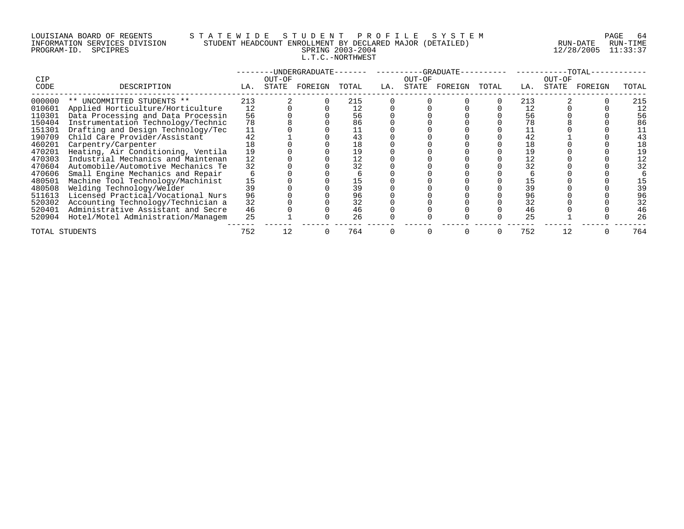# LOUISIANA BOARD OF REGENTS S T A T E W I D E S T U D E N T P R O F I L E S Y S T E M PAGE 64 INFORMATION SERVICES DIVISION STUDENT HEADCOUNT ENROLLMENT BY DECLARED MAJOR (DETAILED) RUN-DATE RUN-TIME PROGRAM-ID. SPCIPRES SPRING 2003-2004 12/28/2005 11:33:37 L.T.C.-NORTHWEST

| <b>CIP</b>                 |                                                                                                      |                | OUT-OF | -UNDERGRADUATE- |           |     | OUT-OF | -GRADUATE- |       |                | OUT-OF | $-TOTAL$ |           |
|----------------------------|------------------------------------------------------------------------------------------------------|----------------|--------|-----------------|-----------|-----|--------|------------|-------|----------------|--------|----------|-----------|
| CODE                       | DESCRIPTION                                                                                          | LA.            | STATE  | FOREIGN         | TOTAL     | LA. | STATE  | FOREIGN    | TOTAL | LA.            | STATE  | FOREIGN  | TOTAL     |
| 000000<br>010601           | ** UNCOMMITTED STUDENTS **<br>Applied Horticulture/Horticulture                                      | 213<br>12      |        |                 | 215<br>12 |     |        |            |       | 213<br>12      |        |          | 215<br>12 |
| 110301<br>150404           | Data Processing and Data Processin<br>Instrumentation Technology/Technic                             | 56<br>78       |        |                 | 56<br>86  |     |        |            |       | 56             |        |          | 56<br>86  |
| 151301<br>190709<br>460201 | Drafting and Design Technology/Tec<br>Child Care Provider/Assistant<br>Carpentry/Carpenter           | 11<br>42<br>18 |        |                 | 43<br>18  |     |        |            |       | 42<br>18       |        |          |           |
| 470201<br>470303           | Heating, Air Conditioning, Ventila<br>Industrial Mechanics and Maintenan                             | 19<br>12       |        |                 | 19<br>12  |     |        |            |       |                |        |          |           |
| 470604<br>470606           | Automobile/Automotive Mechanics Te<br>Small Engine Mechanics and Repair                              | 32             |        |                 | 32        |     |        |            |       | 32             |        |          |           |
| 480501<br>480508<br>511613 | Machine Tool Technology/Machinist<br>Welding Technology/Welder<br>Licensed Practical/Vocational Nurs | 15<br>39<br>96 |        |                 | 96        |     |        |            |       | 15<br>39<br>96 |        |          | 39<br>96  |
| 520302<br>520401           | Accounting Technology/Technician a<br>Administrative Assistant and Secre                             | 32<br>46       |        |                 | 32<br>46  |     |        |            |       | 32<br>46       |        |          | 32<br>46  |
| 520904                     | Hotel/Motel Administration/Managem                                                                   | 25             |        |                 | 26        |     |        |            |       | 25             |        |          | 26        |
| TOTAL STUDENTS             |                                                                                                      | 752            |        |                 | 764       |     |        |            |       | 752            |        |          | 764       |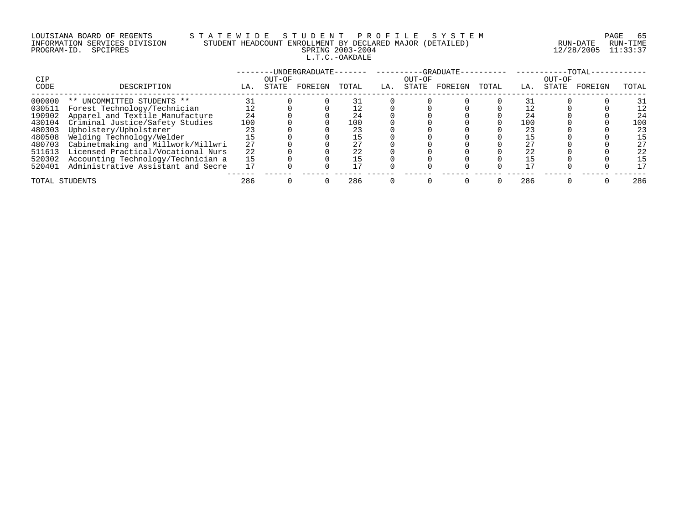# LOUISIANA BOARD OF REGENTS S T A T E W I D E S T U D E N T P R O F I L E S Y S T E M PAGE 65 INFORMATION SERVICES DIVISION STUDENT HEADCOUNT ENROLLMENT BY DECLARED MAJOR (DETAILED) RUN-DATE RUN-TIME PROGRAM-ID. SPCIPRES SPRING 2003-2004 12/28/2005 11:33:37 L.T.C.-OAKDALE

| CIP            |                                    |     | OUT-OF | -UNDERGRADUATE- |       |     | OUT-OF | -GRADUATE- |       |     | OUT-OF | -TOTAL  |       |
|----------------|------------------------------------|-----|--------|-----------------|-------|-----|--------|------------|-------|-----|--------|---------|-------|
| CODE           | DESCRIPTION                        | LA. | STATE  | FOREIGN         | TOTAL | LA. | STATE  | FOREIGN    | TOTAL | LA. | STATE  | FOREIGN | TOTAL |
| 000000         | ** UNCOMMITTED STUDENTS **         |     |        |                 |       |     |        |            |       |     |        |         | 31    |
| 030511         | Forest Technology/Technician       |     |        |                 |       |     |        |            |       |     |        |         | 12    |
| 190902         | Apparel and Textile Manufacture    | 24  |        |                 |       |     |        |            |       | 24  |        |         | 24    |
| 430104         | Criminal Justice/Safety Studies    | 100 |        |                 | 100   |     |        |            |       | 100 |        |         | 100   |
| 480303         | Upholstery/Upholsterer             |     |        |                 |       |     |        |            |       | 23  |        |         | 23    |
| 480508         | Welding Technology/Welder          |     |        |                 |       |     |        |            |       |     |        |         | 15    |
| 480703         | Cabinetmaking and Millwork/Millwri | 27  |        |                 |       |     |        |            |       | 27  |        |         | 27    |
| 511613         | Licensed Practical/Vocational Nurs | 22  |        |                 |       |     |        |            |       | 22  |        |         | 22    |
| 520302         | Accounting Technology/Technician a | 15  |        |                 |       |     |        |            |       |     |        |         | 15    |
| 520401         | Administrative Assistant and Secre |     |        |                 |       |     |        |            |       |     |        |         | 17    |
| TOTAL STUDENTS |                                    | 286 |        |                 | 286   |     |        |            |       | 286 |        |         | 286   |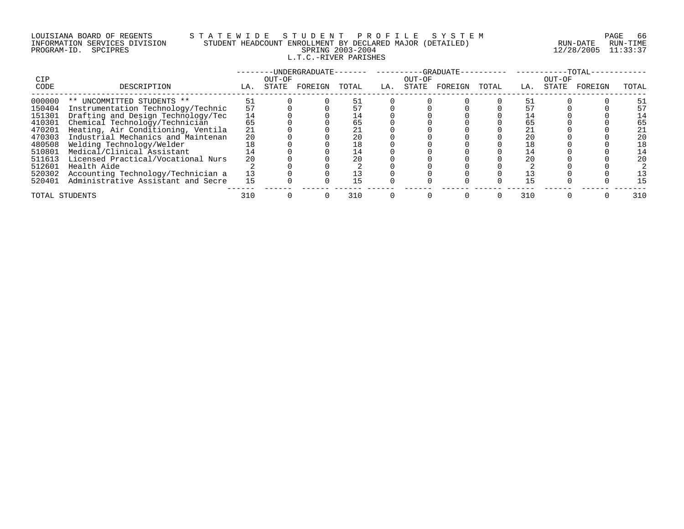# LOUISIANA BOARD OF REGENTS S T A T E W I D E S T U D E N T P R O F I L E S Y S T E M PAGE 66 INFORMATION SERVICES DIVISION STUDENT HEADCOUNT ENROLLMENT BY DECLARED MAJOR (DETAILED) RUN-DATE RUN-TIME PROGRAM-ID. SPCIPRES SPRING 2003-2004 12/28/2005 11:33:37 L.T.C.-RIVER PARISHES

| CIP            |                                    |     | OUT-OF | -UNDERGRADUATE- |       |     | OUT-OF | -GRADUATE- |       |     | OUT-OF | $-TOTAL-$ |       |
|----------------|------------------------------------|-----|--------|-----------------|-------|-----|--------|------------|-------|-----|--------|-----------|-------|
| CODE           | DESCRIPTION                        | LA. | STATE  | FOREIGN         | TOTAL | LA. | STATE  | FOREIGN    | TOTAL | LA. | STATE  | FOREIGN   | TOTAL |
| 000000         | ** UNCOMMITTED STUDENTS **         | 51  |        |                 |       |     |        |            |       | 51  |        |           | 51    |
| 150404         | Instrumentation Technology/Technic | 57  |        |                 |       |     |        |            |       |     |        |           | 57    |
| 151301         | Drafting and Design Technology/Tec | 14  |        |                 | 14    |     |        |            |       |     |        |           | 14    |
| 410301         | Chemical Technology/Technician     | 65  |        |                 |       |     |        |            |       | 65  |        |           | 65    |
| 470201         | Heating, Air Conditioning, Ventila | 21  |        |                 |       |     |        |            |       | 21  |        |           | 21    |
| 470303         | Industrial Mechanics and Maintenan | 20  |        |                 |       |     |        |            |       | 20  |        |           | 20    |
| 480508         | Welding Technology/Welder          |     |        |                 | 18    |     |        |            |       |     |        |           | 18    |
| 510801         | Medical/Clinical Assistant         |     |        |                 | 14    |     |        |            |       |     |        |           | 14    |
| 511613         | Licensed Practical/Vocational Nurs | 20  |        |                 |       |     |        |            |       |     |        |           | 20    |
| 512601         | Health Aide                        |     |        |                 |       |     |        |            |       |     |        |           |       |
| 520302         | Accounting Technology/Technician a | 13  |        |                 |       |     |        |            |       |     |        |           | L3    |
| 520401         | Administrative Assistant and Secre | 15  |        |                 | 15    |     |        |            |       |     |        |           | 15    |
| TOTAL STUDENTS |                                    | 310 |        |                 | 310   |     |        |            |       | 310 |        |           | 310   |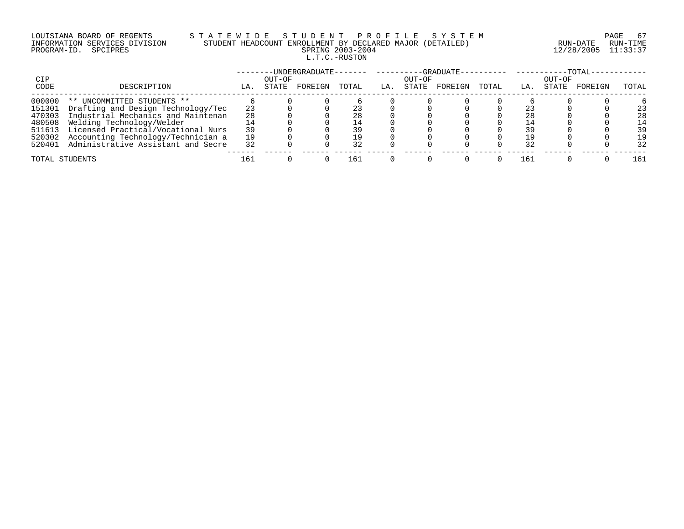# LOUISIANA BOARD OF REGENTS S T A T E W I D E S T U D E N T P R O F I L E S Y S T E M PAGE 67 INFORMATION SERVICES DIVISION STUDENT HEADCOUNT ENROLLMENT BY DECLARED MAJOR (DETAILED) RUN-DATE RUN-TIME PROGRAM-ID. SPCIPRES SPRING 2003-2004 12/28/2005 11:33:37 L.T.C.-RUSTON

|        |                                    |     |        |         |       |     |        | -GRADUATE---------- ------- |       |     |        | $-{\rm TOTAL}-$ |       |
|--------|------------------------------------|-----|--------|---------|-------|-----|--------|-----------------------------|-------|-----|--------|-----------------|-------|
| CIP    |                                    |     | OUT-OF |         |       |     | OUT-OF |                             |       |     | OUT-OF |                 |       |
| CODE   | DESCRIPTION                        | LA. | STATE  | FOREIGN | TOTAL | LA. | STATE  | FOREIGN                     | TOTAL | LA. | STATE  | FOREIGN         | TOTAL |
| 000000 | ** UNCOMMITTED STUDENTS **         |     |        |         |       |     |        |                             |       |     |        |                 |       |
| 151301 | Drafting and Design Technology/Tec | 23  |        |         |       |     |        |                             |       |     |        |                 | 23    |
| 470303 | Industrial Mechanics and Maintenan | 28  |        |         |       |     |        |                             |       | 28  |        |                 | 28    |
| 480508 | Welding Technology/Welder          |     |        |         |       |     |        |                             |       |     |        |                 | 14    |
| 511613 | Licensed Practical/Vocational Nurs | 39  |        |         |       |     |        |                             |       | 2 Q |        |                 | 39    |
| 520302 | Accounting Technology/Technician a | 19  |        |         |       |     |        |                             |       |     |        |                 | 19    |
| 520401 | Administrative Assistant and Secre | 32  |        |         |       |     |        |                             |       |     |        |                 | 32    |
|        | TOTAL STUDENTS                     | 161 |        |         | 161   |     |        |                             |       | 161 |        |                 | 161   |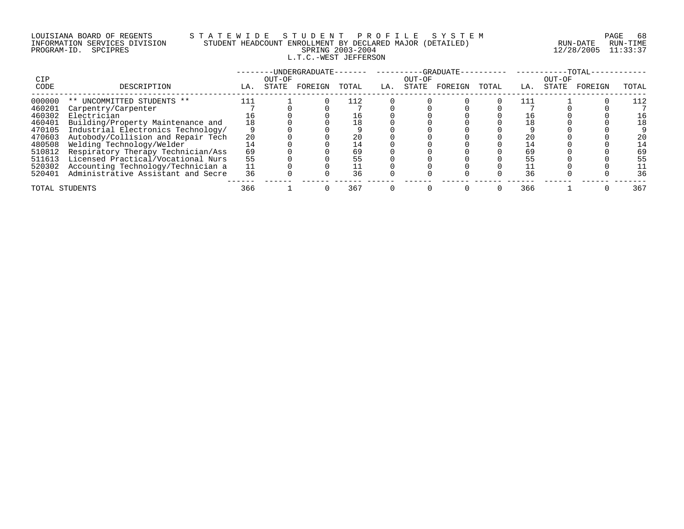# LOUISIANA BOARD OF REGENTS S T A T E W I D E S T U D E N T P R O F I L E S Y S T E M PAGE 68 INFORMATION SERVICES DIVISION STUDENT HEADCOUNT ENROLLMENT BY DECLARED MAJOR (DETAILED) RUN-DATE RUN-TIME PROGRAM-ID. SPCIPRES SPRING 2003-2004 12/28/2005 11:33:37 L.T.C.-WEST JEFFERSON

|                |                                    |     |        | -UNDERGRADUATE- |       |     |        | $-$ GRADUATE |       |     |        | -TOTAL  |       |
|----------------|------------------------------------|-----|--------|-----------------|-------|-----|--------|--------------|-------|-----|--------|---------|-------|
| CIP            |                                    |     | OUT-OF |                 |       |     | OUT-OF |              |       |     | OUT-OF |         |       |
| CODE           | DESCRIPTION                        | LA. | STATE  | FOREIGN         | TOTAL | LA. | STATE  | FOREIGN      | TOTAL | LA. | STATE  | FOREIGN | TOTAL |
| 000000         | UNCOMMITTED STUDENTS **<br>$***$   | 111 |        |                 |       |     |        |              |       |     |        |         |       |
| 460201         | Carpentry/Carpenter                |     |        |                 |       |     |        |              |       |     |        |         |       |
| 460302         | Electrician                        |     |        |                 |       |     |        |              |       |     |        |         |       |
| 460401         | Building/Property Maintenance and  | 18  |        |                 |       |     |        |              |       | 18  |        |         |       |
| 470105         | Industrial Electronics Technology/ |     |        |                 |       |     |        |              |       |     |        |         |       |
| 470603         | Autobody/Collision and Repair Tech | 20  |        |                 |       |     |        |              |       | 20  |        |         |       |
| 480508         | Welding Technology/Welder          |     |        |                 |       |     |        |              |       |     |        |         |       |
| 510812         | Respiratory Therapy Technician/Ass | 69  |        |                 |       |     |        |              |       | 69  |        |         | 69    |
| 511613         | Licensed Practical/Vocational Nurs | 55  |        |                 |       |     |        |              |       |     |        |         | 55    |
| 520302         | Accounting Technology/Technician a |     |        |                 |       |     |        |              |       |     |        |         |       |
| 520401         | Administrative Assistant and Secre | 36  |        |                 | 36    |     |        |              |       | 36  |        |         | 36    |
| TOTAL STUDENTS |                                    | 366 |        |                 | 367   |     |        |              |       | 366 |        |         | 367   |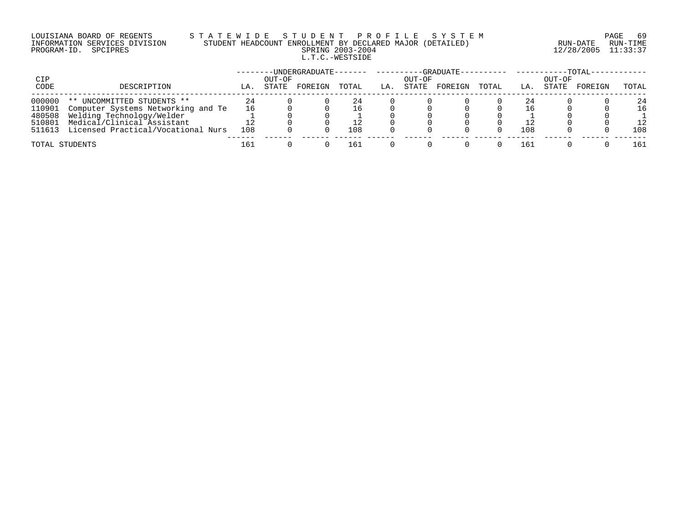# LOUISIANA BOARD OF REGENTS S T A T E W I D E S T U D E N T P R O F I L E S Y S T E M PAGE 69 INFORMATION SERVICES DIVISION STUDENT HEADCOUNT ENROLLMENT BY DECLARED MAJOR (DETAILED) RUN-DATE RUN-TIME PROGRAM-ID. SPCIPRES SPRING 2003-2004 12/28/2005 11:33:37 L.T.C.-WESTSIDE

| CIP            |                                    |     | OUT-OF | -----UNDERGRADUATE- |       |     | OUT-OF | --GRADUATE---------- |       |     | OUT-OF | $-TOTAL-$ |       |
|----------------|------------------------------------|-----|--------|---------------------|-------|-----|--------|----------------------|-------|-----|--------|-----------|-------|
| CODE           | DESCRIPTION                        | LA. | STATE  | FOREIGN             | TOTAL | LA. | STATE  | FOREIGN              | TOTAL | LA. | STATE  | FOREIGN   | TOTAL |
| 000000         | ** UNCOMMITTED STUDENTS **         | 24  |        |                     | 24    |     |        |                      |       | 24  |        |           | 24    |
| 110901         | Computer Systems Networking and Te | 16  |        |                     | 16    |     |        |                      |       | 16  |        |           | 16    |
| 480508         | Welding Technology/Welder          |     |        |                     |       |     |        |                      |       |     |        |           |       |
| 510801         | Medical/Clinical Assistant         |     |        |                     |       |     |        |                      |       |     |        |           | 12    |
| 511613         | Licensed Practical/Vocational Nurs | 108 |        |                     | 108   |     |        |                      |       | 108 |        |           | 108   |
| TOTAL STUDENTS |                                    | 161 |        |                     | 16 I  |     |        |                      |       | 161 |        |           | 161   |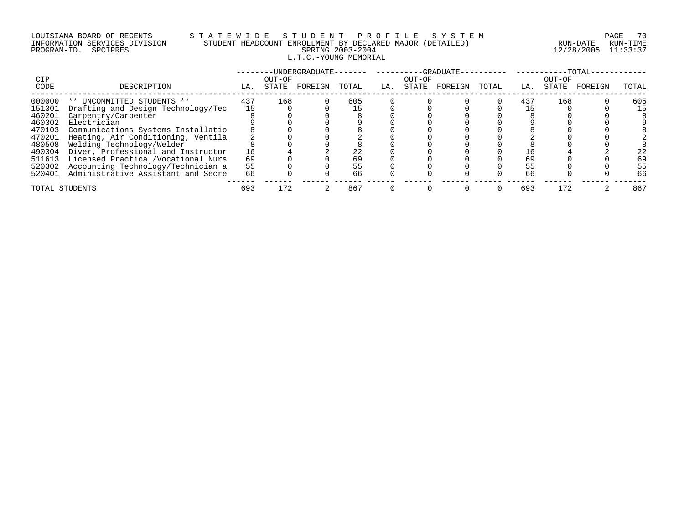# LOUISIANA BOARD OF REGENTS S T A T E W I D E S T U D E N T P R O F I L E S Y S T E M PAGE 70 INFORMATION SERVICES DIVISION STUDENT HEADCOUNT ENROLLMENT BY DECLARED MAJOR (DETAILED) RUN-DATE RUN-TIME PROGRAM-ID. SPCIPRES SPRING 2003-2004 12/28/2005 11:33:37 L.T.C.-YOUNG MEMORIAL

|                |                                    |     |                 | -UNDERGRADUATE- |       |     |                 | -GRADUATE- |       |     |                 | -TOTAL  |       |
|----------------|------------------------------------|-----|-----------------|-----------------|-------|-----|-----------------|------------|-------|-----|-----------------|---------|-------|
| CIP<br>CODE    | DESCRIPTION                        | LA. | OUT-OF<br>STATE | FOREIGN         | TOTAL | LA. | OUT-OF<br>STATE | FOREIGN    | TOTAL | LA. | OUT-OF<br>STATE | FOREIGN | TOTAL |
| 000000         | ** UNCOMMITTED STUDENTS **         | 437 | 168             |                 | 605   |     |                 |            |       | 437 | 168             |         | 605   |
| 151301         | Drafting and Design Technology/Tec | 15  |                 |                 |       |     |                 |            |       |     |                 |         | 15    |
| 460201         | Carpentry/Carpenter                |     |                 |                 |       |     |                 |            |       |     |                 |         |       |
| 460302         | Electrician                        |     |                 |                 |       |     |                 |            |       |     |                 |         |       |
| 470103         | Communications Systems Installatio |     |                 |                 |       |     |                 |            |       |     |                 |         |       |
| 470201         | Heating, Air Conditioning, Ventila |     |                 |                 |       |     |                 |            |       |     |                 |         |       |
| 480508         | Welding Technology/Welder          |     |                 |                 |       |     |                 |            |       |     |                 |         |       |
| 490304         | Diver, Professional and Instructor | 16  |                 |                 |       |     |                 |            |       |     |                 |         | 22    |
| 511613         | Licensed Practical/Vocational Nurs | 69  |                 |                 |       |     |                 |            |       | 69  |                 |         | 69    |
| 520302         | Accounting Technology/Technician a | 55  |                 |                 | 55    |     |                 |            |       | 55  |                 |         | 55    |
| 520401         | Administrative Assistant and Secre | 66  |                 |                 | 66    |     |                 |            |       | 66  |                 |         | 66    |
| TOTAL STUDENTS |                                    | 693 | 172             |                 | 867   |     |                 |            |       | 693 | 172             |         | 867   |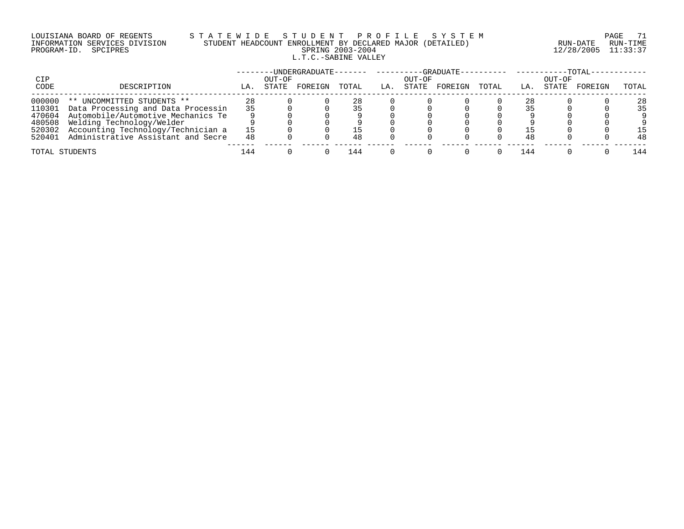# LOUISIANA BOARD OF REGENTS S T A T E W I D E S T U D E N T P R O F I L E S Y S T E M PAGE 71 INFORMATION SERVICES DIVISION STUDENT HEADCOUNT ENROLLMENT BY DECLARED MAJOR (DETAILED) RUN-DATE RUN-TIME PROGRAM-ID. SPCIPRES SPRING 2003-2004 12/28/2005 11:33:37 L.T.C.-SABINE VALLEY

|                |                                    |     |                 | -UNDERGRADUATE- |       |     |                 | -GRADUATE---------- |       |     |                 | $-TOTAL-$ |       |
|----------------|------------------------------------|-----|-----------------|-----------------|-------|-----|-----------------|---------------------|-------|-----|-----------------|-----------|-------|
| CIP<br>CODE    | DESCRIPTION                        | LA. | OUT-OF<br>STATE | FOREIGN         | TOTAL | LA. | OUT-OF<br>STATE | FOREIGN             | TOTAL | LA. | OUT-OF<br>STATE | FOREIGN   | TOTAL |
|                |                                    |     |                 |                 |       |     |                 |                     |       |     |                 |           |       |
| 000000         | UNCOMMITTED STUDENTS **<br>$***$   | 28  |                 |                 |       |     |                 |                     |       | 28  |                 |           | 28    |
| 110301         | Data Processing and Data Processin | 35  |                 |                 |       |     |                 |                     |       |     |                 |           | 35    |
| 470604         | Automobile/Automotive Mechanics Te |     |                 |                 |       |     |                 |                     |       |     |                 |           |       |
| 480508         | Welding Technology/Welder          |     |                 |                 |       |     |                 |                     |       |     |                 |           |       |
| 520302         | Accounting Technology/Technician a |     |                 |                 |       |     |                 |                     |       |     |                 |           | -5    |
| 520401         | Administrative Assistant and Secre | 48  |                 |                 | 48    |     |                 |                     |       | 48  |                 |           | 48    |
| TOTAL STUDENTS |                                    | 144 |                 |                 | 144   |     |                 |                     |       | 144 |                 |           | 144   |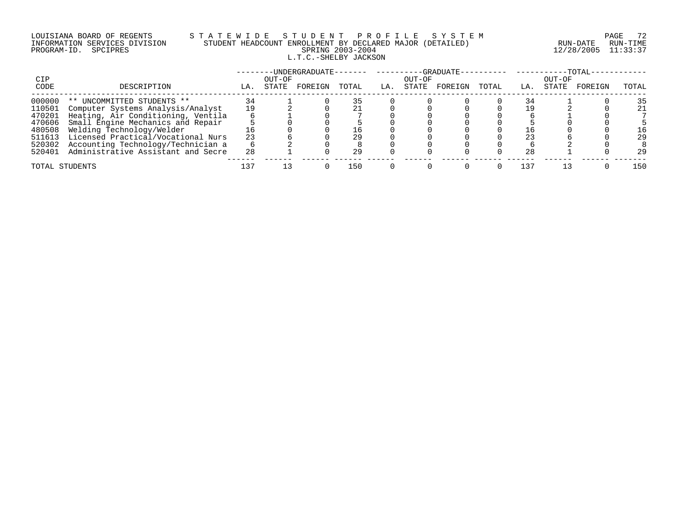# LOUISIANA BOARD OF REGENTS STATEWIDE STUDE STUDENT PROFILE SYSTEM PAGE 72<br>INFORMATION SERVICES DIVISION STUDENT HEADCOUNT ENROLLMENT BY DECLARED MAJOR (DETAILED) RUN-DATE RUN-TIME INFORMATION SERVICES DIVISION STUDENT HEADCOUNT ENROLLMENT BY DECLARED MAJOR (DETAILED)<br>PROGRAM-ID. SPCIPRES L.T.C.-SHELBY JACKSON

PROGRAM-ID. SPCIPRES SPRING 2003-2004 12/28/2005 11:33:37

|        |                                    |     |        |         |       |     |        |         |       |            |        | $-TOTAL$ |       |
|--------|------------------------------------|-----|--------|---------|-------|-----|--------|---------|-------|------------|--------|----------|-------|
| CIP    |                                    |     | OUT-OF |         |       |     | OUT-OF |         |       |            | OUT-OF |          |       |
| CODE   | DESCRIPTION                        | LA. | STATE  | FOREIGN | TOTAL | LA. | STATE  | FOREIGN | TOTAL | $\perp$ A. | STATE  | FOREIGN  | TOTAL |
| 000000 | ** UNCOMMITTED STUDENTS **         |     |        |         |       |     |        |         |       |            |        |          | 35    |
| 110501 | Computer Systems Analysis/Analyst  | 19  |        |         |       |     |        |         |       |            |        |          | 21    |
| 470201 | Heating, Air Conditioning, Ventila |     |        |         |       |     |        |         |       |            |        |          |       |
| 470606 | Small Engine Mechanics and Repair  |     |        |         |       |     |        |         |       |            |        |          |       |
| 480508 | Welding Technology/Welder          |     |        |         |       |     |        |         |       |            |        |          | L6    |
| 511613 | Licensed Practical/Vocational Nurs | 23  |        |         |       |     |        |         |       |            |        |          | 29    |
| 520302 | Accounting Technology/Technician a |     |        |         |       |     |        |         |       |            |        |          |       |
| 520401 | Administrative Assistant and Secre | 28  |        |         | 29    |     |        |         |       | 28         |        |          | 29    |
|        | TOTAL STUDENTS                     | 137 |        |         | 150   |     |        |         |       | 137        |        |          | 150   |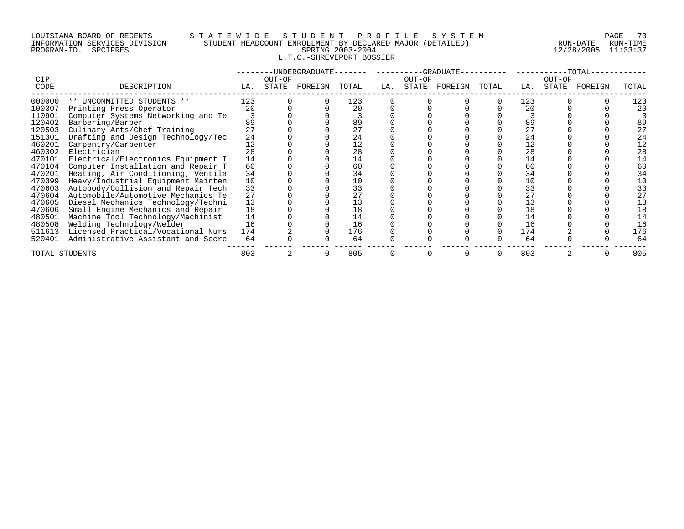#### LOUISIANA BOARD OF REGENTS S T A T E W I D E S T U D E N T P R O F I L E S Y S T E M PAGE 73 INFORMATION SERVICES DIVISION STUDENT HEADCOUNT ENROLLMENT BY DECLARED MAJOR (DETAILED) RUN-DATE RUN-TIME PROGRAM-ID. SPCIPRES SPRING 2003-2004 12/28/2005 11:33:37 L.T.C.-SHREVEPORT BOSSIER

|        |                                    |     |        | --UNDERGRADUATE-- |       |     |        | $-$ -GRADUATE $-$ |       |     |        | $-TOTAL-$ |       |
|--------|------------------------------------|-----|--------|-------------------|-------|-----|--------|-------------------|-------|-----|--------|-----------|-------|
| CIP    |                                    |     | OUT-OF |                   |       |     | OUT-OF |                   |       |     | OUT-OF |           |       |
| CODE   | DESCRIPTION                        | LA. | STATE  | FOREIGN           | TOTAL | LA. |        | STATE FOREIGN     | TOTAL | LA. | STATE  | FOREIGN   | TOTAL |
| 000000 | ** UNCOMMITTED STUDENTS **         | 123 |        |                   | 123   |     |        |                   |       | 123 |        |           | 123   |
| 100307 | Printing Press Operator            | 20  |        |                   | 20    |     |        |                   |       | 20  |        |           | 20    |
| 110901 | Computer Systems Networking and Te |     |        |                   |       |     |        |                   |       |     |        |           |       |
| 120402 | Barbering/Barber                   | 89  |        |                   | 89    |     |        |                   |       | 89  |        |           | 89    |
| 120503 | Culinary Arts/Chef Training        |     |        |                   | 27    |     |        |                   |       | 27  |        |           | 27    |
| 151301 | Drafting and Design Technology/Tec | 24  |        |                   | 24    |     |        |                   |       | 24  |        |           | 24    |
| 460201 | Carpentry/Carpenter                | 12  |        |                   | 12    |     |        |                   |       | 12  |        |           | 12    |
| 460302 | Electrician                        | 28  |        |                   | 28    |     |        |                   |       | 28  |        |           | 28    |
| 470101 | Electrical/Electronics Equipment I | 14  |        |                   | 14    |     |        |                   |       | 14  |        |           | 14    |
| 470104 | Computer Installation and Repair T | 60  |        |                   | 60    |     |        |                   |       | 60  |        |           | 60    |
| 470201 | Heating, Air Conditioning, Ventila | 34  |        |                   | 34    |     |        |                   |       | 34  |        |           | 34    |
| 470399 | Heavy/Industrial Equipment Mainten | 10  |        |                   | 10    |     |        |                   |       | 10  |        |           | 10    |
| 470603 | Autobody/Collision and Repair Tech | 33  |        |                   | 33    |     |        |                   |       | 33  |        |           | 33    |
| 470604 | Automobile/Automotive Mechanics Te | 27  |        |                   | 27    |     |        |                   |       |     |        |           | 27    |
| 470605 | Diesel Mechanics Technology/Techni | 13  |        |                   | 13    |     |        |                   |       |     |        |           | 13    |
| 470606 | Small Engine Mechanics and Repair  | 18  |        |                   | 18    |     |        |                   |       | 18  |        |           | 18    |
| 480501 | Machine Tool Technology/Machinist  | 14  |        |                   | 14    |     |        |                   |       | 14  |        |           | 14    |
| 480508 | Welding Technology/Welder          | 16  |        |                   | 16    |     |        |                   |       | 16  |        |           | 16    |
| 511613 | Licensed Practical/Vocational Nurs | 174 |        |                   | 176   |     |        |                   |       | 174 |        |           | 176   |
| 520401 | Administrative Assistant and Secre | 64  |        |                   | 64    |     |        |                   |       | 64  |        |           | 64    |
|        | TOTAL STUDENTS                     |     |        |                   | 805   |     |        |                   |       | 803 |        |           | 805   |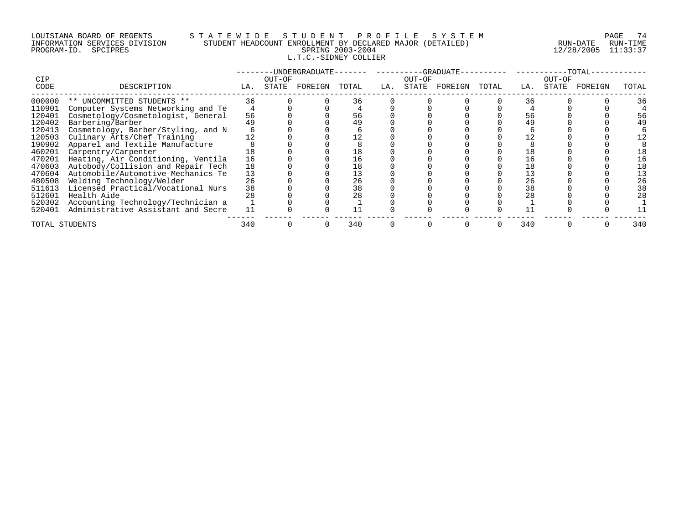# LOUISIANA BOARD OF REGENTS S T A T E W I D E S T U D E N T P R O F I L E S Y S T E M PAGE 74 INFORMATION SERVICES DIVISION STUDENT HEADCOUNT ENROLLMENT BY DECLARED MAJOR (DETAILED) RUN-DATE RUN-TIME PROGRAM-ID. SPCIPRES SPRING 2003-2004 12/28/2005 11:33:37 L.T.C.-SIDNEY COLLIER

| <b>CIP</b> |                                    | --GRADUATE-<br>-UNDERGRADUATE-<br>OUT-OF<br>OUT-OF |       |         |       |     |       |         |       | - ΤΟΤΑΙ<br>OUT-OF |       |         |       |  |
|------------|------------------------------------|----------------------------------------------------|-------|---------|-------|-----|-------|---------|-------|-------------------|-------|---------|-------|--|
| CODE       | DESCRIPTION                        | LA.                                                | STATE | FOREIGN | TOTAL | LA. | STATE | FOREIGN | TOTAL | LA.               | STATE | FOREIGN | TOTAL |  |
| 000000     | ** UNCOMMITTED STUDENTS **         | 36                                                 |       |         | 36    |     |       |         |       | 36                |       |         | 36    |  |
| 110901     | Computer Systems Networking and Te |                                                    |       |         |       |     |       |         |       |                   |       |         |       |  |
| 120401     | Cosmetology/Cosmetologist, General | 56                                                 |       |         | 56    |     |       |         |       | 56                |       |         |       |  |
| 120402     | Barbering/Barber                   |                                                    |       |         | 49    |     |       |         |       |                   |       |         |       |  |
| 120413     | Cosmetology, Barber/Styling, and N |                                                    |       |         |       |     |       |         |       |                   |       |         |       |  |
| 120503     | Culinary Arts/Chef Training        |                                                    |       |         |       |     |       |         |       |                   |       |         |       |  |
| 190902     | Apparel and Textile Manufacture    |                                                    |       |         |       |     |       |         |       |                   |       |         |       |  |
| 460201     | Carpentry/Carpenter                | 18                                                 |       |         |       |     |       |         |       |                   |       |         |       |  |
| 470201     | Heating, Air Conditioning, Ventila | 16                                                 |       |         | 16    |     |       |         |       | 16                |       |         |       |  |
| 470603     | Autobody/Collision and Repair Tech | 18                                                 |       |         | L 8   |     |       |         |       | 18                |       |         |       |  |
| 470604     | Automobile/Automotive Mechanics Te | 13                                                 |       |         |       |     |       |         |       | 13                |       |         |       |  |
| 480508     | Welding Technology/Welder          | 26                                                 |       |         | 26    |     |       |         |       | 26                |       |         | 26    |  |
| 511613     | Licensed Practical/Vocational Nurs | 38                                                 |       |         | 38    |     |       |         |       | 38                |       |         | 38    |  |
| 512601     | Health Aide                        | 28                                                 |       |         | 28    |     |       |         |       |                   |       |         | 28    |  |
| 520302     | Accounting Technology/Technician a |                                                    |       |         |       |     |       |         |       |                   |       |         |       |  |
| 520401     | Administrative Assistant and Secre |                                                    |       |         |       |     |       |         |       |                   |       |         |       |  |
|            | TOTAL STUDENTS                     | 340                                                |       |         | 340   |     |       |         |       | 340               |       |         | 340   |  |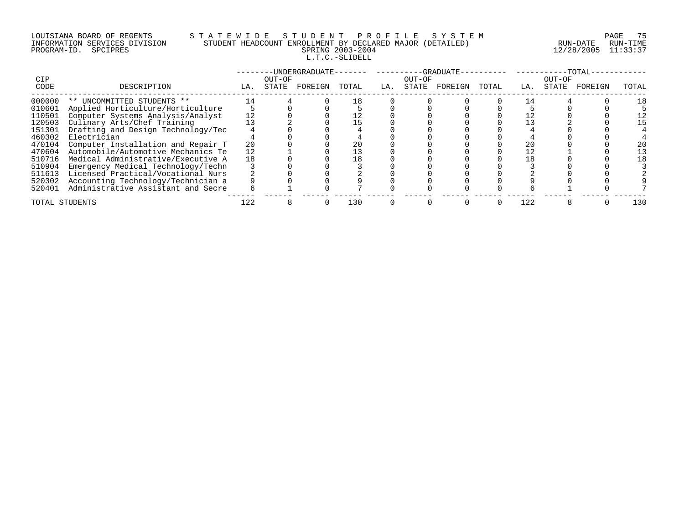# LOUISIANA BOARD OF REGENTS S T A T E W I D E S T U D E N T P R O F I L E S Y S T E M PAGE 75 INFORMATION SERVICES DIVISION STUDENT HEADCOUNT ENROLLMENT BY DECLARED MAJOR (DETAILED) RUN-DATE RUN-TIME PROGRAM-ID. SPCIPRES SPRING 2003-2004 12/28/2005 11:33:37 L.T.C.-SLIDELL

| <b>CIP</b>     |                                    | -UNDERGRADUATE-<br>OUT-OF |       |         |       |     | OUT-OF | --GRADUATE- |       | -TOTAL<br>OUT-OF |       |         |       |  |  |
|----------------|------------------------------------|---------------------------|-------|---------|-------|-----|--------|-------------|-------|------------------|-------|---------|-------|--|--|
| CODE           | DESCRIPTION                        | LA.                       | STATE | FOREIGN | TOTAL | LA. | STATE  | FOREIGN     | TOTAL | LA.              | STATE | FOREIGN | TOTAL |  |  |
| 000000         | ** UNCOMMITTED STUDENTS **         | 14                        |       |         | 18    |     |        |             |       |                  |       |         |       |  |  |
| 010601         | Applied Horticulture/Horticulture  |                           |       |         |       |     |        |             |       |                  |       |         |       |  |  |
| 110501         | Computer Systems Analysis/Analyst  | 12                        |       |         |       |     |        |             |       |                  |       |         |       |  |  |
| 120503         | Culinary Arts/Chef Training        |                           |       |         |       |     |        |             |       |                  |       |         |       |  |  |
| 151301         | Drafting and Design Technology/Tec |                           |       |         |       |     |        |             |       |                  |       |         |       |  |  |
| 460302         | Electrician                        |                           |       |         |       |     |        |             |       |                  |       |         |       |  |  |
| 470104         | Computer Installation and Repair T | 20                        |       |         |       |     |        |             |       | 20               |       |         |       |  |  |
| 470604         | Automobile/Automotive Mechanics Te |                           |       |         |       |     |        |             |       | 12               |       |         |       |  |  |
| 510716         | Medical Administrative/Executive A | 18                        |       |         |       |     |        |             |       |                  |       |         |       |  |  |
| 510904         | Emergency Medical Technology/Techn |                           |       |         |       |     |        |             |       |                  |       |         |       |  |  |
| 511613         | Licensed Practical/Vocational Nurs |                           |       |         |       |     |        |             |       |                  |       |         |       |  |  |
| 520302         | Accounting Technology/Technician a |                           |       |         |       |     |        |             |       |                  |       |         |       |  |  |
| 520401         | Administrative Assistant and Secre |                           |       |         |       |     |        |             |       |                  |       |         |       |  |  |
| TOTAL STUDENTS |                                    | 122                       |       |         | 130   |     |        |             |       | 122              |       |         | 130   |  |  |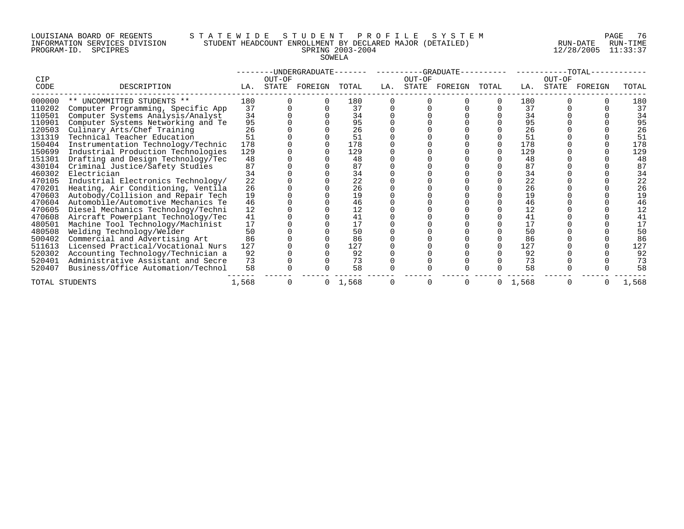#### LOUISIANA BOARD OF REGENTS S T A T E W I D E S T U D E N T P R O F I L E S Y S T E M PAGE 76 INFORMATION SERVICES DIVISION STUDENT HEADCOUNT ENROLLMENT BY DECLARED MAJOR (DETAILED) RUN-DATE RUN-TIME PROGRAM-ID. SPCIPRES SPRING 2003-2004 12/28/2005 11:33:37 SOWELA

| CIP    |                                    |       | --UNDERGRADUATE--<br>OUT-OF |         |       |     | OUT-OF | $-$ -GRADUATE- |       |       | OUT-OF | $-TOTAL-$ |       |
|--------|------------------------------------|-------|-----------------------------|---------|-------|-----|--------|----------------|-------|-------|--------|-----------|-------|
| CODE   | DESCRIPTION                        | LA.   | STATE                       | FOREIGN | TOTAL | LA. | STATE  | FOREIGN        | TOTAL | LA.   | STATE  | FOREIGN   | TOTAL |
| 000000 | ** UNCOMMITTED STUDENTS **         | 180   |                             |         | 180   |     |        |                |       | 180   |        |           | 180   |
| 110202 | Computer Programming, Specific App | 37    |                             |         | 37    |     |        |                |       | 37    |        |           | 37    |
| 110501 | Computer Systems Analysis/Analyst  | 34    |                             |         | 34    |     |        |                |       | 34    |        |           | 34    |
| 110901 | Computer Systems Networking and Te | 95    |                             |         | 95    |     |        |                |       | 95    |        |           | 95    |
| 120503 | Culinary Arts/Chef Training        | 26    |                             |         | 26    |     |        |                |       | 26    |        |           | 26    |
| 131319 | Technical Teacher Education        | 51    |                             |         | 51    |     |        |                |       | 51    |        |           | 51    |
| 150404 | Instrumentation Technology/Technic | 178   |                             |         | 178   |     |        |                |       | 178   |        |           | 178   |
| 150699 | Industrial Production Technologies | 129   |                             |         | 129   |     |        |                |       | 129   |        |           | 129   |
| 151301 | Drafting and Design Technology/Tec | 48    |                             |         | 48    |     |        |                |       | 48    |        |           | 48    |
| 430104 | Criminal Justice/Safety Studies    | 87    |                             |         | 87    |     |        |                |       | 87    |        |           | 87    |
| 460302 | Electrician                        | 34    |                             |         | 34    |     |        |                |       | 34    |        |           | 34    |
| 470105 | Industrial Electronics Technology/ | 22    |                             |         | 22    |     |        |                |       | 22    |        |           | 22    |
| 470201 | Heating, Air Conditioning, Ventila | 26    |                             |         | 26    |     |        |                |       | 26    |        |           | 26    |
| 470603 | Autobody/Collision and Repair Tech | 19    |                             |         | 19    |     |        |                |       | 19    |        |           | 19    |
| 470604 | Automobile/Automotive Mechanics Te | 46    |                             |         | 46    |     |        |                |       | 46    |        |           | 46    |
| 470605 | Diesel Mechanics Technology/Techni | 12    |                             |         | 12    |     |        |                |       | 12    |        |           | 12    |
| 470608 | Aircraft Powerplant Technology/Tec | 41    |                             |         | 41    |     |        |                |       | 41    |        |           | 41    |
| 480501 | Machine Tool Technology/Machinist  | 17    |                             |         | 17    |     |        |                |       | 17    |        |           | 17    |
| 480508 | Welding Technology/Welder          | 50    |                             |         | 50    |     |        |                |       | 50    |        |           | 50    |
| 500402 | Commercial and Advertising Art     | 86    |                             |         | 86    |     |        |                |       | 86    |        |           | 86    |
| 511613 | Licensed Practical/Vocational Nurs | 127   |                             |         | 127   |     |        |                |       | 127   |        |           | 127   |
| 520302 | Accounting Technology/Technician a | 92    |                             |         | 92    |     |        |                |       | 92    |        |           | 92    |
| 520401 | Administrative Assistant and Secre | 73    |                             |         | 73    |     |        |                |       | 73    |        |           | 73    |
| 520407 | Business/Office Automation/Technol | 58    |                             |         | 58    |     |        |                |       | 58    |        |           | 58    |
|        | TOTAL STUDENTS                     | 1,568 |                             | 0       | 1,568 |     | 0      |                | 0     | 1,568 |        |           | 1,568 |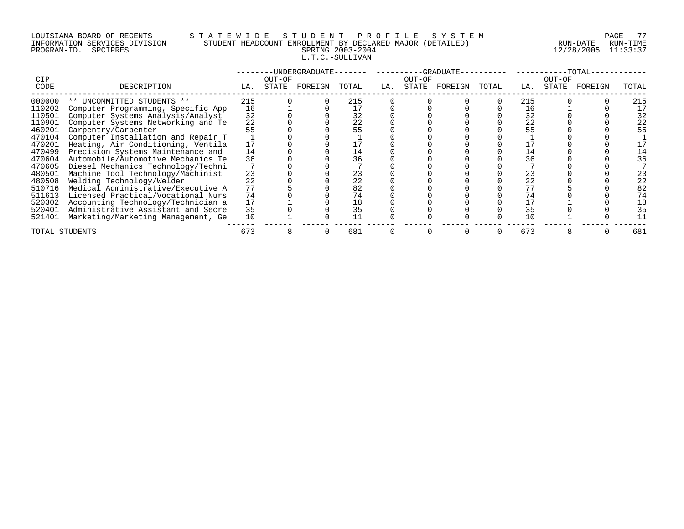# LOUISIANA BOARD OF REGENTS S T A T E W I D E S T U D E N T P R O F I L E S Y S T E M PAGE 77 INFORMATION SERVICES DIVISION STUDENT HEADCOUNT ENROLLMENT BY DECLARED MAJOR (DETAILED) RUN-DATE RUN-TIME PROGRAM-ID. SPCIPRES SPRING 2003-2004 12/28/2005 11:33:37 L.T.C.-SULLIVAN

|                    |                                    | -UNDERGRADUATE- |                 |         |       |     |                 | -GRADUATE- |       |     |                 | -TOTAL- |       |
|--------------------|------------------------------------|-----------------|-----------------|---------|-------|-----|-----------------|------------|-------|-----|-----------------|---------|-------|
| <b>CIP</b><br>CODE | DESCRIPTION                        | LA.             | OUT-OF<br>STATE | FOREIGN | TOTAL | LA. | OUT-OF<br>STATE | FOREIGN    | TOTAL | LA. | OUT-OF<br>STATE | FOREIGN | TOTAL |
| 000000             | ** UNCOMMITTED STUDENTS **         | 215             |                 |         | 215   |     |                 |            |       | 215 |                 |         | 215   |
| 110202             | Computer Programming, Specific App | 16              |                 |         |       |     |                 |            |       | 16  |                 |         | 17    |
| 110501             | Computer Systems Analysis/Analyst  | 32              |                 |         | 32    |     |                 |            |       | 32  |                 |         | 32    |
| 110901             | Computer Systems Networking and Te | 22              |                 |         | 22    |     |                 |            |       | 22  |                 |         | 22    |
| 460201             | Carpentry/Carpenter                | 55              |                 |         | 55    |     |                 |            |       |     |                 |         | 55    |
| 470104             | Computer Installation and Repair T |                 |                 |         |       |     |                 |            |       |     |                 |         |       |
| 470201             | Heating, Air Conditioning, Ventila | 17              |                 |         |       |     |                 |            |       |     |                 |         |       |
| 470499             | Precision Systems Maintenance and  | 14              |                 |         | 14    |     |                 |            |       | 14  |                 |         | 14    |
| 470604             | Automobile/Automotive Mechanics Te | 36              |                 |         | 36    |     |                 |            |       | 36  |                 |         | 36    |
| 470605             | Diesel Mechanics Technology/Techni |                 |                 |         |       |     |                 |            |       |     |                 |         |       |
| 480501             | Machine Tool Technology/Machinist  | 23              |                 |         | 23    |     |                 |            |       | 23  |                 |         | 23    |
| 480508             | Welding Technology/Welder          | 22              |                 |         | 22    |     |                 |            |       | 22  |                 |         | 22    |
| 510716             | Medical Administrative/Executive A | 77              |                 |         | 82    |     |                 |            |       |     |                 |         | 82    |
| 511613             | Licensed Practical/Vocational Nurs | 74              |                 |         | 74    |     |                 |            |       |     |                 |         | 74    |
| 520302             | Accounting Technology/Technician a | 17              |                 |         | 18    |     |                 |            |       |     |                 |         | 18    |
| 520401             | Administrative Assistant and Secre | 35              |                 |         | 35    |     |                 |            |       | 35  |                 |         | 35    |
| 521401             | Marketing/Marketing Management, Ge | 10              |                 |         |       |     |                 |            |       |     |                 |         |       |
| TOTAL STUDENTS     |                                    | 673             |                 |         | 681   |     |                 |            |       | 673 |                 |         | 681   |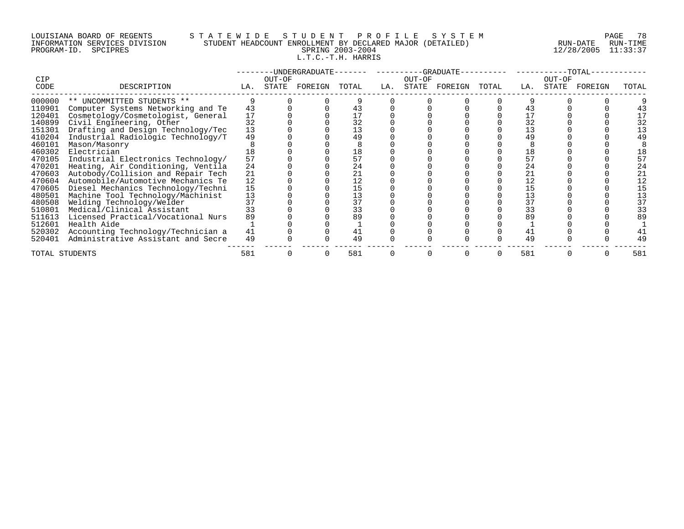# LOUISIANA BOARD OF REGENTS S T A T E W I D E S T U D E N T P R O F I L E S Y S T E M PAGE 78 INFORMATION SERVICES DIVISION STUDENT HEADCOUNT ENROLLMENT BY DECLARED MAJOR (DETAILED) RUN-DATE RUN-TIME PROGRAM-ID. SPCIPRES SPRING 2003-2004 12/28/2005 11:33:37 L.T.C.-T.H. HARRIS

|                |                                    |     | -UNDERGRADUATE-- |               |       |     |        | --GRADUATE-   |       |        |       | $-TOTAL-$ |       |  |
|----------------|------------------------------------|-----|------------------|---------------|-------|-----|--------|---------------|-------|--------|-------|-----------|-------|--|
| <b>CIP</b>     |                                    |     | OUT-OF           |               |       |     | OUT-OF |               |       | OUT-OF |       |           |       |  |
| CODE           | DESCRIPTION                        | LA. |                  | STATE FOREIGN | TOTAL | LA. |        | STATE FOREIGN | TOTAL | LA.    | STATE | FOREIGN   | TOTAL |  |
| 000000         | ** UNCOMMITTED STUDENTS **         |     |                  |               |       |     |        |               |       |        |       |           |       |  |
| 110901         | Computer Systems Networking and Te | 43  |                  |               | 43    |     |        |               |       | 43     |       |           | 43    |  |
| 120401         | Cosmetology/Cosmetologist, General | 17  |                  |               |       |     |        |               |       |        |       |           |       |  |
| 140899         | Civil Engineering, Other           | 32  |                  |               | 32    |     |        |               |       | 32     |       |           | 32    |  |
| 151301         | Drafting and Design Technology/Tec | 13  |                  |               | 13    |     |        |               |       |        |       |           | 13    |  |
| 410204         | Industrial Radiologic Technology/T | 49  |                  |               | 49    |     |        |               |       | 49     |       |           | 49    |  |
| 460101         | Mason/Masonry                      |     |                  |               |       |     |        |               |       |        |       |           |       |  |
| 460302         | Electrician                        |     |                  |               | 18    |     |        |               |       | 18     |       |           | 18    |  |
| 470105         | Industrial Electronics Technology/ | 57  |                  |               | 57    |     |        |               |       | 57     |       |           | 57    |  |
| 470201         | Heating, Air Conditioning, Ventila | 24  |                  |               | 24    |     |        |               |       | 24     |       |           | 24    |  |
| 470603         | Autobody/Collision and Repair Tech | 21  |                  |               | 21    |     |        |               |       | 21     |       |           | 21    |  |
| 470604         | Automobile/Automotive Mechanics Te | 12  |                  |               | 12    |     |        |               |       | 12     |       |           | 12    |  |
| 470605         | Diesel Mechanics Technology/Techni | 15  |                  |               | 15    |     |        |               |       | 15     |       |           | 15    |  |
| 480501         | Machine Tool Technology/Machinist  | 13  |                  |               | 13    |     |        |               |       |        |       |           | 13    |  |
| 480508         | Welding Technology/Welder          | 37  |                  |               | 37    |     |        |               |       | 37     |       |           | 37    |  |
| 510801         | Medical/Clinical Assistant         | 33  |                  |               | 33    |     |        |               |       | 33     |       |           | 33    |  |
| 511613         | Licensed Practical/Vocational Nurs | 89  |                  |               | 89    |     |        |               |       | 89     |       |           | 89    |  |
| 512601         | Health Aide                        |     |                  |               |       |     |        |               |       |        |       |           |       |  |
| 520302         | Accounting Technology/Technician a | 41  |                  |               | 41    |     |        |               |       | 41     |       |           |       |  |
| 520401         | Administrative Assistant and Secre | 49  |                  |               | 49    |     |        |               |       | 49     |       |           | 49    |  |
| TOTAL STUDENTS |                                    | 581 |                  |               | 581   |     |        |               |       | 581    |       |           | 581   |  |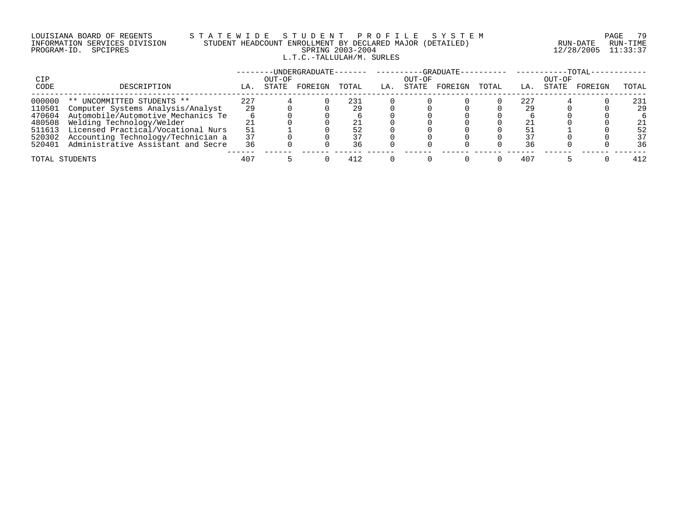### LOUISIANA BOARD OF REGENTS S T A T E W I D E S T U D E N T P R O F I L E S Y S T E M PAGE 79 INFORMATION SERVICES DIVISION STUDENT HEADCOUNT ENROLLMENT BY DECLARED MAJOR (DETAILED) RUN-DATE RUN-TIME PROGRAM-ID. SPCIPRES SPRING 2003-2004 12/28/2005 11:33:37 L.T.C.-TALLULAH/M. SURLES

|             |                                    | -UNDERGRADUATE---<br>-GRADUATE-- |                 |         |       |     |                 |         |       | $-TOTAL-$ |                 |         |       |  |
|-------------|------------------------------------|----------------------------------|-----------------|---------|-------|-----|-----------------|---------|-------|-----------|-----------------|---------|-------|--|
| CIP<br>CODE | DESCRIPTION                        | LA.                              | OUT-OF<br>STATE | FOREIGN | TOTAL | LA. | OUT-OF<br>STATE | FOREIGN | TOTAL | LA.       | OUT-OF<br>STATE | FOREIGN | TOTAL |  |
| 000000      | ** UNCOMMITTED STUDENTS **         | 227                              |                 |         | 231   |     |                 |         |       | 227       |                 |         | 231   |  |
| 110501      | Computer Systems Analysis/Analyst  | 29                               |                 |         | 29    |     |                 |         |       | 29        |                 |         | 29    |  |
| 470604      | Automobile/Automotive Mechanics Te |                                  |                 |         |       |     |                 |         |       |           |                 |         |       |  |
| 480508      | Welding Technology/Welder          |                                  |                 |         |       |     |                 |         |       | 21        |                 |         | 21    |  |
| 511613      | Licensed Practical/Vocational Nurs | 51                               |                 |         |       |     |                 |         |       |           |                 |         | 52    |  |
| 520302      | Accounting Technology/Technician a | 37                               |                 |         |       |     |                 |         |       |           |                 |         | 37    |  |
| 520401      | Administrative Assistant and Secre | 36                               |                 |         | 36    |     |                 |         |       | 36        |                 |         | 36    |  |
|             | TOTAL STUDENTS                     | 407                              |                 |         | 412   |     |                 |         |       | 407       |                 |         | 412   |  |